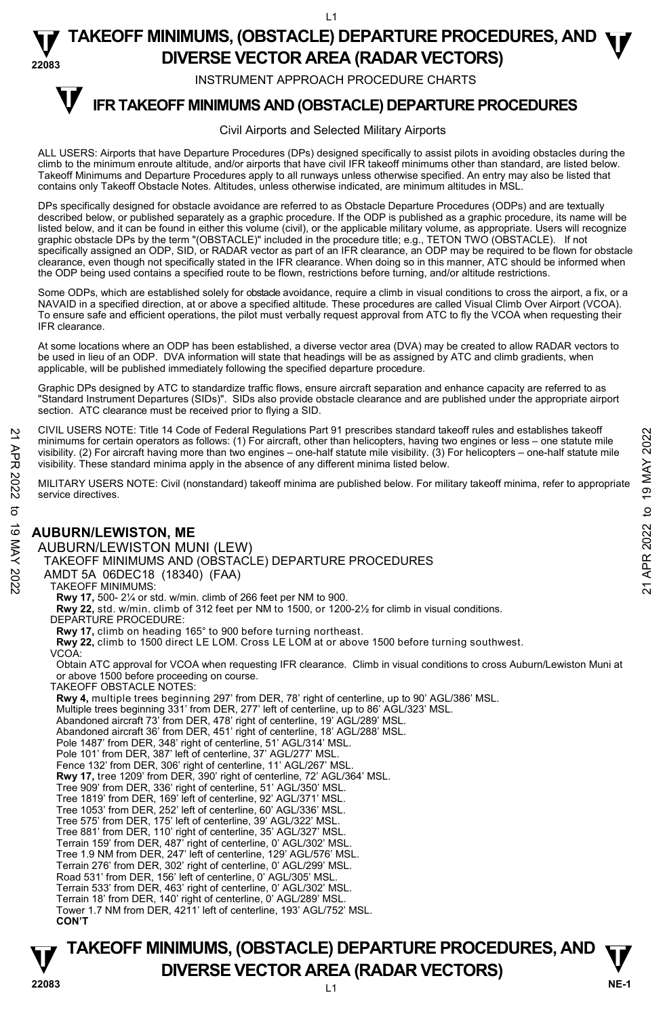$\overline{11}$ 

#### **22083 TAKEOFF MINIMUMS, (OBSTACLE) DEPARTURE PROCEDURES, AND <b>W**<br>DIVERSE VECTOR AREA (BADAR VECTORS) **DIVERSE VECTOR AREA (RADAR VECTORS)**

INSTRUMENT APPROACH PROCEDURE CHARTS

# **IFR TAKEOFF MINIMUMS AND (OBSTACLE) DEPARTURE PROCEDURES T**

#### Civil Airports and Selected Military Airports

ALL USERS: Airports that have Departure Procedures (DPs) designed specifically to assist pilots in avoiding obstacles during the climb to the minimum enroute altitude, and/or airports that have civil IFR takeoff minimums other than standard, are listed below. Takeoff Minimums and Departure Procedures apply to all runways unless otherwise specified. An entry may also be listed that contains only Takeoff Obstacle Notes. Altitudes, unless otherwise indicated, are minimum altitudes in MSL.

DPs specifically designed for obstacle avoidance are referred to as Obstacle Departure Procedures (ODPs) and are textually described below, or published separately as a graphic procedure. If the ODP is published as a graphic procedure, its name will be listed below, and it can be found in either this volume (civil), or the applicable military volume, as appropriate. Users will recognize graphic obstacle DPs by the term "(OBSTACLE)" included in the procedure title; e.g., TETON TWO (OBSTACLE). If not specifically assigned an ODP, SID, or RADAR vector as part of an IFR clearance, an ODP may be required to be flown for obstacle clearance, even though not specifically stated in the IFR clearance. When doing so in this manner, ATC should be informed when the ODP being used contains a specified route to be flown, restrictions before turning, and/or altitude restrictions.

Some ODPs, which are established solely for obstacle avoidance, require a climb in visual conditions to cross the airport, a fix, or a NAVAID in a specified direction, at or above a specified altitude. These procedures are called Visual Climb Over Airport (VCOA). To ensure safe and efficient operations, the pilot must verbally request approval from ATC to fly the VCOA when requesting their IFR clearance.

At some locations where an ODP has been established, a diverse vector area (DVA) may be created to allow RADAR vectors to be used in lieu of an ODP. DVA information will state that headings will be as assigned by ATC and climb gradients, when applicable, will be published immediately following the specified departure procedure.

Graphic DPs designed by ATC to standardize traffic flows, ensure aircraft separation and enhance capacity are referred to as "Standard Instrument Departures (SIDs)". SIDs also provide obstacle clearance and are published under the appropriate airport section. ATC clearance must be received prior to flying a SID.

CIVIL USERS NOTE: Title 14 Code of Federal Regulations Part 91 prescribes standard takeoff rules and establishes takeoff minimums for certain operators as follows: (1) For aircraft, other than helicopters, having two engines or less – one statute mile visibility. (2) For aircraft having more than two engines – one-half statute mile visibility. (3) For helicopters – one-half statute mile visibility. These standard minima apply in the absence of any different minima listed below. 21 CIVIL USERS NOTE: Thire 14 Code or Federal regulations Part 91 prescinces standard takeoff minimums for certain operators as follows: (1) For aircraft, due than helicopters, having two engines or less – one-half statu

MILITARY USERS NOTE: Civil (nonstandard) takeoff minima are published below. For military takeoff minima, refer to appropriate service directives.

## **AUBURN/LEWISTON, ME**

AUBURN/LEWISTON MUNI (LEW) TAKEOFF MINIMUMS AND (OBSTACLE) DEPARTURE PROCEDURES

AMDT 5A 06DEC18 (18340) (FAA)

#### TAKEOFF MINIMUMS:

**Rwy 17,** 500- 2¼ or std. w/min. climb of 266 feet per NM to 900.

**Rwy 22,** std. w/min. climb of 312 feet per NM to 1500, or 1200-2½ for climb in visual conditions.

DEPARTURE PROCEDURE:

**Rwy 17,** climb on heading 165° to 900 before turning northeast.

**Rwy 22,** climb to 1500 direct LE LOM. Cross LE LOM at or above 1500 before turning southwest. VCOA:

Obtain ATC approval for VCOA when requesting IFR clearance. Climb in visual conditions to cross Auburn/Lewiston Muni at or above 1500 before proceeding on course.

TAKEOFF OBSTACLE NOTES:

**Rwy 4,** multiple trees beginning 297' from DER, 78' right of centerline, up to 90' AGL/386' MSL.

Multiple trees beginning 331' from DER, 277' left of centerline, up to 86' AGL/323' MSL.

Abandoned aircraft 73' from DER, 478' right of centerline, 19' AGL/289' MSL.

Abandoned aircraft 36' from DER, 451' right of centerline, 18' AGL/288' MSL.

- Pole 1487' from DER, 348' right of centerline, 51' AGL/314' MSL.
- Pole 101' from DER, 387' left of centerline, 37' AGL/277' MSL. Fence 132' from DER, 306' right of centerline, 11' AGL/267' MSL.

**Rwy 17,** tree 1209' from DER, 390' right of centerline, 72' AGL/364' MSL.

Tree 909' from DER, 336' right of centerline, 51' AGL/350' MSL. Tree 1819' from DER, 169' left of centerline, 92' AGL/371' MSL.

Tree 1053' from DER, 252' left of centerline, 60' AGL/336' MSL.

Tree 575' from DER, 175' left of centerline, 39' AGL/322' MSL.

Tree 881' from DER, 110' right of centerline, 35' AGL/327' MSL. Terrain 159' from DER, 487' right of centerline, 0' AGL/302' MSL.

Tree 1.9 NM from DER, 247' left of centerline, 129' AGL/576' MSL.

Terrain 276' from DER, 302' right of centerline, 0' AGL/299' MSL.

Road 531' from DER, 156' left of centerline, 0' AGL/305' MSL.

Terrain 533' from DER, 463' right of centerline, 0' AGL/302' MSL.

Terrain 18' from DER, 140' right of centerline, 0' AGL/289' MSL.

Tower 1.7 NM from DER, 4211' left of centerline, 193' AGL/752' MSL. **CON'T**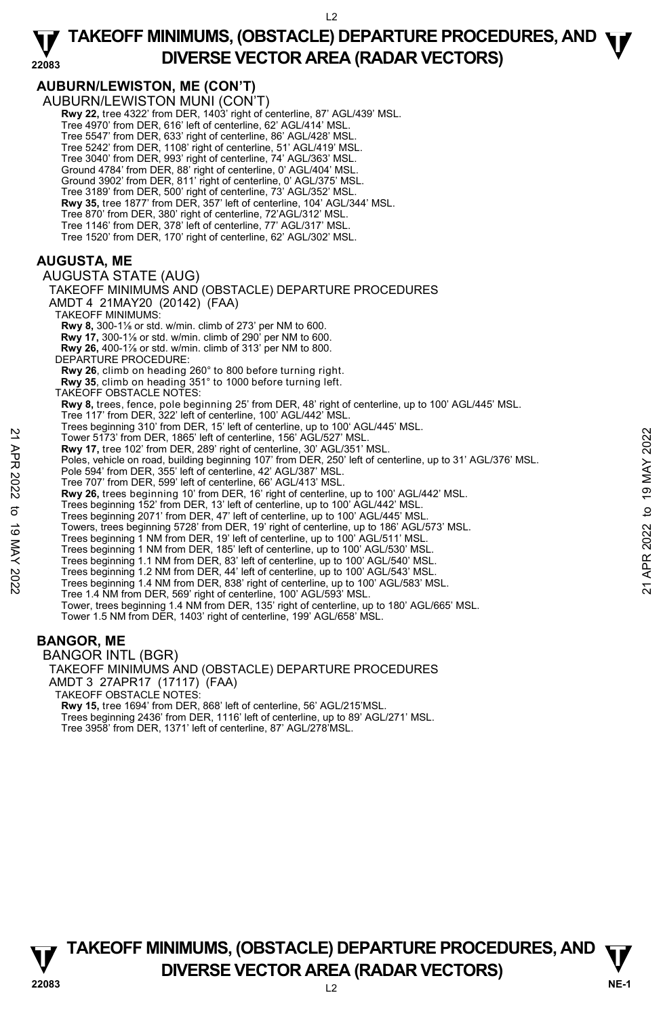## **AUBURN/LEWISTON, ME (CON'T)**

AUBURN/LEWISTON MUNI (CON'T) **Rwy 22,** tree 4322' from DER, 1403' right of centerline, 87' AGL/439' MSL. Tree 4970' from DER, 616' left of centerline, 62' AGL/414' MSL. Tree 5547' from DER, 633' right of centerline, 86' AGL/428' MSL. Tree 5242' from DER, 1108' right of centerline, 51' AGL/419' MSL. Tree 3040' from DER, 993' right of centerline, 74' AGL/363' MSL. Ground 4784' from DER, 88' right of centerline, 0' AGL/404' MSL. Ground 3902' from DER, 811' right of centerline, 0' AGL/375' MSL. Tree 3189' from DER, 500' right of centerline, 73' AGL/352' MSL.<br>**Rwy 35,** tree 1877' from DER, 357' left of centerline, 104' AGL/344' MSL. Tree 870' from DER, 380' right of centerline, 72'AGL/312' MSL. Tree 1146' from DER, 378' left of centerline, 77' AGL/317' MSL. Tree 1520' from DER, 170' right of centerline, 62' AGL/302' MSL. **AUGUSTA, ME**  AUGUSTA STATE (AUG) TAKEOFF MINIMUMS AND (OBSTACLE) DEPARTURE PROCEDURES AMDT 4 21MAY20 (20142) (FAA) TAKEOFF MINIMUMS:

**Rwy 8,** 300-1⅛ or std. w/min. climb of 273' per NM to 600.

 **Rwy 17,** 300-1⅛ or std. w/min. climb of 290' per NM to 600.  **Rwy 26,** 400-1⅞ or std. w/min. climb of 313' per NM to 800.

DEPARTURE PROCEDURE:

**Rwy 26**, climb on heading 260° to 800 before turning right.

 **Rwy 35**, climb on heading 351° to 1000 before turning left. TAKEOFF OBSTACLE NOTES:

**Rwy 8,** trees, fence, pole beginning 25' from DER, 48' right of centerline, up to 100' AGL/445' MSL.

Tree 117' from DER, 322' left of centerline, 100' AGL/442' MSL.

Trees beginning 310' from DER, 15' left of centerline, up to 100' AGL/445' MSL.

Tower 5173' from DER, 1865' left of centerline, 156' AGL/527' MSL.

**Rwy 17,** tree 102' from DER, 289' right of centerline, 30' AGL/351' MSL.

Poles, vehicle on road, building beginning 107' from DER, 250' left of centerline, up to 31' AGL/376' MSL. Pole 594' from DER, 355' left of centerline, 42' AGL/387' MSL. 22 Tower 5473' from DER, 1865' left of centerline, 156' AGL/527' MSL.<br>
22 Tower 5473' from DER, 1865' left of centerline, 156' AGL/527' MSL.<br>
22 Poles, which centroside by applicating beginning to 7' from DER, 250' left o

Tree 707' from DER, 599' left of centerline, 66' AGL/413' MSL.

**Rwy 26,** trees beginning 10' from DER, 16' right of centerline, up to 100' AGL/442' MSL.

Trees beginning 152' from DER, 13' left of centerline, up to 100' AGL/442' MSL.

Trees beginning 2071' from DER, 47' left of centerline, up to 100' AGL/445' MSL.

Towers, trees beginning 5728' from DER, 19' right of centerline, up to 186' AGL/573' MSL.

Trees beginning 1 NM from DER, 19' left of centerline, up to 100' AGL/511' MSL.

Trees beginning 1 NM from DER, 185' left of centerline, up to 100' AGL/530' MSL.

Trees beginning 1.1 NM from DER, 83' left of centerline, up to 100' AGL/540' MSL.

Trees beginning 1.2 NM from DER, 44' left of centerline, up to 100' AGL/543' MSL.

Trees beginning 1.4 NM from DER, 838' right of centerline, up to 100' AGL/583' MSL.

Tree 1.4 NM from DER, 569' right of centerline, 100' AGL/593' MSL.

Tower, trees beginning 1.4 NM from DER, 135' right of centerline, up to 180' AGL/665' MSL. Tower 1.5 NM from DER, 1403' right of centerline, 199' AGL/658' MSL.

## **BANGOR, ME**

BANGOR INTL (BGR) TAKEOFF MINIMUMS AND (OBSTACLE) DEPARTURE PROCEDURES AMDT 3 27APR17 (17117) (FAA) TAKEOFF OBSTACLE NOTES: **Rwy 15,** tree 1694' from DER, 868' left of centerline, 56' AGL/215'MSL. Trees beginning 2436' from DER, 1116' left of centerline, up to 89' AGL/271' MSL. Tree 3958' from DER, 1371' left of centerline, 87' AGL/278'MSL.

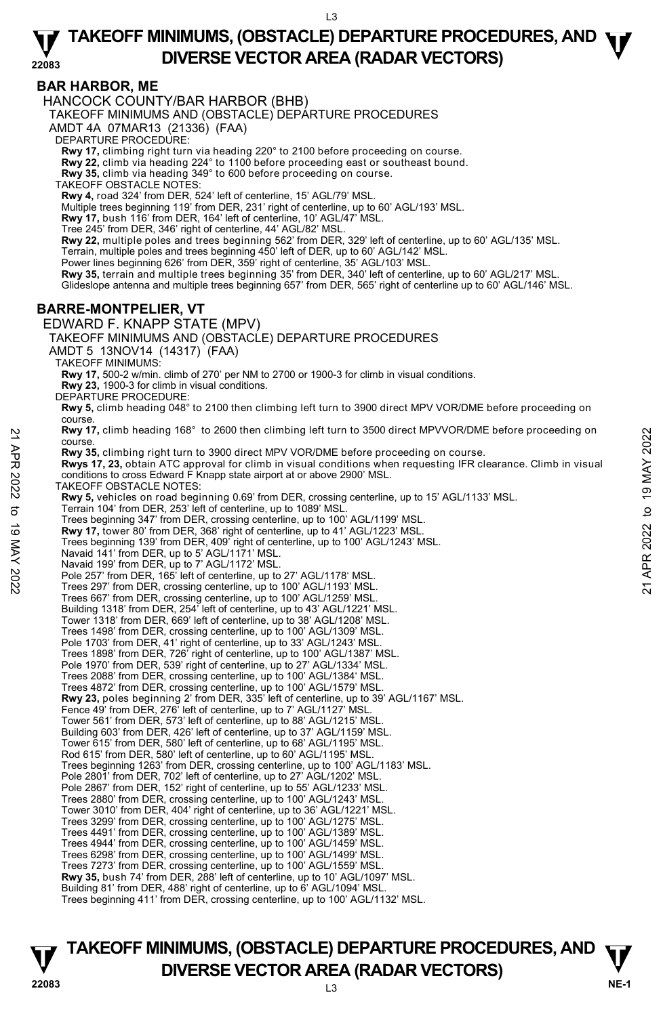## **BAR HARBOR, ME**

HANCOCK COUNTY/BAR HARBOR (BHB)

TAKEOFF MINIMUMS AND (OBSTACLE) DEPARTURE PROCEDURES

AMDT 4A 07MAR13 (21336) (FAA)

DEPARTURE PROCEDURE:

**Rwy 17,** climbing right turn via heading 220° to 2100 before proceeding on course. **Rwy 22,** climb via heading 224° to 1100 before proceeding east or southeast bound.

**Rwy 35,** climb via heading 349° to 600 before proceeding on course.

TAKEOFF OBSTACLE NOTES:

**Rwy 4,** road 324' from DER, 524' left of centerline, 15' AGL/79' MSL.<br>Multiple trees beginning 119' from DER, 231' right of centerline, up to 60' AGL/193' MSL.

**Rwy 17,** bush 116' from DER, 164' left of centerline, 10' AGL/47' MSL.

Tree 245' from DER, 346' right of centerline, 44' AGL/82' MSL.

**Rwy 22,** multiple poles and trees beginning 562' from DER, 329' left of centerline, up to 60' AGL/135' MSL.

Terrain, multiple poles and trees beginning 450' left of DER, up to 60' AGL/142' MSL.

Power lines beginning 626' from DER, 359' right of centerline, 35' AGL/103' MSL

**Rwy 35,** terrain and multiple trees beginning 35' from DER, 340' left of centerline, up to 60' AGL/217' MSL. Glideslope antenna and multiple trees beginning 657' from DER, 565' right of centerline up to 60' AGL/146' MSL.

### **BARRE-MONTPELIER, VT**

EDWARD F. KNAPP STATE (MPV)

TAKEOFF MINIMUMS AND (OBSTACLE) DEPARTURE PROCEDURES

AMDT 5 13NOV14 (14317) (FAA)

TAKEOFF MINIMUMS:

**Rwy 17,** 500-2 w/min. climb of 270' per NM to 2700 or 1900-3 for climb in visual conditions.

**Rwy 23,** 1900-3 for climb in visual conditions. DEPARTURE PROCEDURE:

**Rwy 5,** climb heading 048° to 2100 then climbing left turn to 3900 direct MPV VOR/DME before proceeding on course.

**Rwy 17,** climb heading 168° to 2600 then climbing left turn to 3500 direct MPVVOR/DME before proceeding on course.

**Rwy 35,** climbing right turn to 3900 direct MPV VOR/DME before proceeding on course.

**Rwys 17, 23,** obtain ATC approval for climb in visual conditions when requesting IFR clearance. Climb in visual conditions to cross Edward F Knapp state airport at or above 2900' MSL.

TAKEOFF OBSTACLE NOTES:

**Rwy 5,** vehicles on road beginning 0.69' from DER, crossing centerline, up to 15' AGL/1133' MSL.<br>Terrain 104' from DER, 253' left of centerline, up to 1089' MSL. Trees beginning 347' from DER, crossing centerline, up to 100' AGL/1199' MSL. **Rwy 17,** tower 80' from DER, 368' right of centerline, up to 41' AGL/1223' MSL. Trees beginning 139' from DER, 409' right of centerline, up to 100' AGL/1243' MSL. Navaid 141' from DER, up to 5' AGL/1171' MSL. Navaid 199' from DER, up to 7' AGL/1172' MSL. Pole 257' from DER, 165' left of centerline, up to 27' AGL/1178' MSL. Trees 297' from DER, crossing centerline, up to 100' AGL/1193' MSL. Trees 667' from DER, crossing centerline, up to 100' AGL/1259' MSL. Building 1318' from DER, 254' left of centerline, up to 43' AGL/1221' MSL. Tower 1318' from DER, 669' left of centerline, up to 38' AGL/1208' MSL. Trees 1498' from DER, crossing centerline, up to 100' AGL/1309' MSL. Pole 1703' from DER, 41' right of centerline, up to 33' AGL/1243' MSL Trees 1898' from DER, 726' right of centerline, up to 100' AGL/1387' MSL. Pole 1970' from DER, 539' right of centerline, up to 27' AGL/1334' MSL. Trees 2088' from DER, crossing centerline, up to 100' AGL/1384' MSL. Trees 4872' from DER, crossing centerline, up to 100' AGL/1579' MSL. **Rwy 23,** poles beginning 2' from DER, 335' left of centerline, up to 39' AGL/1167' MSL. Fence 49' from DER, 276' left of centerline, up to 7' AGL/1127' MSL. Tower 561' from DER, 573' left of centerline, up to 88' AGL/1215' MSL. Building 603' from DER, 426' left of centerline, up to 37' AGL/1159' MSL. Tower 615' from DER, 580' left of centerline, up to 68' AGL/1195' MSL. Rod 615' from DER, 580' left of centerline, up to 60' AGL/1195' MSL. Trees beginning 1263' from DER, crossing centerline, up to 100' AGL/1183' MSL. Pole 2801' from DER, 702' left of centerline, up to 27' AGL/1202' MSL. Pole 2867' from DER, 152' right of centerline, up to 55' AGL/1233' MSL. Trees 2880' from DER, crossing centerline, up to 100' AGL/1243' MSL. Tower 3010' from DER, 404' right of centerline, up to 36' AGL/1221' MSL. Trees 3299' from DER, crossing centerline, up to 100' AGL/1275' MSL. Trees 4491' from DER, crossing centerline, up to 100' AGL/1389' MSL. Trees 4944' from DER, crossing centerline, up to 100' AGL/1459' MSL. Trees 6298' from DER, crossing centerline, up to 100' AGL/1499' MSL. Trees 7273' from DER, crossing centerline, up to 100' AGL/1559' MSL. **Rwy 35,** bush 74' from DER, 288' left of centerline, up to 10' AGL/1097' MSL. Building 81' from DER, 488' right of centerline, up to 6' AGL/1094' MSL. Trees beginning 411' from DER, crossing centerline, up to 100' AGL/1132' MSL. **EXAMPLE TO THE SET AND THE SET AND THANGE AND SET AND AN ARRANGE THE SET AND AN ARRANGE THANGE THANGE THANGE THANGE THANGE THANGE THANGE THANGE THANGE THANGE THANGE THANGE THANGE THANGE THANGE THANGE THANGE THANGE THANGE**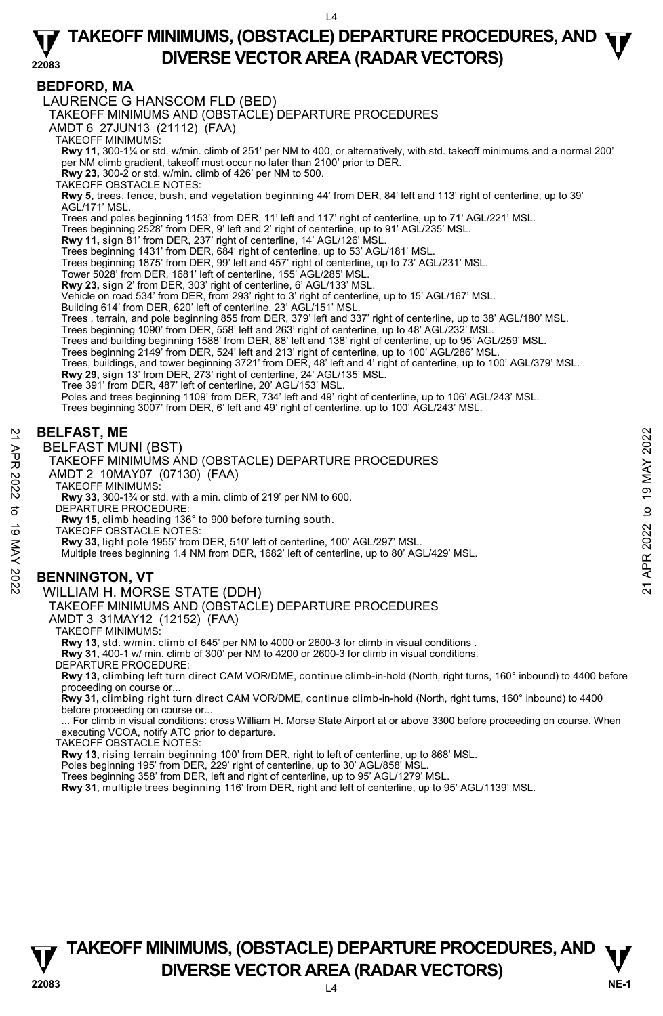## **BEDFORD, MA**

LAURENCE G HANSCOM FLD (BED)

TAKEOFF MINIMUMS AND (OBSTACLE) DEPARTURE PROCEDURES

AMDT 6 27JUN13 (21112) (FAA)

TAKEOFF MINIMUMS:

**Rwy 11,** 300-1¼ or std. w/min. climb of 251' per NM to 400, or alternatively, with std. takeoff minimums and a normal 200' per NM climb gradient, takeoff must occur no later than 2100' prior to DER.

**Rwy 23,** 300-2 or std. w/min. climb of 426' per NM to 500.

TAKEOFF OBSTACLE NOTES:

**Rwy 5,** trees, fence, bush, and vegetation beginning 44' from DER, 84' left and 113' right of centerline, up to 39'<br>AGL/171' MSL.

Trees and poles beginning 1153' from DER, 11' left and 117' right of centerline, up to 71' AGL/221' MSL.

Trees beginning 2528' from DER, 9' left and 2' right of centerline, up to 91' AGL/235' MSL.<br>**Rwy 11,** sign 81' from DER, 237' right of centerline, 14' AGL/126' MSL.

Trees beginning 1431' from DER, 684' right of centerline, up to 53' AGL/181' MSL.

Trees beginning 1875' from DER, 99' left and 457' right of centerline, up to 73' AGL/231' MSL.

Tower 5028' from DER, 1681' left of centerline, 155' AGL/285' MSL.

**Rwy 23,** sign 2' from DER, 303' right of centerline, 6' AGL/133' MSL.

Vehicle on road 534' from DER, from 293' right to 3' right of centerline, up to 15' AGL/167' MSL.

Building 614' from DER, 620' left of centerline, 23' AGL/151' MSL.<br>Trees , terrain, and pole beginning 855 from DER, 379' left and 337' right of centerline, up to 38' AGL/180' MSL.

Trees beginning 1090' from DER, 558' left and 263' right of centerline, up to 48' AGL/232' MSL.

Trees and building beginning 1588' from DER, 88' left and 138' right of centerline, up to 95' AGL/259' MSL.<br>Trees beginning 2149' from DER, 524' left and 213' right of centerline, up to 100' AGL/286' MSL.

Trees, buildings, and tower beginning 3721' from DER, 48' left and 4' right of centerline, up to 100' AGL/379' MSL.

**Rwy 29,** sign 13' from DER, 273' right of centerline, 24' AGL/135' MSL.

Tree 391' from DER, 487' left of centerline, 20' AGL/153' MSL. Poles and trees beginning 1109' from DER, 734' left and 49' right of centerline, up to 106' AGL/243' MSL.

Trees beginning 3007' from DER, 6' left and 49' right of centerline, up to 100' AGL/243' MSL.

## **BELFAST, ME**

BELFAST MUNI (BST)

TAKEOFF MINIMUMS AND (OBSTACLE) DEPARTURE PROCEDURES

- AMDT 2 10MAY07 (07130) (FAA)
- TAKEOFF MINIMUMS:

**Rwy 33,** 300-1¾ or std. with a min. climb of 219' per NM to 600. DEPARTURE PROCEDURE:

**Rwy 15,** climb heading 136° to 900 before turning south.

TAKEOFF OBSTACLE NOTES:

**Rwy 33,** light pole 1955' from DER, 510' left of centerline, 100' AGL/297' MSL.

Multiple trees beginning 1.4 NM from DER, 1682' left of centerline, up to 80' AGL/429' MSL. BELFAST, ME<br>  $\frac{20}{27}$  BELFAST MUNI (BST)<br>
TAKEOFF MINIMUMS AND (OBSTACLE) DEPARTURE PROCEDURES<br>
ANDT 2 10MAY07 (07130) (FAA)<br>
TAKEOFF MINIMUMS:<br>
TAKEOFF MINIMUMS:<br>
TAKEOFF MINIMUMS:<br>
TAKEOFF MINIMUMS:<br>
TAKEOFF MINIMUMS

## **BENNINGTON, VT**

#### WILLIAM H. MORSE STATE (DDH)

TAKEOFF MINIMUMS AND (OBSTACLE) DEPARTURE PROCEDURES

AMDT 3 31MAY12 (12152) (FAA)

TAKEOFF MINIMUMS:

**Rwy 13,** std. w/min. climb of 645' per NM to 4000 or 2600-3 for climb in visual conditions .

**Rwy 31,** 400-1 w/ min. climb of 300' per NM to 4200 or 2600-3 for climb in visual conditions.

DEPARTURE PROCEDURE:

**Rwy 13,** climbing left turn direct CAM VOR/DME, continue climb-in-hold (North, right turns, 160° inbound) to 4400 before proceeding on course or...

 **Rwy 31,** climbing right turn direct CAM VOR/DME, continue climb-in-hold (North, right turns, 160° inbound) to 4400 before proceeding on course or...

... For climb in visual conditions: cross William H. Morse State Airport at or above 3300 before proceeding on course. When executing VCOA, notify ATC prior to departure.

TAKEOFF OBSTACLE NOTES:

**Rwy 13,** rising terrain beginning 100' from DER, right to left of centerline, up to 868' MSL.

Poles beginning 195' from DER, 229' right of centerline, up to 30' AGL/858' MSL. Trees beginning 358' from DER, left and right of centerline, up to 95' AGL/1279' MSL.

**Rwy 31**, multiple trees beginning 116' from DER, right and left of centerline, up to 95' AGL/1139' MSL.

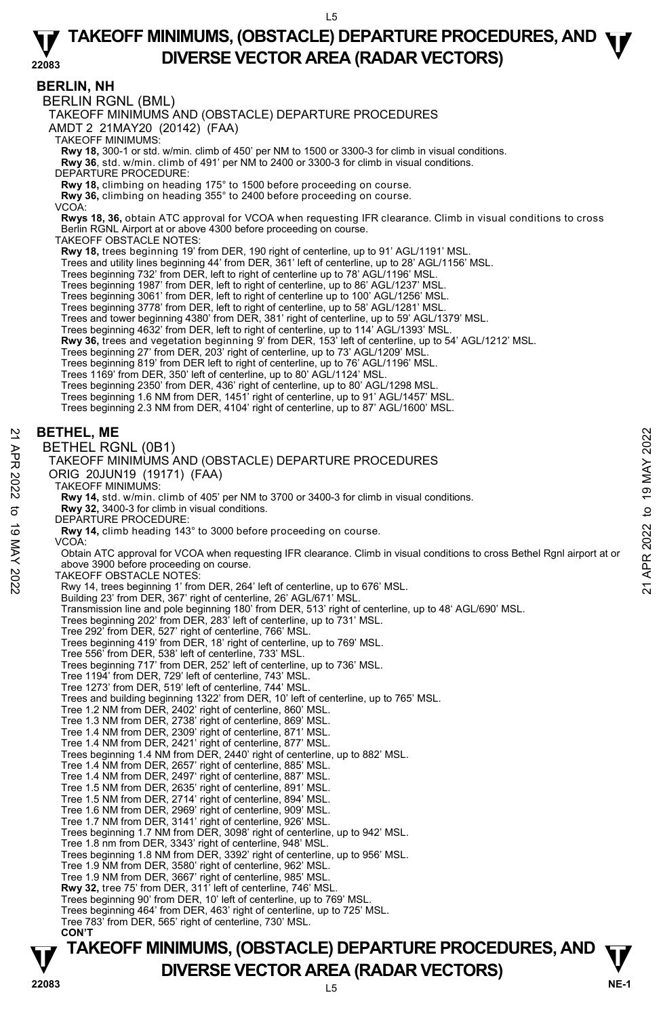### **BERLIN, NH**

BERLIN RGNL (BML)

TAKEOFF MINIMUMS AND (OBSTACLE) DEPARTURE PROCEDURES

AMDT 2 21MAY20 (20142) (FAA)

TAKEOFF MINIMUMS:

**Rwy 18,** 300-1 or std. w/min. climb of 450' per NM to 1500 or 3300-3 for climb in visual conditions.

**Rwy 36**, std. w/min. climb of 491' per NM to 2400 or 3300-3 for climb in visual conditions.

DEPARTURE PROCEDURE:

**Rwy 18,** climbing on heading 175° to 1500 before proceeding on course.

**Rwy 36,** climbing on heading 355° to 2400 before proceeding on course. VCOA:

**Rwys 18, 36,** obtain ATC approval for VCOA when requesting IFR clearance. Climb in visual conditions to cross Berlin RGNL Airport at or above 4300 before proceeding on course.

TAKEOFF OBSTACLE NOTES:

**Rwy 18,** trees beginning 19' from DER, 190 right of centerline, up to 91' AGL/1191' MSL.

Trees and utility lines beginning 44' from DER, 361' left of centerline, up to 28' AGL/1156' MSL. Trees beginning 732' from DER, left to right of centerline up to 78' AGL/1196' MSL.

Trees beginning 1987' from DER, left to right of centerline, up to 86' AGL/1237' MSL. Trees beginning 3061' from DER, left to right of centerline up to 100' AGL/1256' MSL.

Trees beginning 3778' from DER, left to right of centerline, up to 58' AGL/1281' MSL.

Trees and tower beginning 4380' from DER, 381' right of centerline, up to 59' AGL/1379' MSL.

Trees beginning 4632' from DER, left to right of centerline, up to 114' AGL/1393' MSL.

**Rwy 36,** trees and vegetation beginning 9' from DER, 153' left of centerline, up to 54' AGL/1212' MSL.<br>Trees beginning 27' from DER, 203' right of centerline, up to 73' AGL/1209' MSL.

Trees beginning 819' from DER left to right of centerline, up to 76' AGL/1196' MSL.

Trees 1169' from DER, 350' left of centerline, up to 80' AGL/1124' MSL.

Trees beginning 2350' from DER, 436' right of centerline, up to 80' AGL/1298 MSL. Trees beginning 1.6 NM from DER, 1451' right of centerline, up to 91' AGL/1457' MSL.

Trees beginning 2.3 NM from DER, 4104' right of centerline, up to 87' AGL/1600' MSL.

#### **BETHEL, ME**

BETHEL RGNL (0B1)

TAKEOFF MINIMUMS AND (OBSTACLE) DEPARTURE PROCEDURES

ORIG 20JUN19 (19171) (FAA)

TAKEOFF MINIMUMS:

**Rwy 14,** std. w/min. climb of 405' per NM to 3700 or 3400-3 for climb in visual conditions. **Rwy 32,** 3400-3 for climb in visual conditions.

DEPARTURE PROCEDURE:

**Rwy 14,** climb heading 143° to 3000 before proceeding on course. VCOA:

Obtain ATC approval for VCOA when requesting IFR clearance. Climb in visual conditions to cross Bethel Rgnl airport at or above 3900 before proceeding on course. **BETHEL, ME**<br>  $\frac{20}{27}$  BETHEL RGNL (0B1)<br>
TAKEOFF MINIMUMS AND (OBSTACLE) DEPARTURE PROCEDURES<br>
ORIG 20JUN19 (19171) (FAA)<br>
TAKEOFF MINIMUMS:<br>
RW 14, stat. wimin. climb of 405' per NM to 3700 or 3400-3 for climb in vis

TAKEOFF OBSTACLE NOTES:

Rwy 14, trees beginning 1' from DER, 264' left of centerline, up to 676' MSL.

Building 23' from DER, 367' right of centerline, 26' AGL/671' MSL.

Transmission line and pole beginning 180' from DER, 513' right of centerline, up to 48' AGL/690' MSL.<br>Trees beginning 202' from DER, 283' left of centerline, up to 731' MSL.

Tree 292' from DER, 527' right of centerline, 766' MSL.

Trees beginning 419' from DER, 18' right of centerline, up to 769' MSL.

Tree 556' from DER, 538' left of centerline, 733' MSL.

Trees beginning 717' from DER, 252' left of centerline, up to 736' MSL.

Tree 1194' from DER, 729' left of centerline, 743' MSL.

Tree 1273' from DER, 519' left of centerline, 744' MSL.

Trees and building beginning 1322' from DER, 10' left of centerline, up to 765' MSL. Tree 1.2 NM from DER, 2402' right of centerline, 860' MSL.

Tree 1.3 NM from DER, 2738' right of centerline, 869' MSL. Tree 1.4 NM from DER, 2309' right of centerline, 871' MSL. Tree 1.4 NM from DER, 2421' right of centerline, 877' MSL.

Trees beginning 1.4 NM from DER, 2440' right of centerline, up to 882' MSL.

Tree 1.4 NM from DER, 2657' right of centerline, 885' MSL. Tree 1.4 NM from DER, 2497' right of centerline, 887' MSL.

Tree 1.5 NM from DER, 2635' right of centerline, 891' MSL.

Tree 1.5 NM from DER, 2714' right of centerline, 894' MSL. Tree 1.6 NM from DER, 2969' right of centerline, 909' MSL.

Tree 1.7 NM from DER, 3141' right of centerline, 926' MSL.

Trees beginning 1.7 NM from DER, 3098' right of centerline, up to 942' MSL.

Tree 1.8 nm from DER, 3343' right of centerline, 948' MSL.

Trees beginning 1.8 NM from DER, 3392' right of centerline, up to 956' MSL.

Tree 1.9 NM from DER, 3580' right of centerline, 962' MSL.

Tree 1.9 NM from DER, 3667' right of centerline, 985' MSL. **Rwy 32,** tree 75' from DER, 311' left of centerline, 746' MSL.

Trees beginning 90' from DER, 10' left of centerline, up to 769' MSL.

Trees beginning 464' from DER, 463' right of centerline, up to 725' MSL. Tree 783' from DER, 565' right of centerline, 730' MSL.

**CON'T**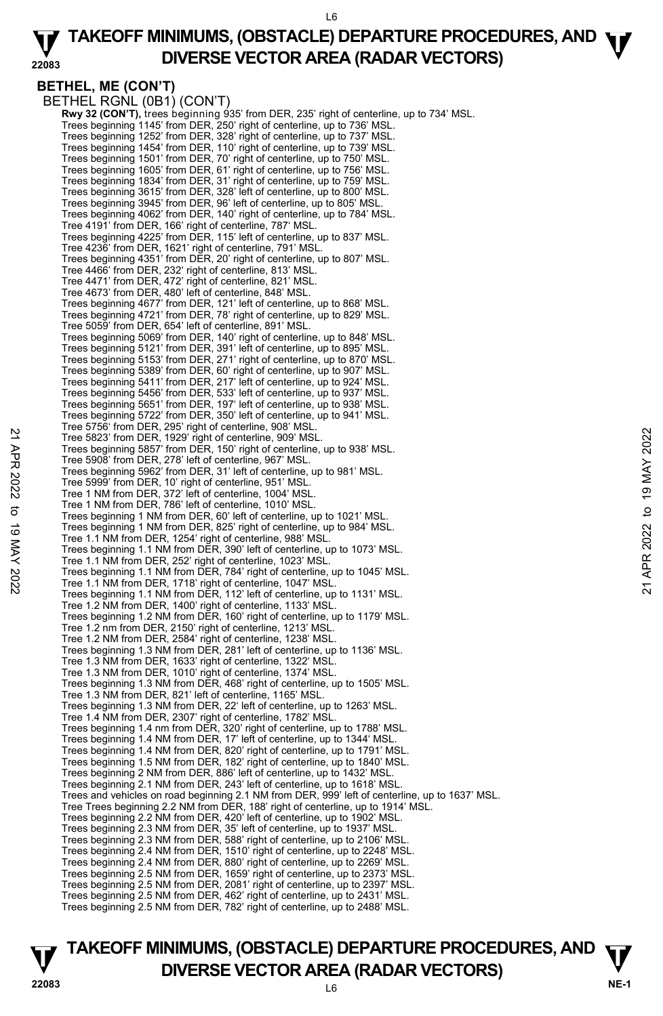#### **22083 TAKEOFF MINIMUMS, (OBSTACLE) DEPARTURE PROCEDURES, AND <b>W**<br>DIVERSE VECTOR AREA (BADAR VECTORS) **DIVERSE VECTOR AREA (RADAR VECTORS)**

```
BETHEL, ME (CON'T)
```
BETHEL RGNL (0B1) (CON'T) **Rwy 32 (CON'T),** trees beginning 935' from DER, 235' right of centerline, up to 734' MSL.<br>Trees beginning 1145' from DER, 250' right of centerline, up to 736' MSL. Trees beginning 1252' from DER, 328' right of centerline, up to 737' MSL. Trees beginning 1454' from DER, 110' right of centerline, up to 739' MSL. Trees beginning 1501' from DER, 70' right of centerline, up to 750' MSL. Trees beginning 1605' from DER, 61' right of centerline, up to 756' MSL. Trees beginning 1834' from DER, 31' right of centerline, up to 759' MSL. Trees beginning 3615' from DER, 328' left of centerline, up to 800' MSL. Trees beginning 3945' from DER, 96' left of centerline, up to 805' MSL. Trees beginning 4062' from DER, 140' right of centerline, up to 784' MSL. Tree 4191' from DER, 166' right of centerline, 787' MSL. Trees beginning 4225' from DER, 115' left of centerline, up to 837' MSL. Tree 4236' from DER, 1621' right of centerline, 791' MSL. Trees beginning 4351' from DER, 20' right of centerline, up to 807' MSL. Tree 4466' from DER, 232' right of centerline, 813' MSL. Tree 4471' from DER, 472' right of centerline, 821' MSL. Tree 4673' from DER, 480' left of centerline, 848' MSL. Trees beginning 4677' from DER, 121' left of centerline, up to 868' MSL. Trees beginning 4721' from DER, 78' right of centerline, up to 829' MSL. Tree 5059' from DER, 654' left of centerline, 891' MSL. Trees beginning 5069' from DER, 140' right of centerline, up to 848' MSL. Trees beginning 5121' from DER, 391' left of centerline, up to 895' MSL. Trees beginning 5153' from DER, 271' right of centerline, up to 870' MSL. Trees beginning 5389' from DER, 60' right of centerline, up to 907' MSL. Trees beginning 5411' from DER, 217' left of centerline, up to 924' MSL. Trees beginning 5456' from DER, 533' left of centerline, up to 937' MSL. Trees beginning 5651' from DER, 197' left of centerline, up to 938' MSL. Trees beginning 5722' from DER, 350' left of centerline, up to 941' MSL. Tree 5756' from DER, 295' right of centerline, 908' MSL. Tree 5823' from DER, 1929' right of centerline, 909' MSL. Trees beginning 5857' from DER, 150' right of centerline, up to 938' MSL. Tree 5908' from DER, 278' left of centerline, 967' MSL. Trees beginning 5962' from DER, 31' left of centerline, up to 981' MSL. Tree 5999' from DER, 10' right of centerline, 951' MSL. Tree 1 NM from DER, 372' left of centerline, 1004' MSL. Tree 1 NM from DER, 786' left of centerline, 1010' MSL. Trees beginning 1 NM from DER, 60' left of centerline, up to 1021' MSL. Trees beginning 1 NM from DER, 825' right of centerline, up to 984' MSL. Tree 1.1 NM from DER, 1254' right of centerline, 988' MSL. Trees beginning 1.1 NM from DER, 390' left of centerline, up to 1073' MSL. Tree 1.1 NM from DER, 252' right of centerline, 1023' MSL. Trees beginning 1.1 NM from DER, 784' right of centerline, up to 1045' MSL. Tree 1.1 NM from DER, 1718' right of centerline, 1047' MSL. Trees beginning 1.1 NM from DER, 112' left of centerline, up to 1131' MSL. Tree 1.2 NM from DER, 1400' right of centerline, 1133' MSL. Trees beginning 1.2 NM from DER, 160' right of centerline, up to 1179' MSL. Tree 1.2 nm from DER, 2150' right of centerline, 1213' MSL. Tree 1.2 NM from DER, 2584' right of centerline, 1238' MSL. Trees beginning 1.3 NM from DER, 281' left of centerline, up to 1136' MSL. Tree 1.3 NM from DER, 1633' right of centerline, 1322' MSL. Tree 1.3 NM from DER, 1010' right of centerline, 1374' MSL. Trees beginning 1.3 NM from DER, 468' right of centerline, up to 1505' MSL. Tree 1.3 NM from DER, 821' left of centerline, 1165' MSL. Trees beginning 1.3 NM from DER, 22' left of centerline, up to 1263' MSL. Tree 1.4 NM from DER, 2307' right of centerline, 1782' MSL. Trees beginning 1.4 nm from DER, 320' right of centerline, up to 1788' MSL. Trees beginning 1.4 NM from DER, 17' left of centerline, up to 1344' MSL. Trees beginning 1.4 NM from DER, 820' right of centerline, up to 1791' MSL. Trees beginning 1.5 NM from DER, 182' right of centerline, up to 1840' MSL. Trees beginning 2 NM from DER, 886' left of centerline, up to 1432' MSL. Trees beginning 2.1 NM from DER, 243' left of centerline, up to 1618' MSL. Trees and vehicles on road beginning 2.1 NM from DER, 999' left of centerline, up to 1637' MSL. Tree Trees beginning 2.2 NM from DER, 188' right of centerline, up to 1914' MSL. Trees beginning 2.2 NM from DER, 420' left of centerline, up to 1902' MSL. Trees beginning 2.3 NM from DER, 35' left of centerline, up to 1937' MSL. Trees beginning 2.3 NM from DER, 588' right of centerline, up to 2106' MSL. Trees beginning 2.4 NM from DER, 1510' right of centerline, up to 2248' MSL. Trees beginning 2.4 NM from DER, 880' right of centerline, up to 2269' MSL. Trees beginning 2.5 NM from DER, 1659' right of centerline, up to 2373' MSL. Trees beginning 2.5 NM from DER, 2081' right of centerline, up to 2397' MSL. Trees beginning 2.5 NM from DER, 462' right of centerline, up to 2431' MSL. Trees beginning 2.5 NM from DER, 782' right of centerline, up to 2488' MSL. 22 Tree 5823' from DER, 1929' right of center inter, 909' MSL.<br>
Tree 5823' from DER, 1929' right of center inter, 909' MSL.<br>
Tree 5908' from DER, 278' left of center inter, 967' MSL.<br>
Tree 5999' from DER, 278' left of cent

## **TAKEOFF MINIMUMS, (OBSTACLE) DEPARTURE PROCEDURES, AND**  $\Psi$ **<br>DIVERSE VECTOR AREA (RADAR VECTORS) DIVERSE VECTOR AREA (RADAR VECTORS)** PE-1 **PE-1**  $\frac{1}{22083}$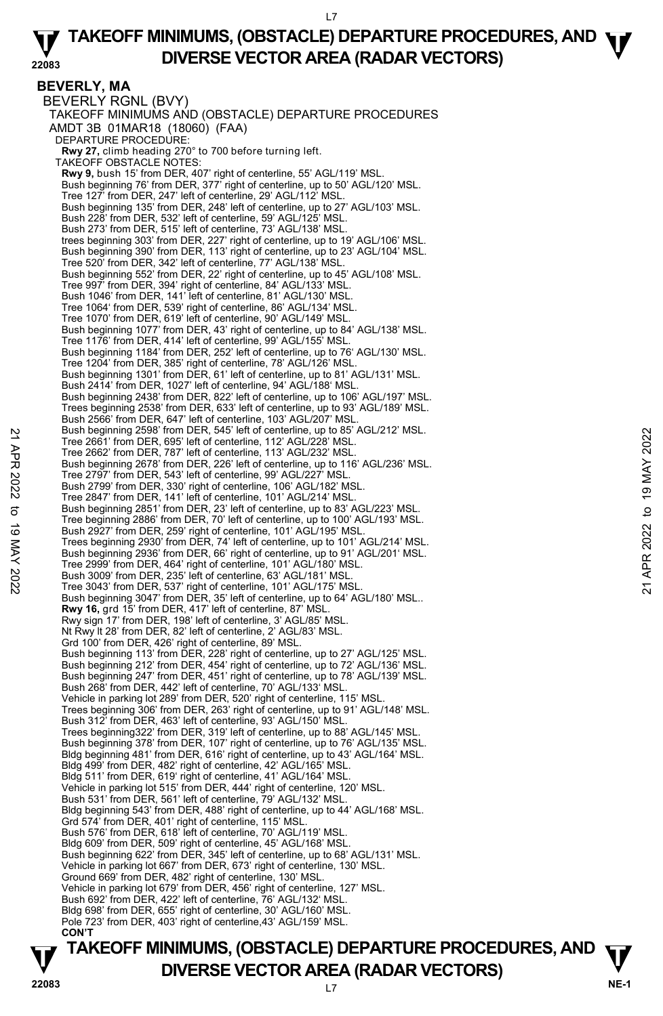#### **BEVERLY, MA**  BEVERLY RGNL (BVY) TAKEOFF MINIMUMS AND (OBSTACLE) DEPARTURE PROCEDURES AMDT 3B 01MAR18 (18060) (FAA) DEPARTURE PROCEDURE: **Rwy 27,** climb heading 270° to 700 before turning left. TAKEOFF OBSTACLE NOTES: **Rwy 9,** bush 15' from DER, 407' right of centerline, 55' AGL/119' MSL. Bush beginning 76' from DER, 377' right of centerline, up to 50' AGL/120' MSL. Tree 127' from DER, 247' left of centerline, 29' AGL/112' MSL. Bush beginning 135' from DER, 248' left of centerline, up to 27' AGL/103' MSL. Bush 228' from DER, 532' left of centerline, 59' AGL/125' MSL. Bush 273' from DER, 515' left of centerline, 73' AGL/138' MSL. trees beginning 303' from DER, 227' right of centerline, up to 19' AGL/106' MSL. Bush beginning 390' from DER, 113' right of centerline, up to 23' AGL/104' MSL. Tree 520' from DER, 342' left of centerline, 77' AGL/138' MSL. Bush beginning 552' from DER, 22' right of centerline, up to 45' AGL/108' MSL. Tree 997' from DER, 394' right of centerline, 84' AGL/133' MSL. Bush 1046' from DER, 141' left of centerline, 81' AGL/130' MSL. Tree 1064' from DER, 539' right of centerline, 86' AGL/134' MSL. Tree 1070' from DER, 619' left of centerline, 90' AGL/149' MSL. Bush beginning 1077' from DER, 43' right of centerline, up to 84' AGL/138' MSL. Tree 1176' from DER, 414' left of centerline, 99' AGL/155' MSL. Bush beginning 1184' from DER, 252' left of centerline, up to 76' AGL/130' MSL. Tree 1204' from DER, 385' right of centerline, 78' AGL/126' MSL. Bush beginning 1301' from DER, 61' left of centerline, up to 81' AGL/131' MSL. Bush 2414' from DER, 1027' left of centerline, 94' AGL/188' MSL. Bush beginning 2438' from DER, 822' left of centerline, up to 106' AGL/197' MSL. Trees beginning 2538' from DER, 633' left of centerline, up to 93' AGL/189' MSL. Bush 2566' from DER, 647' left of centerline, 103' AGL/207' MSL Bush beginning 2598' from DER, 545' left of centerline, up to 85' AGL/212' MSL. Tree 2661' from DER, 695' left of centerline, 112' AGL/228' MSL. Tree 2662' from DER, 787' left of centerline, 113' AGL/232' MSL. Bush beginning 2678' from DER, 226' left of centerline, up to 116' AGL/236' MSL. Tree 2797' from DER, 543' left of centerline, 99' AGL/227' MSL. Bush 2799' from DER, 330' right of centerline, 106' AGL/182' MSL. Tree 2847' from DER, 141' left of centerline, 101' AGL/214' MSL. Bush beginning 2851' from DER, 23' left of centerline, up to 83' AGL/223' MSL. Tree beginning 2886' from DER, 70' left of centerline, up to 100' AGL/193' MSL. Bush 2927' from DER, 259' right of centerline, 101' AGL/195' MSL. Trees beginning 2930' from DER, 74' left of centerline, up to 101' AGL/214' MSL. Bush beginning 2936' from DER, 66' right of centerline, up to 91' AGL/201' MSL. Tree 2999' from DER, 464' right of centerline, 101' AGL/180' MSL. Bush 3009' from DER, 235' left of centerline, 63' AGL/181' MSL. Tree 3043' from DER, 537' right of centerline, 101' AGL/175' MSL. Bush beginning 3047' from DER, 35' left of centerline, up to 64' AGL/180' MSL.. **Rwy 16,** grd 15' from DER, 417' left of centerline, 87' MSL. Rwy sign 17' from DER, 198' left of centerline, 3' AGL/85' MSL. Nt Rwy lt 28' from DER, 82' left of centerline, 2' AGL/83' MSL. Grd 100' from DER, 426' right of centerline, 89' MSL. Bush beginning 113' from DER, 228' right of centerline, up to 27' AGL/125' MSL. Bush beginning 212' from DER, 454' right of centerline, up to 72' AGL/136' MSL. Bush beginning 247' from DER, 451' right of centerline, up to 78' AGL/139' MSL. Bush 268' from DER, 442' left of centerline, 70' AGL/133' MSL. Vehicle in parking lot 289' from DER, 520' right of centerline, 115' MSL. Trees beginning 306' from DER, 263' right of centerline, up to 91' AGL/148' MSL. Bush 312' from DER, 463' left of centerline, 93' AGL/150' MSL. Trees beginning322' from DER, 319' left of centerline, up to 88' AGL/145' MSL. Bush beginning 378' from DER, 107' right of centerline, up to 76' AGL/135' MSL. Bldg beginning 481' from DER, 616' right of centerline, up to 43' AGL/164' MSL. Bldg 499' from DER, 482' right of centerline, 42' AGL/165' MSL. Bldg 511' from DER, 619' right of centerline, 41' AGL/164' MSL. Vehicle in parking lot 515' from DER, 444' right of centerline, 120' MSL. Bush 531' from DER, 561' left of centerline, 79' AGL/132' MSL. Bldg beginning 543' from DER, 488' right of centerline, up to 44' AGL/168' MSL. Grd 574' from DER, 401' right of centerline, 115' MSL. Bush 576' from DER, 618' left of centerline, 70' AGL/119' MSL Bldg 609' from DER, 509' right of centerline, 45' AGL/168' MSL. Bush beginning 622' from DER, 345' left of centerline, up to 68' AGL/131' MSL. Vehicle in parking lot 667' from DER, 673' right of centerline, 130' MSL. Ground 669' from DER, 482' right of centerline, 130' MSL. Vehicle in parking lot 679' from DER, 456' right of centerline, 127' MSL. Bush 692' from DER, 422' left of centerline, 76' AGL/132' MSL. Bldg 698' from DER, 655' right of centerline, 30' AGL/160' MSL. Pole 723' from DER, 403' right of centerline,43' AGL/159' MSL. **CON'T**  21 ITee 2861' from DER, 865' left of center of the 112' AGL/228' MSL.<br>
Tree 2662' from DER, 787' left of centerline, 112' AGL/232' MSL.<br>
Bush beginning 2678' from DER, 226' left of centerline, 199 to 116' AGL/238' MSL.<br>
B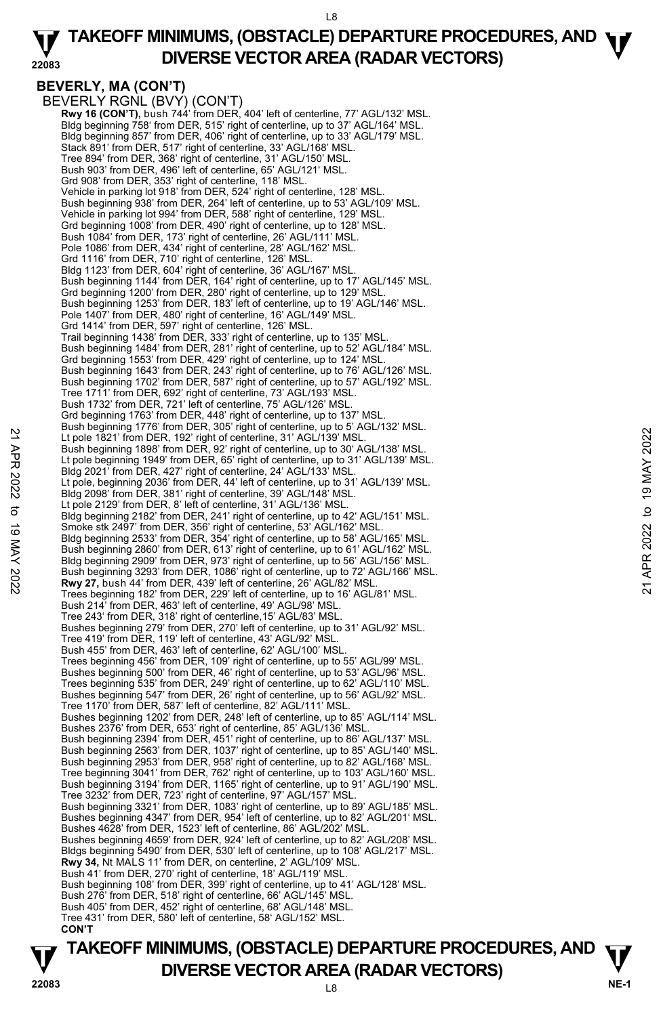#### **22083 TAKEOFF MINIMUMS, (OBSTACLE) DEPARTURE PROCEDURES, AND <b>W**<br>DIVERSE VECTOR AREA (BADAR VECTORS) **DIVERSE VECTOR AREA (RADAR VECTORS)**

# **BEVERLY, MA (CON'T)**

BEVERLY RGNL (BVY) (CON'T) **Rwy 16 (CON'T),** bush 744' from DER, 404' left of centerline, 77' AGL/132' MSL. Bldg beginning 758' from DER, 515' right of centerline, up to 37' AGL/164' MSL. Bldg beginning 857' from DER, 406' right of centerline, up to 33' AGL/179' MSL. Stack 891' from DER, 517' right of centerline, 33' AGL/168' MSL. Tree 894' from DER, 368' right of centerline, 31' AGL/150' MSL. Bush 903' from DER, 496' left of centerline, 65' AGL/121' MSL. Grd 908' from DER, 353' right of centerline, 118' MSL. Vehicle in parking lot 918' from DER, 524' right of centerline, 128' MSL. Bush beginning 938' from DER, 264' left of centerline, up to 53' AGL/109' MSL. Vehicle in parking lot 994' from DER, 588' right of centerline, 129' MSL. Grd beginning 1008' from DER, 490' right of centerline, up to 128' MSL. Bush 1084' from DER, 173' right of centerline, 26' AGL/111' MSL. Pole 1086' from DER, 434' right of centerline, 28' AGL/162' MSL. Grd 1116' from DER, 710' right of centerline, 126' MSL. Bldg 1123' from DER, 604' right of centerline, 36' AGL/167' MSL. Bush beginning 1144' from DER, 164' right of centerline, up to 17' AGL/145' MSL. Grd beginning 1200' from DER, 280' right of centerline, up to 129' MSL. Bush beginning 1253' from DER, 183' left of centerline, up to 19' AGL/146' MSL. Pole 1407' from DER, 480' right of centerline, 16' AGL/149' MSL. Grd 1414' from DER, 597' right of centerline, 126' MSL. Trail beginning 1438' from DER, 333' right of centerline, up to 135' MSL. Bush beginning 1484' from DER, 281' right of centerline, up to 52' AGL/184' MSL. Grd beginning 1553' from DER, 429' right of centerline, up to 124' MSL. Bush beginning 1643' from DER, 243' right of centerline, up to 76' AGL/126' MSL. Bush beginning 1702' from DER, 587' right of centerline, up to 57' AGL/192' MSL. Tree 1711' from DER, 692' right of centerline, 73' AGL/193' MSL. Bush 1732' from DER, 721' left of centerline, 75' AGL/126' MSL. Grd beginning 1763' from DER, 448' right of centerline, up to 137' MSL. Bush beginning 1776' from DER, 305' right of centerline, up to 5' AGL/132' MSL. Lt pole 1821' from DER, 192' right of centerline, 31' AGL/139' MSL. Bush beginning 1898' from DER, 92' right of centerline, up to 30' AGL/138' MSL. Lt pole beginning 1949' from DER, 65' right of centerline, up to 31' AGL/139' MSL. Bldg 2021' from DER, 427' right of centerline, 24' AGL/133' MSL. Lt pole, beginning 2036' from DER, 44' left of centerline, up to 31' AGL/139' MSL. Bldg 2098' from DER, 381' right of centerline, 39' AGL/148' MSL. Lt pole 2129' from DER, 8' left of centerline, 31' AGL/136' MSL. Bldg beginning 2182' from DER, 241' right of centerline, up to 42' AGL/151' MSL. Smoke stk 2497' from DER, 356' right of centerline, 53' AGL/162' MSL. Bldg beginning 2533' from DER, 354' right of centerline, up to 58' AGL/165' MSL. Bush beginning 2860' from DER, 613' right of centerline, up to 61' AGL/162' MSL. Bldg beginning 2909' from DER, 973' right of centerline, up to 56' AGL/156' MSL. Bush beginning 3293' from DER, 1086' right of centerline, up to 72' AGL/166' MSL. **Rwy 27,** bush 44' from DER, 439' left of centerline, 26' AGL/82' MSL. Trees beginning 182' from DER, 229' left of centerline, up to 16' AGL/81' MSL. Bush 214' from DER, 463' left of centerline, 49' AGL/98' MSL. Tree 243' from DER, 318' right of centerline,15' AGL/83' MSL. Bushes beginning 279' from DER, 270' left of centerline, up to 31' AGL/92' MSL. Tree 419' from DER, 119' left of centerline, 43' AGL/92' MSL. Bush 455' from DER, 463' left of centerline, 62' AGL/100' MSL. Trees beginning 456' from DER, 109' right of centerline, up to 55' AGL/99' MSL. Bushes beginning 500' from DER, 46' right of centerline, up to 53' AGL/96' MSL. Trees beginning 535' from DER, 249' right of centerline, up to 62' AGL/110' MSL. Bushes beginning 547' from DER, 26' right of centerline, up to 56' AGL/92' MSL. Tree 1170' from DER, 587' left of centerline, 82' AGL/111' MSL. Bushes beginning 1202' from DER, 248' left of centerline, up to 85' AGL/114' MSL. Bushes 2376' from DER, 653' right of centerline, 85' AGL/136' MSL. Bush beginning 2394' from DER, 451' right of centerline, up to 86' AGL/137' MSL. Bush beginning 2563' from DER, 1037' right of centerline, up to 85' AGL/140' MSL. Bush beginning 2953' from DER, 958' right of centerline, up to 82' AGL/168' MSL. Tree beginning 3041' from DER, 762' right of centerline, up to 103' AGL/160' MSL. Bush beginning 3194' from DER, 1165' right of centerline, up to 91' AGL/190' MSL. Tree 3232' from DER, 723' right of centerline, 97' AGL/157' MSL. Bush beginning 3321' from DER, 1083' right of centerline, up to 89' AGL/185' MSL. Bushes beginning 4347' from DER, 954' left of centerline, up to 82' AGL/201' MSL. Bushes 4628' from DER, 1523' left of centerline, 86' AGL/202' MSL. Bushes beginning 4659' from DER, 924' left of centerline, up to 82' AGL/208' MSL. Bldgs beginning 5490' from DER, 530' left of centerline, up to 108' AGL/217' MSL.  **Rwy 34,** Nt MALS 11' from DER, on centerline, 2' AGL/109' MSL. Bush 41' from DER, 270' right of centerline, 18' AGL/119' MSL. Bush beginning 108' from DER, 399' right of centerline, up to 41' AGL/128' MSL. Bush 276' from DER, 518' right of centerline, 66' AGL/145' MSL. Bush 405' from DER, 452' right of centerline, 68' AGL/148' MSL. Tree 431' from DER, 580' left of centerline, 58' AGL/152' MSL. **CON'T**  21 Lipele 1821 from DER, 192' right of centerline, 19 AGU/139' MSL.<br>
Lipele 1821 from DER, 192' right of centerline, 11' AGU/139' MSL.<br>
Lipele beginning 1898' from DER, 65' right of centerline, up to 3' AGU/138' MSL.<br>
Lipe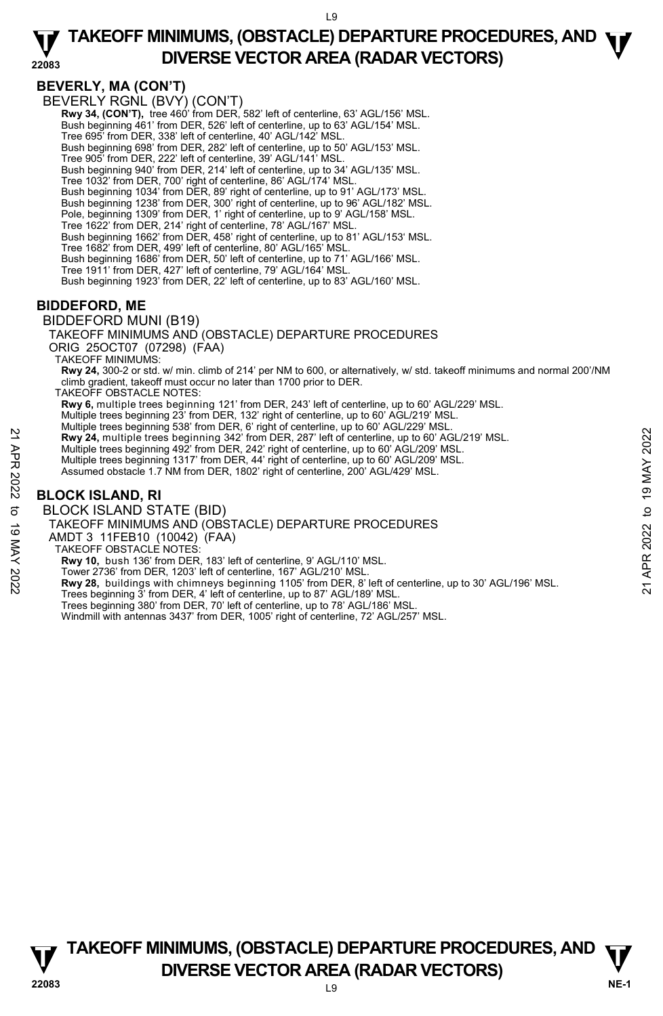### **BEVERLY, MA (CON'T)**

BEVERLY RGNL (BVY) (CON'T)

 **Rwy 34, (CON'T),** tree 460' from DER, 582' left of centerline, 63' AGL/156' MSL. Bush beginning 461' from DER, 526' left of centerline, up to 63' AGL/154' MSL. Tree 695' from DER, 338' left of centerline, 40' AGL/142' MSL. Bush beginning 698' from DER, 282' left of centerline, up to 50' AGL/153' MSL. Tree 905' from DER, 222' left of centerline, 39' AGL/141' MSL. Bush beginning 940' from DER, 214' left of centerline, up to 34' AGL/135' MSL. Tree 1032' from DER, 700' right of centerline, 86' AGL/174' MSL. Bush beginning 1034' from DER, 89' right of centerline, up to 91' AGL/173' MSL. Bush beginning 1238' from DER, 300' right of centerline, up to 96' AGL/182' MSL. Pole, beginning 1309' from DER, 1' right of centerline, up to 9' AGL/158' MSL. Tree 1622' from DER, 214' right of centerline, 78' AGL/167' MSL Bush beginning 1662' from DER, 458' right of centerline, up to 81' AGL/153' MSL. Tree 1682' from DER, 499' left of centerline, 80' AGL/165' MSL. Bush beginning 1686' from DER, 50' left of centerline, up to 71' AGL/166' MSL. Tree 1911' from DER, 427' left of centerline, 79' AGL/164' MSL. Bush beginning 1923' from DER, 22' left of centerline, up to 83' AGL/160' MSL.

## **BIDDEFORD, ME**

BIDDEFORD MUNI (B19)

TAKEOFF MINIMUMS AND (OBSTACLE) DEPARTURE PROCEDURES

ORIG 25OCT07 (07298) (FAA)

TAKEOFF MINIMUMS:

**Rwy 24,** 300-2 or std. w/ min. climb of 214' per NM to 600, or alternatively, w/ std. takeoff minimums and normal 200'/NM climb gradient, takeoff must occur no later than 1700 prior to DER.

TAKEOFF OBSTACLE NOTES:

**Rwy 6,** multiple trees beginning 121' from DER, 243' left of centerline, up to 60' AGL/229' MSL.

Multiple trees beginning 23' from DER, 132' right of centerline, up to 60' AGL/219' MSL.

Multiple trees beginning 538' from DER, 6' right of centerline, up to 60' AGL/229' MSL.

**Rwy 24,** multiple trees beginning 342' from DER, 287' left of centerline, up to 60' AGL/219' MSL.

Multiple trees beginning 492' from DER, 242' right of centerline, up to 60' AGL/209' MSL.

Multiple trees beginning 1317' from DER, 44' right of centerline, up to 60' AGL/209' MSL. Assumed obstacle 1.7 NM from DER, 1802' right of centerline, 200' AGL/429' MSL.

## **BLOCK ISLAND, RI**

BLOCK ISLAND STATE (BID)

TAKEOFF MINIMUMS AND (OBSTACLE) DEPARTURE PROCEDURES

AMDT 3 11FEB10 (10042) (FAA)

TAKEOFF OBSTACLE NOTES:

**Rwy 10,** bush 136' from DER, 183' left of centerline, 9' AGL/110' MSL.

Tower 2736' from DER, 1203' left of centerline, 167' AGL/210' MSL.

**Rwy 28,** buildings with chimneys beginning 1105' from DER, 8' left of centerline, up to 30' AGL/196' MSL. 22 Ray 24, multiple trees beginning 342' from DER, 287' left of centerline, up to 60' AGL/219' MSL.<br>
Multiple trees beginning 342' from DER, 242' right of centerline, up to 60' AGL/209' MSL.<br>
Multiple trees beginning 132'

Trees beginning 3' from DER, 4' left of centerline, up to 87' AGL/189' MSL. Trees beginning 380' from DER, 70' left of centerline, up to 78' AGL/186' MSL.

Windmill with antennas 3437' from DER, 1005' right of centerline, 72' AGL/257' MSL.

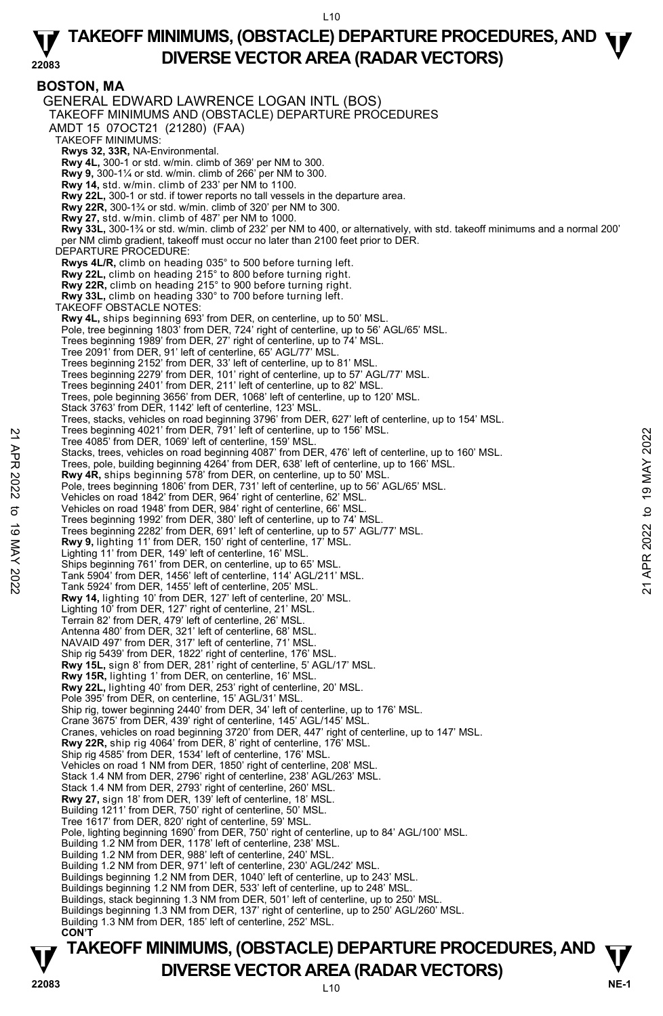**TAKEOFF MINIMUMS, (OBSTACLE) DEPARTURE PROCEDURES, AND**  $\Psi$ **<br>DIVERSE VECTOR AREA (RADAR VECTORS) BOSTON, MA**  GENERAL EDWARD LAWRENCE LOGAN INTL (BOS) TAKEOFF MINIMUMS AND (OBSTACLE) DEPARTURE PROCEDURES AMDT 15 07OCT21 (21280) (FAA) TAKEOFF MINIMUMS: **Rwys 32, 33R,** NA-Environmental. **Rwy 4L,** 300-1 or std. w/min. climb of 369' per NM to 300.  **Rwy 9,** 300-1¼ or std. w/min. climb of 266' per NM to 300. **Rwy 14,** std. w/min. climb of 233' per NM to 1100. **Rwy 22L,** 300-1 or std. if tower reports no tall vessels in the departure area. **Rwy 22R,** 300-1¾ or std. w/min. climb of 320' per NM to 300. **Rwy 27,** std. w/min. climb of 487' per NM to 1000.  **Rwy 33L,** 300-1¾ or std. w/min. climb of 232' per NM to 400, or alternatively, with std. takeoff minimums and a normal 200' per NM climb gradient, takeoff must occur no later than 2100 feet prior to DER. DEPARTURE PROCEDURE: **Rwys 4L/R,** climb on heading 035° to 500 before turning left. **Rwy 22L,** climb on heading 215° to 800 before turning right. **Rwy 22R,** climb on heading 215° to 900 before turning right. **Rwy 33L,** climb on heading 330° to 700 before turning left. TAKEOFF OBSTACLE NOTES: **Rwy 4L,** ships beginning 693' from DER, on centerline, up to 50' MSL. Pole, tree beginning 1803' from DER, 724' right of centerline, up to 56' AGL/65' MSL. Trees beginning 1989' from DER, 27' right of centerline, up to 74' MSL. Tree 2091' from DER, 91' left of centerline, 65' AGL/77' MSL. Trees beginning 2152' from DER, 33' left of centerline, up to 81' MSL. Trees beginning 2279' from DER, 101' right of centerline, up to 57' AGL/77' MSL. Trees beginning 2401' from DER, 211' left of centerline, up to 82' MSL. Trees, pole beginning 3656' from DER, 1068' left of centerline, up to 120' MSL. Stack 3763' from DER, 1142' left of centerline, 123' MSL. Trees, stacks, vehicles on road beginning 3796' from DER, 627' left of centerline, up to 154' MSL. Trees beginning 4021' from DER, 791' left of centerline, up to 156' MSL. Tree 4085' from DER, 1069' left of centerline, 159' MSL. Stacks, trees, vehicles on road beginning 4087' from DER, 476' left of centerline, up to 160' MSL. Trees, pole, building beginning 4264' from DER, 638' left of centerline, up to 166' MSL. **Rwy 4R,** ships beginning 578' from DER, on centerline, up to 50' MSL. Pole, trees beginning 1806' from DER, 731' left of centerline, up to 56' AGL/65' MSL. Vehicles on road 1842' from DER, 964' right of centerline, 62' MSL. Vehicles on road 1948' from DER, 984' right of centerline, 66' MSL. Trees beginning 1992' from DER, 380' left of centerline, up to 74' MSL. Trees beginning 2282' from DER, 691' left of centerline, up to 57' AGL/77' MSL. **Rwy 9,** lighting 11' from DER, 150' right of centerline, 17' MSL. Lighting 11' from DER, 149' left of centerline, 16' MSL. Ships beginning 761' from DER, on centerline, up to 65' MSL. Tank 5904' from DER, 1456' left of centerline, 114' AGL/211' MSL. Tank 5924' from DER, 1455' left of centerline, 205' MSL. **Rwy 14,** lighting 10' from DER, 127' left of centerline, 20' MSL. Lighting 10' from DER, 127' right of centerline, 21' MSL. Terrain 82' from DER, 479' left of centerline, 26' MSL. Antenna 480' from DER, 321' left of centerline, 68' MSL. NAVAID 497' from DER, 317' left of centerline, 71' MSL. Ship rig 5439' from DER, 1822' right of centerline, 176' MSL. **Rwy 15L,** sign 8' from DER, 281' right of centerline, 5' AGL/17' MSL. **Rwy 15R,** lighting 1' from DER, on centerline, 16' MSL. **Rwy 22L,** lighting 40' from DER, 253' right of centerline, 20' MSL. Pole 395' from DER, on centerline, 15' AGL/31' MSL. Ship rig, tower beginning 2440' from DER, 34' left of centerline, up to 176' MSL. Crane 3675' from DER, 439' right of centerline, 145' AGL/145' MSL. Cranes, vehicles on road beginning 3720' from DER, 447' right of centerline, up to 147' MSL. **Rwy 22R,** ship rig 4064' from DER, 8' right of centerline, 176' MSL. Ship rig 4585' from DER, 1534' left of centerline, 176' MSL. Vehicles on road 1 NM from DER, 1850' right of centerline, 208' MSL. Stack 1.4 NM from DER, 2796' right of centerline, 238' AGL/263' MSL. Stack 1.4 NM from DER, 2793' right of centerline, 260' MSL. **Rwy 27,** sign 18' from DER, 139' left of centerline, 18' MSL. Building 1211' from DER, 750' right of centerline, 50' MSL. Tree 1617' from DER, 820' right of centerline, 59' MSL. Pole, lighting beginning 1690' from DER, 750' right of centerline, up to 84' AGL/100' MSL. Building 1.2 NM from DER, 1178' left of centerline, 238' MSL. Building 1.2 NM from DER, 988' left of centerline, 240' MSL. Building 1.2 NM from DER, 971' left of centerline, 230' AGL/242' MSL. Buildings beginning 1.2 NM from DER, 1040' left of centerline, up to 243' MSL. Buildings beginning 1.2 NM from DER, 533' left of centerline, up to 248' MSL. Buildings, stack beginning 1.3 NM from DER, 501' left of centerline, up to 250' MSL. Buildings beginning 1.3 NM from DER, 137' right of centerline, up to 250' AGL/260' MSL. Building 1.3 NM from DER, 185' left of centerline, 252' MSL.  **CON'T**  Tree 9.085' from DER, 1902' let of center ine, up to 156' MSL.<br>
Tree 4085' from DER, 1069' left of centerline, tips MSL.<br>
Tree 4085' from DER, 1069' left of centerline, up to 166' MSL.<br>
Trees, pole, building beginning 426

## **V** DIVERSE VECTOR AREA (RADAR VECTORS) V<br>22083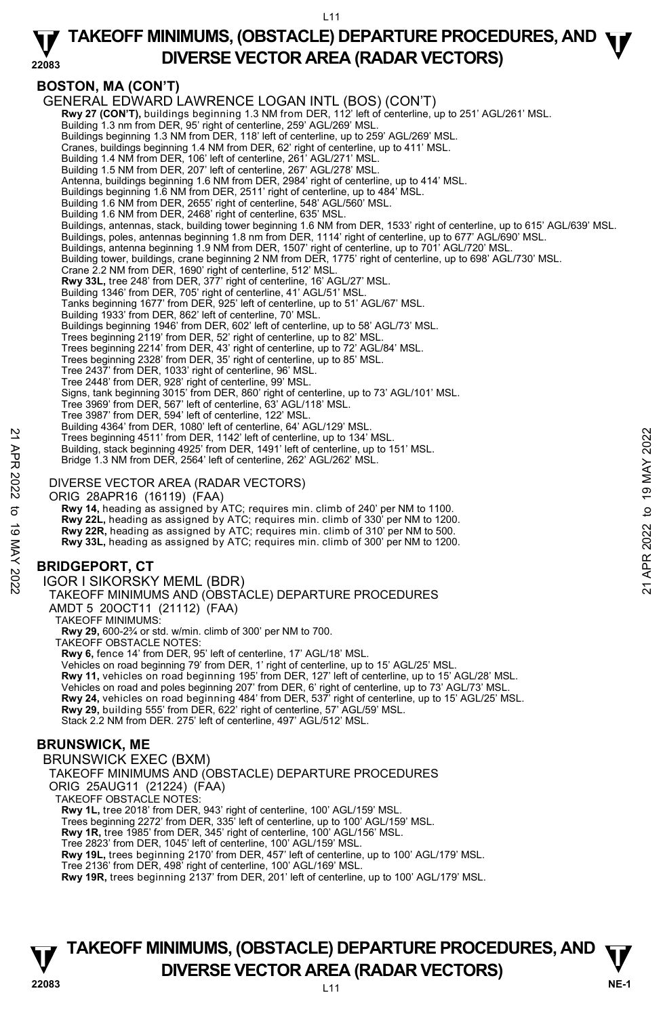#### **22083 TAKEOFF MINIMUMS, (OBSTACLE) DEPARTURE PROCEDURES, AND <b>W**<br>DIVERSE VECTOR AREA (BADAR VECTORS) **DIVERSE VECTOR AREA (RADAR VECTORS)**

## **BOSTON, MA (CON'T)**

GENERAL EDWARD LAWRENCE LOGAN INTL (BOS) (CON'T) **Rwy 27 (CON'T),** buildings beginning 1.3 NM from DER, 112' left of centerline, up to 251' AGL/261' MSL. Building 1.3 nm from DER, 95' right of centerline, 259' AGL/269' MSL. Buildings beginning 1.3 NM from DER, 118' left of centerline, up to 259' AGL/269' MSL. Cranes, buildings beginning 1.4 NM from DER, 62' right of centerline, up to 411' MSL. Building 1.4 NM from DER, 106' left of centerline, 261' AGL/271' MSL Building 1.5 NM from DER, 207' left of centerline, 267' AGL/278' MSL. Antenna, buildings beginning 1.6 NM from DER, 2984' right of centerline, up to 414' MSL. Buildings beginning 1.6 NM from DER, 2511' right of centerline, up to 484' MSL. Building 1.6 NM from DER, 2655' right of centerline, 548' AGL/560' MSL. Building 1.6 NM from DER, 2468' right of centerline, 635' MSL. Buildings, antennas, stack, building tower beginning 1.6 NM from DER, 1533' right of centerline, up to 615' AGL/639' MSL.<br>Buildings, poles, antennas beginning 1.8 nm from DER, 1114' right of centerline, up to 677' AGL/690' Buildings, antenna beginning 1.9 NM from DER, 1507' right of centerline, up to 701' AGL/720' MSL. Building tower, buildings, crane beginning 2 NM from DER, 1775' right of centerline, up to 698' AGL/730' MSL. Crane 2.2 NM from DER, 1690' right of centerline, 512' MSL.<br>**Rwy 33L,** tree 248' from DER, 377' right of centerline, 16' AGL/27' MSL. Building 1346' from DER, 705' right of centerline, 41' AGL/51' MSL. Tanks beginning 1677' from DER, 925' left of centerline, up to 51' AGL/67' MSL. Building 1933' from DER, 862' left of centerline, 70' MSL. Buildings beginning 1946' from DER, 602' left of centerline, up to 58' AGL/73' MSL. Trees beginning 2119' from DER, 52' right of centerline, up to 82' MSL. Trees beginning 2214' from DER, 43' right of centerline, up to 72' AGL/84' MSL. Trees beginning 2328' from DER, 35' right of centerline, up to 85' MSL. Tree 2437' from DER, 1033' right of centerline, 96' MSL. Tree 2448' from DER, 928' right of centerline, 99' MSL. Signs, tank beginning 3015' from DER, 860' right of centerline, up to 73' AGL/101' MSL. Tree 3969' from DER, 567' left of centerline, 63' AGL/118' MSL. Tree 3987' from DER, 594' left of centerline, 122' MSL. Building 4364' from DER, 1080' left of centerline, 64' AGL/129' MSL. Trees beginning 4511' from DER, 1142' left of centerline, up to 134' MSL. Building, stack beginning 4925' from DER, 1491' left of centerline, up to 151' MSL. Bridge 1.3 NM from DER, 2564' left of centerline, 262' AGL/262' MSL. DIVERSE VECTOR AREA (RADAR VECTORS) ORIG 28APR16 (16119) (FAA)  **Rwy 14,** heading as assigned by ATC; requires min. climb of 240' per NM to 1100. **Rwy 22L,** heading as assigned by ATC; requires min. climb of 330' per NM to 1200. **Rwy 22R,** heading as assigned by ATC; requires min. climb of 310' per NM to 500. **Rwy 33L,** heading as assigned by ATC; requires min. climb of 300' per NM to 1200. **BRIDGEPORT, CT**  IGOR I SIKORSKY MEML (BDR) TAKEOFF MINIMUMS AND (OBSTACLE) DEPARTURE PROCEDURES AMDT 5 20OCT11 (21112) (FAA) TAKEOFF MINIMUMS: **Rwy 29,** 600-2¾ or std. w/min. climb of 300' per NM to 700. TAKEOFF OBSTACLE NOTES: **Rwy 6,** fence 14' from DER, 95' left of centerline, 17' AGL/18' MSL. Vehicles on road beginning 79' from DER, 1' right of centerline, up to 15' AGL/25' MSL. **Rwy 11,** vehicles on road beginning 195' from DER, 127' left of centerline, up to 15' AGL/28' MSL. Vehicles on road and poles beginning 207' from DER, 6' right of centerline, up to 73' AGL/73' MSL.<br>**Rwy 24,** vehicles on road beginning 484' from DER, 537' right of centerline, up to 15' AGL/25' MSL. **Rwy 29,** building 555' from DER, 622' right of centerline, 57' AGL/59' MSL. Stack 2.2 NM from DER. 275' left of centerline, 497' AGL/512' MSL. **BRUNSWICK, ME**  BRUNSWICK EXEC (BXM) TAKEOFF MINIMUMS AND (OBSTACLE) DEPARTURE PROCEDURES ORIG 25AUG11 (21224) (FAA) TAKEOFF OBSTACLE NOTES: **Rwy 1L,** tree 2018' from DER, 943' right of centerline, 100' AGL/159' MSL. Trees beginning 2272' from DER, 335' left of centerline, up to 100' AGL/159' MSL. **Rwy 1R,** tree 1985' from DER, 345' right of centerline, 100' AGL/156' MSL. Tree 2823' from DER, 1045' left of centerline, 100' AGL/159' MSL. **Rwy 19L,** trees beginning 2170' from DER, 457' left of centerline, up to 100' AGL/179' MSL. Tree 2136' from DER, 498' right of centerline, 100' AGL/169' MSL. **Rwy 19R,** trees beginning 2137' from DER, 201' left of centerline, up to 100' AGL/179' MSL. 22 Trees beginning 4511 from DER, 1142' left of centerline, up to 134' MSL.<br>
21 Trees beginning 4511 from DER, 142' left of centerline, up to 134' MSL.<br>
Building, stack beginning 4925' from DER, 1491' left of centerline, u

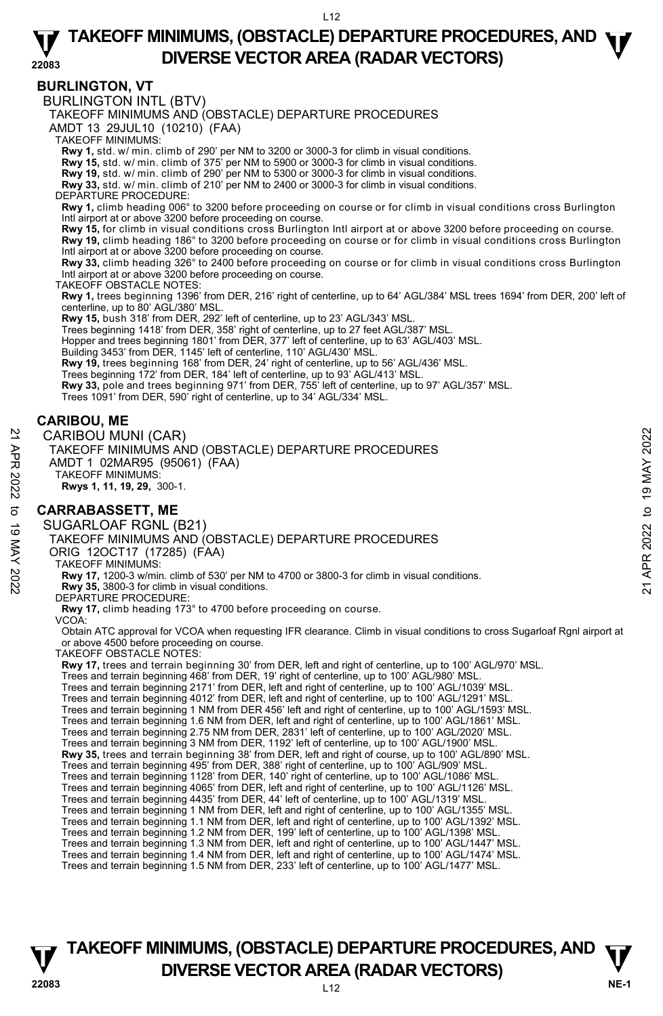#### **BURLINGTON, VT**

BURLINGTON INTL (BTV)

TAKEOFF MINIMUMS AND (OBSTACLE) DEPARTURE PROCEDURES

AMDT 13 29JUL10 (10210) (FAA)

TAKEOFF MINIMUMS:

**Rwy 1,** std. w/ min. climb of 290' per NM to 3200 or 3000-3 for climb in visual conditions.<br>**Rwy 15,** std. w/ min. climb of 375' per NM to 5900 or 3000-3 for climb in visual conditions.<br>**Rwy 19,** std. w/ min. climb of 290

**Rwy 33,** std. w/ min. climb of 210' per NM to 2400 or 3000-3 for climb in visual conditions.

DEPARTURE PROCEDURE

**Rwy 1,** climb heading 006° to 3200 before proceeding on course or for climb in visual conditions cross Burlington Intl airport at or above 3200 before proceeding on course.

**Rwy 15,** for climb in visual conditions cross Burlington Intl airport at or above 3200 before proceeding on course. **Rwy 19,** climb heading 186° to 3200 before proceeding on course or for climb in visual conditions cross Burlington Intl airport at or above 3200 before proceeding on course.

**Rwy 33,** climb heading 326° to 2400 before proceeding on course or for climb in visual conditions cross Burlington Intl airport at or above 3200 before proceeding on course.

TAKEOFF OBSTACLE NOTES:

**Rwy 1,** trees beginning 1396' from DER, 216' right of centerline, up to 64' AGL/384' MSL trees 1694' from DER, 200' left of centerline, up to 80' AGL/380' MSL.

**Rwy 15,** bush 318' from DER, 292' left of centerline, up to 23' AGL/343' MSL.

Trees beginning 1418' from DER, 358' right of centerline, up to 27 feet AGL/387' MSL.

Hopper and trees beginning 1801' from DER, 377' left of centerline, up to 63' AGL/403' MSL. Building 3453' from DER, 1145' left of centerline, 110' AGL/430' MSL.

**Rwy 19,** trees beginning 168' from DER, 24' right of centerline, up to 56' AGL/436' MSL.

Trees beginning 172' from DER, 184' left of centerline, up to 93' AGL/413' MSL.

**Rwy 33,** pole and trees beginning 971' from DER, 755' left of centerline, up to 97' AGL/357' MSL.<br>Trees 1091' from DER, 590' right of centerline, up to 34' AGL/334' MSL.

## **CARIBOU, ME**

CARIBOU MUNI (CAR) TAKEOFF MINIMUMS AND (OBSTACLE) DEPARTURE PROCEDURES AMDT 1 02MAR95 (95061) (FAA) TAKEOFF MINIMUMS: **Rwys 1, 11, 19, 29,** 300-1. **CARRABASSETT, ME**  SUGARLOAF RGNL (B21) TAKEOFF MINIMUMS AND (OBSTACLE) DEPARTURE PROCEDURES ORIG 12OCT17 (17285) (FAA) TAKEOFF MINIMUMS: **Rwy 17,** 1200-3 w/min. climb of 530' per NM to 4700 or 3800-3 for climb in visual conditions. **Rwy 35,** 3800-3 for climb in visual conditions. DEPARTURE PROCEDURE: **Rwy 17,** climb heading 173° to 4700 before proceeding on course. VCOA: Obtain ATC approval for VCOA when requesting IFR clearance. Climb in visual conditions to cross Sugarloaf Rgnl airport at or above 4500 before proceeding on course. TAKEOFF OBSTACLE NOTES: **Rwy 17,** trees and terrain beginning 30' from DER, left and right of centerline, up to 100' AGL/970' MSL. Trees and terrain beginning 468' from DER, 19' right of centerline, up to 100' AGL/980' MSL. Trees and terrain beginning 2171' from DER, left and right of centerline, up to 100' AGL/1039' MSL. CARIBOU MUNI (CAR)<br>
TAKEOFF MINIMUMS AND (OBSTACLE) DEPARTURE PROCEDURES<br>
AND T1 02MAR98 (95061) (FAA)<br>
NAWS 1, 11, 19, 29, 300-1.<br>
RWS 1, 11, 19, 29, 300-1.<br> **CARRABASSETT, ME**<br>
SUGARLOAF RGNL (B21)<br>
TAKEOFF MINIMUMS AND

Trees and terrain beginning 4012' from DER, left and right of centerline, up to 100' AGL/1291' MSL. Trees and terrain beginning 1 NM from DER 456' left and right of centerline, up to 100' AGL/1593' MSL. Trees and terrain beginning 1.6 NM from DER, left and right of centerline, up to 100' AGL/1861' MSL. Trees and terrain beginning 2.75 NM from DER, 2831' left of centerline, up to 100' AGL/2020' MSL. Trees and terrain beginning 3 NM from DER, 1192' left of centerline, up to 100' AGL/1900' MSL. **Rwy 35,** trees and terrain beginning 38' from DER, left and right of course, up to 100' AGL/890' MSL. Trees and terrain beginning 495' from DER, 388' right of centerline, up to 100' AGL/909' MSL. Trees and terrain beginning 1128' from DER, 140' right of centerline, up to 100' AGL/1086' MSL. Trees and terrain beginning 4065' from DER, left and right of centerline, up to 100' AGL/1126' MSL. Trees and terrain beginning 4435' from DER, 44' left of centerline, up to 100' AGL/1319' MSL.<br>Trees and terrain beginning 1 NM from DER, left and right of centerline, up to 100' AGL/1355' MSL. Trees and terrain beginning 1.1 NM from DER, left and right of centerline, up to 100' AGL/1392' MSL. Trees and terrain beginning 1.2 NM from DER, 199' left of centerline, up to 100' AGL/1398' MSL. Trees and terrain beginning 1.3 NM from DER, left and right of centerline, up to 100' AGL/1447' MSL. Trees and terrain beginning 1.4 NM from DER, left and right of centerline, up to 100' AGL/1474' MSL. Trees and terrain beginning 1.5 NM from DER, 233' left of centerline, up to 100' AGL/1477' MSL.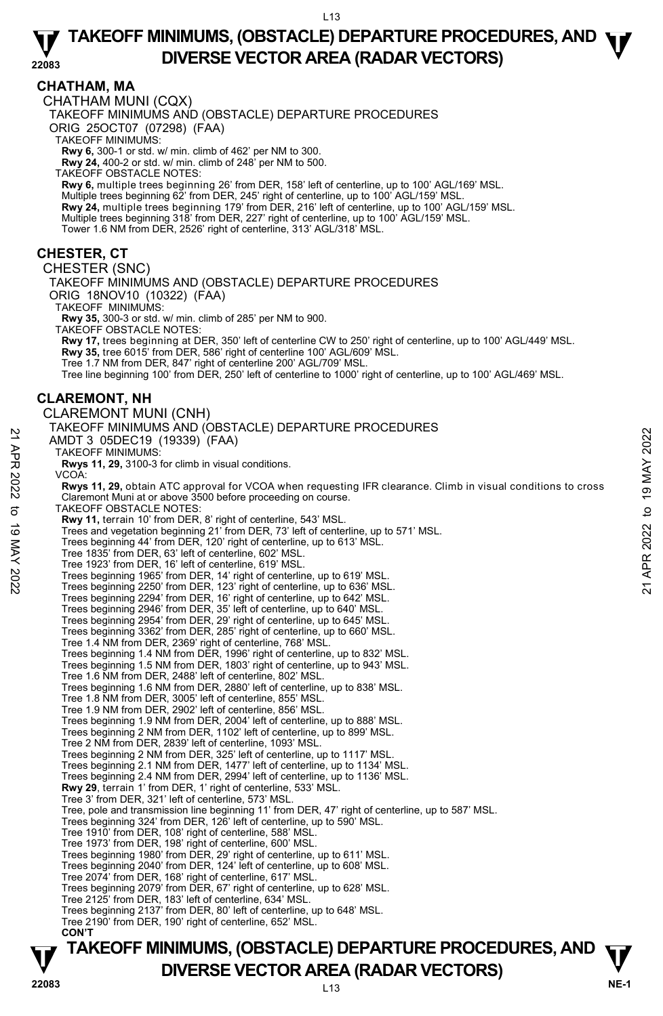### **CHATHAM, MA**

CHATHAM MUNI (CQX)

TAKEOFF MINIMUMS AND (OBSTACLE) DEPARTURE PROCEDURES

ORIG 25OCT07 (07298) (FAA)

TAKEOFF MINIMUMS:

**Rwy 6,** 300-1 or std. w/ min. climb of 462' per NM to 300.

**Rwy 24,** 400-2 or std. w/ min. climb of 248' per NM to 500.

TAKEOFF OBSTACLE NOTES:

**Rwy 6,** multiple trees beginning 26' from DER, 158' left of centerline, up to 100' AGL/169' MSL. Multiple trees beginning 62' from DER, 245' right of centerline, up to 100' AGL/159' MSL.<br>**Rwy 24,** multiple trees beginning 179' from DER, 216' left of centerline, up to 100' AGL/159' MSL. Multiple trees beginning 318' from DER, 227' right of centerline, up to 100' AGL/159' MSL. Tower 1.6 NM from DER, 2526' right of centerline, 313' AGL/318' MSL.

### **CHESTER, CT**

CHESTER (SNC) TAKEOFF MINIMUMS AND (OBSTACLE) DEPARTURE PROCEDURES ORIG 18NOV10 (10322) (FAA) TAKEOFF MINIMUMS: **Rwy 35,** 300-3 or std. w/ min. climb of 285' per NM to 900. TAKEOFF OBSTACLE NOTES: **Rwy 17,** trees beginning at DER, 350' left of centerline CW to 250' right of centerline, up to 100' AGL/449' MSL.<br>**Rwy 35,** tree 6015' from DER, 586' right of centerline 100' AGL/609' MSL. Tree 1.7 NM from DER, 847' right of centerline 200' AGL/709' MSL. Tree line beginning 100' from DER, 250' left of centerline to 1000' right of centerline, up to 100' AGL/469' MSL. **CLAREMONT, NH**  CLAREMONT MUNI (CNH) TAKEOFF MINIMUMS AND (OBSTACLE) DEPARTURE PROCEDURES AMDT 3 05DEC19 (19339) (FAA) TAKEOFF MINIMUMS: **Rwys 11, 29,** 3100-3 for climb in visual conditions. VCOA: **Rwys 11, 29,** obtain ATC approval for VCOA when requesting IFR clearance. Climb in visual conditions to cross Claremont Muni at or above 3500 before proceeding on course. TAKEOFF OBSTACLE NOTES: **Rwy 11,** terrain 10' from DER, 8' right of centerline, 543' MSL. Trees and vegetation beginning 21' from DER, 73' left of centerline, up to 571' MSL. Trees beginning 44' from DER, 120' right of centerline, up to 613' MSL. Tree 1835' from DER, 63' left of centerline, 602' MSL. Tree 1923' from DER, 16' left of centerline, 619' MSL. Trees beginning 1965' from DER, 14' right of centerline, up to 619' MSL. Trees beginning 2250' from DER, 123' right of centerline, up to 636' MSL. Trees beginning 2294' from DER, 16' right of centerline, up to 642' MSL. Trees beginning 2946' from DER, 35' left of centerline, up to 640' MSL. Trees beginning 2954' from DER, 29' right of centerline, up to 645' MSL. Trees beginning 3362' from DER, 285' right of centerline, up to 660' MSL. Tree 1.4 NM from DER, 2369' right of centerline, 768' MSL. Trees beginning 1.4 NM from DER, 1996' right of centerline, up to 832' MSL. Trees beginning 1.5 NM from DER, 1803' right of centerline, up to 943' MSL. Tree 1.6 NM from DER, 2488' left of centerline, 802' MSL. Trees beginning 1.6 NM from DER, 2880' left of centerline, up to 838' MSL. Tree 1.8 NM from DER, 3005' left of centerline, 855' MSL. Tree 1.9 NM from DER, 2902' left of centerline, 856' MSL. Trees beginning 1.9 NM from DER, 2004' left of centerline, up to 888' MSL. Trees beginning 2 NM from DER, 1102' left of centerline, up to 899' MSL. Tree 2 NM from DER, 2839' left of centerline, 1093' MSL. Trees beginning 2 NM from DER, 325' left of centerline, up to 1117' MSL. Trees beginning 2.1 NM from DER, 1477' left of centerline, up to 1134' MSL. Trees beginning 2.4 NM from DER, 2994' left of centerline, up to 1136' MSL. **Rwy 29**, terrain 1' from DER, 1' right of centerline, 533' MSL. Tree 3' from DER, 321' left of centerline, 573' MSL. Tree, pole and transmission line beginning 11' from DER, 47' right of centerline, up to 587' MSL. Trees beginning 324' from DER, 126' left of centerline, up to 590' MSL. Tree 1910' from DER, 108' right of centerline, 588' MSL. Tree 1973' from DER, 198' right of centerline, 600' MSL. Trees beginning 1980' from DER, 29' right of centerline, up to 611' MSL. Trees beginning 2040' from DER, 124' left of centerline, up to 608' MSL. Tree 2074' from DER, 168' right of centerline, 617' MSL. Trees beginning 2079' from DER, 67' right of centerline, up to 628' MSL. Tree 2125' from DER, 183' left of centerline, 634' MSL. Trees beginning 2137' from DER, 80' left of centerline, up to 648' MSL. Tree 2190' from DER, 190' right of centerline, 652' MSL.  **CON'T**  AMDT 3 O5DEC19 (19339) (FAA)<br>
21 AMDT 3 O5DEC19 (19339) (FAA)<br>
TAKEOFF MINIMUMS:<br>
Rwys 11, 29, 3100-3 for climb in visual conditions.<br>
Rwys 11, 29, obtain ATC approval for VCOA when requesting IFR clearance. Climb in vis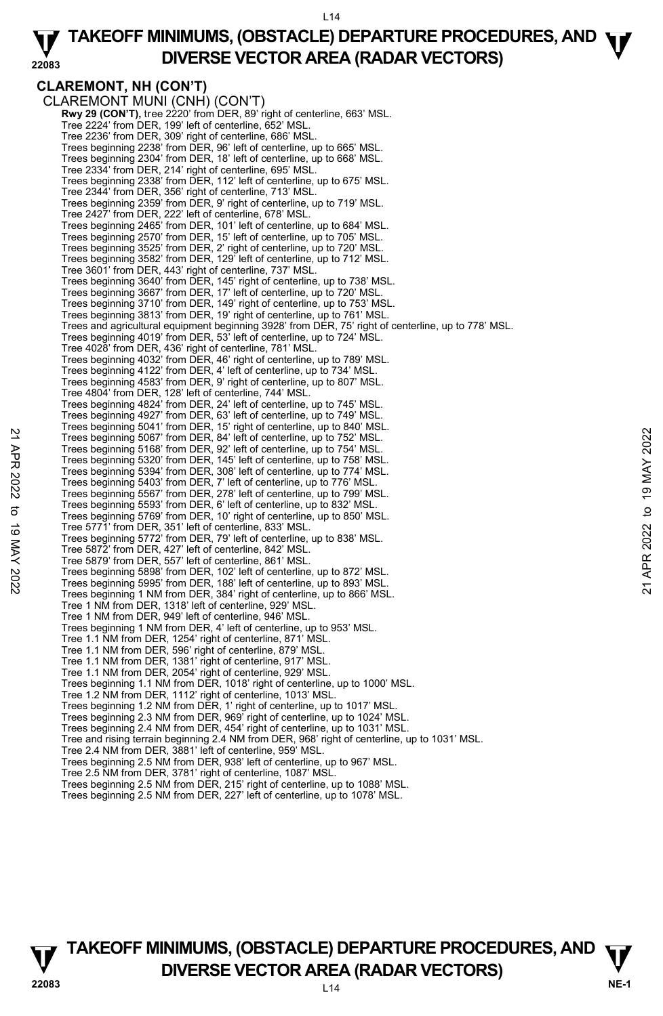#### **22083 TAKEOFF MINIMUMS, (OBSTACLE) DEPARTURE PROCEDURES, AND <b>W**<br>DIVERSE VECTOR AREA (BADAR VECTORS) **DIVERSE VECTOR AREA (RADAR VECTORS)**

#### **CLAREMONT, NH (CON'T)**  CLAREMONT MUNI (CNH) (CON'T) **Rwy 29 (CON'T),** tree 2220' from DER, 89' right of centerline, 663' MSL. Tree 2224' from DER, 199' left of centerline, 652' MSL. Tree 2236' from DER, 309' right of centerline, 686' MSL. Trees beginning 2238' from DER, 96' left of centerline, up to 665' MSL. Trees beginning 2304' from DER, 18' left of centerline, up to 668' MSL. Tree 2334' from DER, 214' right of centerline, 695' MSL. Trees beginning 2338' from DER, 112' left of centerline, up to 675' MSL. Tree 2344' from DER, 356' right of centerline, 713' MSL. Trees beginning 2359' from DER, 9' right of centerline, up to 719' MSL. Tree 2427' from DER, 222' left of centerline, 678' MSL. Trees beginning 2465' from DER, 101' left of centerline, up to 684' MSL. Trees beginning 2570' from DER, 15' left of centerline, up to 705' MSL. Trees beginning 3525' from DER, 2' right of centerline, up to 720' MSL. Trees beginning 3582' from DER, 129' left of centerline, up to 712' MSL. Tree 3601' from DER, 443' right of centerline, 737' MSL. Trees beginning 3640' from DER, 145' right of centerline, up to 738' MSL. Trees beginning 3667' from DER, 17' left of centerline, up to 720' MSL. Trees beginning 3710' from DER, 149' right of centerline, up to 753' MSL. Trees beginning 3813' from DER, 19' right of centerline, up to 761' MSL. Trees and agricultural equipment beginning 3928' from DER, 75' right of centerline, up to 778' MSL. Trees beginning 4019' from DER, 53' left of centerline, up to 724' MSL. Tree 4028' from DER, 436' right of centerline, 781' MSL. Trees beginning 4032' from DER, 46' right of centerline, up to 789' MSL. Trees beginning 4122' from DER, 4' left of centerline, up to 734' MSL. Trees beginning 4583' from DER, 9' right of centerline, up to 807' MSL. Tree 4804' from DER, 128' left of centerline, 744' MSL. Trees beginning 4824' from DER, 24' left of centerline, up to 745' MSL. Trees beginning 4927' from DER, 63' left of centerline, up to 749' MSL. Trees beginning 5041' from DER, 15' right of centerline, up to 840' MSL. Trees beginning 5067' from DER, 84' left of centerline, up to 752' MSL. Trees beginning 5168' from DER, 92' left of centerline, up to 754' MSL. Trees beginning 5320' from DER, 145' left of centerline, up to 758' MSL. Trees beginning 5394' from DER, 308' left of centerline, up to 774' MSL. Trees beginning 5403' from DER, 7' left of centerline, up to 776' MSL. Trees beginning 5567' from DER, 278' left of centerline, up to 799' MSL. Trees beginning 5593' from DER, 6' left of centerline, up to 832' MSL. Trees beginning 5769' from DER, 10' right of centerline, up to 850' MSL. Tree 5771' from DER, 351' left of centerline, 833' MSL. Trees beginning 5772' from DER, 79' left of centerline, up to 838' MSL. Tree 5872' from DER, 427' left of centerline, 842' MSL. Tree 5879' from DER, 557' left of centerline, 861' MSL. Trees beginning 5898' from DER, 102' left of centerline, up to 872' MSL. Trees beginning 5995' from DER, 188' left of centerline, up to 893' MSL. Trees beginning 1 NM from DER, 384' right of centerline, up to 866' MSL. Tree 1 NM from DER, 1318' left of centerline, 929' MSL. Tree 1 NM from DER, 949' left of centerline, 946' MSL. Trees beginning 1 NM from DER, 4' left of centerline, up to 953' MSL. Tree 1.1 NM from DER, 1254' right of centerline, 871' MSL. Tree 1.1 NM from DER, 596' right of centerline, 879' MSL. Tree 1.1 NM from DER, 1381' right of centerline, 917' MSL. Tree 1.1 NM from DER, 2054' right of centerline, 929' MSL. Trees beginning 1.1 NM from DER, 1018' right of centerline, up to 1000' MSL. Tree 1.2 NM from DER, 1112' right of centerline, 1013' MSL. Trees beginning 1.2 NM from DER, 1' right of centerline, up to 1017' MSL. Trees beginning 2.3 NM from DER, 969' right of centerline, up to 1024' MSL. Trees beginning 2.4 NM from DER, 454' right of centerline, up to 1031' MSL. Tree and rising terrain beginning 2.4 NM from DER, 968' right of centerline, up to 1031' MSL. Tree 2.4 NM from DER, 3881' left of centerline, 959' MSL. Trees beginning 2.5 NM from DER, 938' left of centerline, up to 967' MSL. Tree 2.5 NM from DER, 3781' right of centerline, 1087' MSL. 22 Trees beginning 5067 from DER, 84' left of centerline, up to 752' MSL.<br>
Trees beginning 5067' from DER, 92' left of centerline, up to 752' MSL.<br>
Trees beginning 5392' from DER, 92' left of centerline, up to 758' MSL.<br>
T

- 
- Trees beginning 2.5 NM from DER, 215' right of centerline, up to 1088' MSL. Trees beginning 2.5 NM from DER, 227' left of centerline, up to 1078' MSL.



```
TAKEOFF MINIMUMS, (OBSTACLE) DEPARTURE PROCEDURES, AND \Psi<br>DIVERSE VECTOR AREA (RADAR VECTORS)
V DIVERSE VECTOR AREA (RADAR VECTORS) V<br>22083
```
 $114$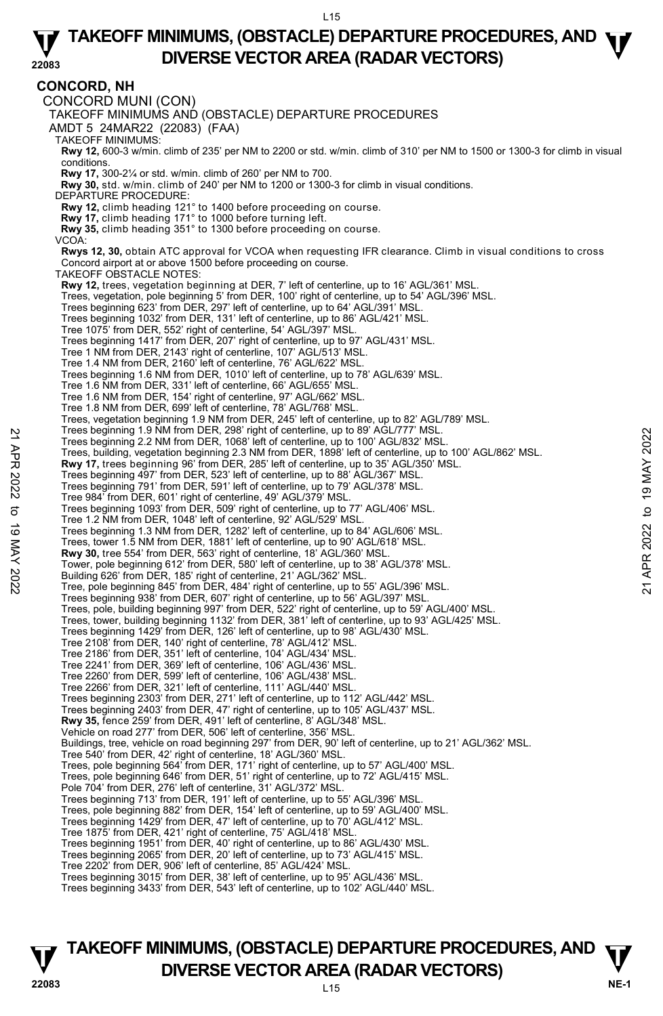#### **CONCORD, NH**  CONCORD MUNI (CON) TAKEOFF MINIMUMS AND (OBSTACLE) DEPARTURE PROCEDURES AMDT 5 24MAR22 (22083) (FAA) TAKEOFF MINIMUMS: **Rwy 12,** 600-3 w/min. climb of 235' per NM to 2200 or std. w/min. climb of 310' per NM to 1500 or 1300-3 for climb in visual conditions.  **Rwy 17,** 300-2¼ or std. w/min. climb of 260' per NM to 700.  **Rwy 30,** std. w/min. climb of 240' per NM to 1200 or 1300-3 for climb in visual conditions. DEPARTURE PROCEDURE: **Rwy 12,** climb heading 121° to 1400 before proceeding on course.  **Rwy 17,** climb heading 171° to 1000 before turning left. **Rwy 35,** climb heading 351° to 1300 before proceeding on course. VCOA:  **Rwys 12, 30,** obtain ATC approval for VCOA when requesting IFR clearance. Climb in visual conditions to cross Concord airport at or above 1500 before proceeding on course. TAKEOFF OBSTACLE NOTES: **Rwy 12,** trees, vegetation beginning at DER, 7' left of centerline, up to 16' AGL/361' MSL. Trees, vegetation, pole beginning 5' from DER, 100' right of centerline, up to 54' AGL/396' MSL. Trees beginning 623' from DER, 297' left of centerline, up to 64' AGL/391' MSL. Trees beginning 1032' from DER, 131' left of centerline, up to 86' AGL/421' MSL. Tree 1075' from DER, 552' right of centerline, 54' AGL/397' MSL. Trees beginning 1417' from DER, 207' right of centerline, up to 97' AGL/431' MSL. Tree 1 NM from DER, 2143' right of centerline, 107' AGL/513' MSL. Tree 1.4 NM from DER, 2160' left of centerline, 76' AGL/622' MSL. Trees beginning 1.6 NM from DER, 1010' left of centerline, up to 78' AGL/639' MSL. Tree 1.6 NM from DER, 331' left of centerline, 66' AGL/655' MSL. Tree 1.6 NM from DER, 154' right of centerline, 97' AGL/662' MSL. Tree 1.8 NM from DER, 699' left of centerline, 78' AGL/768' MSL. Trees, vegetation beginning 1.9 NM from DER, 245' left of centerline, up to 82' AGL/789' MSL.<br>Trees beginning 1.9 NM from DER, 298' right of centerline, up to 89' AGL/777' MSL. Trees beginning 2.2 NM from DER, 1068' left of centerline, up to 100' AGL/832' MSL. Trees, building, vegetation beginning 2.3 NM from DER, 1898' left of centerline, up to 100' AGL/862' MSL.<br>**Rwy 17,** trees beginning 96' from DER, 285' left of centerline, up to 35' AGL/350' MSL. Trees beginning 497' from DER, 523' left of centerline, up to 88' AGL/367' MSL. Trees beginning 791' from DER, 591' left of centerline, up to 79' AGL/378' MSL. Tree 984' from DER, 601' right of centerline, 49' AGL/379' MSL. Trees beginning 1093' from DER, 509' right of centerline, up to 77' AGL/406' MSL. Tree 1.2 NM from DER, 1048' left of centerline, 92' AGL/529' MSL. Trees beginning 1.3 NM from DER, 1282' left of centerline, up to 84' AGL/606' MSL. Trees, tower 1.5 NM from DER, 1881' left of centerline, up to 90' AGL/618' MSL. **Rwy 30,** tree 554' from DER, 563' right of centerline, 18' AGL/360' MSL. Tower, pole beginning 612' from DER, 580' left of centerline, up to 38' AGL/378' MSL. Building 626' from DER, 185' right of centerline, 21' AGL/362' MSL. Tree, pole beginning 845' from DER, 484' right of centerline, up to 55' AGL/396' MSL. Trees beginning 938' from DER, 607' right of centerline, up to 56' AGL/397' MSL. Trees, pole, building beginning 997' from DER, 522' right of centerline, up to 59' AGL/400' MSL. Trees, tower, building beginning 1132' from DER, 381' left of centerline, up to 93' AGL/425' MSL. Trees beginning 1429' from DER, 126' left of centerline, up to 98' AGL/430' MSL. Tree 2108' from DER, 140' right of centerline, 78' AGL/412' MSL. Tree 2186' from DER, 351' left of centerline, 104' AGL/434' MSL. Tree 2241' from DER, 369' left of centerline, 106' AGL/436' MSL. Tree 2260' from DER, 599' left of centerline, 106' AGL/438' MSL. Tree 2266' from DER, 321' left of centerline, 111' AGL/440' MSL. Trees beginning 2303' from DER, 271' left of centerline, up to 112' AGL/442' MSL. Trees beginning 2403' from DER, 47' right of centerline, up to 105' AGL/437' MSL. **Rwy 35,** fence 259' from DER, 491' left of centerline, 8' AGL/348' MSL. Vehicle on road 277' from DER, 506' left of centerline, 356' MSL. Buildings, tree, vehicle on road beginning 297' from DER, 90' left of centerline, up to 21' AGL/362' MSL. Tree 540' from DER, 42' right of centerline, 18' AGL/360' MSL. Trees, pole beginning 564' from DER, 171' right of centerline, up to 57' AGL/400' MSL. Trees, pole beginning 646' from DER, 51' right of centerline, up to 72' AGL/415' MSL. Pole 704' from DER, 276' left of centerline, 31' AGL/372' MSL. Trees beginning 713' from DER, 191' left of centerline, up to 55' AGL/396' MSL. Trees, pole beginning 882' from DER, 154' left of centerline, up to 59' AGL/400' MSL. Trees beginning 1429' from DER, 47' left of centerline, up to 70' AGL/412' MSL. Tree 1875' from DER, 421' right of centerline, 75' AGL/418' MSL. Trees beginning 1951' from DER, 40' right of centerline, up to 86' AGL/430' MSL. Trees beginning 2065' from DER, 20' left of centerline, up to 73' AGL/415' MSL. Tree 2202' from DER, 906' left of centerline, 85' AGL/424' MSL. Trees beginning 3015' from DER, 38' left of centerline, up to 95' AGL/436' MSL. Trees beginning 3433' from DER, 543' left of centerline, up to 102' AGL/440' MSL. Trees beginning 1.9 NM from DER, 1068' left of centerline, up to 89' AGL/832' MSL.<br>
Trees, building, vegetation beginning 2.3 NM from DER, 1898' left of centerline, up to 100' AGL/862' MSL.<br> **Rwy 17**, trees beginning 96' f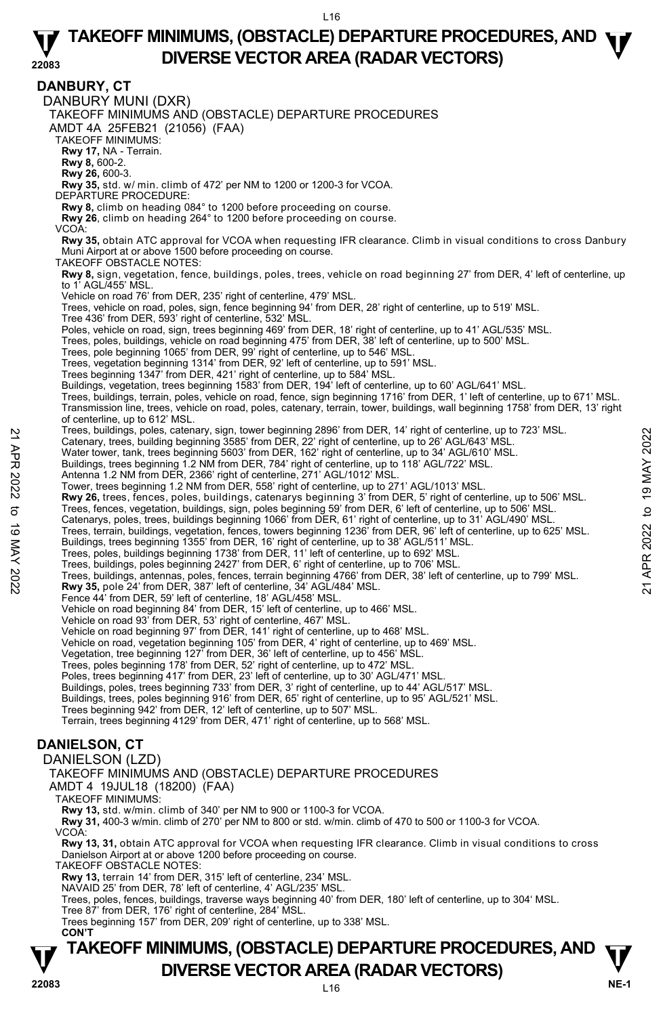**TAKEOFF MINIMUMS, (OBSTACLE) DEPARTURE PROCEDURES, AND**  $\Psi$ **<br>DIVERSE VECTOR AREA (RADAR VECTORS) V** DIVERSE VECTOR AREA (RADAR VECTORS) V<br>22083 **DANBURY, CT**  DANBURY MUNI (DXR) TAKEOFF MINIMUMS AND (OBSTACLE) DEPARTURE PROCEDURES AMDT 4A 25FEB21 (21056) (FAA) TAKEOFF MINIMUMS: **Rwy 17,** NA - Terrain. **Rwy 8,** 600-2. **Rwy 26,** 600-3. **Rwy 35,** std. w/ min. climb of 472' per NM to 1200 or 1200-3 for VCOA. DEPARTURE PROCEDURE: **Rwy 8,** climb on heading 084° to 1200 before proceeding on course. **Rwy 26**, climb on heading 264° to 1200 before proceeding on course. VCOA: **Rwy 35,** obtain ATC approval for VCOA when requesting IFR clearance. Climb in visual conditions to cross Danbury Muni Airport at or above 1500 before proceeding on course. TAKEOFF OBSTACLE NOTES: **Rwy 8,** sign, vegetation, fence, buildings, poles, trees, vehicle on road beginning 27' from DER, 4' left of centerline, up to 1' AGL/455' MSL. Vehicle on road 76' from DER, 235' right of centerline, 479' MSL. Trees, vehicle on road, poles, sign, fence beginning 94' from DER, 28' right of centerline, up to 519' MSL. Tree 436' from DER, 593' right of centerline, 532' MSL. Poles, vehicle on road, sign, trees beginning 469' from DER, 18' right of centerline, up to 41' AGL/535' MSL. Trees, poles, buildings, vehicle on road beginning 475' from DER, 38' left of centerline, up to 500' MSL.<br>Trees, pole beginning 1065' from DER, 99' right of centerline, up to 546' MSL. Trees, vegetation beginning 1314' from DER, 92' left of centerline, up to 591' MSL. Trees beginning 1347' from DER, 421' right of centerline, up to 584' MSL. Buildings, vegetation, trees beginning 1583' from DER, 194' left of centerline, up to 60' AGL/641' MSL.<br>Trees, buildings, terrain, poles, vehicle on road, fence, sign beginning 1716' from DER, 1' left of centerline, up to Transmission line, trees, vehicle on road, poles, catenary, terrain, tower, buildings, wall beginning 1758' from DER, 13' right of centerline, up to 612' MSL. Trees, buildings, poles, catenary, sign, tower beginning 2896' from DER, 14' right of centerline, up to 723' MSL. Catenary, trees, building beginning 3585' from DER, 22' right of centerline, up to 26' AGL/643' MSL. Water tower, tank, trees beginning 5603' from DER, 162' right of centerline, up to 34' AGL/610' MSL.<br>Buildings, trees beginning 1.2 NM from DER, 784' right of centerline, up to 118' AGL/722' MSL. Antenna 1.2 NM from DER, 2366' right of centerline, 271' AGL/1012' MSL. Tower, trees beginning 1.2 NM from DER, 558' right of centerline, up to 271' AGL/1013' MSL. **Rwy 26,** trees, fences, poles, buildings, catenarys beginning 3' from DER, 5' right of centerline, up to 506' MSL. Trees, fences, vegetation, buildings, sign, poles beginning 59' from DER, 6' left of centerline, up to 506' MSL. Catenarys, poles, trees, buildings beginning 1066' from DER, 61' right of centerline, up to 31' AGL/490' MSL. Trees, terrain, buildings, vegetation, fences, towers beginning 1236' from DER, 96' left of centerline, up to 625' MSL.<br>Buildings, trees beginning 1355' from DER, 16' right of centerline, up to 38' AGL/511' MSL. Trees, poles, buildings beginning 1738' from DER, 11' left of centerline, up to 692' MSL. Trees, buildings, poles beginning 2427' from DER, 6' right of centerline, up to 706' MSL. Trees, buildings, antennas, poles, fences, terrain beginning 4766' from DER, 38' left of centerline, up to 799' MSL.<br>**Rwy 35,** pole 24' from DER, 387' left of centerline, 34' AGL/484' MSL. Fence 44' from DER, 59' left of centerline, 18' AGL/458' MSL. Vehicle on road beginning 84' from DER, 15' left of centerline, up to 466' MSL. Vehicle on road 93' from DER, 53' right of centerline, 467' MSL. Vehicle on road beginning 97' from DER, 141' right of centerline, up to 468' MSL. Vehicle on road, vegetation beginning 105' from DER, 4' right of centerline, up to 469' MSL. Vegetation, tree beginning 127' from DER, 36' left of centerline, up to 456' MSL. Trees, poles beginning 178' from DER, 52' right of centerline, up to 472' MSL. Poles, trees beginning 417' from DER, 23' left of centerline, up to 30' AGL/471' MSL. Buildings, poles, trees beginning 733' from DER, 3' right of centerline, up to 44' AGL/517' MSL. Buildings, trees, poles beginning 916' from DER, 65' right of centerline, up to 95' AGL/521' MSL. Trees beginning 942' from DER, 12' left of centerline, up to 507' MSL. Terrain, trees beginning 4129' from DER, 471' right of centerline, up to 568' MSL. **DANIELSON, CT**  DANIELSON (LZD) TAKEOFF MINIMUMS AND (OBSTACLE) DEPARTURE PROCEDURES AMDT 4 19JUL18 (18200) (FAA) TAKEOFF MINIMUMS: **Rwy 13,** std. w/min. climb of 340' per NM to 900 or 1100-3 for VCOA. **Rwy 31,** 400-3 w/min. climb of 270' per NM to 800 or std. w/min. climb of 470 to 500 or 1100-3 for VCOA. VCOA: **Rwy 13, 31,** obtain ATC approval for VCOA when requesting IFR clearance. Climb in visual conditions to cross Danielson Airport at or above 1200 before proceeding on course. TAKEOFF OBSTACLE NOTES: **Rwy 13,** terrain 14' from DER, 315' left of centerline, 234' MSL. NAVAID 25' from DER, 78' left of centerline, 4' AGL/235' MSL. Trees, poles, fences, buildings, traverse ways beginning 40' from DER, 180' left of centerline, up to 304' MSL. Tree 87' from DER, 176' right of centerline, 284' MSL. Trees beginning 157' from DER, 209' right of centerline, up to 338' MSL.  **CON'T**  Trees, buildings, poles, carenary, sign, tower beginning 2896' from DER, 22' right of centerline, up to 26' AGL/643' MSL.<br>
21 Catenary, trees, building beginning 3585' from DER, 22' right of centerline, up to 26' AGL/610'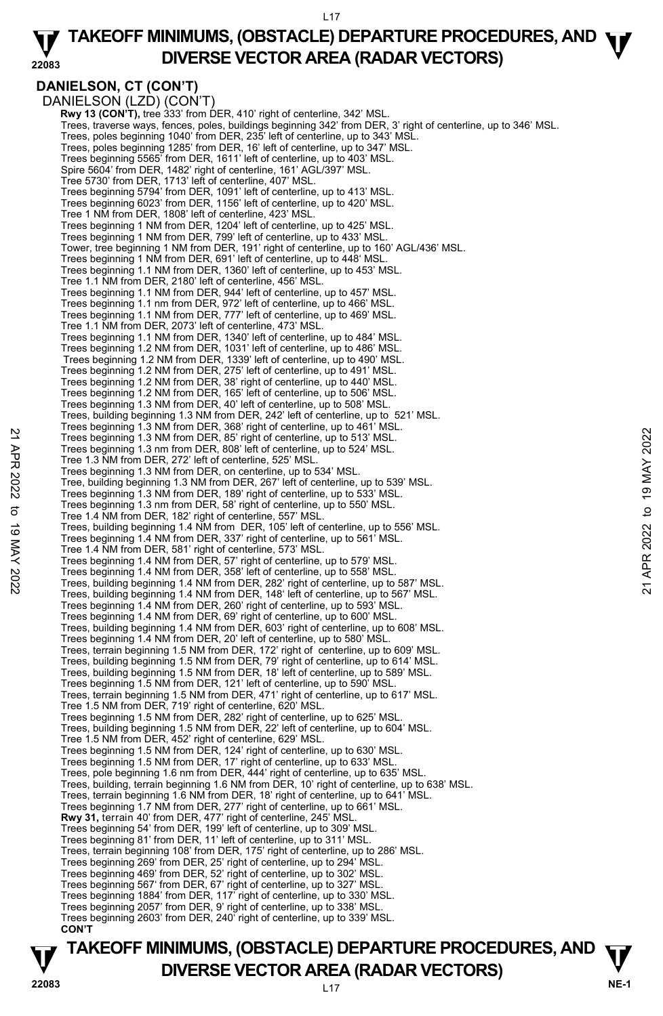#### **22083 TAKEOFF MINIMUMS, (OBSTACLE) DEPARTURE PROCEDURES, AND <b>W**<br>DIVERSE VECTOR AREA (BADAR VECTORS) **DIVERSE VECTOR AREA (RADAR VECTORS)**

## **DANIELSON, CT (CON'T)**

DANIELSON (LZD) (CON'T) **Rwy 13 (CON'T), tree 333' from DER, 410' right of centerline, 342' MSL** Trees, traverse ways, fences, poles, buildings beginning 342' from DER, 3' right of centerline, up to 346' MSL. Trees, poles beginning 1040' from DER, 235' left of centerline, up to 343' MSL. Trees, poles beginning 1285' from DER, 16' left of centerline, up to 347' MSL. Trees beginning 5565' from DER, 1611' left of centerline, up to 403' MSL. Spire 5604' from DER, 1482' right of centerline, 161' AGL/397' MSL. Tree 5730' from DER, 1713' left of centerline, 407' MSL. Trees beginning 5794' from DER, 1091' left of centerline, up to 413' MSL. Trees beginning 6023' from DER, 1156' left of centerline, up to 420' MSL. Tree 1 NM from DER, 1808' left of centerline, 423' MSL. Trees beginning 1 NM from DER, 1204' left of centerline, up to 425' MSL. Trees beginning 1 NM from DER, 799' left of centerline, up to 433' MSL. Tower, tree beginning 1 NM from DER, 191' right of centerline, up to 160' AGL/436' MSL. Trees beginning 1 NM from DER, 691' left of centerline, up to 448' MSL. Trees beginning 1.1 NM from DER, 1360' left of centerline, up to 453' MSL. Tree 1.1 NM from DER, 2180' left of centerline, 456' MSL. Trees beginning 1.1 NM from DER, 944' left of centerline, up to 457' MSL. Trees beginning 1.1 nm from DER, 972' left of centerline, up to 466' MSL. Trees beginning 1.1 NM from DER, 777' left of centerline, up to 469' MSL. Tree 1.1 NM from DER, 2073' left of centerline, 473' MSL. Trees beginning 1.1 NM from DER, 1340' left of centerline, up to 484' MSL. Trees beginning 1.2 NM from DER, 1031' left of centerline, up to 486' MSL. Trees beginning 1.2 NM from DER, 1339' left of centerline, up to 490' MSL. Trees beginning 1.2 NM from DER, 275' left of centerline, up to 491' MSL. Trees beginning 1.2 NM from DER, 38' right of centerline, up to 440' MSL. Trees beginning 1.2 NM from DER, 165' left of centerline, up to 506' MSL. Trees beginning 1.3 NM from DER, 40' left of centerline, up to 508' MSL. Trees, building beginning 1.3 NM from DER, 242' left of centerline, up to 521' MSL. Trees beginning 1.3 NM from DER, 368' right of centerline, up to 461' MSL. Trees beginning 1.3 NM from DER, 85' right of centerline, up to 513' MSL. Trees beginning 1.3 nm from DER, 808' left of centerline, up to 524' MSL. Tree 1.3 NM from DER, 272' left of centerline, 525' MSL. Trees beginning 1.3 NM from DER, on centerline, up to 534' MSL. Tree, building beginning 1.3 NM from DER, 267' left of centerline, up to 539' MSL. Trees beginning 1.3 NM from DER, 189' right of centerline, up to 533' MSL. Trees beginning 1.3 nm from DER, 58' right of centerline, up to 550' MSL. Tree 1.4 NM from DER, 182' right of centerline, 557' MSL. Trees, building beginning 1.4 NM from DER, 105' left of centerline, up to 556' MSL. Trees beginning 1.4 NM from DER, 337' right of centerline, up to 561' MSL. Tree 1.4 NM from DER, 581' right of centerline, 573' MSL. Trees beginning 1.4 NM from DER, 57' right of centerline, up to 579' MSL. Trees beginning 1.4 NM from DER, 358' left of centerline, up to 558' MSL. Trees, building beginning 1.4 NM from DER, 282' right of centerline, up to 587' MSL. Trees, building beginning 1.4 NM from DER, 148' left of centerline, up to 567' MSL. Trees beginning 1.4 NM from DER, 260' right of centerline, up to 593' MSL. Trees beginning 1.4 NM from DER, 69' right of centerline, up to 600' MSL. Trees, building beginning 1.4 NM from DER, 603' right of centerline, up to 608' MSL. Trees beginning 1.4 NM from DER, 20' left of centerline, up to 580' MSL. Trees, terrain beginning 1.5 NM from DER, 172' right of centerline, up to 609' MSL. Trees, building beginning 1.5 NM from DER, 79' right of centerline, up to 614' MSL. Trees, building beginning 1.5 NM from DER, 18' left of centerline, up to 589' MSL. Trees beginning 1.5 NM from DER, 121' left of centerline, up to 590' MSL. Trees, terrain beginning 1.5 NM from DER, 471' right of centerline, up to 617' MSL. Tree 1.5 NM from DER, 719' right of centerline, 620' MSL. Trees beginning 1.5 NM from DER, 282' right of centerline, up to 625' MSL. Trees, building beginning 1.5 NM from DER, 22' left of centerline, up to 604' MSL. Tree 1.5 NM from DER, 452' right of centerline, 629' MSL. Trees beginning 1.5 NM from DER, 124' right of centerline, up to 630' MSL. Trees beginning 1.5 NM from DER, 17' right of centerline, up to 633' MSL. Trees, pole beginning 1.6 nm from DER, 444' right of centerline, up to 635' MSL. Trees, building, terrain beginning 1.6 NM from DER, 10' right of centerline, up to 638' MSL. Trees, terrain beginning 1.6 NM from DER, 18' right of centerline, up to 641' MSL. Trees beginning 1.7 NM from DER, 277' right of centerline, up to 661' MSL.<br>**Rwy 31,** terrain 40' from DER, 477' right of centerline, 245' MSL. Trees beginning 54' from DER, 199' left of centerline, up to 309' MSL. Trees beginning 81' from DER, 11' left of centerline, up to 311' MSL. Trees, terrain beginning 108' from DER, 175' right of centerline, up to 286' MSL. Trees beginning 269' from DER, 25' right of centerline, up to 294' MSL. Trees beginning 469' from DER, 52' right of centerline, up to 302' MSL. Trees beginning 567' from DER, 67' right of centerline, up to 327' MSL. Trees beginning 1884' from DER, 117' right of centerline, up to 330' MSL. Trees beginning 2057' from DER, 9' right of centerline, up to 338' MSL. Trees beginning 2603' from DER, 240' right of centerline, up to 339' MSL.  **CON'T** 22 Trees beginning 1.3 NM from DER, 88" right of centerline, up to 524' MSL.<br>
Trees beginning 1.3 NM from DER, 88" left of centerline, up to 524' MSL.<br>
Trees beginning 1.3 NM from DER, 122' left of centerline, up to 524'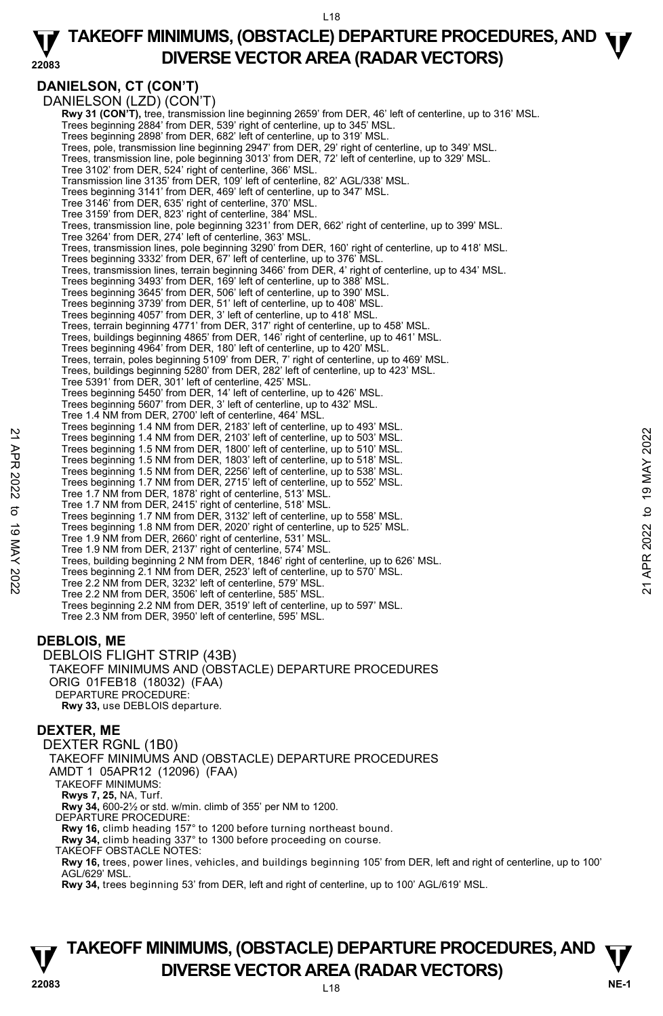#### **22083 TAKEOFF MINIMUMS, (OBSTACLE) DEPARTURE PROCEDURES, AND <b>W**<br>DIVERSE VECTOR AREA (BADAR VECTORS) **DIVERSE VECTOR AREA (RADAR VECTORS)**

## **DANIELSON, CT (CON'T)**

DANIELSON (LZD) (CON'T) **Rwy 31 (CON'T),** tree, transmission line beginning 2659' from DER, 46' left of centerline, up to 316' MSL. Trees beginning 2884' from DER, 539' right of centerline, up to 345' MSL. Trees beginning 2898' from DER, 682' left of centerline, up to 319' MSL. Trees, pole, transmission line beginning 2947' from DER, 29' right of centerline, up to 349' MSL. Trees, transmission line, pole beginning 3013' from DER, 72' left of centerline, up to 329' MSL. Tree 3102' from DER, 524' right of centerline, 366' MSL. Transmission line 3135' from DER, 109' left of centerline, 82' AGL/338' MSL. Trees beginning 3141' from DER, 469' left of centerline, up to 347' MSL. Tree 3146' from DER, 635' right of centerline, 370' MSL. Tree 3159' from DER, 823' right of centerline, 384' MSL. Trees, transmission line, pole beginning 3231' from DER, 662' right of centerline, up to 399' MSL. Tree 3264' from DER, 274' left of centerline, 363' MSL. Trees, transmission lines, pole beginning 3290' from DER, 160' right of centerline, up to 418' MSL. Trees beginning 3332' from DER, 67' left of centerline, up to 376' MSL. Trees, transmission lines, terrain beginning 3466' from DER, 4' right of centerline, up to 434' MSL. Trees beginning 3493' from DER, 169' left of centerline, up to 388' MSL. Trees beginning 3645' from DER, 506' left of centerline, up to 390' MSL. Trees beginning 3739' from DER, 51' left of centerline, up to 408' MSL. Trees beginning 4057' from DER, 3' left of centerline, up to 418' MSL. Trees, terrain beginning 4771' from DER, 317' right of centerline, up to 458' MSL. Trees, buildings beginning 4865' from DER, 146' right of centerline, up to 461' MSL. Trees beginning 4964' from DER, 180' left of centerline, up to 420' MSL. Trees, terrain, poles beginning 5109' from DER, 7' right of centerline, up to 469' MSL. Trees, buildings beginning 5280' from DER, 282' left of centerline, up to 423' MSL. Tree 5391' from DER, 301' left of centerline, 425' MSL. Trees beginning 5450' from DER, 14' left of centerline, up to 426' MSL. Trees beginning 5607' from DER, 3' left of centerline, up to 432' MSL. Tree 1.4 NM from DER, 2700' left of centerline, 464' MSL. Trees beginning 1.4 NM from DER, 2183' left of centerline, up to 493' MSL. Trees beginning 1.4 NM from DER, 2103' left of centerline, up to 503' MSL. Trees beginning 1.5 NM from DER, 1800' left of centerline, up to 510' MSL. Trees beginning 1.5 NM from DER, 1803' left of centerline, up to 518' MSL. Trees beginning 1.5 NM from DER, 2256' left of centerline, up to 538' MSL. Trees beginning 1.7 NM from DER, 2715' left of centerline, up to 552' MSL. Tree 1.7 NM from DER, 1878' right of centerline, 513' MSL. Tree 1.7 NM from DER, 2415' right of centerline, 518' MSL. Trees beginning 1.7 NM from DER, 3132' left of centerline, up to 558' MSL. Trees beginning 1.8 NM from DER, 2020' right of centerline, up to 525' MSL. Tree 1.9 NM from DER, 2660' right of centerline, 531' MSL. Tree 1.9 NM from DER, 2137' right of centerline, 574' MSL. Trees, building beginning 2 NM from DER, 1846' right of centerline, up to 626' MSL. Trees beginning 2.1 NM from DER, 2523' left of centerline, up to 570' MSL. Tree 2.2 NM from DER, 3232' left of centerline, 579' MSL. Tree 2.2 NM from DER, 3506' left of centerline, 585' MSL. Trees beginning 2.2 NM from DER, 3519' left of centerline, up to 597' MSL. Tree 2.3 NM from DER, 3950' left of centerline, 595' MSL. 22 Trees beginning 1.4 NM from DER, 2103' left of centerline, up to 503' MSL.<br>
Trees beginning 1.4 NM from DER, 1203' left of centerline, up to 510' MSL.<br>
Trees beginning 1.5 NM from DER, 1803' left of centerline, up to 51

## **DEBLOIS, ME**

DEBLOIS FLIGHT STRIP (43B) TAKEOFF MINIMUMS AND (OBSTACLE) DEPARTURE PROCEDURES ORIG 01FEB18 (18032) (FAA) DEPARTURE PROCEDURE: **Rwy 33,** use DEBLOIS departure.

## **DEXTER, ME**

DEXTER RGNL (1B0) TAKEOFF MINIMUMS AND (OBSTACLE) DEPARTURE PROCEDURES AMDT 1 05APR12 (12096) (FAA) TAKEOFF MINIMUMS: **Rwys 7, 25,** NA, Turf. **Rwy 34,** 600-2½ or std. w/min. climb of 355' per NM to 1200. DEPARTURE PROCEDURE: **Rwy 16,** climb heading 157° to 1200 before turning northeast bound. **Rwy 34,** climb heading 337° to 1300 before proceeding on course. TAKEOFF OBSTACLE NOTES: **Rwy 16,** trees, power lines, vehicles, and buildings beginning 105' from DER, left and right of centerline, up to 100' AGL/629' MSL. **Rwy 34,** trees beginning 53' from DER, left and right of centerline, up to 100' AGL/619' MSL.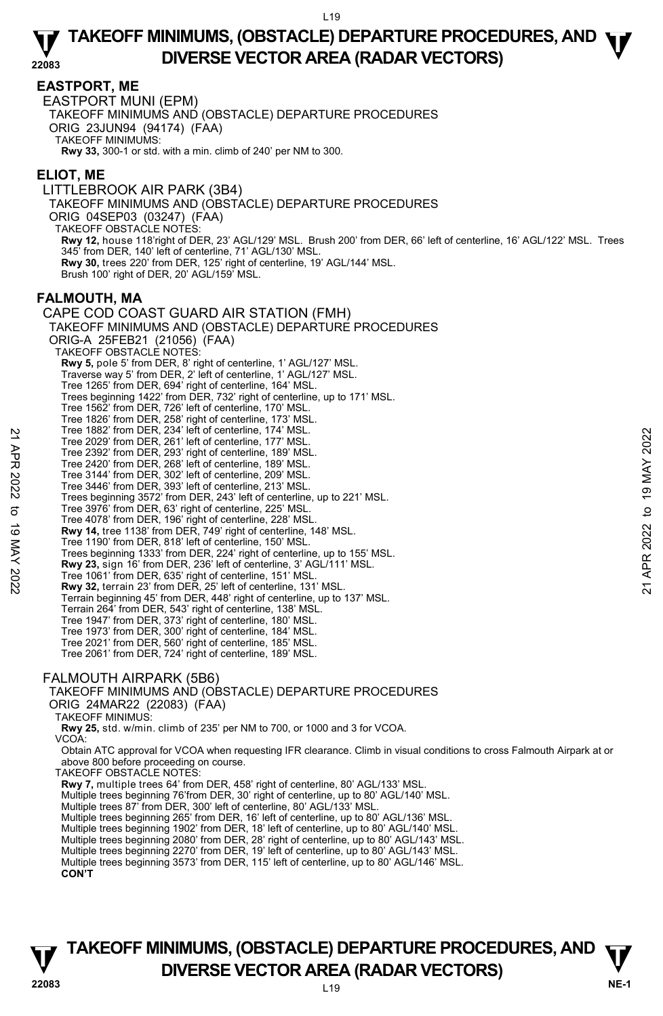### **EASTPORT, ME**

EASTPORT MUNI (EPM) TAKEOFF MINIMUMS AND (OBSTACLE) DEPARTURE PROCEDURES ORIG 23JUN94 (94174) (FAA) TAKEOFF MINIMUMS: **Rwy 33,** 300-1 or std. with a min. climb of 240' per NM to 300.

### **ELIOT, ME**

LITTLEBROOK AIR PARK (3B4) TAKEOFF MINIMUMS AND (OBSTACLE) DEPARTURE PROCEDURES ORIG 04SEP03 (03247) (FAA) TAKEOFF OBSTACLE NOTES: **Rwy 12,** house 118'right of DER, 23' AGL/129' MSL. Brush 200' from DER, 66' left of centerline, 16' AGL/122' MSL. Trees 345' from DER, 140' left of centerline, 71' AGL/130' MSL. **Rwy 30,** trees 220' from DER, 125' right of centerline, 19' AGL/144' MSL. Brush 100' right of DER, 20' AGL/159' MSL.

### **FALMOUTH, MA**

CAPE COD COAST GUARD AIR STATION (FMH) TAKEOFF MINIMUMS AND (OBSTACLE) DEPARTURE PROCEDURES ORIG-A 25FEB21 (21056) (FAA) TAKEOFF OBSTACLE NOTES: **Rwy 5,** pole 5' from DER, 8' right of centerline, 1' AGL/127' MSL. Traverse way 5' from DER, 2' left of centerline, 1' AGL/127' MSL. Tree 1265' from DER, 694' right of centerline, 164' MSL. Trees beginning 1422' from DER, 732' right of centerline, up to 171' MSL. Tree 1562' from DER, 726' left of centerline, 170' MSL. Tree 1826' from DER, 258' right of centerline, 173' MSL. Tree 1882' from DER, 234' left of centerline, 174' MSL. Tree 2029' from DER, 261' left of centerline, 177' MSL. Tree 2392' from DER, 293' right of centerline, 189' MSL. Tree 2420' from DER, 268' left of centerline, 189' MSL. Tree 3144' from DER, 302' left of centerline, 209' MSL. Tree 3446' from DER, 393' left of centerline, 213' MSL. Trees beginning 3572' from DER, 243' left of centerline, up to 221' MSL. Tree 3976' from DER, 63' right of centerline, 225' MSL. Tree 4078' from DER, 196' right of centerline, 228' MSL. **Rwy 14,** tree 1138' from DER, 749' right of centerline, 148' MSL. Tree 1190' from DER, 818' left of centerline, 150' MSL. Trees beginning 1333' from DER, 224' right of centerline, up to 155' MSL. **Rwy 23,** sign 16' from DER, 236' left of centerline, 3' AGL/111' MSL. Tree 1061' from DER, 635' right of centerline, 151' MSL. **Rwy 32,** terrain 23' from DER, 25' left of centerline, 131' MSL. Terrain beginning 45' from DER, 448' right of centerline, up to 137' MSL. Terrain 264' from DER, 543' right of centerline, 138' MSL. Tree 1947' from DER, 373' right of centerline, 180' MSL. Tree 1973' from DER, 300' right of centerline, 184' MSL. Tree 2021' from DER, 560' right of centerline, 185' MSL. Tree 2061' from DER, 724' right of centerline, 189' MSL. FALMOUTH AIRPARK (5B6) TAKEOFF MINIMUMS AND (OBSTACLE) DEPARTURE PROCEDURES ORIG 24MAR22 (22083) (FAA) TAKEOFF MINIMUS:  **Rwy 25,** std. w/min. climb of 235' per NM to 700, or 1000 and 3 for VCOA. VCOA: Obtain ATC approval for VCOA when requesting IFR clearance. Climb in visual conditions to cross Falmouth Airpark at or above 800 before proceeding on course. TAKEOFF OBSTACLE NOTES: **Rwy 7,** multiple trees 64' from DER, 458' right of centerline, 80' AGL/133' MSL. Multiple trees beginning 76'from DER, 30' right of centerline, up to 80' AGL/140' MSL. Multiple trees 87' from DER, 300' left of centerline, 80' AGL/133' MSL.<br>Multiple trees beginning 265' from DER, 16' left of centerline, up to 80' AGL/136' MSL. Multiple trees beginning 1902' from DER, 18' left of centerline, up to 80' AGL/140' MSL. Multiple trees beginning 2080' from DER, 28' right of centerline, up to 80' AGL/143' MSL. Multiple trees beginning 2270' from DER, 19' left of centerline, up to 80' AGL/143' MSL. Multiple trees beginning 3573' from DER, 115' left of centerline, up to 80' AGL/146' MSL. Tree 1892 from DER, 234 Telt of centerline, 174 MSL.<br>
Tree 2029 from DER, 261' left of centerline, 177 MSL.<br>
Tree 2420' from DER, 268' left of centerline, 189' MSL.<br>
Tree 3444' from DER, 302' left of centerline, 209' MSL.

**CON'T**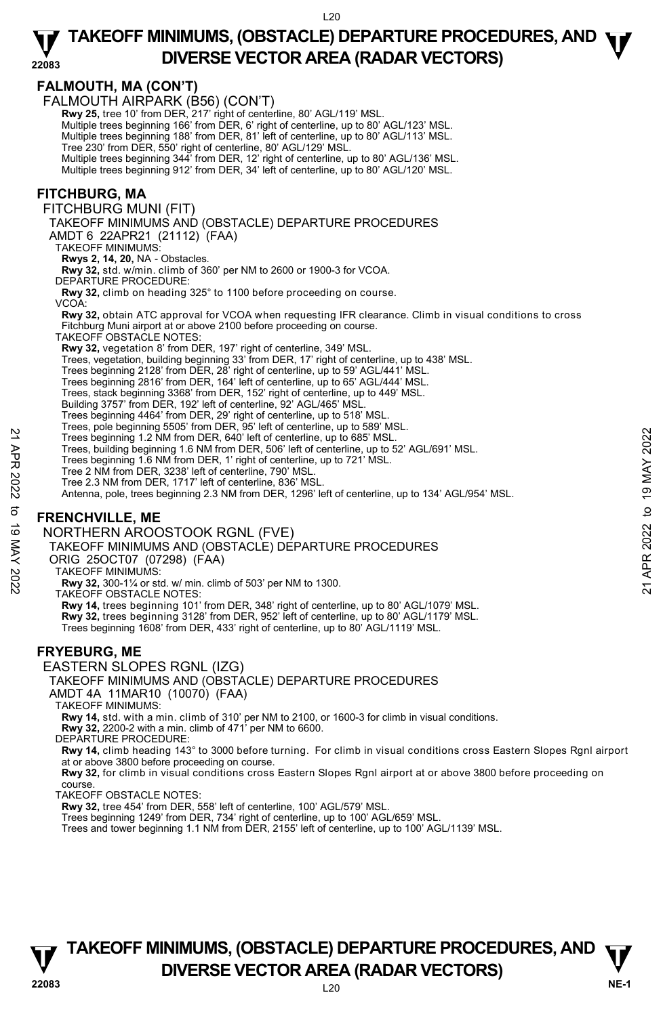## **FALMOUTH, MA (CON'T)**

|                | FALMOUTH, MA (CON'T)<br>FALMOUTH AIRPARK (B56) (CON'T)                                                                                                                                 |               |
|----------------|----------------------------------------------------------------------------------------------------------------------------------------------------------------------------------------|---------------|
|                | Rwy 25, tree 10' from DER, 217' right of centerline, 80' AGL/119' MSL.<br>Multiple trees beginning 166' from DER, 6' right of centerline, up to 80' AGL/123' MSL.                      |               |
|                | Multiple trees beginning 188' from DER, 81' left of centerline, up to 80' AGL/113' MSL.<br>Tree 230' from DER, 550' right of centerline, 80' AGL/129' MSL.                             |               |
|                | Multiple trees beginning 344' from DER, 12' right of centerline, up to 80' AGL/136' MSL.<br>Multiple trees beginning 912' from DER, 34' left of centerline, up to 80' AGL/120' MSL.    |               |
|                | <b>FITCHBURG, MA</b>                                                                                                                                                                   |               |
|                | FITCHBURG MUNI (FIT)<br>TAKEOFF MINIMUMS AND (OBSTACLE) DEPARTURE PROCEDURES                                                                                                           |               |
|                | AMDT 6 22APR21 (21112) (FAA)<br><b>TAKEOFF MINIMUMS:</b>                                                                                                                               |               |
|                | Rwys 2, 14, 20, NA - Obstacles.<br>Rwy 32, std. w/min. climb of 360' per NM to 2600 or 1900-3 for VCOA.                                                                                |               |
|                | DEPARTURE PROCEDURE:<br>Rwy 32, climb on heading 325° to 1100 before proceeding on course.                                                                                             |               |
|                | VCOA:<br>Rwy 32, obtain ATC approval for VCOA when requesting IFR clearance. Climb in visual conditions to cross                                                                       |               |
|                | Fitchburg Muni airport at or above 2100 before proceeding on course.<br>TAKEOFF OBSTACLE NOTES:                                                                                        |               |
|                | Rwy 32, vegetation 8' from DER, 197' right of centerline, 349' MSL.<br>Trees, vegetation, building beginning 33' from DER, 17' right of centerline, up to 438' MSL.                    |               |
|                | Trees beginning 2128' from DER, 28' right of centerline, up to 59' AGL/441' MSL.<br>Trees beginning 2816' from DER, 164' left of centerline, up to 65' AGL/444' MSL.                   |               |
|                | Trees, stack beginning 3368' from DER, 152' right of centerline, up to 449' MSL.<br>Building 3757' from DER, 192' left of centerline, 92' AGL/465' MSL.                                |               |
|                | Trees beginning 4464' from DER, 29' right of centerline, up to 518' MSL.<br>Trees, pole beginning 5505' from DER, 95' left of centerline, up to 589' MSL.                              |               |
|                | Trees beginning 1.2 NM from DER, 640' left of centerline, up to 685' MSL.<br>Trees, building beginning 1.6 NM from DER, 506' left of centerline, up to 52' AGL/691' MSL.               | 2022          |
| 21 APR 2022    | Trees beginning 1.6 NM from DER, 1' right of centerline, up to 721' MSL.<br>Tree 2 NM from DER, 3238' left of centerline, 790' MSL.                                                    | <b>19 MAY</b> |
|                | Tree 2.3 NM from DER, 1717' left of centerline, 836' MSL.<br>Antenna, pole, trees beginning 2.3 NM from DER, 1296' left of centerline, up to 134' AGL/954' MSL.                        |               |
|                | <b>FRENCHVILLE, ME</b>                                                                                                                                                                 | $\mathbf{c}$  |
| 2202 XVV 61 01 | NORTHERN AROOSTOOK RGNL (FVE)<br>TAKEOFF MINIMUMS AND (OBSTACLE) DEPARTURE PROCEDURES                                                                                                  | APR 2022      |
|                | ORIG 25OCT07 (07298) (FAA)<br><b>TAKEOFF MINIMUMS:</b>                                                                                                                                 |               |
|                | Rwy 32, 300-11/4 or std. w/ min. climb of 503' per NM to 1300.<br>TAKEOFF OBSTACLE NOTES:                                                                                              | ম             |
|                | Rwy 14, trees beginning 101' from DER, 348' right of centerline, up to 80' AGL/1079' MSL.<br>Rwy 32, trees beginning 3128' from DER, 952' left of centerline, up to 80' AGL/1179' MSL. |               |
|                | Trees beginning 1608' from DER, 433' right of centerline, up to 80' AGL/1119' MSL.                                                                                                     |               |
|                | <b>FRYEBURG, ME</b><br>EASTERN SLOPES RGNL (IZG)                                                                                                                                       |               |
|                | TAKEOFF MINIMUMS AND (OBSTACLE) DEPARTURE PROCEDURES<br>AMDT 4A 11MAR10 (10070) (FAA)                                                                                                  |               |
|                | TAKEOFF MINIMUMS:<br>Rwy 14, std. with a min. climb of 310' per NM to 2100, or 1600-3 for climb in visual conditions.                                                                  |               |
|                | <b>Rwy 32, 2200-2 with a min. climb of 471' per NM to 6600.</b><br>DEPARTURE PROCEDURE:                                                                                                |               |
|                | Rwy 14, climb heading 143° to 3000 before turning. For climb in visual conditions cross Eastern Slopes Rgnl airport<br>at or above 3800 before proceeding on course.                   |               |
|                | Rwy 32, for climb in visual conditions cross Eastern Slopes Rgnl airport at or above 3800 before proceeding on<br>course.                                                              |               |
|                | <b>TAKEOFF OBSTACLE NOTES:</b><br>Rwy 32, tree 454' from DER, 558' left of centerline, 100' AGL/579' MSL.                                                                              |               |
|                | Trees beginning 1249' from DER, 734' right of centerline, up to 100' AGL/659' MSL.<br>Trees and tower beginning 1.1 NM from DER, 2155' left of centerline, up to 100' AGL/1139' MSL.   |               |
|                |                                                                                                                                                                                        |               |

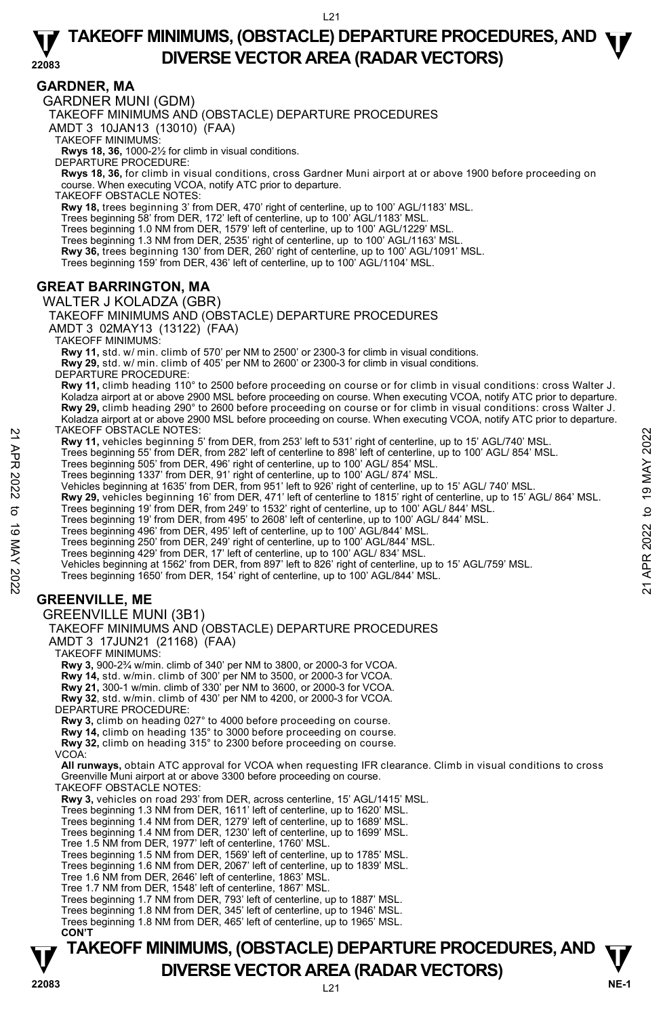### **GARDNER, MA**

GARDNER MUNI (GDM)

TAKEOFF MINIMUMS AND (OBSTACLE) DEPARTURE PROCEDURES

AMDT 3 10JAN13 (13010) (FAA)

TAKEOFF MINIMUMS:

**Rwys 18, 36,** 1000-2½ for climb in visual conditions. DEPARTURE PROCEDURE:

**Rwys 18, 36,** for climb in visual conditions, cross Gardner Muni airport at or above 1900 before proceeding on course. When executing VCOA, notify ATC prior to departure. TAKEOFF OBSTACLE NOTES:

**Rwy 18,** trees beginning 3' from DER, 470' right of centerline, up to 100' AGL/1183' MSL.

Trees beginning 58' from DER, 172' left of centerline, up to 100' AGL/1183' MSL.

Trees beginning 1.0 NM from DER, 1579' left of centerline, up to 100' AGL/1229' MSL. Trees beginning 1.3 NM from DER, 2535' right of centerline, up to 100' AGL/1163' MSL.

**Rwy 36,** trees beginning 130' from DER, 260' right of centerline, up to 100' AGL/1091' MSL.

Trees beginning 159' from DER, 436' left of centerline, up to 100' AGL/1104' MSL.

### **GREAT BARRINGTON, MA**

WALTER J KOLADZA (GBR) TAKEOFF MINIMUMS AND (OBSTACLE) DEPARTURE PROCEDURES AMDT 3 02MAY13 (13122) (FAA) TAKEOFF MINIMUMS: **Rwy 11,** std. w/ min. climb of 570' per NM to 2500' or 2300-3 for climb in visual conditions. **Rwy 29,** std. w/ min. climb of 405' per NM to 2600' or 2300-3 for climb in visual conditions. DEPARTURE PROCEDURE: **Rwy 11,** climb heading 110° to 2500 before proceeding on course or for climb in visual conditions: cross Walter J. Koladza airport at or above 2900 MSL before proceeding on course. When executing VCOA, notify ATC prior to departure. **Rwy 29,** climb heading 290° to 2600 before proceeding on course or for climb in visual conditions: cross Walter J. Koladza airport at or above 2900 MSL before proceeding on course. When executing VCOA, notify ATC prior to departure.<br>TAKEOFF OBSTACLE NOTES: **Rwy 11,** vehicles beginning 5' from DER, from 253' left to 531' right of centerline, up to 15' AGL/740' MSL. Trees beginning 55' from DER, from 282' left of centerline to 898' left of centerline, up to 100' AGL/ 854' MSL. Trees beginning 505' from DER, 496' right of centerline, up to 100' AGL/ 854' MSL. Trees beginning 1337' from DER, 91' right of centerline, up to 100' AGL/ 874' MSL. Vehicles beginning at 1635' from DER, from 951' left to 926' right of centerline, up to 15' AGL/ 740' MSL. **Rwy 29,** vehicles beginning 16' from DER, 471' left of centerline to 1815' right of centerline, up to 15' AGL/ 864' MSL.<br>Trees beginning 19' from DER, from 249' to 1532' right of centerline, up to 100' AGL/ 844' MSL.<br>Tree Trees beginning 496' from DER, 495' left of centerline, up to 100' AGL/844' MSL.<br>Trees beginning 250' from DER, 249' right of centerline, up to 100' AGL/844' MSL.<br>Trees beginning 429' from DER, 17' left of centerline, up t Vehicles beginning at 1562' from DER, from 897' left to 826' right of centerline, up to 15' AGL/759' MSL. Trees beginning 1650' from DER, 154' right of centerline, up to 100' AGL/844' MSL. **GREENVILLE, ME**  GREENVILLE MUNI (3B1) TAKEOFF MINIMUMS AND (OBSTACLE) DEPARTURE PROCEDURES AMDT 3 17JUN21 (21168) (FAA) TAKEOFF MINIMUMS: **Rwy 3,** 900-2¾ w/min. climb of 340' per NM to 3800, or 2000-3 for VCOA. **Rwy 14,** std. w/min. climb of 300' per NM to 3500, or 2000-3 for VCOA. **Rwy 21,** 300-1 w/min. climb of 330' per NM to 3600, or 2000-3 for VCOA. **Rwy 32**, std. w/min. climb of 430' per NM to 4200, or 2000-3 for VCOA. DEPARTURE PROCEDURE: **Rwy 3,** climb on heading 027° to 4000 before proceeding on course. **Rwy 14,** climb on heading 135° to 3000 before proceeding on course. **Rwy 32,** climb on heading 315° to 2300 before proceeding on course. VCOA:  **All runways,** obtain ATC approval for VCOA when requesting IFR clearance. Climb in visual conditions to cross Greenville Muni airport at or above 3300 before proceeding on course. 21 APR 2022 to 19 MAY 202221 APR 2022 to 19 MAY 2022

TAKEOFF OBSTACLE NOTES: **Rwy 3,** vehicles on road 293' from DER, across centerline, 15' AGL/1415' MSL. Trees beginning 1.3 NM from DER, 1611' left of centerline, up to 1620' MSL. Trees beginning 1.4 NM from DER, 1279' left of centerline, up to 1689' MSL. Trees beginning 1.4 NM from DER, 1230' left of centerline, up to 1699' MSL. Tree 1.5 NM from DER, 1977' left of centerline, 1760' MSL. Trees beginning 1.5 NM from DER, 1569' left of centerline, up to 1785' MSL. Trees beginning 1.6 NM from DER, 2067' left of centerline, up to 1839' MSL. Tree 1.6 NM from DER, 2646' left of centerline, 1863' MSL. Tree 1.7 NM from DER, 1548' left of centerline, 1867' MSL. Trees beginning 1.7 NM from DER, 793' left of centerline, up to 1887' MSL. Trees beginning 1.8 NM from DER, 345' left of centerline, up to 1946' MSL. Trees beginning 1.8 NM from DER, 465' left of centerline, up to 1965' MSL. **CON'T**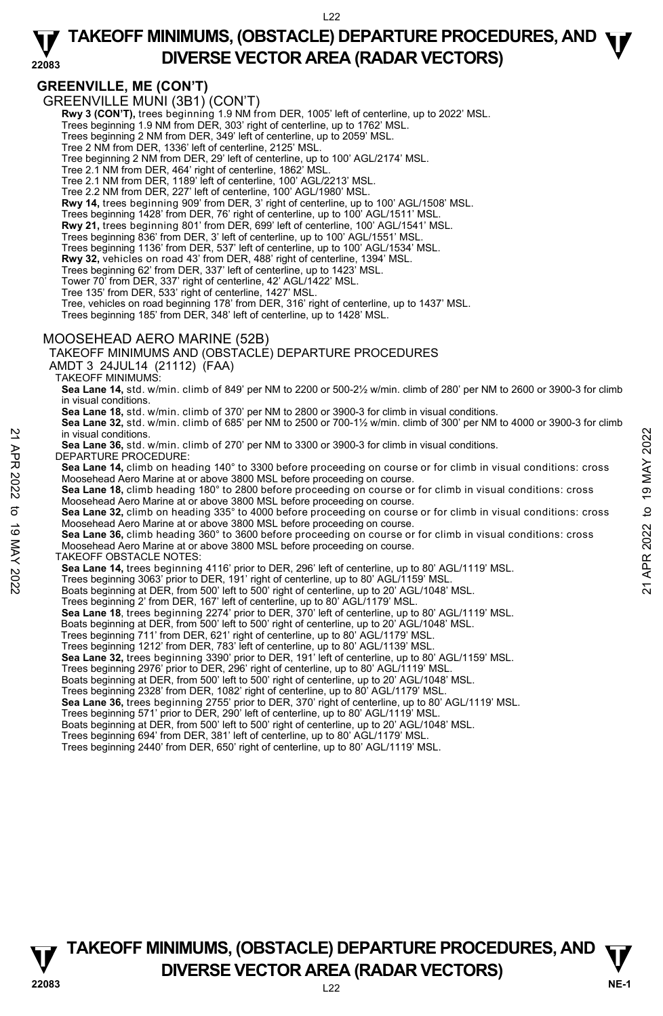#### **22083 TAKEOFF MINIMUMS, (OBSTACLE) DEPARTURE PROCEDURES, AND <b>W**<br>DIVERSE VECTOR AREA (BADAR VECTORS) **DIVERSE VECTOR AREA (RADAR VECTORS)**

## **GREENVILLE, ME (CON'T)**

GREENVILLE MUNI (3B1) (CON'T)

**Rwy 3 (CON'T),** trees beginning 1.9 NM from DER, 1005' left of centerline, up to 2022' MSL.<br>Trees beginning 1.9 NM from DER, 303' right of centerline, up to 1762' MSL.

Trees beginning 2 NM from DER, 349' left of centerline, up to 2059' MSL.

Tree 2 NM from DER, 1336' left of centerline, 2125' MSL.

Tree beginning 2 NM from DER, 29' left of centerline, up to 100' AGL/2174' MSL.

Tree 2.1 NM from DER, 464' right of centerline, 1862' MSL.

Tree 2.1 NM from DER, 1189' left of centerline, 100' AGL/2213' MSL.

Tree 2.2 NM from DER, 227' left of centerline, 100' AGL/1980' MSL.

**Rwy 14,** trees beginning 909' from DER, 3' right of centerline, up to 100' AGL/1508' MSL.

Trees beginning 1428' from DER, 76' right of centerline, up to 100' AGL/1511' MSL.

**Rwy 21,** trees beginning 801' from DER, 699' left of centerline, 100' AGL/1541' MSL. Trees beginning 836' from DER, 3' left of centerline, up to 100' AGL/1551' MSL.

Trees beginning 1136' from DER, 537' left of centerline, up to 100' AGL/1534' MSL.

**Rwy 32,** vehicles on road 43' from DER, 488' right of centerline, 1394' MSL.

Trees beginning 62' from DER, 337' left of centerline, up to 1423' MSL. Tower 70' from DER, 337' right of centerline, 42' AGL/1422' MSL.

Tree 135' from DER, 533' right of centerline, 1427' MSL.

Tree, vehicles on road beginning 178' from DER, 316' right of centerline, up to 1437' MSL.

Trees beginning 185' from DER, 348' left of centerline, up to 1428' MSL.

#### MOOSEHEAD AERO MARINE (52B)

TAKEOFF MINIMUMS AND (OBSTACLE) DEPARTURE PROCEDURES

AMDT 3 24JUL14 (21112) (FAA)

TAKEOFF MINIMUMS:

**Sea Lane 14,** std. w/min. climb of 849' per NM to 2200 or 500-2½ w/min. climb of 280' per NM to 2600 or 3900-3 for climb in visual conditions.

**Sea Lane 18,** std. w/min. climb of 370' per NM to 2800 or 3900-3 for climb in visual conditions.

**Sea Lane 32,** std. w/min. climb of 685' per NM to 2500 or 700-1½ w/min. climb of 300' per NM to 4000 or 3900-3 for climb in visual conditions.

**Sea Lane 36,** std. w/min. climb of 270' per NM to 3300 or 3900-3 for climb in visual conditions.

DEPARTURE PROCEDURE:

**Sea Lane 14,** climb on heading 140° to 3300 before proceeding on course or for climb in visual conditions: cross Moosehead Aero Marine at or above 3800 MSL before proceeding on course.

**Sea Lane 18,** climb heading 180° to 2800 before proceeding on course or for climb in visual conditions: cross Moosehead Aero Marine at or above 3800 MSL before proceeding on course. **Sea Lane 32,** climb on heading 335° to 4000 before proceeding on course or for climb in visual conditions: cross in visual conditions.<br>  $\frac{1}{2}$  in visual conditions.<br>
Sea Lane 36, std. w/min. climb of 270' per NM to 3300 or 3900-3 for climb in visual conditions.<br>
The DEPARTURE PROCEDURE:<br>
Sea Lane 14, climb on heading 140° to 3300

Moosehead Aero Marine at or above 3800 MSL before proceeding on course.

**Sea Lane 36,** climb heading 360° to 3600 before proceeding on course or for climb in visual conditions: cross Moosehead Aero Marine at or above 3800 MSL before proceeding on course.

TAKEOFF OBSTACLE NOTES:

**Sea Lane 14,** trees beginning 4116' prior to DER, 296' left of centerline, up to 80' AGL/1119' MSL.

Trees beginning 3063' prior to DER, 191' right of centerline, up to 80' AGL/1159' MSL.

Boats beginning at DER, from 500' left to 500' right of centerline, up to 20' AGL/1048' MSL.

Trees beginning 2' from DER, 167' left of centerline, up to 80' AGL/1179' MSL.

Sea Lane 18, trees beginning 2274' prior to DER, 370' left of centerline, up to 80' AGL/1119' MSL.<br>Boats beginning at DER, from 500' left to 500' right of centerline, up to 20' AGL/1048' MSL.

Trees beginning 711' from DER, 621' right of centerline, up to 80' AGL/1179' MSL.

Trees beginning 1212' from DER, 783' left of centerline, up to 80' AGL/1139' MSL. **Sea Lane 32,** trees beginning 3390' prior to DER, 191' left of centerline, up to 80' AGL/1159' MSL.

Trees beginning 2976' prior to DER, 296' right of centerline, up to 80' AGL/1119' MSL.

Boats beginning at DER, from 500' left to 500' right of centerline, up to 20' AGL/1048' MSL.

Trees beginning 2328' from DER, 1082' right of centerline, up to 80' AGL/1179' MSL.<br>**Sea Lane 36,** trees beginning 2755' prior to DER, 370' right of centerline, up to 80' AGL/1119' MSL.

Trees beginning 571' prior to DER, 290' left of centerline, up to 80' AGL/1119' MSL.

Boats beginning at DER, from 500' left to 500' right of centerline, up to 20' AGL/1048' MSL.

Trees beginning 694' from DER, 381' left of centerline, up to 80' AGL/1179' MSL.

Trees beginning 2440' from DER, 650' right of centerline, up to 80' AGL/1119' MSL.

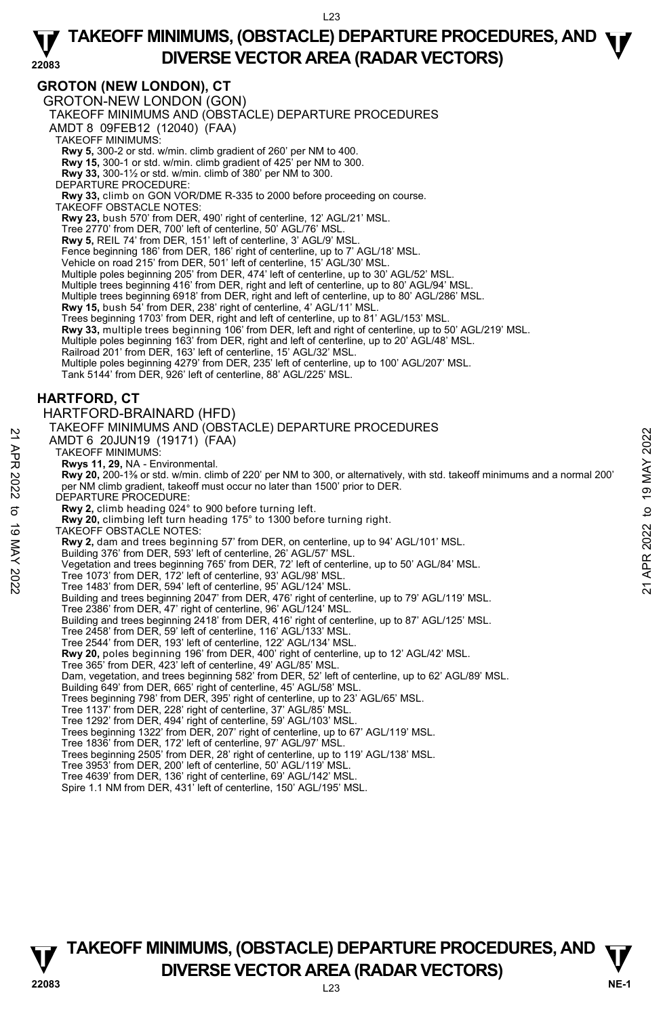## **GROTON (NEW LONDON), CT**

GROTON-NEW LONDON (GON)

TAKEOFF MINIMUMS AND (OBSTACLE) DEPARTURE PROCEDURES

AMDT 8 09FEB12 (12040) (FAA)

TAKEOFF MINIMUMS:

**Rwy 5,** 300-2 or std. w/min. climb gradient of 260' per NM to 400. **Rwy 15,** 300-1 or std. w/min. climb gradient of 425' per NM to 300.

**Rwy 33,** 300-1½ or std. w/min. climb of 380' per NM to 300.

DEPARTURE PROCEDURE:

**Rwy 33,** climb on GON VOR/DME R-335 to 2000 before proceeding on course. TAKEOFF OBSTACLE NOTES:

**Rwy 23,** bush 570' from DER, 490' right of centerline, 12' AGL/21' MSL.

Tree 2770' from DER, 700' left of centerline, 50' AGL/76' MSL.

**Rwy 5,** REIL 74' from DER, 151' left of centerline, 3' AGL/9' MSL.

Fence beginning 186' from DER, 186' right of centerline, up to 7' AGL/18' MSL.

Vehicle on road 215' from DER, 501' left of centerline, 15' AGL/30' MSL.

Multiple poles beginning 205' from DER, 474' left of centerline, up to 30' AGL/52' MSL.

Multiple trees beginning 416' from DER, right and left of centerline, up to 80' AGL/94' MSL.

Multiple trees beginning 6918' from DER, right and left of centerline, up to 80' AGL/286' MSL.

**Rwy 15,** bush 54' from DER, 238' right of centerline, 4' AGL/11' MSL.

Trees beginning 1703' from DER, right and left of centerline, up to 81' AGL/153' MSL.

**Rwy 33,** multiple trees beginning 106' from DER, left and right of centerline, up to 50' AGL/219' MSL.

Multiple poles beginning 163' from DER, right and left of centerline, up to 20' AGL/48' MSL. Railroad 201' from DER, 163' left of centerline, 15' AGL/32' MSL.

Multiple poles beginning 4279' from DER, 235' left of centerline, up to 100' AGL/207' MSL.

Tank 5144' from DER, 926' left of centerline, 88' AGL/225' MSL.

### **HARTFORD, CT**

#### HARTFORD-BRAINARD (HFD)

#### TAKEOFF MINIMUMS AND (OBSTACLE) DEPARTURE PROCEDURES

AMDT 6 20JUN19 (19171) (FAA)

TAKEOFF MINIMUMS:

**Rwys 11, 29,** NA - Environmental.

**Rwy 20,** 200-1⅜ or std. w/min. climb of 220' per NM to 300, or alternatively, with std. takeoff minimums and a normal 200' per NM climb gradient, takeoff must occur no later than 1500' prior to DER. AMDT 6 20JUN19 (19171) (FAA)<br>
21 AMDT 6 20JUN19 (19171) (FAA)<br>
TAKEOFF MINIMUMS:<br>
Rwy 20, 200-1<sup>3</sup> or std. w/min. climb of 220' per NM to 300, or alternatively, with std. takeoff minimums and a normal 200'<br>
DEPARTURE PROCE

DEPARTURE PROCEDURE

**Rwy 2,** climb heading 024° to 900 before turning left.

**Rwy 20,** climbing left turn heading 175° to 1300 before turning right.

TAKEOFF OBSTACLE NOTES:

**Rwy 2,** dam and trees beginning 57' from DER, on centerline, up to 94' AGL/101' MSL.

Building 376' from DER, 593' left of centerline, 26' AGL/57' MSL.

Vegetation and trees beginning 765' from DER, 72' left of centerline, up to 50' AGL/84' MSL.

- 
- Tree 1073' from DER, 172' left of centerline, 93' AGL/98' MSL. Tree 1483' from DER, 594' left of centerline, 95' AGL/124' MSL.

Building and trees beginning 2047' from DER, 476' right of centerline, up to 79' AGL/119' MSL.

Tree 2386' from DER, 47' right of centerline, 96' AGL/124' MSL.

Building and trees beginning 2418' from DER, 416' right of centerline, up to 87' AGL/125' MSL.

Tree 2458' from DER, 59' left of centerline, 116' AGL/133' MSL.

Tree 2544' from DER, 193' left of centerline, 122' AGL/134' MSL.

**Rwy 20,** poles beginning 196' from DER, 400' right of centerline, up to 12' AGL/42' MSL.

Tree 365' from DER, 423' left of centerline, 49' AGL/85' MSL.

Dam, vegetation, and trees beginning 582' from DER, 52' left of centerline, up to 62' AGL/89' MSL.

Building 649' from DER, 665' right of centerline, 45' AGL/58' MSL. Trees beginning 798' from DER, 395' right of centerline, up to 23' AGL/65' MSL.

Tree 1137' from DER, 228' right of centerline, 37' AGL/85' MSL.

Tree 1292' from DER, 494' right of centerline, 59' AGL/103' MSL. Trees beginning 1322' from DER, 207' right of centerline, up to 67' AGL/119' MSL.

Tree 1836' from DER, 172' left of centerline, 97' AGL/97' MSL.

Trees beginning 2505' from DER, 28' right of centerline, up to 119' AGL/138' MSL.

Tree 3953' from DER, 200' left of centerline, 50' AGL/119' MSL. Tree 4639' from DER, 136' right of centerline, 69' AGL/142' MSL.

Spire 1.1 NM from DER, 431' left of centerline, 150' AGL/195' MSL.



L23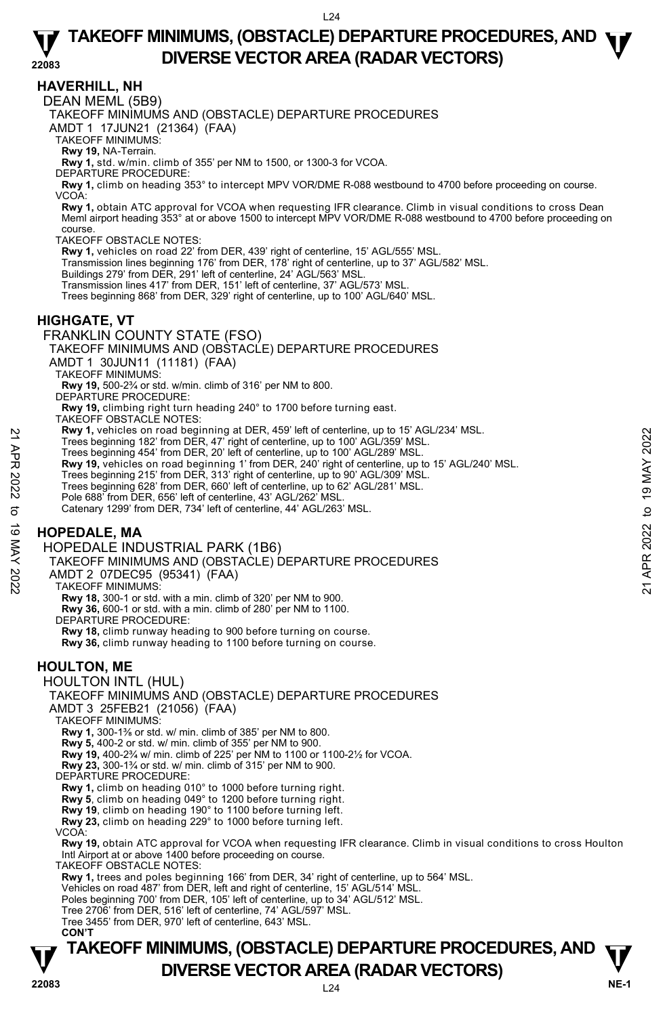### **HAVERHILL, NH**

DEAN MEML (5B9)

TAKEOFF MINIMUMS AND (OBSTACLE) DEPARTURE PROCEDURES

AMDT 1 17JUN21 (21364) (FAA)

TAKEOFF MINIMUMS:

**Rwy 19,** NA-Terrain.

**Rwy 1,** std. w/min. climb of 355' per NM to 1500, or 1300-3 for VCOA.

DEPARTURE PROCEDURE:

**Rwy 1,** climb on heading 353° to intercept MPV VOR/DME R-088 westbound to 4700 before proceeding on course. VCOA:

**Rwy 1,** obtain ATC approval for VCOA when requesting IFR clearance. Climb in visual conditions to cross Dean Meml airport heading 353° at or above 1500 to intercept MPV VOR/DME R-088 westbound to 4700 before proceeding on course.

TAKEOFF OBSTACLE NOTES:

**Rwy 1,** vehicles on road 22' from DER, 439' right of centerline, 15' AGL/555' MSL.

Transmission lines beginning 176' from DER, 178' right of centerline, up to 37' AGL/582' MSL. Buildings 279' from DER, 291' left of centerline, 24' AGL/563' MSL.

Transmission lines 417' from DER, 151' left of centerline, 37' AGL/573' MSL.

Trees beginning 868' from DER, 329' right of centerline, up to 100' AGL/640' MSL.

### **HIGHGATE, VT**

FRANKLIN COUNTY STATE (FSO)

TAKEOFF MINIMUMS AND (OBSTACLE) DEPARTURE PROCEDURES

AMDT 1 30JUN11 (11181) (FAA)

TAKEOFF MINIMUMS:

**Rwy 19,** 500-2¾ or std. w/min. climb of 316' per NM to 800. DEPARTURE PROCEDURE:

**Rwy 19,** climbing right turn heading 240° to 1700 before turning east.

TAKEOFF OBSTACLE NOTES:

**Rwy 1,** vehicles on road beginning at DER, 459' left of centerline, up to 15' AGL/234' MSL.

Trees beginning 182' from DER, 47' right of centerline, up to 100' AGL/359' MSL.

Trees beginning 454' from DER, 20' left of centerline, up to 100' AGL/289' MSL.<br>**Rwy 19,** vehicles on road beginning 1' from DER, 240' right of centerline, up to 15' AGL/240' MSL. 22 May 1, venicles on road beginning at DLFK, 43<sup>0</sup> left of centerline, up to 100<sup>'</sup> AGL/239' MSL.<br>
Trees beginning 182' from DER, 20' left of centerline, up to 100' AGL/359' MSL.<br>
Trees beginning 454' from DER, 20' left

Trees beginning 215' from DER, 313' right of centerline, up to 90' AGL/309' MSL.

Trees beginning 628' from DER, 660' left of centerline, up to 62' AGL/281' MSL.

Pole 688' from DER, 656' left of centerline, 43' AGL/262' MSL

Catenary 1299' from DER, 734' left of centerline, 44' AGL/263' MSL.

## **HOPEDALE, MA**

HOPEDALE INDUSTRIAL PARK (1B6)

TAKEOFF MINIMUMS AND (OBSTACLE) DEPARTURE PROCEDURES

AMDT 2 07DEC95 (95341) (FAA)

TAKEOFF MINIMUMS:

**Rwy 18,** 300-1 or std. with a min. climb of 320' per NM to 900.

**Rwy 36,** 600-1 or std. with a min. climb of 280' per NM to 1100. DEPARTURE PROCEDURE:

**Rwy 18,** climb runway heading to 900 before turning on course.

**Rwy 36,** climb runway heading to 1100 before turning on course.

### **HOULTON, ME**

HOULTON INTL (HUL)

TAKEOFF MINIMUMS AND (OBSTACLE) DEPARTURE PROCEDURES

AMDT 3 25FEB21 (21056) (FAA)

TAKEOFF MINIMUMS:

**Rwy 1,** 300-1⅜ or std. w/ min. climb of 385' per NM to 800.

 **Rwy 5,** 400-2 or std. w/ min. climb of 355' per NM to 900.

**Rwy 19,** 400-2¾ w/ min. climb of 225' per NM to 1100 or 1100-2½ for VCOA.

**Rwy 23,** 300-1¾ or std. w/ min. climb of 315' per NM to 900. DEPARTURE PROCEDURE:

**Rwy 1,** climb on heading 010° to 1000 before turning right.

 **Rwy 5**, climb on heading 049° to 1200 before turning right. **Rwy 19**, climb on heading 190° to 1100 before turning left.

 **Rwy 23,** climb on heading 229° to 1000 before turning left.

VCOA:

 **Rwy 19,** obtain ATC approval for VCOA when requesting IFR clearance. Climb in visual conditions to cross Houlton Intl Airport at or above 1400 before proceeding on course.

TAKEOFF OBSTACLE NOTES:

**Rwy 1,** trees and poles beginning 166' from DER, 34' right of centerline, up to 564' MSL.

Vehicles on road 487' from DER, left and right of centerline, 15' AGL/514' MSL.

Poles beginning 700' from DER, 105' left of centerline, up to 34' AGL/512' MSL.

Tree 2706' from DER, 516' left of centerline, 74' AGL/597' MSL. Tree 3455' from DER, 970' left of centerline, 643' MSL.

 **CON'T**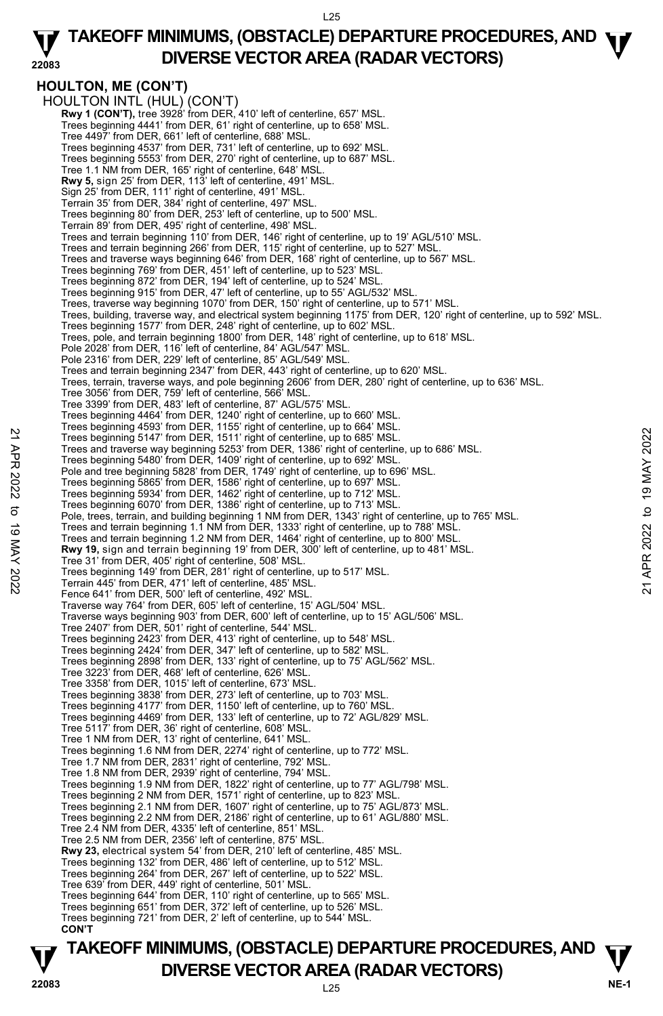#### **22083 TAKEOFF MINIMUMS, (OBSTACLE) DEPARTURE PROCEDURES, AND <b>W**<br>DIVERSE VECTOR AREA (BADAR VECTORS) **DIVERSE VECTOR AREA (RADAR VECTORS)**

**HOULTON, ME (CON'T)**  HOULTON INTL (HUL) (CON'T) **Rwy 1 (CON'T),** tree 3928' from DER, 410' left of centerline, 657' MSL Trees beginning 4441' from DER, 61' right of centerline, up to 658' MSL. Tree 4497' from DER, 661' left of centerline, 688' MSL. Trees beginning 4537' from DER, 731' left of centerline, up to 692' MSL. Trees beginning 5553' from DER, 270' right of centerline, up to 687' MSL. Tree 1.1 NM from DER, 165' right of centerline, 648' MSL. **Rwy 5,** sign 25' from DER, 113' left of centerline, 491' MSL. Sign 25' from DER, 111' right of centerline, 491' MSL. Terrain 35' from DER, 384' right of centerline, 497' MSL. Trees beginning 80' from DER, 253' left of centerline, up to 500' MSL. Terrain 89' from DER, 495' right of centerline, 498' MSL. Trees and terrain beginning 110' from DER, 146' right of centerline, up to 19' AGL/510' MSL. Trees and terrain beginning 266' from DER, 115' right of centerline, up to 527' MSL. Trees and traverse ways beginning 646' from DER, 168' right of centerline, up to 567' MSL. Trees beginning 769' from DER, 451' left of centerline, up to 523' MSL. Trees beginning 872' from DER, 194' left of centerline, up to 524' MSL. Trees beginning 915' from DER, 47' left of centerline, up to 55' AGL/532' MSL. Trees, traverse way beginning 1070' from DER, 150' right of centerline, up to 571' MSL. Trees, building, traverse way, and electrical system beginning 1175' from DER, 120' right of centerline, up to 592' MSL. Trees beginning 1577' from DER, 248' right of centerline, up to 602' MSL. Trees, pole, and terrain beginning 1800' from DER, 148' right of centerline, up to 618' MSL. Pole 2028' from DER, 116' left of centerline, 84' AGL/547' MSL. Pole 2316' from DER, 229' left of centerline, 85' AGL/549' MSL. Trees and terrain beginning 2347' from DER, 443' right of centerline, up to 620' MSL. Trees, terrain, traverse ways, and pole beginning 2606' from DER, 280' right of centerline, up to 636' MSL. Tree 3056' from DER, 759' left of centerline, 566' MSL. Tree 3399' from DER, 483' left of centerline, 87' AGL/575' MSL. Trees beginning 4464' from DER, 1240' right of centerline, up to 660' MSL.<br>Trees beginning 4593' from DER, 1155' right of centerline, up to 664' MSL.<br>Trees beginning 5147' from DER, 1511' right of centerline, up to 685' MS Trees and traverse way beginning 5253' from DER, 1386' right of centerline, up to 686' MSL. Trees beginning 5480' from DER, 1409' right of centerline, up to 692' MSL.<br>Pole and tree beginning 5828' from DER, 1749' right of centerline, up to 696' MSL. Trees beginning 5865' from DER, 1586' right of centerline, up to 697' MSL. Trees beginning 5934' from DER, 1462' right of centerline, up to 712' MSL. Trees beginning 6070' from DER, 1386' right of centerline, up to 713' MSL. Pole, trees, terrain, and building beginning 1 NM from DER, 1343' right of centerline, up to 765' MSL. Trees and terrain beginning 1.1 NM from DER, 1333' right of centerline, up to 788' MSL. Trees and terrain beginning 1.2 NM from DER, 1464' right of centerline, up to 800' MSL.  **Rwy 19,** sign and terrain beginning 19' from DER, 300' left of centerline, up to 481' MSL. Tree 31' from DER, 405' right of centerline, 508' MSL. Trees beginning 149' from DER, 281' right of centerline, up to 517' MSL. Terrain 445' from DER, 471' left of centerline, 485' MSL. Fence 641' from DER, 500' left of centerline, 492' MSL. Traverse way 764' from DER, 605' left of centerline, 15' AGL/504' MSL. Traverse ways beginning 903' from DER, 600' left of centerline, up to 15' AGL/506' MSL. Tree 2407' from DER, 501' right of centerline, 544' MSL. Trees beginning 2423' from DER, 413' right of centerline, up to 548' MSL. Trees beginning 2424' from DER, 347' left of centerline, up to 582' MSL. Trees beginning 2898' from DER, 133' right of centerline, up to 75' AGL/562' MSL. Tree 3223' from DER, 468' left of centerline, 626' MSL. Tree 3358' from DER, 1015' left of centerline, 673' MSL. Trees beginning 3838' from DER, 273' left of centerline, up to 703' MSL. Trees beginning 4177' from DER, 1150' left of centerline, up to 760' MSL. Trees beginning 4469' from DER, 133' left of centerline, up to 72' AGL/829' MSL. Tree 5117' from DER, 36' right of centerline, 608' MSL. Tree 1 NM from DER, 13' right of centerline, 641' MSL. Trees beginning 1.6 NM from DER, 2274' right of centerline, up to 772' MSL. Tree 1.7 NM from DER, 2831' right of centerline, 792' MSL. Tree 1.8 NM from DER, 2939' right of centerline, 794' MSL. Trees beginning 1.9 NM from DER, 1822' right of centerline, up to 77' AGL/798' MSL. Trees beginning 2 NM from DER, 1571' right of centerline, up to 823' MSL. Trees beginning 2.1 NM from DER, 1607' right of centerline, up to 75' AGL/873' MSL. Trees beginning 2.2 NM from DER, 2186' right of centerline, up to 61' AGL/880' MSL. Tree 2.4 NM from DER, 4335' left of centerline, 851' MSL. Tree 2.5 NM from DER, 2356' left of centerline, 875' MSL.  **Rwy 23,** electrical system 54' from DER, 210' left of centerline, 485' MSL. Trees beginning 132' from DER, 486' left of centerline, up to 512' MSL. Trees beginning 264' from DER, 267' left of centerline, up to 522' MSL. Tree 639' from DER, 449' right of centerline, 501' MSL. Trees beginning 644' from DER, 110' right of centerline, up to 565' MSL. Trees beginning 651' from DER, 372' left of centerline, up to 526' MSL. Trees beginning 721' from DER, 2' left of centerline, up to 544' MSL. **CON'T**  22 Trees beginning 5147' from DER, 1511' right of centerline, up to 686' MSL.<br>
Trees beginning 5427' from DER, 1511' right of centerline, up to 686' MSL.<br>
Trees beginning 5480' from DER, 1409' right of centerline, up to 6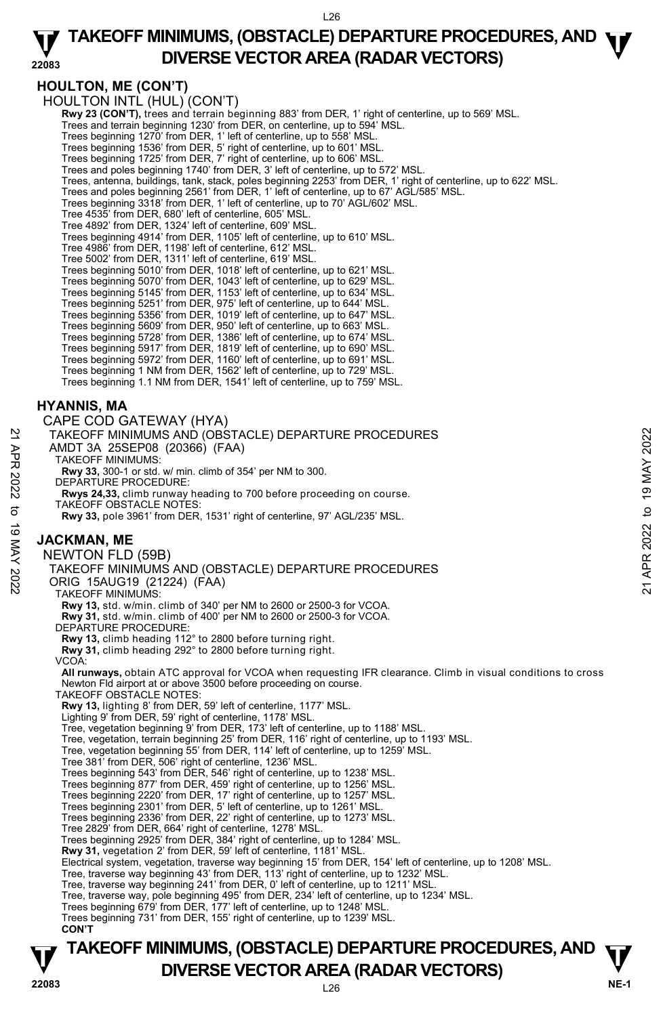#### **22083 TAKEOFF MINIMUMS, (OBSTACLE) DEPARTURE PROCEDURES, AND <b>W**<br>DIVERSE VECTOR AREA (BADAR VECTORS) **DIVERSE VECTOR AREA (RADAR VECTORS)**

## **HOULTON, ME (CON'T)**

HOULTON INTL (HUL) (CON'T)

**Rwy 23 (CON'T),** trees and terrain beginning 883' from DER, 1' right of centerline, up to 569' MSL.

Trees and terrain beginning 1230' from DER, on centerline, up to 594' MSL.

Trees beginning 1270' from DER, 1' left of centerline, up to 558' MSL.

Trees beginning 1536' from DER, 5' right of centerline, up to 601' MSL. Trees beginning 1725' from DER, 7' right of centerline, up to 606' MSL.

Trees and poles beginning 1740' from DER, 3' left of centerline, up to 572' MSL.

Trees, antenna, buildings, tank, stack, poles beginning 2253' from DER, 1' right of centerline, up to 622' MSL.

Trees and poles beginning 2561' from DER, 1' left of centerline, up to 67' AGL/585' MSL.

Trees beginning 3318' from DER, 1' left of centerline, up to 70' AGL/602' MSL.

Tree 4535' from DER, 680' left of centerline, 605' MSL.

Tree 4892' from DER, 1324' left of centerline, 609' MSL. Trees beginning 4914' from DER, 1105' left of centerline, up to 610' MSL.

Tree 4986' from DER, 1198' left of centerline, 612' MSL.

Tree 5002' from DER, 1311' left of centerline, 619' MSL.

Trees beginning 5010' from DER, 1018' left of centerline, up to 621' MSL. Trees beginning 5070' from DER, 1043' left of centerline, up to 629' MSL.

Trees beginning 5145' from DER, 1153' left of centerline, up to 634' MSL.

Trees beginning 5251' from DER, 975' left of centerline, up to 644' MSL.

Trees beginning 5356' from DER, 1019' left of centerline, up to 647' MSL.

Trees beginning 5609' from DER, 950' left of centerline, up to 663' MSL.

Trees beginning 5728' from DER, 1386' left of centerline, up to 674' MSL. Trees beginning 5917' from DER, 1819' left of centerline, up to 690' MSL.

Trees beginning 5972' from DER, 1160' left of centerline, up to 691' MSL. Trees beginning 1 NM from DER, 1562' left of centerline, up to 729' MSL.

Trees beginning 1.1 NM from DER, 1541' left of centerline, up to 759' MSL.

### **HYANNIS, MA**

CAPE COD GATEWAY (HYA) TAKEOFF MINIMUMS AND (OBSTACLE) DEPARTURE PROCEDURES AMDT 3A 25SEP08 (20366) (FAA) TAKEOFF MINIMUMS: **Rwy 33,** 300-1 or std. w/ min. climb of 354' per NM to 300. DEPARTURE PROCEDURE: **Rwys 24,33,** climb runway heading to 700 before proceeding on course. TAKEOFF OBSTACLE NOTES: **Rwy 33,** pole 3961' from DER, 1531' right of centerline, 97' AGL/235' MSL. **JACKMAN, ME**  NEWTON FLD (59B) TAKEOFF MINIMUMS AND (OBSTACLE) DEPARTURE PROCEDURES ORIG 15AUG19 (21224) (FAA) TAKEOFF MINIMUMS: **Rwy 13,** std. w/min. climb of 340' per NM to 2600 or 2500-3 for VCOA. **Rwy 31,** std. w/min. climb of 400' per NM to 2600 or 2500-3 for VCOA. DEPARTURE PROCEDURE: **Rwy 13,** climb heading 112° to 2800 before turning right. **Rwy 31,** climb heading 292° to 2800 before turning right. VCOA: **All runways,** obtain ATC approval for VCOA when requesting IFR clearance. Climb in visual conditions to cross Newton Fld airport at or above 3500 before proceeding on course. TAKEOFF OBSTACLE NOTES: **Rwy 13,** lighting 8' from DER, 59' left of centerline, 1177' MSL. Lighting 9' from DER, 59' right of centerline, 1178' MSL. Tree, vegetation beginning 9' from DER, 173' left of centerline, up to 1188' MSL. Tree, vegetation, terrain beginning 25' from DER, 116' right of centerline, up to 1193' MSL. Tree, vegetation beginning 55' from DER, 114' left of centerline, up to 1259' MSL. Tree 381' from DER, 506' right of centerline, 1236' MSL. Trees beginning 543' from DER, 546' right of centerline, up to 1238' MSL. Trees beginning 877' from DER, 459' right of centerline, up to 1256' MSL. Trees beginning 2220' from DER, 17' right of centerline, up to 1257' MSL. Trees beginning 2301' from DER, 5' left of centerline, up to 1261' MSL. Trees beginning 2336' from DER, 22' right of centerline, up to 1273' MSL. Tree 2829' from DER, 664' right of centerline, 1278' MSL. Trees beginning 2925' from DER, 384' right of centerline, up to 1284' MSL. **Rwy 31,** vegetation 2' from DER, 59' left of centerline, 1181' MSL. Electrical system, vegetation, traverse way beginning 15' from DER, 154' left of centerline, up to 1208' MSL. Tree, traverse way beginning 43' from DER, 113' right of centerline, up to 1232' MSL. Tree, traverse way beginning 241' from DER, 0' left of centerline, up to 1211' MSL. Tree, traverse way, pole beginning 495' from DER, 234' left of centerline, up to 1234' MSL. Trees beginning 679' from DER, 177' left of centerline, up to 1248' MSL. Trees beginning 731' from DER, 155' right of centerline, up to 1239' MSL. **CON'T**  TAKEOFF MINIMUMS AND (OBSTACLE) DEPARTURE PROCEDURES<br>
21 AMDT 3A 25SEP008 (20366) (FAA)<br>
TAKEOFF MINIMUMS:<br>
TAKEOFF MINIMUMS:<br>
RWY 33, 300-1 or std. w/ min. climb of 354' per NM to 300.<br>
DEPARTURE PROCEDURE:<br>
RWY 33, 300-1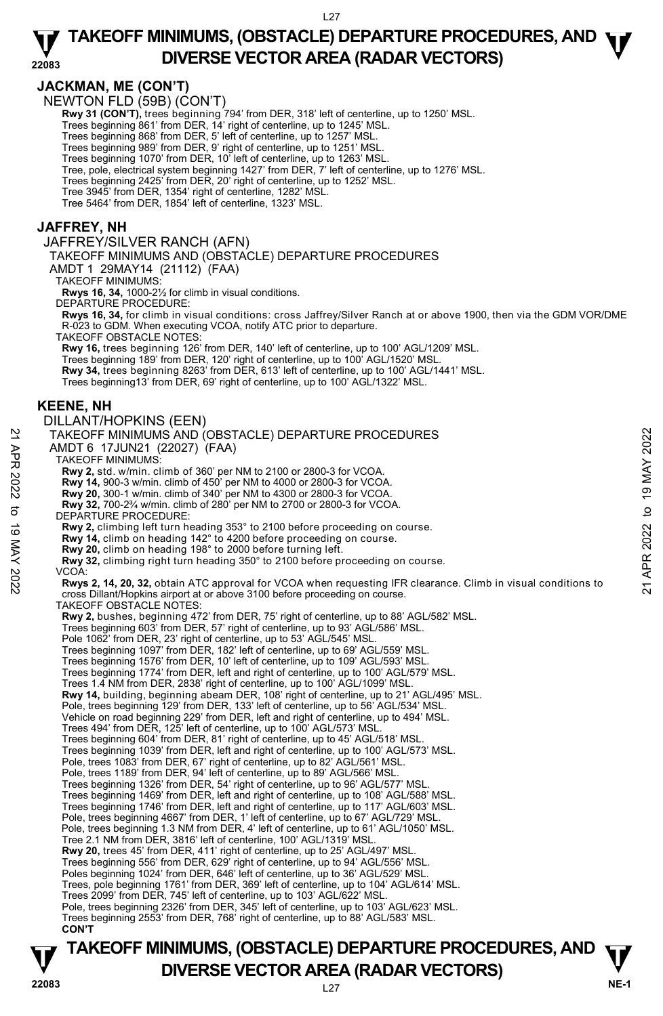### **JACKMAN, ME (CON'T)**

NEWTON FLD (59B) (CON'T)

**Rwy 31 (CON'T),** trees beginning 794' from DER, 318' left of centerline, up to 1250' MSL.<br>Trees beginning 861' from DER, 14' right of centerline, up to 1245' MSL.

Trees beginning 868' from DER, 5' left of centerline, up to 1257' MSL.

Trees beginning 989' from DER, 9' right of centerline, up to 1251' MSL. Trees beginning 1070' from DER, 10' left of centerline, up to 1263' MSL.

Tree, pole, electrical system beginning 1427' from DER, 7' left of centerline, up to 1276' MSL.

Trees beginning 2425' from DER, 20' right of centerline, up to 1252' MSL.

Tree 3945' from DER, 1354' right of centerline, 1282' MSL. Tree 5464' from DER, 1854' left of centerline, 1323' MSL.

#### **JAFFREY, NH**

JAFFREY/SILVER RANCH (AFN) TAKEOFF MINIMUMS AND (OBSTACLE) DEPARTURE PROCEDURES AMDT 1 29MAY14 (21112) (FAA) TAKEOFF MINIMUMS: **Rwys 16, 34,** 1000-2½ for climb in visual conditions. DEPARTURE PROCEDURE: **Rwys 16, 34,** for climb in visual conditions: cross Jaffrey/Silver Ranch at or above 1900, then via the GDM VOR/DME R-023 to GDM. When executing VCOA, notify ATC prior to departure. TAKEOFF OBSTACLE NOTES: **Rwy 16,** trees beginning 126' from DER, 140' left of centerline, up to 100' AGL/1209' MSL. Trees beginning 189' from DER, 120' right of centerline, up to 100' AGL/1520' MSL. **Rwy 34,** trees beginning 8263' from DER, 613' left of centerline, up to 100' AGL/1441' MSL. Trees beginning13' from DER, 69' right of centerline, up to 100' AGL/1322' MSL. **KEENE, NH**  DILLANT/HOPKINS (EEN) TAKEOFF MINIMUMS AND (OBSTACLE) DEPARTURE PROCEDURES AMDT 6 17JUN21 (22027) (FAA) TAKEOFF MINIMUMS: **Rwy 2,** std. w/min. climb of 360' per NM to 2100 or 2800-3 for VCOA. **Rwy 14,** 900-3 w/min. climb of 450' per NM to 4000 or 2800-3 for VCOA.<br>**Rwy 20,** 300-1 w/min. climb of 340' per NM to 4300 or 2800-3 for VCOA.<br>**Rwy 32,** 700-2¾ w/min. climb of 280' per NM to 2700 or 2800-3 for VCOA. DEPARTURE PROCEDURE: **Rwy 2,** climbing left turn heading 353° to 2100 before proceeding on course. **Rwy 14,** climb on heading 142° to 4200 before proceeding on course. **Rwy 20,** climb on heading 198° to 2000 before turning left. **Rwy 32,** climbing right turn heading 350° to 2100 before proceeding on course. VCOA:  **Rwys 2, 14, 20, 32,** obtain ATC approval for VCOA when requesting IFR clearance. Climb in visual conditions to cross Dillant/Hopkins airport at or above 3100 before proceeding on course. TAKEOFF OBSTACLE NOTES: **Rwy 2,** bushes, beginning 472' from DER, 75' right of centerline, up to 88' AGL/582' MSL. Trees beginning 603' from DER, 57' right of centerline, up to 93' AGL/586' MSL. Pole 1062' from DER, 23' right of centerline, up to 53' AGL/545' MSL. Trees beginning 1097' from DER, 182' left of centerline, up to 69' AGL/559' MSL. Trees beginning 1576' from DER, 10' left of centerline, up to 109' AGL/593' MSL. Trees beginning 1774' from DER, left and right of centerline, up to 100' AGL/579' MSL. Trees 1.4 NM from DER, 2838' right of centerline, up to 100' AGL/1099' MSL.<br>**Rwy 14,** building, beginning abeam DER, 108' right of centerline, up to 21' AGL/495' MSL. Pole, trees beginning 129' from DER, 133' left of centerline, up to 56' AGL/534' MSL. Vehicle on road beginning 229' from DER, left and right of centerline, up to 494' MSL. Trees 494' from DER, 125' left of centerline, up to 100' AGL/573' MSL. Trees beginning 604' from DER, 81' right of centerline, up to 45' AGL/518' MSL. Trees beginning 1039' from DER, left and right of centerline, up to 100' AGL/573' MSL. Pole, trees 1083' from DER, 67' right of centerline, up to 82' AGL/561' MSL. Pole, trees 1189' from DER, 94' left of centerline, up to 89' AGL/566' MSL. Trees beginning 1326' from DER, 54' right of centerline, up to 96' AGL/577' MSL. Trees beginning 1469' from DER, left and right of centerline, up to 108' AGL/588' MSL. Trees beginning 1746' from DER, left and right of centerline, up to 117' AGL/603' MSL.<br>Pole, trees beginning 4667' from DER, 1' left of centerline, up to 67' AGL/729' MSL. Pole, trees beginning 1.3 NM from DER, 4' left of centerline, up to 61' AGL/1050' MSL. Tree 2.1 NM from DER, 3816' left of centerline, 100' AGL/1319' MSL. **Rwy 20,** trees 45' from DER, 411' right of centerline, up to 25' AGL/497' MSL. Trees beginning 556' from DER, 629' right of centerline, up to 94' AGL/556' MSL. Poles beginning 1024' from DER, 646' left of centerline, up to 36' AGL/529' MSL Trees, pole beginning 1761' from DER, 369' left of centerline, up to 104' AGL/614' MSL. Trees 2099' from DER, 745' left of centerline, up to 103' AGL/622' MSL. Pole, trees beginning 2326' from DER, 345' left of centerline, up to 103' AGL/623' MSL. Trees beginning 2553' from DER, 768' right of centerline, up to 88' AGL/583' MSL. TAKEOFF MINIMUMS AND (OBSTACLE) DEPARTURE PROCEDURES<br>
21 AMDT 6 17JUN21 (22027) (FAA)<br>
TAKEOFF MINIMUMS:<br>
22027) (FAA)<br>
22027) (FAA)<br>
22027) (FAA)<br>
23 TAKEOFF MINIMUMS:<br>
23 Rwy 2, std. w/min. climb of 360' per NM to 2100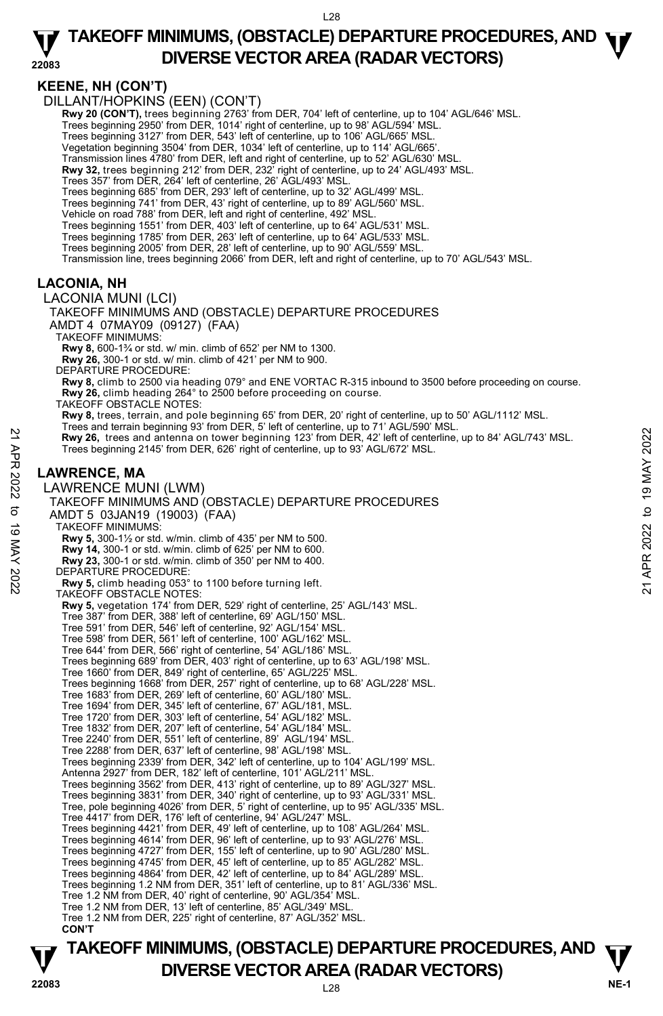## **KEENE, NH (CON'T)**

DILLANT/HOPKINS (EEN) (CON'T)

**Rwy 20 (CON'T),** trees beginning 2763' from DER, 704' left of centerline, up to 104' AGL/646' MSL.<br>Trees beginning 2950' from DER, 1014' right of centerline, up to 98' AGL/594' MSL.

Trees beginning 3127' from DER, 543' left of centerline, up to 106' AGL/665' MSL.

Vegetation beginning 3504' from DER, 1034' left of centerline, up to 114' AGL/665'.

Transmission lines 4780' from DER, left and right of centerline, up to 52' AGL/630' MSL.

**Rwy 32,** trees beginning 212' from DER, 232' right of centerline, up to 24' AGL/493' MSL.

Trees 357' from DER, 264' left of centerline, 26' AGL/493' MSL.

Trees beginning 685' from DER, 293' left of centerline, up to 32' AGL/499' MSL. Trees beginning 741' from DER, 43' right of centerline, up to 89' AGL/560' MSL.

Vehicle on road 788' from DER, left and right of centerline, 492' MSL.

Trees beginning 1551' from DER, 403' left of centerline, up to 64' AGL/531' MSL. Trees beginning 1785' from DER, 263' left of centerline, up to 64' AGL/533' MSL.

Trees beginning 2005' from DER, 28' left of centerline, up to 90' AGL/559' MSL.

Transmission line, trees beginning 2066' from DER, left and right of centerline, up to 70' AGL/543' MSL.

## **LACONIA, NH**

#### LACONIA MUNI (LCI)

TAKEOFF MINIMUMS AND (OBSTACLE) DEPARTURE PROCEDURES AMDT 4 07MAY09 (09127) (FAA)

TAKEOFF MINIMUMS:

**Rwy 8,** 600-1¾ or std. w/ min. climb of 652' per NM to 1300.

**Rwy 26,** 300-1 or std. w/ min. climb of 421' per NM to 900.

DEPARTURE PROCEDURE:

**Rwy 8,** climb to 2500 via heading 079° and ENE VORTAC R-315 inbound to 3500 before proceeding on course. **Rwy 26,** climb heading 264° to 2500 before proceeding on course.

TAKEOFF OBSTACLE NOTES:

**Rwy 8,** trees, terrain, and pole beginning 65' from DER, 20' right of centerline, up to 50' AGL/1112' MSL.<br>Trees and terrain beginning 93' from DER, 5' left of centerline, up to 71' AGL/590' MSL.

 **Rwy 26,** trees and antenna on tower beginning 123' from DER, 42' left of centerline, up to 84' AGL/743' MSL. Trees beginning 2145' from DER, 626' right of centerline, up to 93' AGL/672' MSL.

## **LAWRENCE, MA**

LAWRENCE MUNI (LWM) TAKEOFF MINIMUMS AND (OBSTACLE) DEPARTURE PROCEDURES AMDT 5 03JAN19 (19003) (FAA) TAKEOFF MINIMUMS: **Rwy 5,** 300-1½ or std. w/min. climb of 435' per NM to 500. **Rwy 14,** 300-1 or std. w/min. climb of 625' per NM to 600. **Rwy 23,** 300-1 or std. w/min. climb of 350' per NM to 400. DEPARTURE PROCEDURE **Rwy 5,** climb heading 053° to 1100 before turning left. TAKEOFF OBSTACLE NOTES: **Rwy 5,** vegetation 174' from DER, 529' right of centerline, 25' AGL/143' MSL. Tree 387' from DER, 388' left of centerline, 69' AGL/150' MSL. Tree 591' from DER, 546' left of centerline, 92' AGL/154' MSL. Tree 598' from DER, 561' left of centerline, 100' AGL/162' MSL. Tree 644' from DER, 566' right of centerline, 54' AGL/186' MSL. Trees beginning 689' from DER, 403' right of centerline, up to 63' AGL/198' MSL. Tree 1660' from DER, 849' right of centerline, 65' AGL/225' MSL. Trees beginning 1668' from DER, 257' right of centerline, up to 68' AGL/228' MSL. Tree 1683' from DER, 269' left of centerline, 60' AGL/180' MSL. Tree 1694' from DER, 345' left of centerline, 67' AGL/181, MSL. Tree 1720' from DER, 303' left of centerline, 54' AGL/182' MSL. Tree 1832' from DER, 207' left of centerline, 54' AGL/184' MSL. Tree 2240' from DER, 551' left of centerline, 89' AGL/194' MSL. Tree 2288' from DER, 637' left of centerline, 98' AGL/198' MSL. Trees beginning 2339' from DER, 342' left of centerline, up to 104' AGL/199' MSL. Antenna 2927' from DER, 182' left of centerline, 101' AGL/211' MSL. Trees beginning 3562' from DER, 413' right of centerline, up to 89' AGL/327' MSL. Trees beginning 3831' from DER, 340' right of centerline, up to 93' AGL/331' MSL. Tree, pole beginning 4026' from DER, 5' right of centerline, up to 95' AGL/335' MSL. Tree 4417' from DER, 176' left of centerline, 94' AGL/247' MSL. Trees beginning 4421' from DER, 49' left of centerline, up to 108' AGL/264' MSL. Trees beginning 4614' from DER, 96' left of centerline, up to 93' AGL/276' MSL. Trees beginning 4727' from DER, 155' left of centerline, up to 90' AGL/280' MSL. Trees beginning 4745' from DER, 45' left of centerline, up to 85' AGL/282' MSL. Trees beginning 4864' from DER, 42' left of centerline, up to 84' AGL/289' MSL. Trees beginning 1.2 NM from DER, 351' left of centerline, up to 81' AGL/336' MSL. Tree 1.2 NM from DER, 40' right of centerline, 90' AGL/354' MSL. Tree 1.2 NM from DER, 13' left of centerline, 85' AGL/349' MSL. Tree 1.2 NM from DER, 225' right of centerline, 87' AGL/352' MSL.  **CON'T**  22 Rwy 26, trees and antenna on tower beginning 123 from DER, 42 left of centerline, up to 84' AGL/743' MSL.<br>
Trees beginning 2145' from DER, 626' right of centerline, up to 93' AGL/672' MSL.<br>
Trees beginning 2145' from D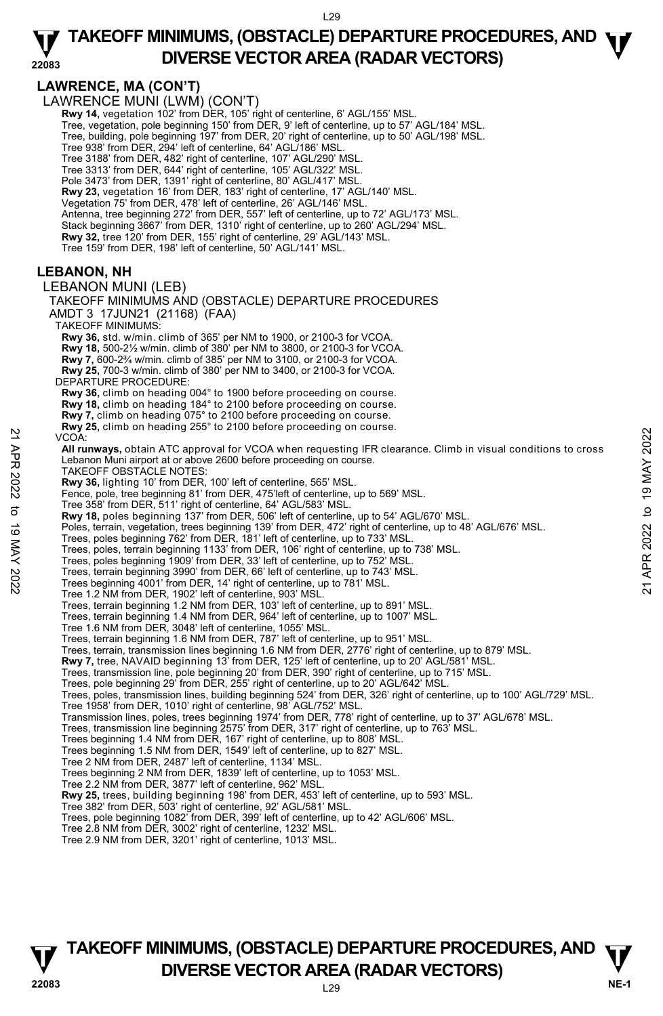#### **22083 TAKEOFF MINIMUMS, (OBSTACLE) DEPARTURE PROCEDURES, AND <b>W**<br>DIVERSE VECTOR AREA (BADAR VECTORS) **DIVERSE VECTOR AREA (RADAR VECTORS)**

**LAWRENCE, MA (CON'T)**  LAWRENCE MUNI (LWM) (CON'T)  **Rwy 14,** vegetation 102' from DER, 105' right of centerline, 6' AGL/155' MSL. Tree, vegetation, pole beginning 150' from DER, 9' left of centerline, up to 57' AGL/184' MSL. Tree, building, pole beginning 197' from DER, 20' right of centerline, up to 50' AGL/198' MSL. Tree 938' from DER, 294' left of centerline, 64' AGL/186' MSL. Tree 3188' from DER, 482' right of centerline, 107' AGL/290' MSL. Tree 3313' from DER, 644' right of centerline, 105' AGL/322' MSL. Pole 3473' from DER, 1391' right of centerline, 80' AGL/417' MSL. **Rwy 23,** vegetation 16' from DER, 183' right of centerline, 17' AGL/140' MSL. Vegetation 75' from DER, 478' left of centerline, 26' AGL/146' MSL. Antenna, tree beginning 272' from DER, 557' left of centerline, up to 72' AGL/173' MSL. Stack beginning 3667' from DER, 1310' right of centerline, up to 260' AGL/294' MSL.<br>**Rwy 32,** tree 120' from DER, 155' right of centerline, 29' AGL/143' MSL. Tree 159' from DER, 198' left of centerline, 50' AGL/141' MSL. **LEBANON, NH**  LEBANON MUNI (LEB) TAKEOFF MINIMUMS AND (OBSTACLE) DEPARTURE PROCEDURES AMDT 3 17JUN21 (21168) (FAA) TAKEOFF MINIMUMS: **Rwy 36,** std. w/min. climb of 365' per NM to 1900, or 2100-3 for VCOA. **Rwy 18,** 500-2½ w/min. climb of 380' per NM to 3800, or 2100-3 for VCOA.  **Rwy 7,** 600-2¾ w/min. climb of 385' per NM to 3100, or 2100-3 for VCOA. **Rwy 25,** 700-3 w/min. climb of 380' per NM to 3400, or 2100-3 for VCOA. DEPARTURE PROCEDURE: **Rwy 36,** climb on heading 004° to 1900 before proceeding on course. **Rwy 18,** climb on heading 184° to 2100 before proceeding on course.  **Rwy 7,** climb on heading 075° to 2100 before proceeding on course. **Rwy 25,** climb on heading 255° to 2100 before proceeding on course. VCOA:  **All runways,** obtain ATC approval for VCOA when requesting IFR clearance. Climb in visual conditions to cross Lebanon Muni airport at or above 2600 before proceeding on course. TAKEOFF OBSTACLE NOTES: **Rwy 36,** lighting 10' from DER, 100' left of centerline, 565' MSL. Fence, pole, tree beginning 81' from DER, 475'left of centerline, up to 569' MSL. Tree 358' from DER, 511' right of centerline, 64' AGL/583' MSL.  **Rwy 18,** poles beginning 137' from DER, 506' left of centerline, up to 54' AGL/670' MSL. Poles, terrain, vegetation, trees beginning 139' from DER, 472' right of centerline, up to 48' AGL/676' MSL. Trees, poles beginning 762' from DER, 181' left of centerline, up to 733' MSL. Trees, poles, terrain beginning 1133' from DER, 106' right of centerline, up to 738' MSL. Trees, poles beginning 1909' from DER, 33' left of centerline, up to 752' MSL. Trees, terrain beginning 3990' from DER, 66' left of centerline, up to 743' MSL. Trees beginning 4001' from DER, 14' right of centerline, up to 781' MSL. Tree 1.2 NM from DER, 1902' left of centerline, 903' MSL. Trees, terrain beginning 1.2 NM from DER, 103' left of centerline, up to 891' MSL. Trees, terrain beginning 1.4 NM from DER, 964' left of centerline, up to 1007' MSL. Tree 1.6 NM from DER, 3048' left of centerline, 1055' MSL. Trees, terrain beginning 1.6 NM from DER, 787' left of centerline, up to 951' MSL. Trees, terrain, transmission lines beginning 1.6 NM from DER, 2776' right of centerline, up to 879' MSL.<br>**Rwy 7,** tree, NAVAID beginning 13' from DER, 125' left of centerline, up to 20' AGL/581' MSL. Trees, transmission line, pole beginning 20' from DER, 390' right of centerline, up to 715' MSL. Trees, pole beginning 29' from DER, 255' right of centerline, up to 20' AGL/642' MSL. Trees, poles, transmission lines, building beginning 524' from DER, 326' right of centerline, up to 100' AGL/729' MSL. Tree 1958' from DER, 1010' right of centerline, 98' AGL/752' MSL. Transmission lines, poles, trees beginning 1974' from DER, 778' right of centerline, up to 37' AGL/678' MSL. Trees, transmission line beginning 2575' from DER, 317' right of centerline, up to 763' MSL. Trees beginning 1.4 NM from DER, 167' right of centerline, up to 808' MSL. Trees beginning 1.5 NM from DER, 1549' left of centerline, up to 827' MSL. Tree 2 NM from DER, 2487' left of centerline, 1134' MSL. Trees beginning 2 NM from DER, 1839' left of centerline, up to 1053' MSL. Tree 2.2 NM from DER, 3877' left of centerline, 962' MSL. **Rwy 25,** trees, building beginning 198' from DER, 453' left of centerline, up to 593' MSL. Tree 382' from DER, 503' right of centerline, 92' AGL/581' MSL. Trees, pole beginning 1082' from DER, 399' left of centerline, up to 42' AGL/606' MSL. Tree 2.8 NM from DER, 3002' right of centerline, 1232' MSL. Tree 2.9 NM from DER, 3201' right of centerline, 1013' MSL. 22<br>
22 COA:<br>
22 Elebanon Muni airport at or above 2600 before proceeding on course.<br>
Lebanon Muni airport at or above 2600 before proceeding on course.<br>
22 TAKEOFF OBSTACLE NOTES:<br> **Rwy 36**, lighting 10' from DER, 100' lef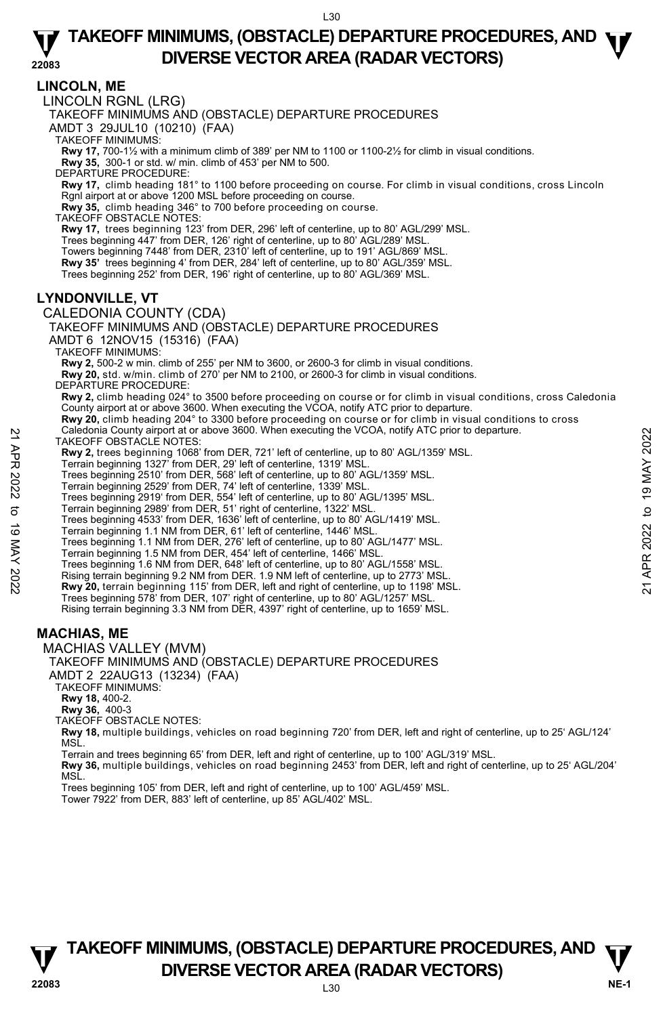#### **LINCOLN, ME**  LINCOLN RGNL (LRG) TAKEOFF MINIMUMS AND (OBSTACLE) DEPARTURE PROCEDURES AMDT 3 29JUL10 (10210) (FAA) TAKEOFF MINIMUMS: **Rwy 17,** 700-1½ with a minimum climb of 389' per NM to 1100 or 1100-2½ for climb in visual conditions. **Rwy 35,** 300-1 or std. w/ min. climb of 453' per NM to 500. DEPARTURE PROCEDURE: **Rwy 17,** climb heading 181° to 1100 before proceeding on course. For climb in visual conditions, cross Lincoln Rgnl airport at or above 1200 MSL before proceeding on course. **Rwy 35,** climb heading 346° to 700 before proceeding on course. TAKEOFF OBSTACLE NOTES: **Rwy 17,** trees beginning 123' from DER, 296' left of centerline, up to 80' AGL/299' MSL. <br>Trees beginning 447' from DER, 126' right of centerline, up to 80' AGL/289' MSL. Towers beginning 7448' from DER, 2310' left of centerline, up to 191' AGL/869' MSL. **Rwy 35'** trees beginning 4' from DER, 284' left of centerline, up to 80' AGL/359' MSL. Trees beginning 252' from DER, 196' right of centerline, up to 80' AGL/369' MSL. **LYNDONVILLE, VT**  CALEDONIA COUNTY (CDA) TAKEOFF MINIMUMS AND (OBSTACLE) DEPARTURE PROCEDURES AMDT 6 12NOV15 (15316) (FAA) TAKEOFF MINIMUMS: **Rwy 2,** 500-2 w min. climb of 255' per NM to 3600, or 2600-3 for climb in visual conditions. **Rwy 20,** std. w/min. climb of 270' per NM to 2100, or 2600-3 for climb in visual conditions. DEPARTURE PROCEDURE: **Rwy 2,** climb heading 024° to 3500 before proceeding on course or for climb in visual conditions, cross Caledonia County airport at or above 3600. When executing the VCOA, notify ATC prior to departure. **Rwy 20,** climb heading 204° to 3300 before proceeding on course or for climb in visual conditions to cross Caledonia County airport at or above 3600. When executing the VCOA, notify ATC prior to departure. TAKEOFF OBSTACLE NOTES: **Rwy 2,** trees beginning 1068' from DER, 721' left of centerline, up to 80' AGL/1359' MSL. Terrain beginning 1327' from DER, 29' left of centerline, 1319' MSL. Trees beginning 2510' from DER, 568' left of centerline, up to 80' AGL/1359' MSL. Terrain beginning 2529' from DER, 74' left of centerline, 1339' MSL. Trees beginning 2919' from DER, 554' left of centerline, up to 80' AGL/1395' MSL. Terrain beginning 2989' from DER, 51' right of centerline, 1322' MSL. Trees beginning 4533' from DER, 1636' left of centerline, up to 80' AGL/1419' MSL. Terrain beginning 1.1 NM from DER, 61' left of centerline, 1446' MSL. Trees beginning 1.1 NM from DER, 276' left of centerline, up to 80' AGL/1477' MSL. Terrain beginning 1.5 NM from DER, 454' left of centerline, 1466' MSL. Trees beginning 1.6 NM from DER, 648' left of centerline, up to 80' AGL/1558' MSL. Rising terrain beginning 9.2 NM from DER. 1.9 NM left of centerline, up to 2773' MSL.  **Rwy 20,** terrain beginning 115' from DER, left and right of centerline, up to 1198' MSL. Trees beginning 578' from DER, 107' right of centerline, up to 80' AGL/1257' MSL. Rising terrain beginning 3.3 NM from DER, 4397' right of centerline, up to 1659' MSL. **MACHIAS, ME**  MACHIAS VALLEY (MVM) TAKEOFF MINIMUMS AND (OBSTACLE) DEPARTURE PROCEDURES AMDT 2 22AUG13 (13234) (FAA) TAKEOFF MINIMUMS: **Rwy 18,** 400-2. **Rwy 36,** 400-3 TAKEOFF OBSTACLE NOTES: **Rwy 18,** multiple buildings, vehicles on road beginning 720' from DER, left and right of centerline, up to 25' AGL/124' MSL Terrain and trees beginning 65' from DER, left and right of centerline, up to 100' AGL/319' MSL. Caledonia County ariport at or above 3600. When executing the VCOA, notity ATC prior to departure.<br>
TAKEOFF OBSTACLE NOTES:<br> **Rwy 2**, trees beginning 1032' from DER, 29' left of centerline, up to 80' AGL/1359' MSL.<br>
Trera

**Rwy 36,** multiple buildings, vehicles on road beginning 2453' from DER, left and right of centerline, up to 25' AGL/204' MSL.

Trees beginning 105' from DER, left and right of centerline, up to 100' AGL/459' MSL.

Tower 7922' from DER, 883' left of centerline, up 85' AGL/402' MSL.

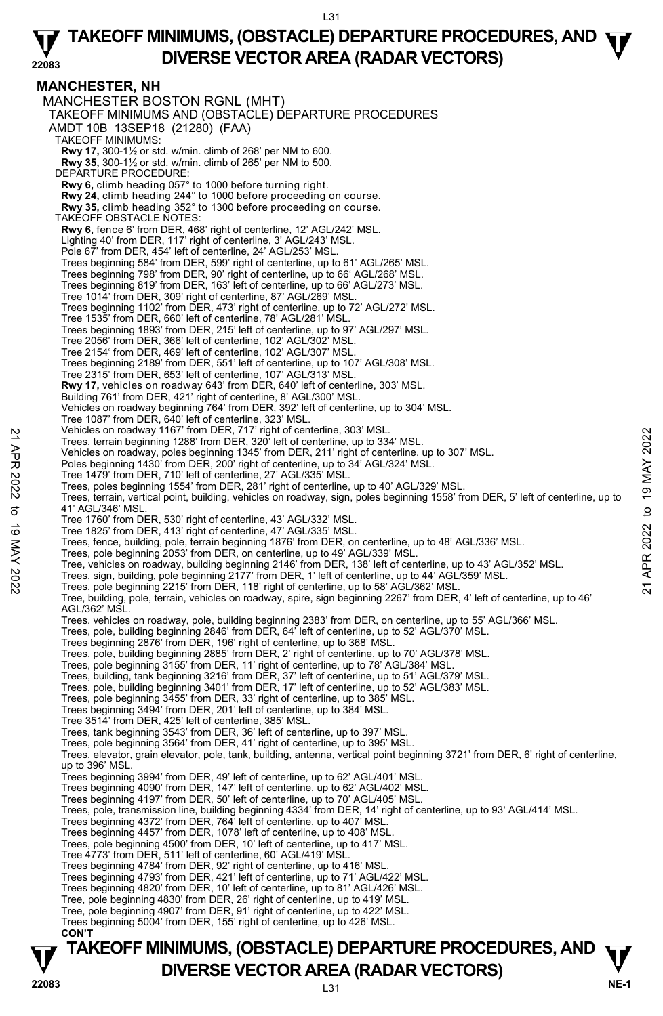**MANCHESTER, NH**  MANCHESTER BOSTON RGNL (MHT) TAKEOFF MINIMUMS AND (OBSTACLE) DEPARTURE PROCEDURES AMDT 10B 13SEP18 (21280) (FAA) TAKEOFF MINIMUMS: **Rwy 17,** 300-1½ or std. w/min. climb of 268' per NM to 600. **Rwy 35,** 300-1½ or std. w/min. climb of 265' per NM to 500. DEPARTURE PROCEDURE: **Rwy 6,** climb heading 057° to 1000 before turning right. **Rwy 24,** climb heading 244° to 1000 before proceeding on course. **Rwy 35,** climb heading 352° to 1300 before proceeding on course. TAKEOFF OBSTACLE NOTES: **Rwy 6,** fence 6' from DER, 468' right of centerline, 12' AGL/242' MSL.<br>Lighting 40' from DER, 117' right of centerline, 3' AGL/243' MSL. Pole 67' from DER, 454' left of centerline, 24' AGL/253' MSL. Trees beginning 584' from DER, 599' right of centerline, up to 61' AGL/265' MSL. Trees beginning 798' from DER, 90' right of centerline, up to 66' AGL/268' MSL. Trees beginning 819' from DER, 163' left of centerline, up to 66' AGL/273' MSL. Tree 1014' from DER, 309' right of centerline, 87' AGL/269' MSL. Trees beginning 1102' from DER, 473' right of centerline, up to 72' AGL/272' MSL. Tree 1535' from DER, 660' left of centerline, 78' AGL/281' MSL. Trees beginning 1893' from DER, 215' left of centerline, up to 97' AGL/297' MSL. Tree 2056' from DER, 366' left of centerline, 102' AGL/302' MSL. Tree 2154' from DER, 469' left of centerline, 102' AGL/307' MSL. Trees beginning 2189' from DER, 551' left of centerline, up to 107' AGL/308' MSL. Tree 2315' from DER, 653' left of centerline, 107' AGL/313' MSL. **Rwy 17,** vehicles on roadway 643' from DER, 640' left of centerline, 303' MSL. Building 761' from DER, 421' right of centerline, 8' AGL/300' MSL. Vehicles on roadway beginning 764' from DER, 392' left of centerline, up to 304' MSL. Tree 1087' from DER, 640' left of centerline, 323' MSL. Vehicles on roadway 1167' from DER, 717' right of centerline, 303' MSL. Trees, terrain beginning 1288' from DER, 320' left of centerline, up to 334' MSL. Vehicles on roadway, poles beginning 1345' from DER, 211' right of centerline, up to 307' MSL. Poles beginning 1430' from DER, 200' right of centerline, up to 34' AGL/324' MSL. Tree 1479' from DER, 710' left of centerline, 27' AGL/335' MSL. Trees, poles beginning 1554' from DER, 281' right of centerline, up to 40' AGL/329' MSL. Trees, terrain, vertical point, building, vehicles on roadway, sign, poles beginning 1558' from DER, 5' left of centerline, up to 41' AGL/346' MSL. Tree 1760' from DER, 530' right of centerline, 43' AGL/332' MSL. Tree 1825' from DER, 413' right of centerline, 47' AGL/335' MSL. Trees, fence, building, pole, terrain beginning 1876' from DER, on centerline, up to 48' AGL/336' MSL. Trees, pole beginning 2053' from DER, on centerline, up to 49' AGL/339' MSL. Tree, vehicles on roadway, building beginning 2146' from DER, 138' left of centerline, up to 43' AGL/352' MSL. Trees, sign, building, pole beginning 2177' from DER, 1' left of centerline, up to 44' AGL/359' MSL.<br>Trees, pole beginning 2215' from DER, 118' right of centerline, up to 58' AGL/362' MSL. Tree, building, pole, terrain, vehicles on roadway, spire, sign beginning 2267' from DER, 4' left of centerline, up to 46' AGL/362' MSL. Trees, vehicles on roadway, pole, building beginning 2383' from DER, on centerline, up to 55' AGL/366' MSL. Trees, pole, building beginning 2846' from DER, 64' left of centerline, up to 52' AGL/370' MSL. Trees beginning 2876' from DER, 196' right of centerline, up to 368' MSL. Trees, pole, building beginning 2885' from DER, 2' right of centerline, up to 70' AGL/378' MSL. Trees, pole beginning 3155' from DER, 11' right of centerline, up to 78' AGL/384' MSL. Trees, building, tank beginning 3216' from DER, 37' left of centerline, up to 51' AGL/379' MSL. Trees, pole, building beginning 3401' from DER, 17' left of centerline, up to 52' AGL/383' MSL. Trees, pole beginning 3455' from DER, 33' right of centerline, up to 385' MSL. Trees beginning 3494' from DER, 201' left of centerline, up to 384' MSL. Tree 3514' from DER, 425' left of centerline, 385' MSL. Trees, tank beginning 3543' from DER, 36' left of centerline, up to 397' MSL. Trees, pole beginning 3564' from DER, 41' right of centerline, up to 395' MSL. Trees, elevator, grain elevator, pole, tank, building, antenna, vertical point beginning 3721' from DER, 6' right of centerline, up to 396' MSL. Trees beginning 3994' from DER, 49' left of centerline, up to 62' AGL/401' MSL. Trees beginning 4090' from DER, 147' left of centerline, up to 62' AGL/402' MSL. Trees beginning 4197' from DER, 50' left of centerline, up to 70' AGL/405' MSL.<br>Trees, pole, transmission line, building beginning 4334' from DER, 14' right of centerline, up to 93' AGL/414' MSL. Trees beginning 4372' from DER, 764' left of centerline, up to 407' MSL. Trees beginning 4457' from DER, 1078' left of centerline, up to 408' MSL. Trees, pole beginning 4500' from DER, 10' left of centerline, up to 417' MSL. Tree 4773' from DER, 511' left of centerline, 60' AGL/419' MSL. Trees beginning 4784' from DER, 92' right of centerline, up to 416' MSL. Trees beginning 4793' from DER, 421' left of centerline, up to 71' AGL/422' MSL. Trees beginning 4820' from DER, 10' left of centerline, up to 81' AGL/426' MSL. Tree, pole beginning 4830' from DER, 26' right of centerline, up to 419' MSL. Tree, pole beginning 4907' from DER, 91' right of centerline, up to 422' MSL. Trees beginning 5004' from DER, 155' right of centerline, up to 426' MSL. **CON'T**  22 Venicles on roadway 116' rrom DER, 71' right of centerline, up to 334' MSL.<br>
Trees, terrain beginning 1288' from DER, 200' right of centerline, up to 307' MSL.<br>
22 Vehicles on roadway, poles beginning 1345' from DER, 2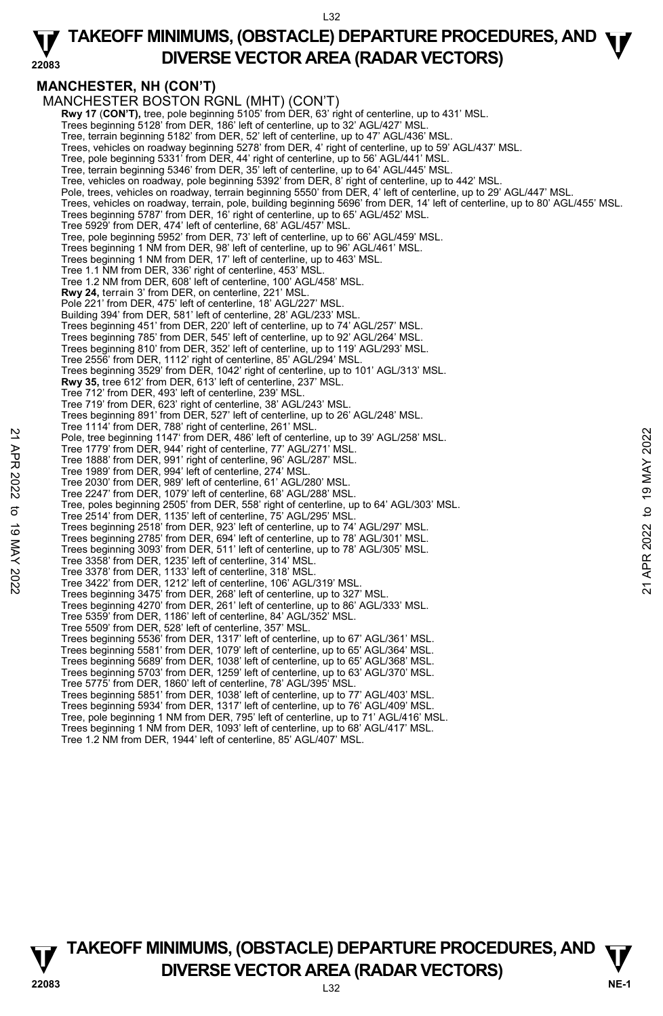#### **22083 TAKEOFF MINIMUMS, (OBSTACLE) DEPARTURE PROCEDURES, AND <b>W**<br>DIVERSE VECTOR AREA (BADAR VECTORS) **DIVERSE VECTOR AREA (RADAR VECTORS)**

## **MANCHESTER, NH (CON'T)**

MANCHESTER BOSTON RGNL (MHT) (CON'T) **Rwy 17 (CON'T),** tree, pole beginning 5105' from DER, 63' right of centerline, up to 431' MSL.<br>Trees beginning 5128' from DER, 186' left of centerline, up to 32' AGL/427' MSL. Tree, terrain beginning 5182' from DER, 52' left of centerline, up to 47' AGL/436' MSL. Trees, vehicles on roadway beginning 5278' from DER, 4' right of centerline, up to 59' AGL/437' MSL. Tree, pole beginning 5331' from DER, 44' right of centerline, up to 56' AGL/441' MSL. Tree, terrain beginning 5346' from DER, 35' left of centerline, up to 64' AGL/445' MSL. Tree, vehicles on roadway, pole beginning 5392' from DER, 8' right of centerline, up to 442' MSL. Pole, trees, vehicles on roadway, terrain beginning 5550' from DER, 4' left of centerline, up to 29' AGL/447' MSL. Trees, vehicles on roadway, terrain, pole, building beginning 5696' from DER, 14' left of centerline, up to 80' AGL/455' MSL. Trees beginning 5787' from DER, 16' right of centerline, up to 65' AGL/452' MSL. Tree 5929' from DER, 474' left of centerline, 68' AGL/457' MSL. Tree, pole beginning 5952' from DER, 73' left of centerline, up to 66' AGL/459' MSL. Trees beginning 1 NM from DER, 98' left of centerline, up to 96' AGL/461' MSL. Trees beginning 1 NM from DER, 17' left of centerline, up to 463' MSL. Tree 1.1 NM from DER, 336' right of centerline, 453' MSL. Tree 1.2 NM from DER, 608' left of centerline, 100' AGL/458' MSL. **Rwy 24,** terrain 3' from DER, on centerline, 221' MSL. Pole 221' from DER, 475' left of centerline, 18' AGL/227' MSL Building 394' from DER, 581' left of centerline, 28' AGL/233' MSL. Trees beginning 451' from DER, 220' left of centerline, up to 74' AGL/257' MSL. Trees beginning 785' from DER, 545' left of centerline, up to 92' AGL/264' MSL. Trees beginning 810' from DER, 352' left of centerline, up to 119' AGL/293' MSL. Tree 2556' from DER, 1112' right of centerline, 85' AGL/294' MSL. Trees beginning 3529' from DER, 1042' right of centerline, up to 101' AGL/313' MSL. **Rwy 35,** tree 612' from DER, 613' left of centerline, 237' MSL. Tree 712' from DER, 493' left of centerline, 239' MSL. Tree 719' from DER, 623' right of centerline, 38' AGL/243' MSL. Trees beginning 891' from DER, 527' left of centerline, up to 26' AGL/248' MSL. Tree 1114' from DER, 788' right of centerline, 261' MSL. Pole, tree beginning 1147' from DER, 486' left of centerline, up to 39' AGL/258' MSL. Tree 1779' from DER, 944' right of centerline, 77' AGL/271' MSL. Tree 1888' from DER, 991' right of centerline, 96' AGL/287' MSL. Tree 1989' from DER, 994' left of centerline, 274' MSL. Tree 2030' from DER, 989' left of centerline, 61' AGL/280' MSL. Tree 2247' from DER, 1079' left of centerline, 68' AGL/288' MSL. Tree, poles beginning 2505' from DER, 558' right of centerline, up to 64' AGL/303' MSL. Tree 2514' from DER, 1135' left of centerline, 75' AGL/295' MSL. Trees beginning 2518' from DER, 923' left of centerline, up to 74' AGL/297' MSL. Trees beginning 2785' from DER, 694' left of centerline, up to 78' AGL/301' MSL. Trees beginning 3093' from DER, 511' left of centerline, up to 78' AGL/305' MSL. Tree 3358' from DER, 1235' left of centerline, 314' MSL. Note: 1: "From DER, 948' right of centerline, pto 39' AGL/258' MSL.<br>Tree 1888' from DER, 944' right of centerline, pto 39' AGL/276' MSL.<br>Tree 1888' from DER, 944' right of centerline, 97' AGL/271' MSL.<br>Tree 1989' from DER Trees beginning 4270' from DER, 261' left of centerline, up to 86' AGL/333' MSL. Tree 5359' from DER, 1186' left of centerline, 84' AGL/352' MSL. Tree 5509' from DER, 528' left of centerline, 357' MSL. Trees beginning 5536' from DER, 1317' left of centerline, up to 67' AGL/361' MSL. Trees beginning 5581' from DER, 1079' left of centerline, up to 65' AGL/364' MSL. Trees beginning 5689' from DER, 1038' left of centerline, up to 65' AGL/368' MSL. Trees beginning 5703' from DER, 1259' left of centerline, up to 63' AGL/370' MSL. Tree 5775' from DER, 1860' left of centerline, 78' AGL/395' MSL. Trees beginning 5851' from DER, 1038' left of centerline, up to 77' AGL/403' MSL. Trees beginning 5934' from DER, 1317' left of centerline, up to 76' AGL/409' MSL. Tree, pole beginning 1 NM from DER, 795' left of centerline, up to 71' AGL/416' MSL. Trees beginning 1 NM from DER, 1093' left of centerline, up to 68' AGL/417' MSL. Tree 1.2 NM from DER, 1944' left of centerline, 85' AGL/407' MSL.

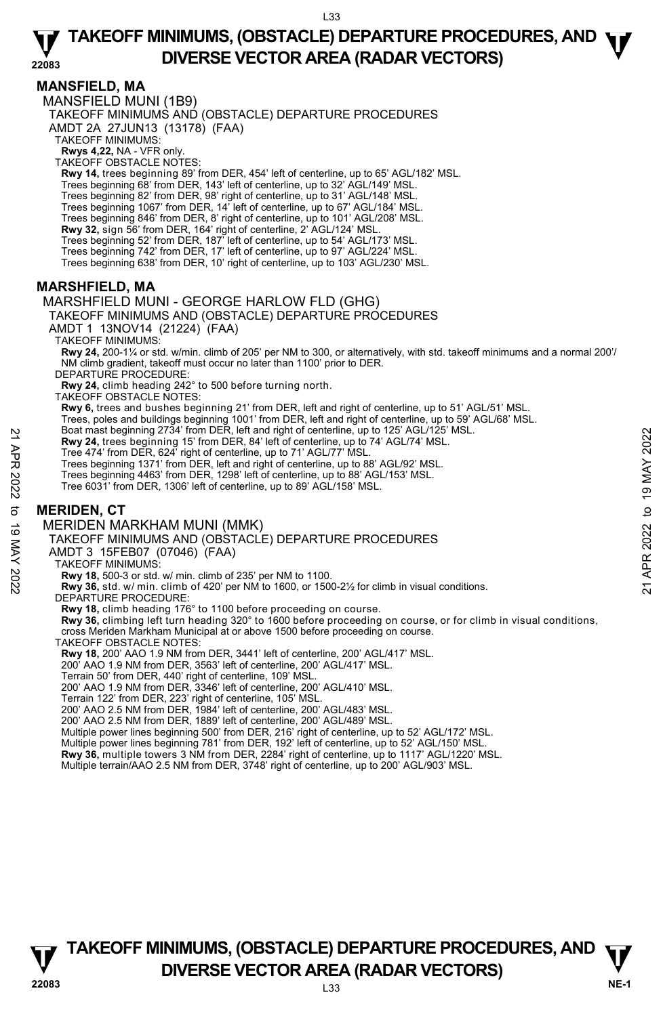### **MANSFIELD, MA**

MANSFIELD MUNI (1B9) TAKEOFF MINIMUMS AND (OBSTACLE) DEPARTURE PROCEDURES AMDT 2A 27JUN13 (13178) (FAA) TAKEOFF MINIMUMS: **Rwys 4,22,** NA - VFR only. TAKEOFF OBSTACLE NOTES: **Rwy 14,** trees beginning 89' from DER, 454' left of centerline, up to 65' AGL/182' MSL. Trees beginning 68' from DER, 143' left of centerline, up to 32' AGL/149' MSL. Trees beginning 82' from DER, 98' right of centerline, up to 31' AGL/148' MSL. Trees beginning 1067' from DER, 14' left of centerline, up to 67' AGL/184' MSL. Trees beginning 846' from DER, 8' right of centerline, up to 101' AGL/208' MSL. **Rwy 32,** sign 56' from DER, 164' right of centerline, 2' AGL/124' MSL.<br>Trees beginning 52' from DER, 187' left of centerline, up to 54' AGL/173' MSL. Trees beginning 742' from DER, 17' left of centerline, up to 97' AGL/224' MSL. Trees beginning 638' from DER, 10' right of centerline, up to 103' AGL/230' MSL. **MARSHFIELD, MA**  MARSHFIELD MUNI - GEORGE HARLOW FLD (GHG) TAKEOFF MINIMUMS AND (OBSTACLE) DEPARTURE PROCEDURES AMDT 1 13NOV14 (21224) (FAA) TAKEOFF MINIMUMS: **Rwy 24,** 200-1¼ or std. w/min. climb of 205' per NM to 300, or alternatively, with std. takeoff minimums and a normal 200'/ NM climb gradient, takeoff must occur no later than 1100' prior to DER. DEPARTURE PROCEDURE: **Rwy 24,** climb heading 242° to 500 before turning north. TAKEOFF OBSTACLE NOTES: **Rwy 6,** trees and bushes beginning 21' from DER, left and right of centerline, up to 51' AGL/51' MSL. Trees, poles and buildings beginning 1001' from DER, left and right of centerline, up to 59' AGL/68' MSL.<br>Boat mast beginning 2734' from DER, left and right of centerline, up to 125' AGL/125' MSL. **Rwy 24,** trees beginning 15' from DER, 84' left of centerline, up to 74' AGL/74' MSL. Tree 474' from DER, 624' right of centerline, up to 71' AGL/77' MSL. Trees beginning 1371' from DER, left and right of centerline, up to 88' AGL/92' MSL. Trees beginning 4463' from DER, 1298' left of centerline, up to 88' AGL/153' MSL. Tree 6031' from DER, 1306' left of centerline, up to 89' AGL/158' MSL. **MERIDEN, CT**  MERIDEN MARKHAM MUNI (MMK) TAKEOFF MINIMUMS AND (OBSTACLE) DEPARTURE PROCEDURES AMDT 3 15FEB07 (07046) (FAA) TAKEOFF MINIMUMS: **Rwy 18,** 500-3 or std. w/ min. climb of 235' per NM to 1100. **Rwy 36,** std. w/ min. climb of 420' per NM to 1600, or 1500-2½ for climb in visual conditions. DEPARTURE PROCEDURE: **Rwy 18,** climb heading 176° to 1100 before proceeding on course.<br>**Rwy 36,** climbing left turn heading 320° to 1600 before proceeding on course, or for climb in visual conditions, cross Meriden Markham Municipal at or above 1500 before proceeding on course. TAKEOFF OBSTACLE NOTES: **Rwy 18,** 200' AAO 1.9 NM from DER, 3441' left of centerline, 200' AGL/417' MSL. 200' AAO 1.9 NM from DER, 3563' left of centerline, 200' AGL/417' MSL. Terrain 50' from DER, 440' right of centerline, 109' MSL. 200' AAO 1.9 NM from DER, 3346' left of centerline, 200' AGL/410' MSL. Example 10 States in Direct, left and many of centerline, up to 74' AGL/74' MSL.<br>
Tree 474' from DER, 624' right of centerline, up to 71' AGL/77' MSL.<br>
Tree beginning 15' from DER, eft and right of centerline, up to 78' A

Terrain 122' from DER, 223' right of centerline, 105' MSL.

200' AAO 2.5 NM from DER, 1984' left of centerline, 200' AGL/483' MSL.

200' AAO 2.5 NM from DER, 1889' left of centerline, 200' AGL/489' MSL.

Multiple power lines beginning 500' from DER, 216' right of centerline, up to 52' AGL/172' MSL. Multiple power lines beginning 781' from DER, 192' left of centerline, up to 52' AGL/150' MSL.

**Rwy 36,** multiple towers 3 NM from DER, 2284' right of centerline, up to 1117' AGL/1220' MSL.



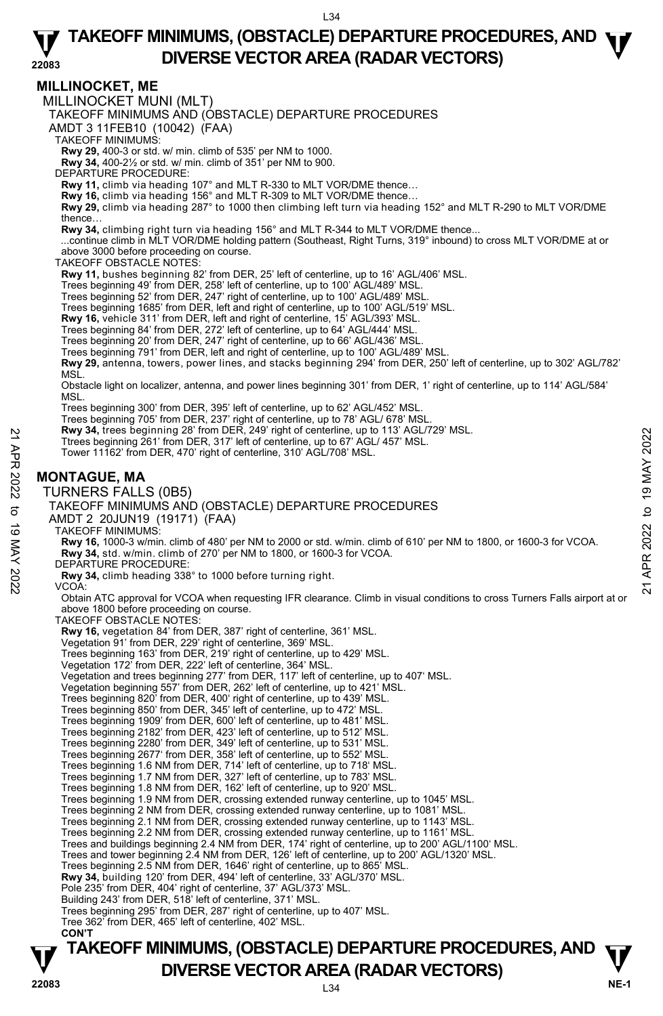### **MILLINOCKET, ME**

MILLINOCKET MUNI (MLT)

TAKEOFF MINIMUMS AND (OBSTACLE) DEPARTURE PROCEDURES

AMDT 3 11FEB10 (10042) (FAA)

TAKEOFF MINIMUMS:

**Rwy 29,** 400-3 or std. w/ min. climb of 535' per NM to 1000. **Rwy 34,** 400-2½ or std. w/ min. climb of 351' per NM to 900.

DEPARTURE PROCEDURE:

**Rwy 11,** climb via heading 107° and MLT R-330 to MLT VOR/DME thence…

**Rwy 16,** climb via heading 156° and MLT R-309 to MLT VOR/DME thence… **Rwy 29,** climb via heading 287° to 1000 then climbing left turn via heading 152° and MLT R-290 to MLT VOR/DME thence…

**Rwy 34,** climbing right turn via heading 156° and MLT R-344 to MLT VOR/DME thence...

 ...continue climb in MLT VOR/DME holding pattern (Southeast, Right Turns, 319° inbound) to cross MLT VOR/DME at or above 3000 before proceeding on course.

TAKEOFF OBSTACLE NOTES:

**Rwy 11,** bushes beginning 82' from DER, 25' left of centerline, up to 16' AGL/406' MSL.

Trees beginning 49' from DER, 258' left of centerline, up to 100' AGL/489' MSL.

Trees beginning 52' from DER, 247' right of centerline, up to 100' AGL/489' MSL.

Trees beginning 1685' from DER, left and right of centerline, up to 100' AGL/519' MSL.<br>**Rwy 16,** vehicle 311' from DER, left and right of centerline, 15' AGL/393' MSL.

Trees beginning 84' from DER, 272' left of centerline, up to 64' AGL/444' MSL.

Trees beginning 20' from DER, 247' right of centerline, up to 66' AGL/436' MSL.

Trees beginning 791' from DER, left and right of centerline, up to 100' AGL/489' MSL.

**Rwy 29,** antenna, towers, power lines, and stacks beginning 294' from DER, 250' left of centerline, up to 302' AGL/782' **MSL** 

Obstacle light on localizer, antenna, and power lines beginning 301' from DER, 1' right of centerline, up to 114' AGL/584' MSL.

Trees beginning 300' from DER, 395' left of centerline, up to 62' AGL/452' MSL.

Trees beginning 705' from DER, 237' right of centerline, up to 78' AGL/ 678' MSL.<br>**Rwy 34,** trees beginning 28' from DER, 249' right of centerline, up to 113' AGL/729' MSL.

Ttrees beginning 261' from DER, 317' left of centerline, up to 67' AGL/ 457' MSL.

Tower 11162' from DER, 470' right of centerline, 310' AGL/708' MSL.

### **MONTAGUE, MA**

TURNERS FALLS (0B5)

TAKEOFF MINIMUMS AND (OBSTACLE) DEPARTURE PROCEDURES

AMDT 2 20JUN19 (19171) (FAA)

TAKEOFF MINIMUMS:

**Rwy 16,** 1000-3 w/min. climb of 480' per NM to 2000 or std. w/min. climb of 610' per NM to 1800, or 1600-3 for VCOA. **Rwy 34,** std. w/min. climb of 270' per NM to 1800, or 1600-3 for VCOA. Fires beginning 261 from DER, 317 left of centerline, up to 67' AGL/457' MSL.<br>
Trees beginning 261' from DER, 470' right of centerline, up to 67' AGL/457' MSL.<br>
Tower 11162' from DER, 470' right of centerline, 310' AGL/70

DEPARTURE PROCEDURE:

**Rwy 34,** climb heading 338° to 1000 before turning right. VCOA:

Obtain ATC approval for VCOA when requesting IFR clearance. Climb in visual conditions to cross Turners Falls airport at or

above 1800 before proceeding on course. TAKEOFF OBSTACLE NOTES: **Rwy 16,** vegetation 84' from DER, 387' right of centerline, 361' MSL. Vegetation 91' from DER, 229' right of centerline, 369' MSL. Trees beginning 163' from DER, 219' right of centerline, up to 429' MSL. Vegetation 172' from DER, 222' left of centerline, 364' MSL. Vegetation and trees beginning 277' from DER, 117' left of centerline, up to 407' MSL. Vegetation beginning 557' from DER, 262' left of centerline, up to 421' MSL. Trees beginning 820' from DER, 400' right of centerline, up to 439' MSL. Trees beginning 850' from DER, 345' left of centerline, up to 472' MSL. Trees beginning 1909' from DER, 600' left of centerline, up to 481' MSL. Trees beginning 2182' from DER, 423' left of centerline, up to 512' MSL. Trees beginning 2280' from DER, 349' left of centerline, up to 531' MSL. Trees beginning 2677' from DER, 358' left of centerline, up to 552' MSL. Trees beginning 1.6 NM from DER, 714' left of centerline, up to 718' MSL. Trees beginning 1.7 NM from DER, 327' left of centerline, up to 783' MSL. Trees beginning 1.8 NM from DER, 162' left of centerline, up to 920' MSL. Trees beginning 1.9 NM from DER, crossing extended runway centerline, up to 1045' MSL. Trees beginning 2 NM from DER, crossing extended runway centerline, up to 1081' MSL. Trees beginning 2.1 NM from DER, crossing extended runway centerline, up to 1143' MSL. Trees beginning 2.2 NM from DER, crossing extended runway centerline, up to 1161' MSL. Trees and buildings beginning 2.4 NM from DER, 174' right of centerline, up to 200' AGL/1100' MSL. Trees and tower beginning 2.4 NM from DER, 126' left of centerline, up to 200' AGL/1320' MSL. Trees beginning 2.5 NM from DER, 1646' right of centerline, up to 865' MSL. **Rwy 34,** building 120' from DER, 494' left of centerline, 33' AGL/370' MSL. Pole 235' from DER, 404' right of centerline, 37' AGL/373' MSL. Building 243' from DER, 518' left of centerline, 371' MSL. Trees beginning 295' from DER, 287' right of centerline, up to 407' MSL. Tree 362' from DER, 465' left of centerline, 402' MSL.  **CON'T**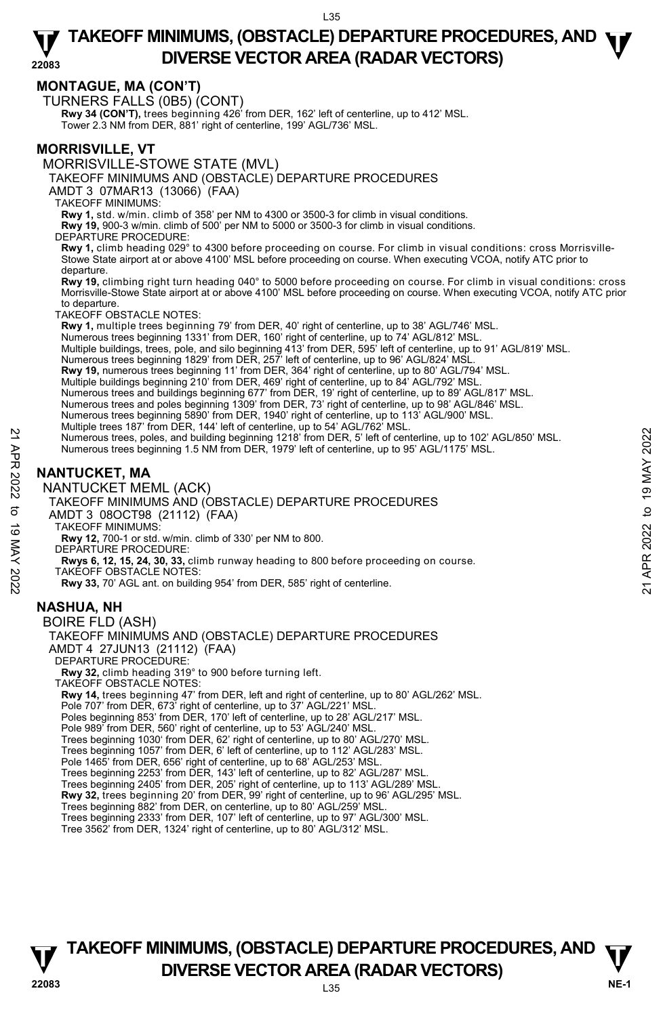## **MONTAGUE, MA (CON'T)**

TURNERS FALLS (0B5) (CONT)

**Rwy 34 (CON'T),** trees beginning 426' from DER, 162' left of centerline, up to 412' MSL. Tower 2.3 NM from DER, 881' right of centerline, 199' AGL/736' MSL.

### **MORRISVILLE, VT**

MORRISVILLE-STOWE STATE (MVL)

TAKEOFF MINIMUMS AND (OBSTACLE) DEPARTURE PROCEDURES

AMDT 3 07MAR13 (13066) (FAA)

TAKEOFF MINIMUMS:

**Rwy 1,** std. w/min. climb of 358' per NM to 4300 or 3500-3 for climb in visual conditions.

**Rwy 19,** 900-3 w/min. climb of 500' per NM to 5000 or 3500-3 for climb in visual conditions.

DEPARTURE PROCEDURE

**Rwy 1,** climb heading 029° to 4300 before proceeding on course. For climb in visual conditions: cross Morrisville-Stowe State airport at or above 4100' MSL before proceeding on course. When executing VCOA, notify ATC prior to departure.

**Rwy 19,** climbing right turn heading 040° to 5000 before proceeding on course. For climb in visual conditions: cross Morrisville-Stowe State airport at or above 4100' MSL before proceeding on course. When executing VCOA, notify ATC prior to departure.

TAKEOFF OBSTACLE NOTES:

**Rwy 1,** multiple trees beginning 79' from DER, 40' right of centerline, up to 38' AGL/746' MSL.

Numerous trees beginning 1331' from DER, 160' right of centerline, up to 74' AGL/812' MSL.

Multiple buildings, trees, pole, and silo beginning 413' from DER, 595' left of centerline, up to 91' AGL/819' MSL.<br>Numerous trees beginning 1829' from DER, 257' left of centerline, up to 96' AGL/824' MSL.

**Rwy 19,** numerous trees beginning 11' from DER, 364' right of centerline, up to 80' AGL/794' MSL.

Multiple buildings beginning 210' from DER, 469' right of centerline, up to 84' AGL/792' MSL. Numerous trees and buildings beginning 677' from DER, 19' right of centerline, up to 89' AGL/817' MSL.

Numerous trees and poles beginning 1309' from DER, 73' right of centerline, up to 98' AGL/846' MSL.

Numerous trees beginning 5890' from DER, 1940' right of centerline, up to 113' AGL/900' MSL.

- Multiple trees 187' from DER, 144' left of centerline, up to 54' AGL/762' MSL. Numerous trees, poles, and building beginning 1218' from DER, 5' left of centerline, up to 102' AGL/850' MSL. Numerous trees, poles, and building beginning 1218' from DER, 5' left of centerline, up to 102' AGL/850' MSL.<br>
Numerous trees beginning 1.5 NM from DER, 1979' left of centerline, up to 95' AGL/1175' MSL.<br>
Numerous trees be
	- Numerous trees beginning 1.5 NM from DER, 1979' left of centerline, up to 95' AGL/1175' MSL.

## **NANTUCKET, MA**

#### NANTUCKET MEML (ACK)

TAKEOFF MINIMUMS AND (OBSTACLE) DEPARTURE PROCEDURES

AMDT 3 08OCT98 (21112) (FAA)

TAKEOFF MINIMUMS:

**Rwy 12,** 700-1 or std. w/min. climb of 330' per NM to 800.

DEPARTURE PROCEDURE:

**Rwys 6, 12, 15, 24, 30, 33,** climb runway heading to 800 before proceeding on course.

TAKEOFF OBSTACLE NOTES:

**Rwy 33,** 70' AGL ant. on building 954' from DER, 585' right of centerline.

### **NASHUA, NH**

BOIRE FLD (ASH) TAKEOFF MINIMUMS AND (OBSTACLE) DEPARTURE PROCEDURES AMDT 4 27JUN13 (21112) (FAA) DEPARTURE PROCEDURE: **Rwy 32,** climb heading 319° to 900 before turning left. TAKEOFF OBSTACLE NOTES: **Rwy 14,** trees beginning 47' from DER, left and right of centerline, up to 80' AGL/262' MSL. Pole 707' from DER, 673' right of centerline, up to 37' AGL/221' MSL. Poles beginning 853' from DER, 170' left of centerline, up to 28' AGL/217' MSL. Pole 989' from DER, 560' right of centerline, up to 53' AGL/240' MSL. Trees beginning 1030' from DER, 62' right of centerline, up to 80' AGL/270' MSL. Trees beginning 1057' from DER, 6' left of centerline, up to 112' AGL/283' MSL. Pole 1465' from DER, 656' right of centerline, up to 68' AGL/253' MSL. Trees beginning 2253' from DER, 143' left of centerline, up to 82' AGL/287' MSL. Trees beginning 2405' from DER, 205' right of centerline, up to 113' AGL/289' MSL. **Rwy 32,** trees beginning 20' from DER, 99' right of centerline, up to 96' AGL/295' MSL. Trees beginning 882' from DER, on centerline, up to 80' AGL/259' MSL. Trees beginning 2333' from DER, 107' left of centerline, up to 97' AGL/300' MSL. Tree 3562' from DER, 1324' right of centerline, up to 80' AGL/312' MSL.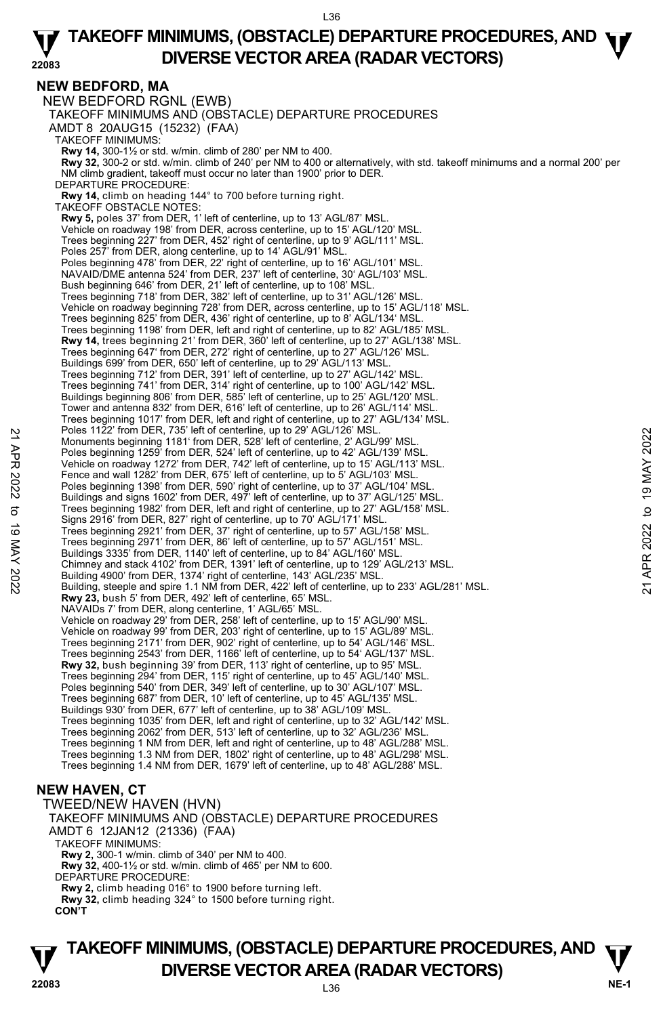### **NEW BEDFORD, MA**

NEW BEDFORD RGNL (EWB) TAKEOFF MINIMUMS AND (OBSTACLE) DEPARTURE PROCEDURES AMDT 8 20AUG15 (15232) (FAA) TAKEOFF MINIMUMS: **Rwy 14,** 300-1½ or std. w/min. climb of 280' per NM to 400.<br>**Rwy 32,** 300-2 or std. w/min. climb of 240' per NM to 400 or alternatively, with std. takeoff minimums and a normal 200' per NM climb gradient, takeoff must occur no later than 1900' prior to DER. DEPARTURE PROCEDURE: **Rwy 14,** climb on heading 144° to 700 before turning right. TAKEOFF OBSTACLE NOTES: **Rwy 5,** poles 37' from DER, 1' left of centerline, up to 13' AGL/87' MSL. Vehicle on roadway 198' from DER, across centerline, up to 15' AGL/120' MSL. Trees beginning 227' from DER, 452' right of centerline, up to 9' AGL/111' MSL. Poles 257' from DER, along centerline, up to 14' AGL/91' MSL. Poles beginning 478' from DER, 22' right of centerline, up to 16' AGL/101' MSL NAVAID/DME antenna 524' from DER, 237' left of centerline, 30' AGL/103' MSL. Bush beginning 646' from DER, 21' left of centerline, up to 108' MSL. Trees beginning 718' from DER, 382' left of centerline, up to 31' AGL/126' MSL. Vehicle on roadway beginning 728' from DER, across centerline, up to 15' AGL/118' MSL.<br>Trees beginning 825' from DER, 436' right of centerline, up to 8' AGL/134' MSL. Trees beginning 1198' from DER, left and right of centerline, up to 82' AGL/185' MSL. **Rwy 14,** trees beginning 21' from DER, 360' left of centerline, up to 27' AGL/138' MSL. Trees beginning 647' from DER, 272' right of centerline, up to 27' AGL/126' MSL. Buildings 699' from DER, 650' left of centerline, up to 29' AGL/113' MSL. Trees beginning 712' from DER, 391' left of centerline, up to 27' AGL/142' MSL. Trees beginning 741' from DER, 314' right of centerline, up to 100' AGL/142' MSL. Buildings beginning 806' from DER, 585' left of centerline, up to 25' AGL/120' MSL. Tower and antenna 832' from DER, 616' left of centerline, up to 26' AGL/114' MSL. Trees beginning 1017' from DER, left and right of centerline, up to 27' AGL/134' MSL. Poles 1122' from DER, 735' left of centerline, up to 29' AGL/126' MSL. Monuments beginning 1181' from DER, 528' left of centerline, 2' AGL/99' MSL. Poles beginning 1259' from DER, 524' left of centerline, up to 42' AGL/139' MSI Vehicle on roadway 1272' from DER, 742' left of centerline, up to 15' AGL/113' MSL. Fence and wall 1282' from DER, 675' left of centerline, up to 5' AGL/103' MSL. Poles beginning 1398' from DER, 590' right of centerline, up to 37' AGL/104' MSL. Buildings and signs 1602' from DER, 497' left of centerline, up to 37' AGL/125' MSL. Trees beginning 1982' from DER, left and right of centerline, up to 27' AGL/158' MSL. Signs 2916' from DER, 827' right of centerline, up to 70' AGL/171' MSL. Trees beginning 2921' from DER, 37' right of centerline, up to 57' AGL/158' MSL. Trees beginning 2971' from DER, 86' left of centerline, up to 57' AGL/151' MSL. Buildings 3335' from DER, 1140' left of centerline, up to 84' AGL/160' MSL. Chimney and stack 4102' from DER, 1391' left of centerline, up to 129' AGL/213' MSL. Building 4900' from DER, 1374' right of centerline, 143' AGL/235' MSL.<br>Building, steeple and spire 1.1 NM from DER, 422' left of centerline, up to 233' AGL/281' MSL. **Rwy 23,** bush 5' from DER, 492' left of centerline, 65' MSL. NAVAIDs 7' from DER, along centerline, 1' AGL/65' MSL. Vehicle on roadway 29' from DER, 258' left of centerline, up to 15' AGL/90' MSL. Vehicle on roadway 99' from DER, 203' right of centerline, up to 15' AGL/89' MSL. Trees beginning 2171' from DER, 902' right of centerline, up to 54' AGL/146' MSL. Trees beginning 2543' from DER, 1166' left of centerline, up to 54' AGL/137' MSL. **Rwy 32,** bush beginning 39' from DER, 113' right of centerline, up to 95' MSL. Trees beginning 294' from DER, 115' right of centerline, up to 45' AGL/140' MSL. Poles beginning 540' from DER, 349' left of centerline, up to 30' AGL/107' MSL. Trees beginning 687' from DER, 10' left of centerline, up to 45' AGL/135' MSL. Buildings 930' from DER, 677' left of centerline, up to 38' AGL/109' MSL. Trees beginning 1035' from DER, left and right of centerline, up to 32' AGL/142' MSL. Trees beginning 2062' from DER, 513' left of centerline, up to 32' AGL/236' MSL. Trees beginning 1 NM from DER, left and right of centerline, up to 48' AGL/288' MSL. Trees beginning 1.3 NM from DER, 1802' right of centerline, up to 48' AGL/298' MSL. Trees beginning 1.4 NM from DER, 1679' left of centerline, up to 48' AGL/288' MSL. Nonuments beginning 1981' from DER, 528' left of centerline, up to 29 AGL/139' MSL.<br>
Monuments beginning 1259' from DER, 528' left of centerline, up to 42' AGL/139' MSL.<br>
Yelicle on roadway 1272' from DER, 142' left of ce

## **NEW HAVEN, CT**

TWEED/NEW HAVEN (HVN) TAKEOFF MINIMUMS AND (OBSTACLE) DEPARTURE PROCEDURES AMDT 6 12JAN12 (21336) (FAA) TAKEOFF MINIMUMS: **Rwy 2,** 300-1 w/min. climb of 340' per NM to 400. **Rwy 32,** 400-1½ or std. w/min. climb of 465' per NM to 600. DEPARTURE PROCEDURE: **Rwy 2,** climb heading 016° to 1900 before turning left. **Rwy 32,** climb heading 324° to 1500 before turning right. **CON'T**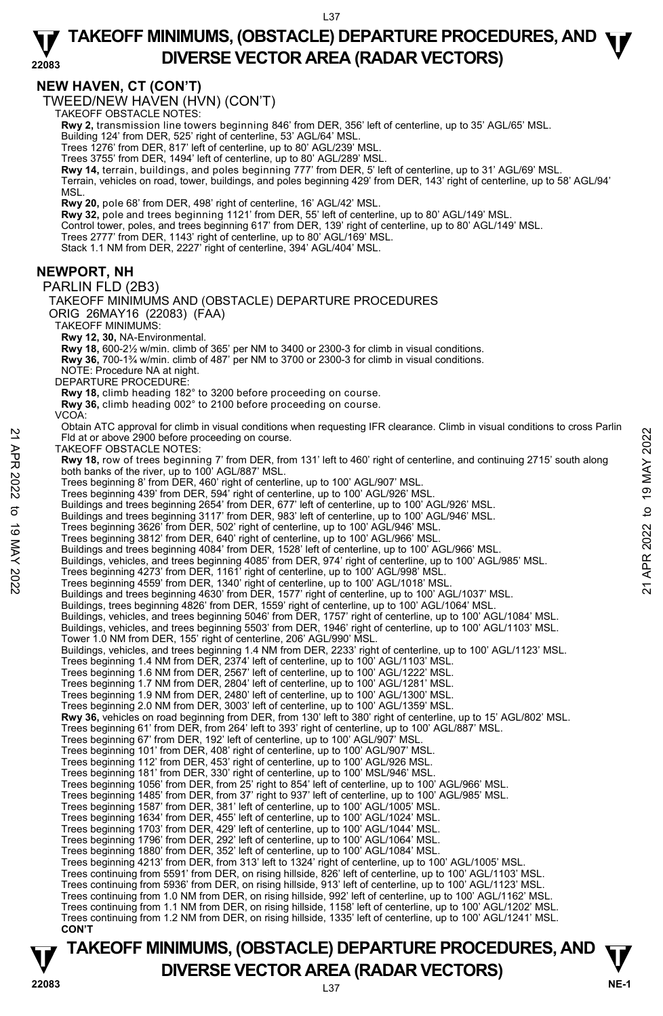#### **NEW HAVEN, CT (CON'T)**

TWEED/NEW HAVEN (HVN) (CON'T) TAKEOFF OBSTACLE NOTES:

**Rwy 2,** transmission line towers beginning 846' from DER, 356' left of centerline, up to 35' AGL/65' MSL. Building 124' from DER, 525' right of centerline, 53' AGL/64' MSL.

Trees 1276' from DER, 817' left of centerline, up to 80' AGL/239' MSL.

Trees 3755' from DER, 1494' left of centerline, up to 80' AGL/289' MSL.

**Rwy 14,** terrain, buildings, and poles beginning 777' from DER, 5' left of centerline, up to 31' AGL/69' MSL.

Terrain, vehicles on road, tower, buildings, and poles beginning 429' from DER, 143' right of centerline, up to 58' AGL/94' MSL.

**Rwy 20,** pole 68' from DER, 498' right of centerline, 16' AGL/42' MSL.

**Rwy 32,** pole and trees beginning 1121' from DER, 55' left of centerline, up to 80' AGL/149' MSL.

Control tower, poles, and trees beginning 617' from DER, 139' right of centerline, up to 80' AGL/149' MSL.<br>Trees 2777' from DER, 1143' right of centerline, up to 80' AGL/169' MSL.

Stack 1.1 NM from DER, 2227' right of centerline, 394' AGL/404' MSL.

#### **NEWPORT, NH**

PARLIN FLD (2B3)

TAKEOFF MINIMUMS AND (OBSTACLE) DEPARTURE PROCEDURES ORIG 26MAY16 (22083) (FAA) TAKEOFF MINIMUMS: **Rwy 12, 30,** NA-Environmental. **Rwy 18,** 600-2½ w/min. climb of 365' per NM to 3400 or 2300-3 for climb in visual conditions. **Rwy 36,** 700-1¾ w/min. climb of 487' per NM to 3700 or 2300-3 for climb in visual conditions. NOTE: Procedure NA at night. DEPARTURE PROCEDURE **Rwy 18,** climb heading 182° to 3200 before proceeding on course. **Rwy 36,** climb heading 002° to 2100 before proceeding on course. VCOA: Obtain ATC approval for climb in visual conditions when requesting IFR clearance. Climb in visual conditions to cross Parlin Fld at or above 2900 before proceeding on course. TAKEOFF OBSTACLE NOTES: **Rwy 18,** row of trees beginning 7' from DER, from 131' left to 460' right of centerline, and continuing 2715' south along<br>both banks of the river, up to 100' AGL/887' MSL. Trees beginning 8' from DER, 460' right of centerline, up to 100' AGL/907' MSL. Trees beginning 439' from DER, 594' right of centerline, up to 100' AGL/926' MSL.<br>Buildings and trees beginning 2654' from DER, 677' left of centerline, up to 100' AGL/926' MSL. Buildings and trees beginning 3117' from DER, 983' left of centerline, up to 100' AGL/946' MSL. Trees beginning 3626' from DER, 502' right of centerline, up to 100' AGL/946' MSL. Trees beginning 3812' from DER, 640' right of centerline, up to 100' AGL/966' MSL. Buildings and trees beginning 4084' from DER, 1528' left of centerline, up to 100' AGL/966' MSL. Buildings, vehicles, and trees beginning 4085' from DER, 974' right of centerline, up to 100' AGL/985' MSL. Trees beginning 4273' from DER, 1161' right of centerline, up to 100' AGL/998' MSL. Trees beginning 4559' from DER, 1340' right of centerline, up to 100' AGL/1018' MSL. Buildings and trees beginning 4630' from DER, 1577' right of centerline, up to 100' AGL/1037' MSL. Buildings, trees beginning 4826' from DER, 1559' right of centerline, up to 100' AGL/1064' MSL. Buildings, vehicles, and trees beginning 5046' from DER, 1757' right of centerline, up to 100' AGL/1084' MSL.<br>Buildings, vehicles, and trees beginning 5503' from DER, 1946' right of centerline, up to 100' AGL/1103' MSL. Tower 1.0 NM from DER, 155' right of centerline, 206' AGL/990' MSL. Buildings, vehicles, and trees beginning 1.4 NM from DER, 2233' right of centerline, up to 100' AGL/1123' MSL.<br>Trees beginning 1.4 NM from DER, 2374' left of centerline, up to 100' AGL/1103' MSL. Trees beginning 1.6 NM from DER, 2567' left of centerline, up to 100' AGL/1222' MSL. Trees beginning 1.7 NM from DER, 2804' left of centerline, up to 100' AGL/1281' MSL. Trees beginning 1.9 NM from DER, 2480' left of centerline, up to 100' AGL/1300' MSL. Trees beginning 2.0 NM from DER, 3003' left of centerline, up to 100' AGL/1359' MSL. **Rwy 36,** vehicles on road beginning from DER, from 130' left to 380' right of centerline, up to 15' AGL/802' MSL. Trees beginning 61' from DER, from 264' left to 393' right of centerline, up to 100' AGL/887' MSL.<br>Trees beginning 67' from DER, 192' left of centerline, up to 100' AGL/907' MSL. Trees beginning 101' from DER, 408' right of centerline, up to 100' AGL/907' MSL. Trees beginning 112' from DER, 453' right of centerline, up to 100' AGL/926 MSL. Trees beginning 181' from DER, 330' right of centerline, up to 100' MSL/946' MSL. Trees beginning 1056' from DER, from 25' right to 854' left of centerline, up to 100' AGL/966' MSL. Trees beginning 1485' from DER, from 37' right to 937' left of centerline, up to 100' AGL/985' MSL. Trees beginning 1587' from DER, 381' left of centerline, up to 100' AGL/1005' MSL. Trees beginning 1634' from DER, 455' left of centerline, up to 100' AGL/1024' MSL. Trees beginning 1703' from DER, 429' left of centerline, up to 100' AGL/1044' MSL. Trees beginning 1796' from DER, 292' left of centerline, up to 100' AGL/1064' MSL. Trees beginning 1880' from DER, 352' left of centerline, up to 100' AGL/1084' MSL. Trees beginning 4213' from DER, from 313' left to 1324' right of centerline, up to 100' AGL/1005' MSL. Trees continuing from 5591' from DER, on rising hillside, 826' left of centerline, up to 100' AGL/1103' MSL. Trees continuing from 5936' from DER, on rising hillside, 913' left of centerline, up to 100' AGL/1123' MSL. Trees continuing from 1.0 NM from DER, on rising hillside, 992' left of centerline, up to 100' AGL/1162' MSL. Trees continuing from 1.1 NM from DER, on rising hillside, 1158' left of centerline, up to 100' AGL/1202' MSL. Trees continuing from 1.2 NM from DER, on rising hillside, 1335' left of centerline, up to 100' AGL/1241' MSL. **CON'T**  21<br>
Eld at or above 2900 before proceeding on course.<br>
TAKEOFF OBSTACLE NOTES:<br>
THE AT A TOWER TO BE A 460 ingline of course.<br>
TAKEOFF OBSTACLE NOTES:<br>
Noth banks of the river, up to 100' AGL/887' MSL.<br>
Trees beginning 43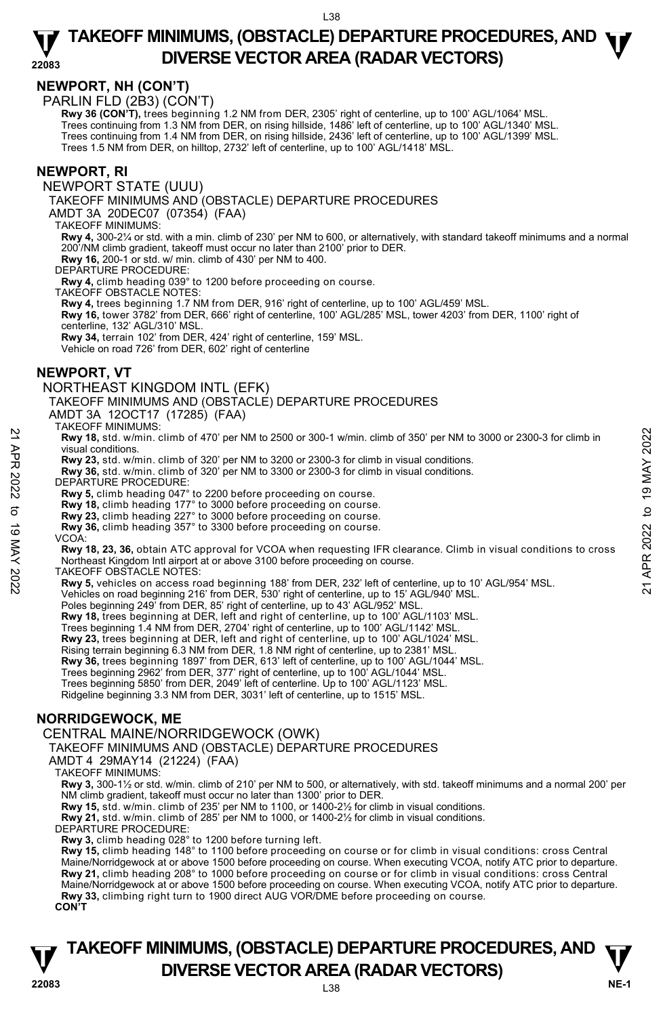## **NEWPORT, NH (CON'T)**

PARLIN FLD (2B3) (CON'T)

 **Rwy 36 (CON'T),** trees beginning 1.2 NM from DER, 2305' right of centerline, up to 100' AGL/1064' MSL. Trees continuing from 1.3 NM from DER, on rising hillside, 1486' left of centerline, up to 100' AGL/1340' MSL. Trees continuing from 1.4 NM from DER, on rising hillside, 2436' left of centerline, up to 100' AGL/1399' MSL. Trees 1.5 NM from DER, on hilltop, 2732' left of centerline, up to 100' AGL/1418' MSL.

#### **NEWPORT, RI**

NEWPORT STATE (UUU)

TAKEOFF MINIMUMS AND (OBSTACLE) DEPARTURE PROCEDURES

AMDT 3A 20DEC07 (07354) (FAA)

TAKEOFF MINIMUMS:

**Rwy 4,** 300-2¼ or std. with a min. climb of 230' per NM to 600, or alternatively, with standard takeoff minimums and a normal 200'/NM climb gradient, takeoff must occur no later than 2100' prior to DER.

**Rwy 16,** 200-1 or std. w/ min. climb of 430' per NM to 400.

DEPARTURE PROCEDURE:

**Rwy 4,** climb heading 039° to 1200 before proceeding on course.

TAKEOFF OBSTACLE NOTES:

**Rwy 4,** trees beginning 1.7 NM from DER, 916' right of centerline, up to 100' AGL/459' MSL. **Rwy 16,** tower 3782' from DER, 666' right of centerline, 100' AGL/285' MSL, tower 4203' from DER, 1100' right of centerline, 132' AGL/310' MSL. **Rwy 34,** terrain 102' from DER, 424' right of centerline, 159' MSL.

Vehicle on road 726' from DER, 602' right of centerline

#### **NEWPORT, VT**

#### NORTHEAST KINGDOM INTL (EFK)

TAKEOFF MINIMUMS AND (OBSTACLE) DEPARTURE PROCEDURES

AMDT 3A 12OCT17 (17285) (FAA)

TAKEOFF MINIMUMS:

**Rwy 18,** std. w/min. climb of 470' per NM to 2500 or 300-1 w/min. climb of 350' per NM to 3000 or 2300-3 for climb in visual conditions.

- 
- **Rwy 23,** std. w/min. climb of 320' per NM to 3200 or 2300-3 for climb in visual conditions. **Rwy 36,** std. w/min. climb of 320' per NM to 3300 or 2300-3 for climb in visual conditions.
- DEPARTURE PROCEDURE:
- 
- **Rwy 5,** climb heading 047° to 2200 before proceeding on course. **Rwy 18,** climb heading 177° to 3000 before proceeding on course.
- **Rwy 23,** climb heading 227° to 3000 before proceeding on course.
- **Rwy 36,** climb heading 357° to 3300 before proceeding on course.
- VCOA:

**Rwy 18, 23, 36,** obtain ATC approval for VCOA when requesting IFR clearance. Climb in visual conditions to cross Northeast Kingdom Intl airport at or above 3100 before proceeding on course. **EVALUAT ANTION COLLUMATE:**<br> **EVALUAT AND AND CONDUCT AND AND CONDUCT AND CONDUCT AND CONDUCT AND CONDUCT AND CONDUCT AND CONDUCT AND COLLUMATE PROCEDURE:<br>
<b>EVALUAT APP**<br> **EVALUAT AND SERVE 3.5 SOMETHAT AND AND CONDUCT AN** 

- TAKEOFF OBSTACLE NOTES:
- **Rwy 5,** vehicles on access road beginning 188' from DER, 232' left of centerline, up to 10' AGL/954' MSL.
- Vehicles on road beginning 216' from DER, 530' right of centerline, up to 15' AGL/940' MSL.

Poles beginning 249' from DER, 85' right of centerline, up to 43' AGL/952' MSL.

**Rwy 18,** trees beginning at DER, left and right of centerline, up to 100' AGL/1103' MSL.<br>Trees beginning 1.4 NM from DER, 2704' right of centerline, up to 100' AGL/1142' MSL.

**Rwy 23,** trees beginning at DER, left and right of centerline, up to 100' AGL/1024' MSL.

Rising terrain beginning 6.3 NM from DER, 1.8 NM right of centerline, up to 2381' MSL.<br>**Rwy 36,** trees beginning 1897' from DER, 613' left of centerline, up to 100' AGL/1044' MSL.

Trees beginning 2962' from DER, 377' right of centerline, up to 100' AGL/1044' MSL.

Trees beginning 5850' from DER, 2049' left of centerline. Up to 100' AGL/1123' MSL.

Ridgeline beginning 3.3 NM from DER, 3031' left of centerline, up to 1515' MSL.

## **NORRIDGEWOCK, ME**

### CENTRAL MAINE/NORRIDGEWOCK (OWK)

TAKEOFF MINIMUMS AND (OBSTACLE) DEPARTURE PROCEDURES

AMDT 4 29MAY14 (21224) (FAA)

TAKEOFF MINIMUMS:

**Rwy 3,** 300-1½ or std. w/min. climb of 210' per NM to 500, or alternatively, with std. takeoff minimums and a normal 200' per NM climb gradient, takeoff must occur no later than 1300' prior to DER.

**Rwy 15,** std. w/min. climb of 235' per NM to 1100, or 1400-2½ for climb in visual conditions. **Rwy 21,** std. w/min. climb of 285' per NM to 1000, or 1400-2½ for climb in visual conditions.

DEPARTURE PROCEDURE:

**Rwy 3,** climb heading 028° to 1200 before turning left.

**Rwy 15,** climb heading 148° to 1100 before proceeding on course or for climb in visual conditions: cross Central Maine/Norridgewock at or above 1500 before proceeding on course. When executing VCOA, notify ATC prior to departure. **Rwy 21,** climb heading 208° to 1000 before proceeding on course or for climb in visual conditions: cross Central Maine/Norridgewock at or above 1500 before proceeding on course. When executing VCOA, notify ATC prior to departure. **Rwy 33,** climbing right turn to 1900 direct AUG VOR/DME before proceeding on course.

**CON'T** 



L38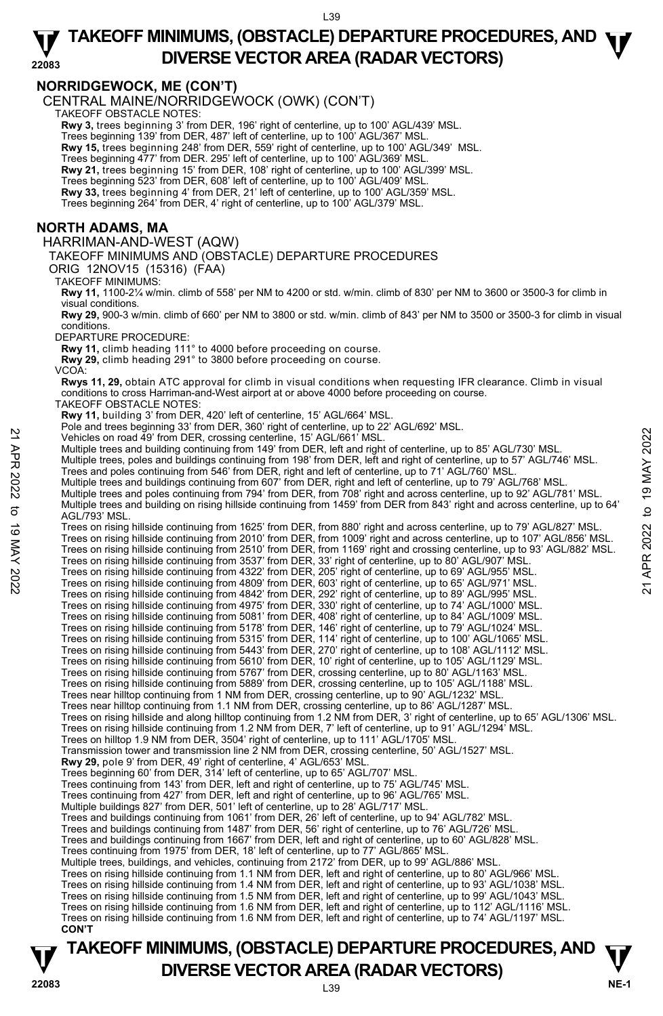#### **22083 TAKEOFF MINIMUMS, (OBSTACLE) DEPARTURE PROCEDURES, AND <b>W**<br>DIVERSE VECTOR AREA (BADAR VECTORS) **DIVERSE VECTOR AREA (RADAR VECTORS)**

### **NORRIDGEWOCK, ME (CON'T)**

CENTRAL MAINE/NORRIDGEWOCK (OWK) (CON'T) TAKEOFF OBSTACLE NOTES:

**Rwy 3,** trees beginning 3' from DER, 196' right of centerline, up to 100' AGL/439' MSL.

Trees beginning 139' from DER, 487' left of centerline, up to 100' AGL/367' MSL.

**Rwy 15,** trees beginning 248' from DER, 559' right of centerline, up to 100' AGL/349' MSL.

Trees beginning 477' from DER. 295' left of centerline, up to 100' AGL/369' MSL. **Rwy 21,** trees beginning 15' from DER, 108' right of centerline, up to 100' AGL/399' MSL.

Trees beginning 523' from DER, 608' left of centerline, up to 100' AGL/409' MSL.

**Rwy 33,** trees beginning 4' from DER, 21' left of centerline, up to 100' AGL/359' MSL.

Trees beginning 264' from DER, 4' right of centerline, up to 100' AGL/379' MSL.

### **NORTH ADAMS, MA**

#### HARRIMAN-AND-WEST (AQW)

TAKEOFF MINIMUMS AND (OBSTACLE) DEPARTURE PROCEDURES

ORIG 12NOV15 (15316) (FAA)

TAKEOFF MINIMUMS:

**Rwy 11,** 1100-2¼ w/min. climb of 558' per NM to 4200 or std. w/min. climb of 830' per NM to 3600 or 3500-3 for climb in visual conditions.

**Rwy 29,** 900-3 w/min. climb of 660' per NM to 3800 or std. w/min. climb of 843' per NM to 3500 or 3500-3 for climb in visual conditions.

DEPARTURE PROCEDURE:

**Rwy 11,** climb heading 111° to 4000 before proceeding on course. **Rwy 29,** climb heading 291° to 3800 before proceeding on course.

VCOA:

**Rwys 11, 29,** obtain ATC approval for climb in visual conditions when requesting IFR clearance. Climb in visual conditions to cross Harriman-and-West airport at or above 4000 before proceeding on course.

TAKEOFF OBSTACLE NOTES:

**Rwy 11,** building 3' from DER, 420' left of centerline, 15' AGL/664' MSL.

Pole and trees beginning 33' from DER, 360' right of centerline, up to 22' AGL/692' MSL. Vehicles on road 49' from DER, crossing centerline, 15' AGL/661' MSL.

Multiple trees and building continuing from 149' from DER, left and right of centerline, up to 85' AGL/730' MSL. Multiple trees, poles and buildings continuing from 198' from DER, left and right of centerline, up to 57' AGL/746' MSL.<br>Trees and poles continuing from 546' from DER, right and left of centerline, up to 71' AGL/760' MSL. Multiple trees and buildings continuing from 607' from DER, right and left of centerline, up to 79' AGL/768' MSL. Multiple trees and poles continuing from 794' from DER, from 708' right and across centerline, up to 92' AGL/781' MSL. Multiple trees and building on rising hillside continuing from 1459' from DER from 843' right and across centerline, up to 64' AGL/793' MSL. Trees on rising hillside continuing from 1625' from DER, from 880' right and across centerline, up to 79' AGL/827' MSL. Trees on rising hillside continuing from 2010' from DER, from 1009' right and across centerline, up to 107' AGL/856' MSL. Vehicles on road 49 from DER, crossing centerline, 15' AGL/661' MSL.<br>
Multiple trees and building continuing from 149 from DER, left and right of centerline, up to 85' AGL/730' MSL.<br>
Multiple trees, poles and building cont Trees on rising hillside continuing from 4975' from DER, 330' right of centerline, up to 74' AGL/1000' MSL. Trees on rising hillside continuing from 5081' from DER, 408' right of centerline, up to 84' AGL/1009' MSL. Trees on rising hillside continuing from 5178' from DER, 146' right of centerline, up to 79' AGL/1024' MSL. Trees on rising hillside continuing from 5315' from DER, 114' right of centerline, up to 100' AGL/1065' MSL. Trees on rising hillside continuing from 5443' from DER, 270' right of centerline, up to 108' AGL/1112' MSL. Trees on rising hillside continuing from 5610' from DER, 10' right of centerline, up to 105' AGL/1129' MSL. Trees on rising hillside continuing from 5767' from DER, crossing centerline, up to 80' AGL/1163' MSL. Trees on rising hillside continuing from 5889' from DER, crossing centerline, up to 105' AGL/1188' MSL. Trees near hilltop continuing from 1 NM from DER, crossing centerline, up to 90' AGL/1232' MSL. Trees near hilltop continuing from 1.1 NM from DER, crossing centerline, up to 86' AGL/1287' MSL. Trees on rising hillside and along hilltop continuing from 1.2 NM from DER, 3' right of centerline, up to 65' AGL/1306' MSL. Trees on rising hillside continuing from 1.2 NM from DER, 7' left of centerline, up to 91' AGL/1294' MSL.<br>Trees on hilltop 1.9 NM from DER, 3504' right of centerline, up to 111' AGL/1705' MSL. Transmission tower and transmission line 2 NM from DER, crossing centerline, 50' AGL/1527' MSL.  **Rwy 29,** pole 9' from DER, 49' right of centerline, 4' AGL/653' MSL. Trees beginning 60' from DER, 314' left of centerline, up to 65' AGL/707' MSL. Trees continuing from 143' from DER, left and right of centerline, up to 75' AGL/745' MSL. Trees continuing from 427' from DER, left and right of centerline, up to 96' AGL/765' MSL. Multiple buildings 827' from DER, 501' left of centerline, up to 28' AGL/717' MSL.<br>Trees and buildings continuing from 1061' from DER, 26' left of centerline, up to 94' AGL/782' MSL. Trees and buildings continuing from 1487' from DER, 56' right of centerline, up to 76' AGL/726' MSL. Trees and buildings continuing from 1667' from DER, left and right of centerline, up to 60' AGL/828' MSL.<br>Trees continuing from 1975' from DER, 18' left of centerline, up to 77' AGL/865' MSL. Multiple trees, buildings, and vehicles, continuing from 2172' from DER, up to 99' AGL/886' MSL. Trees on rising hillside continuing from 1.1 NM from DER, left and right of centerline, up to 80' AGL/966' MSL.<br>Trees on rising hillside continuing from 1.4 NM from DER, left and right of centerline, up to 93' AGL/1038' MS Trees on rising hillside continuing from 1.5 NM from DER, left and right of centerline, up to 99' AGL/1043' MSL. Trees on rising hillside continuing from 1.6 NM from DER, left and right of centerline, up to 112' AGL/1116' MSL.

Trees on rising hillside continuing from 1.6 NM from DER, left and right of centerline, up to 74' AGL/1197' MSL.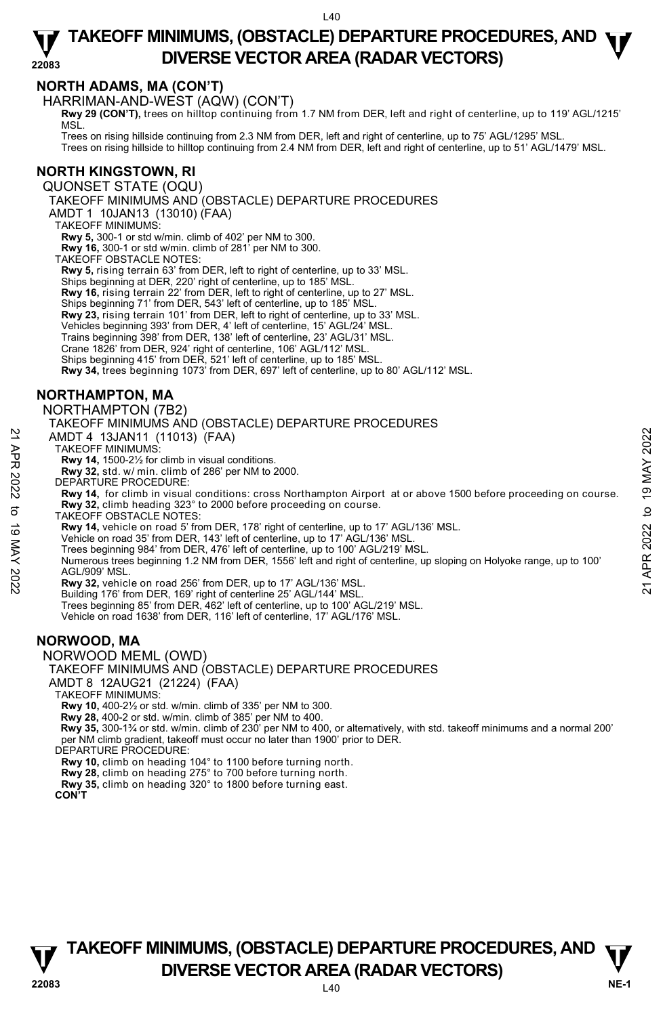## **NORTH ADAMS, MA (CON'T)**

HARRIMAN-AND-WEST (AQW) (CON'T)

**Rwy 29 (CON'T),** trees on hilltop continuing from 1.7 NM from DER, left and right of centerline, up to 119' AGL/1215' MSL.

Trees on rising hillside continuing from 2.3 NM from DER, left and right of centerline, up to 75' AGL/1295' MSL. Trees on rising hillside to hilltop continuing from 2.4 NM from DER, left and right of centerline, up to 51' AGL/1479' MSL.

## **NORTH KINGSTOWN, RI**

QUONSET STATE (OQU)

TAKEOFF MINIMUMS AND (OBSTACLE) DEPARTURE PROCEDURES

AMDT 1 10JAN13 (13010) (FAA)

TAKEOFF MINIMUMS:

**Rwy 5,** 300-1 or std w/min. climb of 402' per NM to 300.

**Rwy 16,** 300-1 or std w/min. climb of 281' per NM to 300.

TAKEOFF OBSTACLE NOTES:

**Rwy 5,** rising terrain 63' from DER, left to right of centerline, up to 33' MSL.

Ships beginning at DER, 220' right of centerline, up to 185' MSL.

**Rwy 16,** rising terrain 22' from DER, left to right of centerline, up to 27' MSL.

Ships beginning 71' from DER, 543' left of centerline, up to 185' MSL.

**Rwy 23,** rising terrain 101' from DER, left to right of centerline, up to 33' MSL.

Vehicles beginning 393' from DER, 4' left of centerline, 15' AGL/24' MSL.

Trains beginning 398' from DER, 138' left of centerline, 23' AGL/31' MSL.

Crane 1826' from DER, 924' right of centerline, 106' AGL/112' MSL.

Ships beginning 415' from DER, 521' left of centerline, up to 185' MSL.

**Rwy 34,** trees beginning 1073' from DER, 697' left of centerline, up to 80' AGL/112' MSL.

## **NORTHAMPTON, MA**

NORTHAMPTON (7B2)

TAKEOFF MINIMUMS AND (OBSTACLE) DEPARTURE PROCEDURES

AMDT 4 13JAN11 (11013) (FAA)

TAKEOFF MINIMUMS:

**Rwy 14,** 1500-2½ for climb in visual conditions.

**Rwy 32,** std. w/ min. climb of 286' per NM to 2000.

DEPARTURE PROCEDURE:

**Rwy 14,** for climb in visual conditions: cross Northampton Airport at or above 1500 before proceeding on course. Rwy 32, climb heading 323° to 2000 before proceeding on course.

TAKEOFF OBSTACLE NOTES:

**Rwy 14,** vehicle on road 5' from DER, 178' right of centerline, up to 17' AGL/136' MSL.

Vehicle on road 35' from DER, 143' left of centerline, up to 17' AGL/136' MSL.

Trees beginning 984' from DER, 476' left of centerline, up to 100' AGL/219' MSL.

Numerous trees beginning 1.2 NM from DER, 1556' left and right of centerline, up sloping on Holyoke range, up to 100' AGL/909' MSL. AMDT 4 13JAN11 (11013) (FAA)<br>
TAKEOFF MINIMUMS:<br>
TRAVIS TO 1900-2/2 for climb in visual conditions.<br>
Rwy 32, std. w/ min. climb of 286' per NM to 2000.<br>
DEPARTURE PROCEDURE:<br>
Rwy 14, for climb in visual conditions: cross

**Rwy 32,** vehicle on road 256' from DER, up to 17' AGL/136' MSL.

Building 176' from DER, 169' right of centerline 25' AGL/144' MSL.

Trees beginning 85' from DER, 462' left of centerline, up to 100' AGL/219' MSL.

Vehicle on road 1638' from DER, 116' left of centerline, 17' AGL/176' MSL.

## **NORWOOD, MA**

NORWOOD MEML (OWD)

TAKEOFF MINIMUMS AND (OBSTACLE) DEPARTURE PROCEDURES

AMDT 8 12AUG21 (21224) (FAA)

TAKEOFF MINIMUMS:

**Rwy 10,** 400-2½ or std. w/min. climb of 335' per NM to 300.

**Rwy 28,** 400-2 or std. w/min. climb of 385' per NM to 400.

 **Rwy 35,** 300-1¾ or std. w/min. climb of 230' per NM to 400, or alternatively, with std. takeoff minimums and a normal 200' per NM climb gradient, takeoff must occur no later than 1900' prior to DER.

DEPARTURE PROCEDURE:

**Rwy 10,** climb on heading 104° to 1100 before turning north. **Rwy 28,** climb on heading 275° to 700 before turning north.

**Rwy 35,** climb on heading 320° to 1800 before turning east.

**CON'T**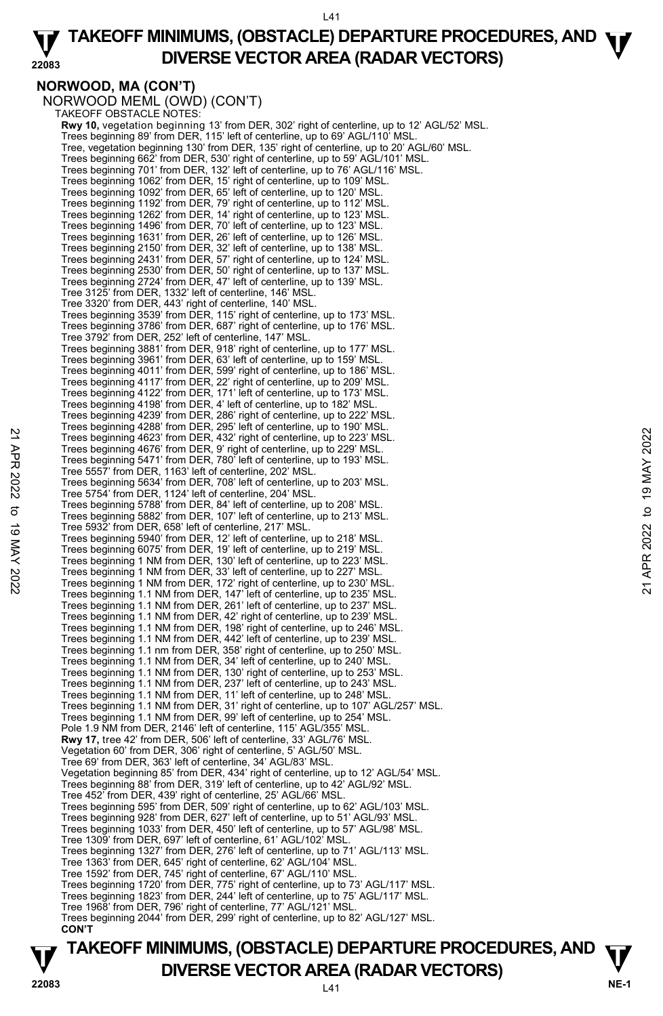#### **22083 TAKEOFF MINIMUMS, (OBSTACLE) DEPARTURE PROCEDURES, AND <b>W**<br>DIVERSE VECTOR AREA (BADAR VECTORS) **DIVERSE VECTOR AREA (RADAR VECTORS)**

## **NORWOOD, MA (CON'T)**

NORWOOD MEML (OWD) (CON'T) TAKEOFF OBSTACLE NOTES: **Rwy 10,** vegetation beginning 13' from DER, 302' right of centerline, up to 12' AGL/52' MSL. Trees beginning 89' from DER, 115' left of centerline, up to 69' AGL/110' MSL.<br>Tree, vegetation beginning 130' from DER, 135' right of centerline, up to 20' AGL/60' MSL. Trees beginning 662' from DER, 530' right of centerline, up to 59' AGL/101' MSL. Trees beginning 701' from DER, 132' left of centerline, up to 76' AGL/116' MSL. Trees beginning 1062' from DER, 15' right of centerline, up to 109' MSL. Trees beginning 1092' from DER, 65' left of centerline, up to 120' MSL. Trees beginning 1192' from DER, 79' right of centerline, up to 112' MSL. Trees beginning 1262' from DER, 14' right of centerline, up to 123' MSL. Trees beginning 1496' from DER, 70' left of centerline, up to 123' MSL. Trees beginning 1631' from DER, 26' left of centerline, up to 126' MSL. Trees beginning 2150' from DER, 32' left of centerline, up to 138' MSL. Trees beginning 2431' from DER, 57' right of centerline, up to 124' MSL. Trees beginning 2530' from DER, 50' right of centerline, up to 137' MSL. Trees beginning 2724' from DER, 47' left of centerline, up to 139' MSL. Tree 3125' from DER, 1332' left of centerline, 146' MSL. Tree 3320' from DER, 443' right of centerline, 140' MSL. Trees beginning 3539' from DER, 115' right of centerline, up to 173' MSL. Trees beginning 3786' from DER, 687' right of centerline, up to 176' MSL. Tree 3792' from DER, 252' left of centerline, 147' MSL. Trees beginning 3881' from DER, 918' right of centerline, up to 177' MSL. Trees beginning 3961' from DER, 63' left of centerline, up to 159' MSL. Trees beginning 4011' from DER, 599' right of centerline, up to 186' MSL. Trees beginning 4117' from DER, 22' right of centerline, up to 209' MSL. Trees beginning 4122' from DER, 171' left of centerline, up to 173' MSL. Trees beginning 4198' from DER, 4' left of centerline, up to 182' MSL. Trees beginning 4239' from DER, 286' right of centerline, up to 222' MSL. Trees beginning 4288' from DER, 295' left of centerline, up to 190' MSL. Trees beginning 4623' from DER, 432' right of centerline, up to 223' MSL. Trees beginning 4676' from DER, 9' right of centerline, up to 229' MSL. Trees beginning 5471' from DER, 780' left of centerline, up to 193' MSL. Tree 5557' from DER, 1163' left of centerline, 202' MSL. Trees beginning 5634' from DER, 708' left of centerline, up to 203' MSL. Tree 5754' from DER, 1124' left of centerline, 204' MSL. Trees beginning 5788' from DER, 84' left of centerline, up to 208' MSL. Trees beginning 5882' from DER, 107' left of centerline, up to 213' MSL. Tree 5932' from DER, 658' left of centerline, 217' MSL. Trees beginning 5940' from DER, 12' left of centerline, up to 218' MSL. Trees beginning 6075' from DER, 19' left of centerline, up to 219' MSL. Trees beginning 1 NM from DER, 130' left of centerline, up to 223' MSL. Trees beginning 1 NM from DER, 33' left of centerline, up to 227' MSL. Trees beginning 1 NM from DER, 172' right of centerline, up to 230' MSL. Trees beginning 1.1 NM from DER, 147' left of centerline, up to 235' MSL. Trees beginning 1.1 NM from DER, 261' left of centerline, up to 237' MSL. Trees beginning 1.1 NM from DER, 42' right of centerline, up to 239' MSL. Trees beginning 1.1 NM from DER, 198' right of centerline, up to 246' MSL. Trees beginning 1.1 NM from DER, 442' left of centerline, up to 239' MSL. Trees beginning 1.1 nm from DER, 358' right of centerline, up to 250' MSL. Trees beginning 1.1 NM from DER, 34' left of centerline, up to 240' MSL. Trees beginning 1.1 NM from DER, 130' right of centerline, up to 253' MSL. Trees beginning 1.1 NM from DER, 237' left of centerline, up to 243' MSL. Trees beginning 1.1 NM from DER, 11' left of centerline, up to 248' MSL. Trees beginning 1.1 NM from DER, 31' right of centerline, up to 107' AGL/257' MSL. Trees beginning 1.1 NM from DER, 99' left of centerline, up to 254' MSL. Pole 1.9 NM from DER, 2146' left of centerline, 115' AGL/355' MSL. **Rwy 17,** tree 42' from DER, 506' left of centerline, 33' AGL/76' MSL. Vegetation 60' from DER, 306' right of centerline, 5' AGL/50' MSL. Tree 69' from DER, 363' left of centerline, 34' AGL/83' MSL. Vegetation beginning 85' from DER, 434' right of centerline, up to 12' AGL/54' MSL. Trees beginning 88' from DER, 319' left of centerline, up to 42' AGL/92' MSL. Tree 452' from DER, 439' right of centerline, 25' AGL/66' MSL. Trees beginning 595' from DER, 509' right of centerline, up to 62' AGL/103' MSL. Trees beginning 928' from DER, 627' left of centerline, up to 51' AGL/93' MSL. Trees beginning 1033' from DER, 450' left of centerline, up to 57' AGL/98' MSL. Tree 1309' from DER, 697' left of centerline, 61' AGL/102' MSL. Trees beginning 1327' from DER, 276' left of centerline, up to 71' AGL/113' MSL. Tree 1363' from DER, 645' right of centerline, 62' AGL/104' MSL. Tree 1592' from DER, 745' right of centerline, 67' AGL/110' MSL. Trees beginning 1720' from DER, 775' right of centerline, up to 73' AGL/117' MSL. Trees beginning 1823' from DER, 244' left of centerline, up to 75' AGL/117' MSL. Tree 1968' from DER, 796' right of centerline, 77' AGL/121' MSL. Trees beginning 2044' from DER, 299' right of centerline, up to 82' AGL/127' MSL.  **CON'T** 22 Trees beginning 4623' from DER, 432' right of centerline, up to 223' MSL.<br>
Trees beginning 4623' from DER, 432' right of centerline, up to 229' MSL.<br>
Trees beginning 5476' from DER, 780' left of centerline, up to 193' M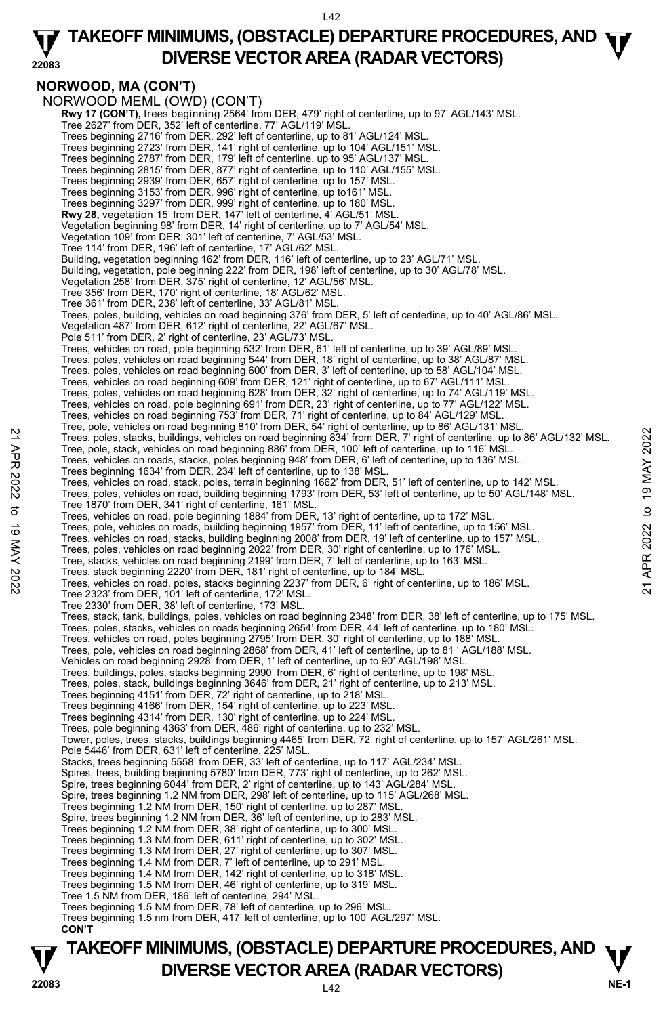#### **22083 TAKEOFF MINIMUMS, (OBSTACLE) DEPARTURE PROCEDURES, AND <b>W**<br>DIVERSE VECTOR AREA (BADAR VECTORS) **DIVERSE VECTOR AREA (RADAR VECTORS)**

**NORWOOD, MA (CON'T)**  NORWOOD MEML (OWD) (CON'T) **Rwy 17 (CON'T),** trees beginning 2564' from DER, 479' right of centerline, up to 97' AGL/143' MSL. Tree 2627' from DER, 352' left of centerline, 77' AGL/119' MSL. Trees beginning 2716' from DER, 292' left of centerline, up to 81' AGL/124' MSL.<br>Trees beginning 2723' from DER, 141' right of centerline, up to 104' AGL/151' MSL.<br>Trees beginning 2787' from DER, 179' left of centerline, u Trees beginning 2815' from DER, 877' right of centerline, up to 110' AGL/155' MSL. Trees beginning 2939' from DER, 657' right of centerline, up to 157' MSL. Trees beginning 3153' from DER, 996' right of centerline, up to161' MSL. Trees beginning 3297' from DER, 999' right of centerline, up to 180' MSL. **Rwy 28,** vegetation 15' from DER, 147' left of centerline, 4' AGL/51' MSL. Vegetation beginning 98' from DER, 14' right of centerline, up to 7' AGL/54' MSL. Vegetation 109' from DER, 301' left of centerline, 7' AGL/53' MSL. Tree 114' from DER, 196' left of centerline, 17' AGL/62' MSL. Building, vegetation beginning 162' from DER, 116' left of centerline, up to 23' AGL/71' MSL. Building, vegetation, pole beginning 222' from DER, 198' left of centerline, up to 30' AGL/78' MSL.<br>Vegetation 258' from DER, 375' right of centerline, 12' AGL/56' MSL. Tree 356' from DER, 170' right of centerline, 18' AGL/62' MSL. Tree 361' from DER, 238' left of centerline, 33' AGL/81' MSL. Trees, poles, building, vehicles on road beginning 376' from DER, 5' left of centerline, up to 40' AGL/86' MSL. Vegetation 487' from DER, 612' right of centerline, 22' AGL/67' MSL. Pole 511' from DER, 2' right of centerline, 23' AGL/73' MSL. Trees, vehicles on road, pole beginning 532' from DER, 61' left of centerline, up to 39' AGL/89' MSL.<br>Trees, poles, vehicles on road beginning 544' from DER, 18' right of centerline, up to 38' AGL/87' MSL.<br>Trees, poles, ve Trees, vehicles on road beginning 609' from DER, 121' right of centerline, up to 67' AGL/111' MSL. Trees, poles, vehicles on road beginning 628' from DER, 32' right of centerline, up to 74' AGL/119' MSL. Trees, vehicles on road, pole beginning 691' from DER, 23' right of centerline, up to 77' AGL/122' MSL. Trees, vehicles on road beginning 753' from DER, 71' right of centerline, up to 84' AGL/129' MSL. Tree, pole, vehicles on road beginning 810' from DER, 54' right of centerline, up to 86' AGL/131' MSL.<br>Trees, poles, stacks, buildings, vehicles on road beginning 834' from DER, 7' right of centerline, up to 86' AGL/132' Tree, pole, stack, vehicles on road beginning 886' from DER, 100' left of centerline, up to 116' MSL Trees, vehicles on roads, stacks, poles beginning 948' from DER, 6' left of centerline, up to 136' MSL.<br>Trees beginning 1634' from DER, 234' left of centerline, up to 138' MSL. Trees, vehicles on road, stack, poles, terrain beginning 1662' from DER, 51' left of centerline, up to 142' MSL. Trees, poles, vehicles on road, building beginning 1793' from DER, 53' left of centerline, up to 50' AGL/148' MSL.<br>Tree 1870' from DER, 341' right of centerline, 161' MSL. Trees, vehicles on road, pole beginning 1884' from DER, 13' right of centerline, up to 172' MSL. Trees, pole, vehicles on roads, building beginning 1957' from DER, 11' left of centerline, up to 156' MSL. Trees, vehicles on road, stacks, building beginning 2008' from DER, 19' left of centerline, up to 157' MSL.<br>Trees, poles, vehicles on road beginning 2022' from DER, 30' right of centerline, up to 176' MSL.<br>Tree, stacks, ve Trees, stack beginning 2220' from DER, 181' right of centerline, up to 184' MSL. Trees, vehicles on road, poles, stacks beginning 2237' from DER, 6' right of centerline, up to 186' MSL. Tree 2323' from DER, 101' left of centerline, 172' MSL. Tree 2330' from DER, 38' left of centerline, 173' MSL. Trees, stack, tank, buildings, poles, vehicles on road beginning 2348' from DER, 38' left of centerline, up to 175' MSL.<br>Trees, poles, stacks, vehicles on roads beginning 2654' from DER, 44' left of centerline, up to 180' Trees, vehicles on road, poles beginning 2795' from DER, 30' right of centerline, up to 188' MSL. Trees, pole, vehicles on road beginning 2868' from DER, 41' left of centerline, up to 81 ' AGL/188' MSL.<br>Vehicles on road beginning 2928' from DER, 1' left of centerline, up to 90' AGL/198' MSL. Trees, buildings, poles, stacks beginning 2990' from DER, 6' right of centerline, up to 198' MSL. Trees, poles, stack, buildings beginning 3646' from DER, 21' right of centerline, up to 213' MSL.<br>Trees beginning 4151' from DER, 72' right of centerline, up to 218' MSL. Trees beginning 4166' from DER, 154' right of centerline, up to 223' MSL. Trees beginning 4314' from DER, 130' right of centerline, up to 224' MSL. Trees, pole beginning 4363' from DER, 486' right of centerline, up to 232' MSL. Tower, poles, trees, stacks, buildings beginning 4465' from DER, 72' right of centerline, up to 157' AGL/261' MSL. Pole 5446' from DER, 631' left of centerline, 225' MSL. Stacks, trees beginning 5558' from DER, 33' left of centerline, up to 117' AGL/234' MSL. Spires, trees, building beginning 5780' from DER, 773' right of centerline, up to 262' MSL. Spire, trees beginning 6044' from DER, 2' right of centerline, up to 143' AGL/284' MSL Spire, trees beginning 1.2 NM from DER, 298' left of centerline, up to 115' AGL/268' MSL. Trees beginning 1.2 NM from DER, 150' right of centerline, up to 287' MSL. Spire, trees beginning 1.2 NM from DER, 36' left of centerline, up to 283' MSL. Trees beginning 1.2 NM from DER, 38' right of centerline, up to 300' MSL. Trees beginning 1.3 NM from DER, 611' right of centerline, up to 302' MSL. Trees beginning 1.3 NM from DER, 27' right of centerline, up to 307' MSL. Trees beginning 1.4 NM from DER, 7' left of centerline, up to 291' MSL. Trees beginning 1.4 NM from DER, 142' right of centerline, up to 318' MSL. Trees beginning 1.5 NM from DER, 46' right of centerline, up to 319' MSL. Tree 1.5 NM from DER, 186' left of centerline, 294' MSL. Trees beginning 1.5 NM from DER, 78' left of centerline, up to 296' MSL. Trees beginning 1.5 nm from DER, 417' left of centerline, up to 100' AGL/297' MSL. **CON'T**  22 Free, pole, stacks, building, whicles on road beginning 834 from DER, 7' right of centerline, up to 86' AGL/132' MSL.<br>
Tree, pole, stack, vehicles on road beginning 886' from DER, 100' left of centerline, up to 116' MSL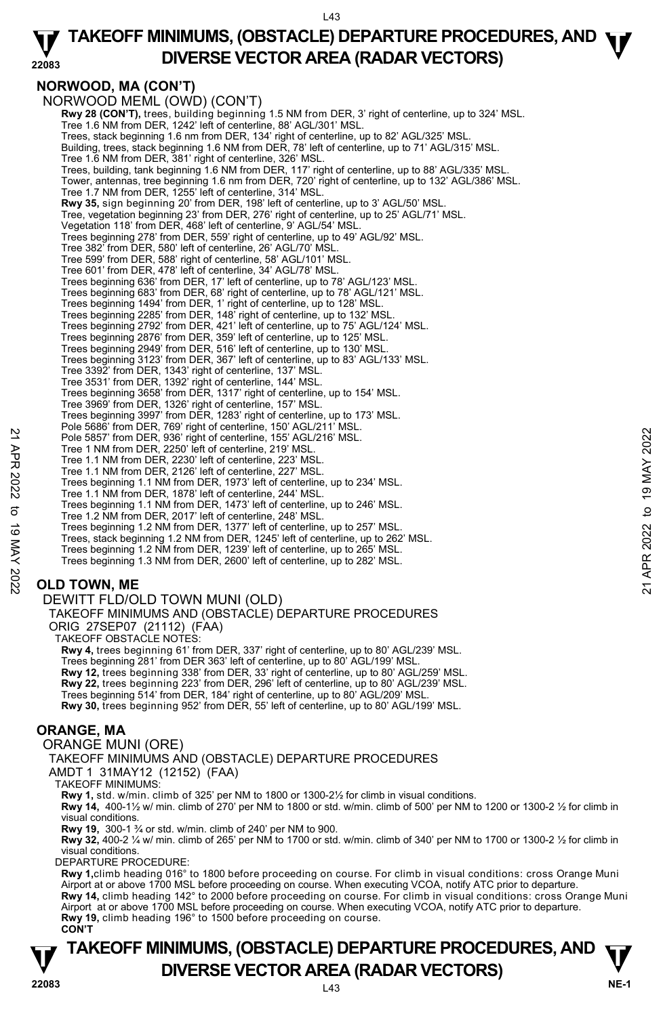#### **22083 TAKEOFF MINIMUMS, (OBSTACLE) DEPARTURE PROCEDURES, AND <b>W**<br>DIVERSE VECTOR AREA (BADAR VECTORS) **DIVERSE VECTOR AREA (RADAR VECTORS)**

## **NORWOOD, MA (CON'T)**

NORWOOD MEML (OWD) (CON'T) **Rwy 28 (CON'T),** trees, building beginning 1.5 NM from DER, 3' right of centerline, up to 324' MSL. Tree 1.6 NM from DER, 1242' left of centerline, 88' AGL/301' MSL. Trees, stack beginning 1.6 nm from DER, 134' right of centerline, up to 82' AGL/325' MSL. Building, trees, stack beginning 1.6 NM from DER, 78' left of centerline, up to 71' AGL/315' MSL. Tree 1.6 NM from DER, 381' right of centerline, 326' MSL. Trees, building, tank beginning 1.6 NM from DER, 117' right of centerline, up to 88' AGL/335' MSL. Tower, antennas, tree beginning 1.6 nm from DER, 720' right of centerline, up to 132' AGL/386' MSL. Tree 1.7 NM from DER, 1255' left of centerline, 314' MSL. **Rwy 35,** sign beginning 20' from DER, 198' left of centerline, up to 3' AGL/50' MSL. Tree, vegetation beginning 23' from DER, 276' right of centerline, up to 25' AGL/71' MSL. Vegetation 118' from DER, 468' left of centerline, 9' AGL/54' MSL. Trees beginning 278' from DER, 559' right of centerline, up to 49' AGL/92' MSL. Tree 382' from DER, 580' left of centerline, 26' AGL/70' MSL. Tree 599' from DER, 588' right of centerline, 58' AGL/101' MSL. Tree 601' from DER, 478' left of centerline, 34' AGL/78' MSL. Trees beginning 636' from DER, 17' left of centerline, up to 78' AGL/123' MSL. Trees beginning 683' from DER, 68' right of centerline, up to 78' AGL/121' MSL. Trees beginning 1494' from DER, 1' right of centerline, up to 128' MSL. Trees beginning 2285' from DER, 148' right of centerline, up to 132' MSL. Trees beginning 2792' from DER, 421' left of centerline, up to 75' AGL/124' MSL. Trees beginning 2876' from DER, 359' left of centerline, up to 125' MSL. Trees beginning 2949' from DER, 516' left of centerline, up to 130' MSL. Trees beginning 3123' from DER, 367' left of centerline, up to 83' AGL/133' MSL. Tree 3392' from DER, 1343' right of centerline, 137' MSL. Tree 3531' from DER, 1392' right of centerline, 144' MSL. Trees beginning 3658' from DER, 1317' right of centerline, up to 154' MSL. Tree 3969' from DER, 1326' right of centerline, 157' MSL. Trees beginning 3997' from DER, 1283' right of centerline, up to 173' MSL. Pole 5686' from DER, 769' right of centerline, 150' AGL/211' MSL. Pole 5857' from DER, 936' right of centerline, 155' AGL/216' MSL. Tree 1 NM from DER, 2250' left of centerline, 219' MSL. Tree 1.1 NM from DER, 2230' left of centerline, 223' MSL. Tree 1.1 NM from DER, 2126' left of centerline, 227' MSL. Trees beginning 1.1 NM from DER, 1973' left of centerline, up to 234' MSL. Tree 1.1 NM from DER, 1878' left of centerline, 244' MSL. Trees beginning 1.1 NM from DER, 1473' left of centerline, up to 246' MSL. Tree 1.2 NM from DER, 2017' left of centerline, 248' MSL. Trees beginning 1.2 NM from DER, 1377' left of centerline, up to 257' MSL. Trees, stack beginning 1.2 NM from DER, 1245' left of centerline, up to 262' MSL. Trees beginning 1.2 NM from DER, 1239' left of centerline, up to 265' MSL. Trees beginning 1.3 NM from DER, 2600' left of centerline, up to 282' MSL. Pole 5857 from DER, 336 right of centerline, 155 AGL/216' MSL.<br>
Tree 1.NM from DER, 2250' left of centerline, 219' MSL.<br>
Tree 1.1 NM from DER, 2220' left of centerline, 227 MSL.<br>
Tree 1.1 NM from DER, 2126' left of center

## **OLD TOWN, ME**

#### DEWITT FLD/OLD TOWN MUNI (OLD)

TAKEOFF MINIMUMS AND (OBSTACLE) DEPARTURE PROCEDURES ORIG 27SEP07 (21112) (FAA)

TAKEOFF OBSTACLE NOTES:

**Rwy 4,** trees beginning 61' from DER, 337' right of centerline, up to 80' AGL/239' MSL. Trees beginning 281' from DER 363' left of centerline, up to 80' AGL/199' MSL. **Rwy 12,** trees beginning 338' from DER, 33' right of centerline, up to 80' AGL/259' MSL. **Rwy 22,** trees beginning 223' from DER, 296' left of centerline, up to 80' AGL/239' MSL. Trees beginning 514' from DER, 184' right of centerline, up to 80' AGL/209' MSL. **Rwy 30,** trees beginning 952' from DER, 55' left of centerline, up to 80' AGL/199' MSL.

## **ORANGE, MA**

ORANGE MUNI (ORE)

TAKEOFF MINIMUMS AND (OBSTACLE) DEPARTURE PROCEDURES

AMDT 1 31MAY12 (12152) (FAA)

TAKEOFF MINIMUMS:

**Rwy 1,** std. w/min. climb of 325' per NM to 1800 or 1300-2½ for climb in visual conditions.

**Rwy 14,** 400-1½ w/ min. climb of 270' per NM to 1800 or std. w/min. climb of 500' per NM to 1200 or 1300-2 ½ for climb in visual conditions.

**Rwy 19,** 300-1 ¾ or std. w/min. climb of 240' per NM to 900.

**Rwy 32,** 400-2 ¼ w/ min. climb of 265' per NM to 1700 or std. w/min. climb of 340' per NM to 1700 or 1300-2 ½ for climb in visual conditions.

DEPARTURE PROCEDURE:

**Rwy 1,**climb heading 016° to 1800 before proceeding on course. For climb in visual conditions: cross Orange Muni Airport at or above 1700 MSL before proceeding on course. When executing VCOA, notify ATC prior to departure. **Rwy 14,** climb heading 142° to 2000 before proceeding on course. For climb in visual conditions: cross Orange Muni Airport at or above 1700 MSL before proceeding on course. When executing VCOA, notify ATC prior to departure.

**Rwy 19,** climb heading 196° to 1500 before proceeding on course.  **CON'T**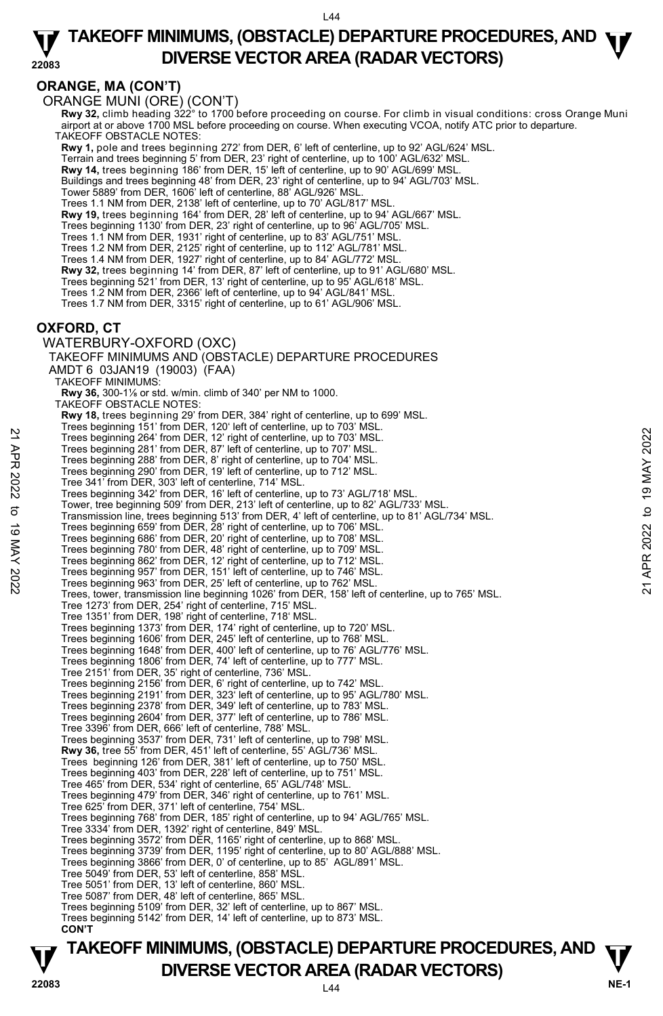## **TAKEOFF MINIMUMS, (OBSTACLE) DEPARTURE PROCEDURES, AND <b>W**<br>DIVERSE VECTOR AREA (BADAR VECTORS) **DIVERSE VECTOR AREA (RADAR VECTORS)**

**22083** 

## **ORANGE, MA (CON'T)**

ORANGE MUNI (ORE) (CON'T)

**TAKEOFF MINIMUMS, (OBSTACLE) DEPARTURE PROCEDURES, AND**  $\Psi$ **<br>DIVERSE VECTOR AREA (RADAR VECTORS) V** DIVERSE VECTOR AREA (RADAR VECTORS) V<br>22083 Rwy 32, climb heading 322° to 1700 before proceeding on course. For climb in visual conditions: cross Orange Muni<br>airport at or above 1700 MSL before proceeding on course. When executing VCOA, notify ATC prior to departure TAKEOFF OBSTACLE NOTES: **Rwy 1,** pole and trees beginning 272' from DER, 6' left of centerline, up to 92' AGL/624' MSL. Terrain and trees beginning 5' from DER, 23' right of centerline, up to 100' AGL/632' MSL. **Rwy 14,** trees beginning 186' from DER, 15' left of centerline, up to 90' AGL/699' MSL. Buildings and trees beginning 48' from DER, 23' right of centerline, up to 94' AGL/703' MSL. Tower 5889' from DER, 1606' left of centerline, 88' AGL/926' MSL. Trees 1.1 NM from DER, 2138' left of centerline, up to 70' AGL/817' MSL. **Rwy 19,** trees beginning 164' from DER, 28' left of centerline, up to 94' AGL/667' MSL. Trees beginning 1130' from DER, 23' right of centerline, up to 96' AGL/705' MSL.<br>Trees 1.1 NM from DER, 1931' right of centerline, up to 83' AGL/751' MSL.<br>Trees 1.2 NM from DER, 2125' right of centerline, up to 112' AGL/78 Trees 1.4 NM from DER, 1927' right of centerline, up to 84' AGL/772' MSL. **Rwy 32,** trees beginning 14' from DER, 87' left of centerline, up to 91' AGL/680' MSL. Trees beginning 521' from DER, 13' right of centerline, up to 95' AGL/618' MSL. Trees 1.2 NM from DER, 2366' left of centerline, up to 94' AGL/841' MSL. Trees 1.7 NM from DER, 3315' right of centerline, up to 61' AGL/906' MSL. **OXFORD, CT**  WATERBURY-OXFORD (OXC) TAKEOFF MINIMUMS AND (OBSTACLE) DEPARTURE PROCEDURES AMDT 6 03JAN19 (19003) (FAA) TAKEOFF MINIMUMS: **Rwy 36,** 300-1⅛ or std. w/min. climb of 340' per NM to 1000. TAKEOFF OBSTACLE NOTES: **Rwy 18,** trees beginning 29' from DER, 384' right of centerline, up to 699' MSL. Trees beginning 151' from DER, 120' left of centerline, up to 703' MSL. Trees beginning 264' from DER, 12' right of centerline, up to 703' MSL. Trees beginning 281' from DER, 87' left of centerline, up to 707' MSL. Trees beginning 288' from DER, 8' right of centerline, up to 704' MSL. Trees beginning 290' from DER, 19' left of centerline, up to 712' MSL. Tree 341' from DER, 303' left of centerline, 714' MSL. Trees beginning 342' from DER, 16' left of centerline, up to 73' AGL/718' MSL. Tower, tree beginning 509' from DER, 213' left of centerline, up to 82' AGL/733' MSL. Transmission line, trees beginning 513' from DER, 4' left of centerline, up to 81' AGL/734' MSL. Trees beginning 659' from DER, 28' right of centerline, up to 706' MSL. Trees beginning 686' from DER, 20' right of centerline, up to 708' MSL. Trees beginning 780' from DER, 48' right of centerline, up to 709' MSL. Trees beginning 862' from DER, 12' right of centerline, up to 712' MSL. Trees beginning 957' from DER, 151' left of centerline, up to 746' MSL. Trees beginning 963' from DER, 25' left of centerline, up to 762' MSL. Trees, tower, transmission line beginning 1026' from DER, 158' left of centerline, up to 765' MSL. Tree 1273' from DER, 254' right of centerline, 715' MSL. Tree 1351' from DER, 198' right of centerline, 718' MSL. Trees beginning 1373' from DER, 174' right of centerline, up to 720' MSL. Trees beginning 1606' from DER, 245' left of centerline, up to 768' MSL. Trees beginning 1648' from DER, 400' left of centerline, up to 76' AGL/776' MSL. Trees beginning 1806' from DER, 74' left of centerline, up to 777' MSL. Tree 2151' from DER, 35' right of centerline, 736' MSL. Trees beginning 2156' from DER, 6' right of centerline, up to 742' MSL. Trees beginning 2191' from DER, 323' left of centerline, up to 95' AGL/780' MSL. Trees beginning 2378' from DER, 349' left of centerline, up to 783' MSL. Trees beginning 2604' from DER, 377' left of centerline, up to 786' MSL. Tree 3396' from DER, 666' left of centerline, 788' MSL. Trees beginning 3537' from DER, 731' left of centerline, up to 798' MSL. **Rwy 36,** tree 55' from DER, 451' left of centerline, 55' AGL/736' MSL. Trees beginning 126' from DER, 381' left of centerline, up to 750' MSL. Trees beginning 403' from DER, 228' left of centerline, up to 751' MSL. Tree 465' from DER, 534' right of centerline, 65' AGL/748' MSL. Trees beginning 479' from DER, 346' right of centerline, up to 761' MSL. Tree 625' from DER, 371' left of centerline, 754' MSL. Trees beginning 768' from DER, 185' right of centerline, up to 94' AGL/765' MSL. Tree 3334' from DER, 1392' right of centerline, 849' MSL. Trees beginning 3572' from DER, 1165' right of centerline, up to 868' MSL. Trees beginning 3739' from DER, 1195' right of centerline, up to 80' AGL/888' MSL. Trees beginning 3866' from DER, 0' of centerline, up to 85' AGL/891' MSL. Tree 5049' from DER, 53' left of centerline, 858' MSL. Tree 5051' from DER, 13' left of centerline, 860' MSL. Tree 5087' from DER, 48' left of centerline, 865' MSL. Trees beginning 5109' from DER, 32' left of centerline, up to 867' MSL. Trees beginning 5142' from DER, 14' left of centerline, up to 873' MSL. **CON'T** 22 Trees beginning 264' from DER, 12' right of centerline, up to 703' MSL.<br>
Trees beginning 284' from DER, 87' left of centerline, up to 703' MSL.<br>
Trees beginning 289' from DER, 8' right of centerline, up to 704' MSL.<br>
T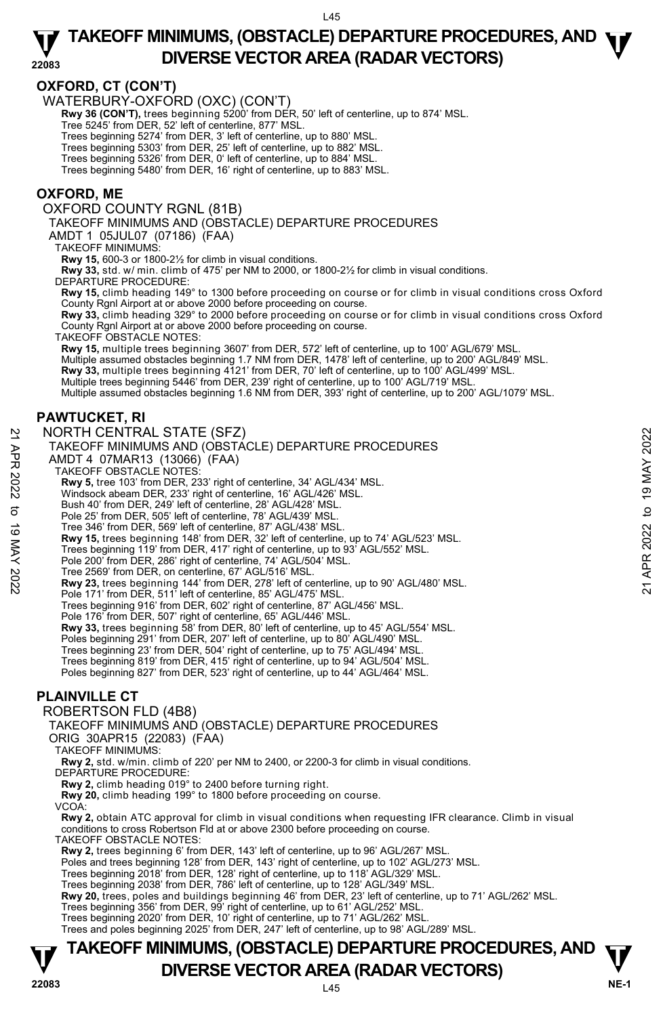#### **OXFORD, CT (CON'T)**

WATERBURY-OXFORD (OXC) (CON'T)

**Rwy 36 (CON'T),** trees beginning 5200' from DER, 50' left of centerline, up to 874' MSL. Tree 5245' from DER, 52' left of centerline, 877' MSL.

Trees beginning 5274' from DER, 3' left of centerline, up to 880' MSL.<br>Trees beginning 5303' from DER, 25' left of centerline, up to 884' MSL.<br>Trees beginning 5326' from DER, 0' left of centerline, up to 884' MSL.

Trees beginning 5480' from DER, 16' right of centerline, up to 883' MSL.

### **OXFORD, ME**

OXFORD COUNTY RGNL (81B)

TAKEOFF MINIMUMS AND (OBSTACLE) DEPARTURE PROCEDURES

AMDT 1 05JUL07 (07186) (FAA)

TAKEOFF MINIMUMS:

**Rwy 15,** 600-3 or 1800-2½ for climb in visual conditions.

**Rwy 33,** std. w/ min. climb of 475' per NM to 2000, or 1800-2½ for climb in visual conditions. DEPARTURE PROCEDURE:

**Rwy 15,** climb heading 149° to 1300 before proceeding on course or for climb in visual conditions cross Oxford County Rgnl Airport at or above 2000 before proceeding on course.

**Rwy 33,** climb heading 329° to 2000 before proceeding on course or for climb in visual conditions cross Oxford County Rgnl Airport at or above 2000 before proceeding on course.

TAKEOFF OBSTACLE NOTES:

**Rwy 15,** multiple trees beginning 3607' from DER, 572' left of centerline, up to 100' AGL/679' MSL.<br>Multiple assumed obstacles beginning 1.7 NM from DER, 1478' left of centerline, up to 200' AGL/849' MSL.<br>**Rwy 33,** multip Multiple trees beginning 5446' from DER, 239' right of centerline, up to 100' AGL/719' MSL Multiple assumed obstacles beginning 1.6 NM from DER, 393' right of centerline, up to 200' AGL/1079' MSL.

### **PAWTUCKET, RI**

#### NORTH CENTRAL STATE (SFZ)

TAKEOFF MINIMUMS AND (OBSTACLE) DEPARTURE PROCEDURES AMDT 4 07MAR13 (13066) (FAA) TAKEOFF OBSTACLE NOTES: **Rwy 5,** tree 103' from DER, 233' right of centerline, 34' AGL/434' MSL. Windsock abeam DER, 233' right of centerline, 16' AGL/426' MSL. Bush 40' from DER, 249' left of centerline, 28' AGL/428' MSL. Pole 25' from DER, 505' left of centerline, 78' AGL/439' MSL. Tree 346' from DER, 569' left of centerline, 87' AGL/438' MSL. **Rwy 15,** trees beginning 148' from DER, 32' left of centerline, up to 74' AGL/523' MSL.<br>Trees beginning 119' from DER, 417' right of centerline, up to 93' AGL/552' MSL. Pole 200' from DER, 286' right of centerline, 74' AGL/504' MSL. NORTH CENTRAL STATE (SFZ)<br>
TAKEOFF MINIMUMS AND (OBSTACLE) DEPARTURE PROCEDURES<br>
AMDT 4 07MAR13 (13066) (FAA)<br>
22 TAKEOFF OBSTACLE NOTES:<br>
Rwy 5, tree 103' from DER, 233' right of centerline, 34' AGL/434' MSL.<br>
23 TAKEOFF

Tree 2569' from DER, on centerline, 67' AGL/516' MSL.

**Rwy 23,** trees beginning 144' from DER, 278' left of centerline, up to 90' AGL/480' MSL.<br>Pole 171' from DER, 511' left of centerline, 85' AGL/475' MSL.

Trees beginning 916' from DER, 602' right of centerline, 87' AGL/456' MSL.

Pole 176' from DER, 507' right of centerline, 65' AGL/446' MSL. **Rwy 33,** trees beginning 58' from DER, 80' left of centerline, up to 45' AGL/554' MSL.

Poles beginning 291' from DER, 207' left of centerline, up to 80' AGL/490' MSL.

Trees beginning 23' from DER, 504' right of centerline, up to 75' AGL/494' MSL.

Trees beginning 819' from DER, 415' right of centerline, up to 94' AGL/504' MSL.

Poles beginning 827' from DER, 523' right of centerline, up to 44' AGL/464' MSL.

### **PLAINVILLE CT**

#### ROBERTSON FLD (4B8)

TAKEOFF MINIMUMS AND (OBSTACLE) DEPARTURE PROCEDURES

ORIG 30APR15 (22083) (FAA)

TAKEOFF MINIMUMS:

**Rwy 2,** std. w/min. climb of 220' per NM to 2400, or 2200-3 for climb in visual conditions. DEPARTURE PROCEDURE:

**Rwy 2,** climb heading 019° to 2400 before turning right.

**Rwy 20,** climb heading 199° to 1800 before proceeding on course.

VCOA:

**Rwy 2,** obtain ATC approval for climb in visual conditions when requesting IFR clearance. Climb in visual conditions to cross Robertson Fld at or above 2300 before proceeding on course.

TAKEOFF OBSTACLE NOTES:

**Rwy 2,** trees beginning 6' from DER, 143' left of centerline, up to 96' AGL/267' MSL.

Poles and trees beginning 128' from DER, 143' right of centerline, up to 102' AGL/273' MSL.

Trees beginning 2018' from DER, 128' right of centerline, up to 118' AGL/329' MSL. Trees beginning 2038' from DER, 786' left of centerline, up to 128' AGL/349' MSL.

**Rwy 20,** trees, poles and buildings beginning 46' from DER, 23' left of centerline, up to 71' AGL/262' MSL.

Trees beginning 356' from DER, 99' right of centerline, up to 61' AGL/252' MSL.

Trees beginning 2020' from DER, 10' right of centerline, up to 71' AGL/262' MSL.

Trees and poles beginning 2025' from DER, 247' left of centerline, up to 98' AGL/289' MSL.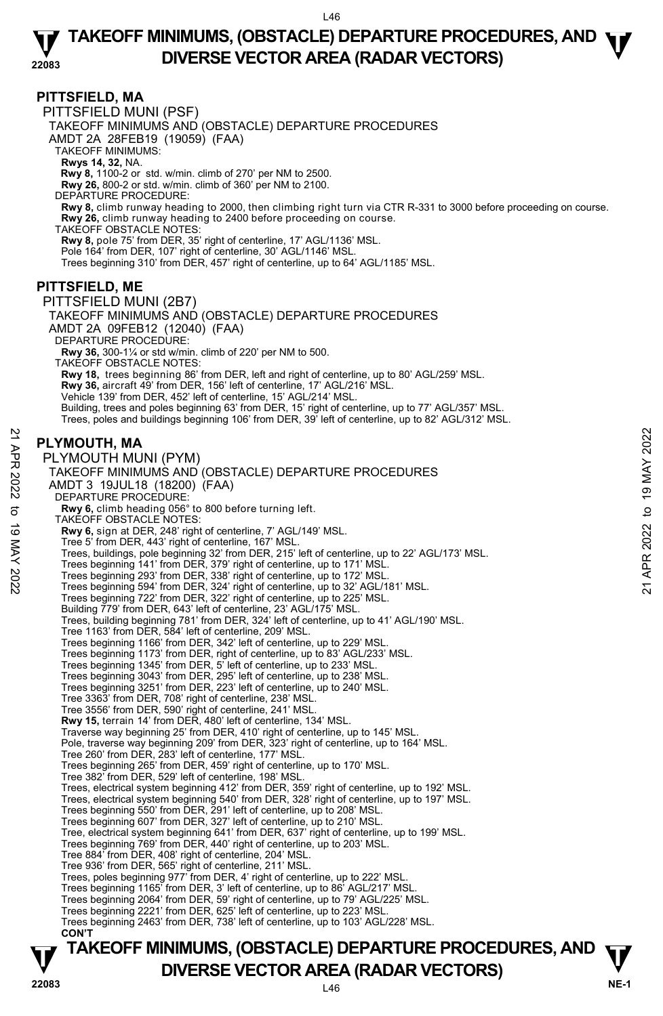**PITTSFIELD, MA**  PITTSFIELD MUNI (PSF) TAKEOFF MINIMUMS AND (OBSTACLE) DEPARTURE PROCEDURES AMDT 2A 28FEB19 (19059) (FAA) TAKEOFF MINIMUMS: **Rwys 14, 32,** NA.  **Rwy 8,** 1100-2 or std. w/min. climb of 270' per NM to 2500. **Rwy 26,** 800-2 or std. w/min. climb of 360' per NM to 2100. DEPARTURE PROCEDURE: **Rwy 8,** climb runway heading to 2000, then climbing right turn via CTR R-331 to 3000 before proceeding on course. **Rwy 26,** climb runway heading to 2400 before proceeding on course. TAKEOFF OBSTACLE NOTES: **Rwy 8,** pole 75' from DER, 35' right of centerline, 17' AGL/1136' MSL. Pole 164' from DER, 107' right of centerline, 30' AGL/1146' MSL. Trees beginning 310' from DER, 457' right of centerline, up to 64' AGL/1185' MSL. **PITTSFIELD, ME**  PITTSFIELD MUNI (2B7) TAKEOFF MINIMUMS AND (OBSTACLE) DEPARTURE PROCEDURES AMDT 2A 09FEB12 (12040) (FAA) DEPARTURE PROCEDURE: **Rwy 36,** 300-1¼ or std w/min. climb of 220' per NM to 500. TAKEOFF OBSTACLE NOTES: **Rwy 18,** trees beginning 86' from DER, left and right of centerline, up to 80' AGL/259' MSL. **Rwy 36,** aircraft 49' from DER, 156' left of centerline, 17' AGL/216' MSL.<br>Vehicle 139' from DER, 452' left of centerline, 15' AGL/214' MSL. Building, trees and poles beginning 63' from DER, 15' right of centerline, up to 77' AGL/357' MSL. Trees, poles and buildings beginning 106' from DER, 39' left of centerline, up to 82' AGL/312' MSL. **PLYMOUTH, MA**  PLYMOUTH MUNI (PYM) TAKEOFF MINIMUMS AND (OBSTACLE) DEPARTURE PROCEDURES AMDT 3 19JUL18 (18200) (FAA) DEPARTURE PROCEDURE **Rwy 6,** climb heading 056° to 800 before turning left. TAKEOFF OBSTACLE NOTES: **Rwy 6,** sign at DER, 248' right of centerline, 7' AGL/149' MSL. Tree 5' from DER, 443' right of centerline, 167' MSL. Trees, buildings, pole beginning 32' from DER, 215' left of centerline, up to 22' AGL/173' MSL. Trees beginning 141' from DER, 379' right of centerline, up to 171' MSL. PLYMOUTH, MA<br>
PLYMOUTH MUNI (PYM)<br>
TAKEOFF MINIMUMS AND (OBSTACLE) DEPARTURE PROCEDURES<br>
AMDT 3 19JUL18 (18200) (FAA)<br>
DEPARTURE PROCEDURES<br>
AMDT 3 19JUL18 (18200) (FAA)<br> **EVARTURE PROCEDURES**<br> **RWY 6**, eilmb heading 056° Trees beginning 722' from DER, 322' right of centerline, up to 225' MSL. Building 779' from DER, 643' left of centerline, 23' AGL/175' MSL. Trees, building beginning 781' from DER, 324' left of centerline, up to 41' AGL/190' MSL. Tree 1163' from DER, 584' left of centerline, 209' MSL. Trees beginning 1166' from DER, 342' left of centerline, up to 229' MSL. Trees beginning 1173' from DER, right of centerline, up to 83' AGL/233' MSL. Trees beginning 1345' from DER, 5' left of centerline, up to 233' MSL. Trees beginning 3043' from DER, 295' left of centerline, up to 238' MSL. Trees beginning 3251' from DER, 223' left of centerline, up to 240' MSL. Tree 3363' from DER, 708' right of centerline, 238' MSL. Tree 3556' from DER, 590' right of centerline, 241' MSL. **Rwy 15,** terrain 14' from DER, 480' left of centerline, 134' MSL. Traverse way beginning 25' from DER, 410' right of centerline, up to 145' MSL. Pole, traverse way beginning 209' from DER, 323' right of centerline, up to 164' MSL. Tree 260' from DER, 283' left of centerline, 177' MSL. Trees beginning 265' from DER, 459' right of centerline, up to 170' MSL. Tree 382' from DER, 529' left of centerline, 198' MSL. Trees, electrical system beginning 412' from DER, 359' right of centerline, up to 192' MSL. Trees, electrical system beginning 540' from DER, 328' right of centerline, up to 197' MSL. Trees beginning 550' from DER, 291' left of centerline, up to 208' MSL. Trees beginning 607' from DER, 327' left of centerline, up to 210' MSL. Tree, electrical system beginning 641' from DER, 637' right of centerline, up to 199' MSL. Trees beginning 769' from DER, 440' right of centerline, up to 203' MSL. Tree 884' from DER, 408' right of centerline, 204' MSL. Tree 936' from DER, 565' right of centerline, 211' MSL. Trees, poles beginning 977' from DER, 4' right of centerline, up to 222' MSL.<br>Trees beginning 1165' from DER, 3' left of centerline, up to 86' AGL/217' MSL.<br>Trees beginning 2064' from DER, 59' right of centerline, up to 79 Trees beginning 2221' from DER, 625' left of centerline, up to 223' MSL. Trees beginning 2463' from DER, 738' left of centerline, up to 103' AGL/228' MSL. **CON'T**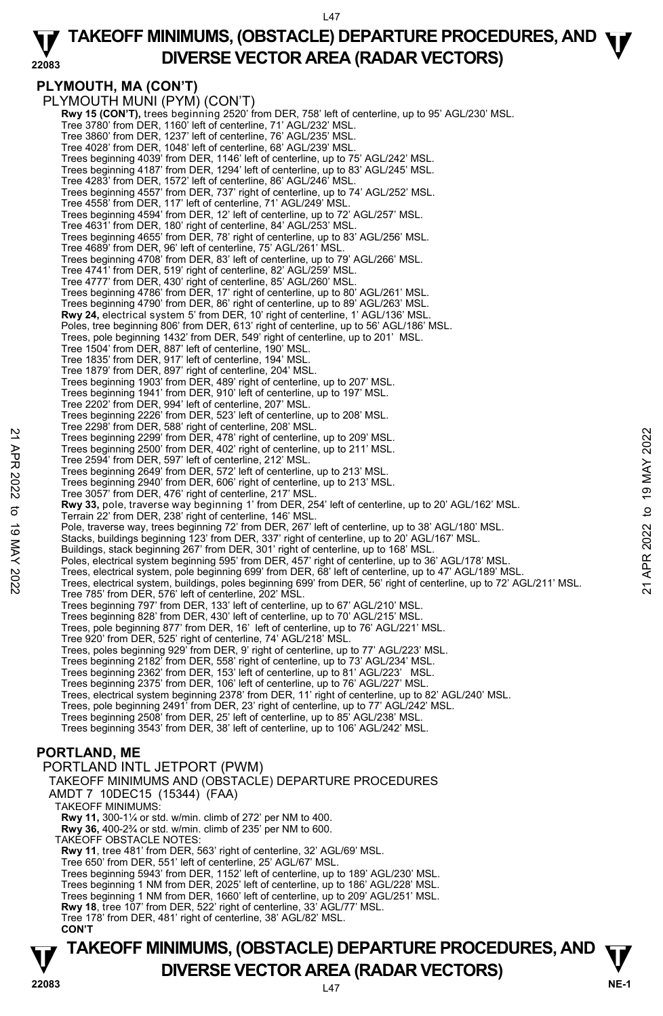#### **22083 TAKEOFF MINIMUMS, (OBSTACLE) DEPARTURE PROCEDURES, AND <b>W**<br>DIVERSE VECTOR AREA (BADAR VECTORS) **DIVERSE VECTOR AREA (RADAR VECTORS)**

## **PLYMOUTH, MA (CON'T)**

PLYMOUTH MUNI (PYM) (CON'T) **Rwy 15 (CON'T),** trees beginning 2520' from DER, 758' left of centerline, up to 95' AGL/230' MSL.<br>Tree 3780' from DER, 1160' left of centerline, 71' AGL/232' MSL. Tree 3860' from DER, 1237' left of centerline, 76' AGL/235' MSL. Tree 4028' from DER, 1048' left of centerline, 68' AGL/239' MSL. Trees beginning 4039' from DER, 1146' left of centerline, up to 75' AGL/242' MSL. Trees beginning 4187' from DER, 1294' left of centerline, up to 83' AGL/245' MSL. Tree 4283' from DER, 1572' left of centerline, 86' AGL/246' MSL. Trees beginning 4557' from DER, 737' right of centerline, up to 74' AGL/252' MSL. Tree 4558' from DER, 117' left of centerline, 71' AGL/249' MSL. Trees beginning 4594' from DER, 12' left of centerline, up to 72' AGL/257' MSL. Tree 4631' from DER, 180' right of centerline, 84' AGL/253' MSL. Trees beginning 4655' from DER, 78' right of centerline, up to 83' AGL/256' MSL. Tree 4689' from DER, 96' left of centerline, 75' AGL/261' MSL. Trees beginning 4708' from DER, 83' left of centerline, up to 79' AGL/266' MSL. Tree 4741' from DER, 519' right of centerline, 82' AGL/259' MSL. Tree 4777' from DER, 430' right of centerline, 85' AGL/260' MSL. Trees beginning 4786' from DER, 17' right of centerline, up to 80' AGL/261' MSL. Trees beginning 4790' from DER, 86' right of centerline, up to 89' AGL/263' MSL. **Rwy 24,** electrical system 5' from DER, 10' right of centerline, 1' AGL/136' MSL. Poles, tree beginning 806' from DER, 613' right of centerline, up to 56' AGL/186' MSL. Trees, pole beginning 1432' from DER, 549' right of centerline, up to 201' MSL. Tree 1504' from DER, 887' left of centerline, 190' MSL. Tree 1835' from DER, 917' left of centerline, 194' MSL. Tree 1879' from DER, 897' right of centerline, 204' MSL. Trees beginning 1903' from DER, 489' right of centerline, up to 207' MSL. Trees beginning 1941' from DER, 910' left of centerline, up to 197' MSL. Tree 2202' from DER, 994' left of centerline, 207' MSL. Trees beginning 2226' from DER, 523' left of centerline, up to 208' MSL. Tree 2298' from DER, 588' right of centerline, 208' MSL. Trees beginning 2299' from DER, 478' right of centerline, up to 209' MSL. Trees beginning 2500' from DER, 402' right of centerline, up to 211' MSL. Tree 2594' from DER, 597' left of centerline, 212' MSL. Trees beginning 2649' from DER, 572' left of centerline, up to 213' MSL. Trees beginning 2940' from DER, 606' right of centerline, up to 213' MSL. Tree 3057' from DER, 476' right of centerline, 217' MSL. **Rwy 33,** pole, traverse way beginning 1' from DER, 254' left of centerline, up to 20' AGL/162' MSL. Terrain 22' from DER, 238' right of centerline, 146' MSL. Pole, traverse way, trees beginning 72' from DER, 267' left of centerline, up to 38' AGL/180' MSL. Stacks, buildings beginning 123' from DER, 337' right of centerline, up to 20' AGL/167' MSL.<br>Buildings, stack beginning 267' from DER, 301' right of centerline, up to 168' MSL.<br>Poles, electrical system beginning 595' from Trees, electrical system, pole beginning 699' from DER, 68' left of centerline, up to 47' AGL/189' MSL. Trees, electrical system, buildings, poles beginning 699' from DER, 56' right of centerline, up to 72' AGL/211' MSL. Tree 785' from DER, 576' left of centerline, 202' MSL. Trees beginning 797' from DER, 133' left of centerline, up to 67' AGL/210' MSL. Trees beginning 828' from DER, 430' left of centerline, up to 70' AGL/215' MSL. Trees, pole beginning 877' from DER, 16' left of centerline, up to 76' AGL/221' MSL. Tree 920' from DER, 525' right of centerline, 74' AGL/218' MSL. Trees, poles beginning 929' from DER, 9' right of centerline, up to 77' AGL/223' MSL. Trees beginning 2182' from DER, 558' right of centerline, up to 73' AGL/234' MSL. Trees beginning 2362' from DER, 153' left of centerline, up to 81' AGL/223' MSL. Trees beginning 2375' from DER, 106' left of centerline, up to 76' AGL/227' MSL. Trees, electrical system beginning 2378' from DER, 11' right of centerline, up to 82' AGL/240' MSL. Trees, pole beginning 2491' from DER, 23' right of centerline, up to 77' AGL/242' MSL. Trees beginning 2508' from DER, 25' left of centerline, up to 85' AGL/238' MSL. Trees beginning 3543' from DER, 38' left of centerline, up to 106' AGL/242' MSL. **PORTLAND, ME**  PORTLAND INTL JETPORT (PWM) TAKEOFF MINIMUMS AND (OBSTACLE) DEPARTURE PROCEDURES AMDT 7 10DEC15 (15344) (FAA) TAKEOFF MINIMUMS: **Rwy 11,** 300-1¼ or std. w/min. climb of 272' per NM to 400. **Rwy 36,** 400-2¾ or std. w/min. climb of 235' per NM to 600. TAKEOFF OBSTACLE NOTES: **Rwy 11**, tree 481' from DER, 563' right of centerline, 32' AGL/69' MSL. Tree 650' from DER, 551' left of centerline, 25' AGL/67' MSL. 22 Trees beginning 2299 'from DER, 402' right of centerline, up to 209 MSL.<br>
Trees beginning 2590 'from DER, 402' right of centerline, up to 211' MSL.<br>
Trees Deginning 2600' from DER, 402' right of centerline, up to 211' M

Trees beginning 1 NM from DER, 1660' left of centerline, up to 209' AGL/251' MSL.

- **Rwy 18**, tree 107' from DER, 522' right of centerline, 33' AGL/77' MSL.
- Tree 178' from DER, 481' right of centerline, 38' AGL/82' MSL.  **CON'T**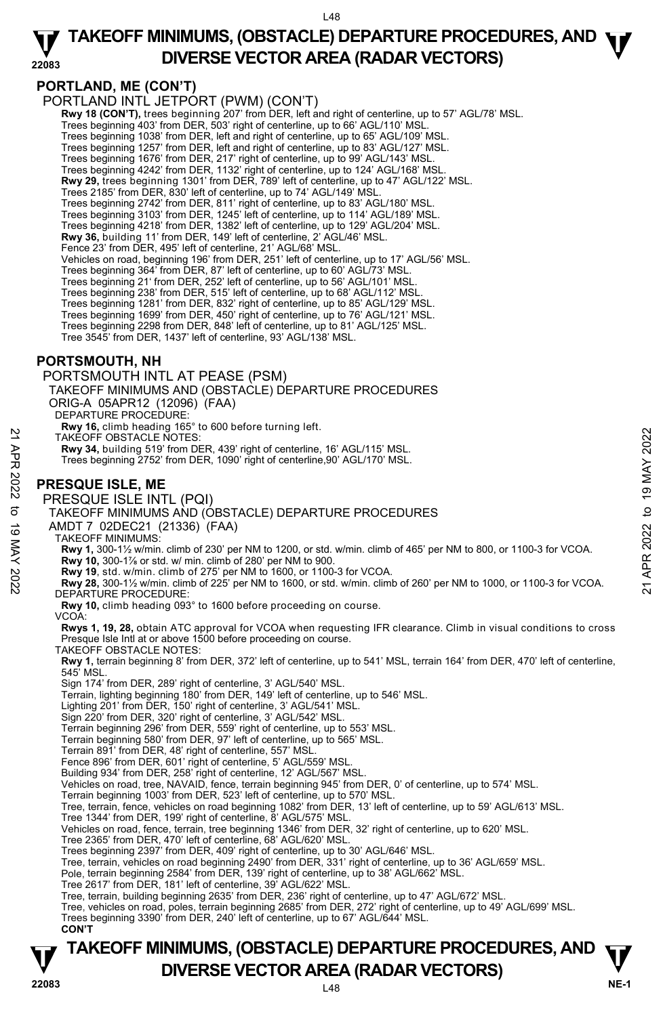#### **22083 TAKEOFF MINIMUMS, (OBSTACLE) DEPARTURE PROCEDURES, AND <b>W**<br>DIVERSE VECTOR AREA (BADAR VECTORS) **DIVERSE VECTOR AREA (RADAR VECTORS)**

## **PORTLAND, ME (CON'T)**

PORTLAND INTL JETPORT (PWM) (CON'T)

**Rwy 18 (CON'T),** trees beginning 207' from DER, left and right of centerline, up to 57' AGL/78' MSL.

Trees beginning 403' from DER, 503' right of centerline, up to 66' AGL/110' MSL.

Trees beginning 1038' from DER, left and right of centerline, up to 65' AGL/109' MSL.<br>Trees beginning 1257' from DER, left and right of centerline, up to 83' AGL/127' MSL.<br>Trees beginning 1676' from DER, 217' right of cent

Trees beginning 4242' from DER, 1132' right of centerline, up to 124' AGL/168' MSL. **Rwy 29,** trees beginning 1301' from DER, 789' left of centerline, up to 47' AGL/122' MSL.

- Trees 2185' from DER, 830' left of centerline, up to 74' AGL/149' MSL.
- Trees beginning 2742' from DER, 811' right of centerline, up to 83' AGL/180' MSL.

Trees beginning 3103' from DER, 1245' left of centerline, up to 114' AGL/189' MSL.

Trees beginning 4218' from DER, 1382' left of centerline, up to 129' AGL/204' MSL.

**Rwy 36,** building 11' from DER, 149' left of centerline, 2' AGL/46' MSL.

Fence 23' from DER, 495' left of centerline, 21' AGL/68' MSL.

Vehicles on road, beginning 196' from DER, 251' left of centerline, up to 17' AGL/56' MSL.

Trees beginning 364' from DER, 87' left of centerline, up to 60' AGL/73' MSL. Trees beginning 21' from DER, 252' left of centerline, up to 56' AGL/101' MSL.

Trees beginning 238' from DER, 515' left of centerline, up to 68' AGL/112' MSL.

Trees beginning 1281' from DER, 832' right of centerline, up to 85' AGL/129' MSL. Trees beginning 1699' from DER, 450' right of centerline, up to 76' AGL/121' MSL.

Trees beginning 2298 from DER, 848' left of centerline, up to 81' AGL/125' MSL.

Tree 3545' from DER, 1437' left of centerline, 93' AGL/138' MSL.

## **PORTSMOUTH, NH**

PORTSMOUTH INTL AT PEASE (PSM) TAKEOFF MINIMUMS AND (OBSTACLE) DEPARTURE PROCEDURES ORIG-A 05APR12 (12096) (FAA)

DEPARTURE PROCEDURE:

**Rwy 16,** climb heading 165° to 600 before turning left. TAKEOFF OBSTACLE NOTES:

**Rwy 34,** building 519' from DER, 439' right of centerline, 16' AGL/115' MSL.

Trees beginning 2752' from DER, 1090' right of centerline,90' AGL/170' MSL.

## **PRESQUE ISLE, ME**

PRESQUE ISLE INTL (PQI)

TAKEOFF MINIMUMS AND (OBSTACLE) DEPARTURE PROCEDURES

AMDT 7 02DEC21 (21336) (FAA)

TAKEOFF MINIMUMS:

**Rwy 1,** 300-1½ w/min. climb of 230' per NM to 1200, or std. w/min. climb of 465' per NM to 800, or 1100-3 for VCOA.

 **Rwy 10,** 300-1⅞ or std. w/ min. climb of 280' per NM to 900.

TAKEOFF OBSTACLE NOTES:<br>
TAKEOFF OBSTACLE NOTES:<br>
Rwy 34, building 519' from DER, 439' right of centerline, 90' AGL/115' MSL.<br>
Trees beginning 2752' from DER, 439' right of centerline, 90' AGL/170' MSL.<br>
The SQUE ISLE, ME<br> DEPARTURE PROCEDURE:

**Rwy 10,** climb heading 093° to 1600 before proceeding on course.

VCOA:

**Rwys 1, 19, 28,** obtain ATC approval for VCOA when requesting IFR clearance. Climb in visual conditions to cross Presque Isle Intl at or above 1500 before proceeding on course.

TAKEOFF OBSTACLE NOTES:

**Rwy 1,** terrain beginning 8' from DER, 372' left of centerline, up to 541' MSL, terrain 164' from DER, 470' left of centerline, 545' MSL.

Sign 174' from DER, 289' right of centerline, 3' AGL/540' MSL.

Terrain, lighting beginning 180' from DER, 149' left of centerline, up to 546' MSL.

Lighting 201' from DER, 150' right of centerline, 3' AGL/541' MSL.

Sign 220' from DER, 320' right of centerline, 3' AGL/542' MSL.

Terrain beginning 296' from DER, 559' right of centerline, up to 553' MSL. Terrain beginning 580' from DER, 97' left of centerline, up to 565' MSL.

Terrain 891' from DER, 48' right of centerline, 557' MSL.

Fence 896' from DER, 601' right of centerline, 5' AGL/559' MSL.

Building 934' from DER, 258' right of centerline, 12' AGL/567' MSL.

Vehicles on road, tree, NAVAID, fence, terrain beginning 945' from DER, 0' of centerline, up to 574' MSL.

Terrain beginning 1003' from DER, 523' left of centerline, up to 570' MSL.

Tree, terrain, fence, vehicles on road beginning 1082' from DER, 13' left of centerline, up to 59' AGL/613' MSL. Tree 1344' from DER, 199' right of centerline, 8' AGL/575' MSL.

Vehicles on road, fence, terrain, tree beginning 1346' from DER, 32' right of centerline, up to 620' MSL.

Tree 2365' from DER, 470' left of centerline, 68' AGL/620' MSL. Trees beginning 2397' from DER, 409' right of centerline, up to 30' AGL/646' MSL.

Tree, terrain, vehicles on road beginning 2490' from DER, 331' right of centerline, up to 36' AGL/659' MSL.

Pole, terrain beginning 2584' from DER, 139' right of centerline, up to 38' AGL/662' MSL. Tree 2617' from DER, 181' left of centerline, 39' AGL/622' MSL.

Tree, terrain, building beginning 2635' from DER, 236' right of centerline, up to 47' AGL/672' MSL.

Tree, vehicles on road, poles, terrain beginning 2685' from DER, 272' right of centerline, up to 49' AGL/699' MSL.

Trees beginning 3390' from DER, 240' left of centerline, up to 67' AGL/644' MSL.  **CON'T**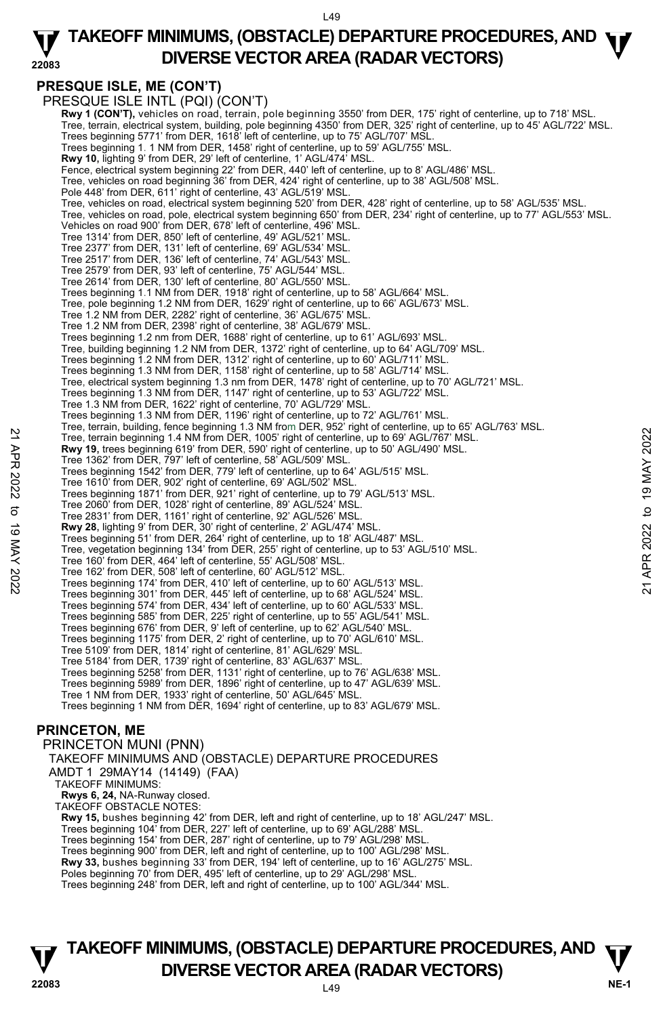#### **22083 TAKEOFF MINIMUMS, (OBSTACLE) DEPARTURE PROCEDURES, AND <b>W**<br>DIVERSE VECTOR AREA (BADAR VECTORS) **DIVERSE VECTOR AREA (RADAR VECTORS)**

## **PRESQUE ISLE, ME (CON'T)**

PRESQUE ISLE INTL (PQI) (CON'T) **Rwy 1 (CON'T),** vehicles on road, terrain, pole beginning 3550' from DER, 175' right of centerline, up to 718' MSL. Tree, terrain, electrical system, building, pole beginning 4350' from DER, 325' right of centerline, up to 45' AGL/722' MSL. Trees beginning 5771' from DER, 1618' left of centerline, up to 75' AGL/707' MSL. Trees beginning 1. 1 NM from DER, 1458' right of centerline, up to 59' AGL/755' MSL. **Rwy 10,** lighting 9' from DER, 29' left of centerline, 1' AGL/474' MSL. Fence, electrical system beginning 22' from DER, 440' left of centerline, up to 8' AGL/486' MSL. Tree, vehicles on road beginning 36' from DER, 424' right of centerline, up to 38' AGL/508' MSL. Pole 448' from DER, 611' right of centerline, 43' AGL/519' MSL Tree, vehicles on road, electrical system beginning 520' from DER, 428' right of centerline, up to 58' AGL/535' MSL. Tree, vehicles on road, pole, electrical system beginning 650' from DER, 234' right of centerline, up to 77' AGL/553' MSL. Vehicles on road 900' from DER, 678' left of centerline, 496' MSL. Tree 1314' from DER, 850' left of centerline, 49' AGL/521' MSL. Tree 2377' from DER, 131' left of centerline, 69' AGL/534' MSL. Tree 2517' from DER, 136' left of centerline, 74' AGL/543' MSL. Tree 2579' from DER, 93' left of centerline, 75' AGL/544' MSL. Tree 2614' from DER, 130' left of centerline, 80' AGL/550' MSL. Trees beginning 1.1 NM from DER, 1918' right of centerline, up to 58' AGL/664' MSL. Tree, pole beginning 1.2 NM from DER, 1629' right of centerline, up to 66' AGL/673' MSL. Tree 1.2 NM from DER, 2282' right of centerline, 36' AGL/675' MSL. Tree 1.2 NM from DER, 2398' right of centerline, 38' AGL/679' MSL. Trees beginning 1.2 nm from DER, 1688' right of centerline, up to 61' AGL/693' MSL. Tree, building beginning 1.2 NM from DER, 1372' right of centerline, up to 64' AGL/709' MSL.<br>Trees beginning 1.2 NM from DER, 1312' right of centerline, up to 60' AGL/711' MSL. Trees beginning 1.3 NM from DER, 1158' right of centerline, up to 58' AGL/714' MSL. Tree, electrical system beginning 1.3 nm from DER, 1478' right of centerline, up to 70' AGL/721' MSL.<br>Trees beginning 1.3 NM from DER, 1147' right of centerline, up to 53' AGL/722' MSL. Tree 1.3 NM from DER, 1622' right of centerline, 70' AGL/729' MSL. Trees beginning 1.3 NM from DER, 1196' right of centerline, up to 72' AGL/761' MSL. Tree, terrain, building, fence beginning 1.3 NM from DER, 952' right of centerline, up to 65' AGL/763' MSL.<br>Tree, terrain beginning 1.4 NM from DER, 1005' right of centerline, up to 69' AGL/767' MSL. **Rwy 19,** trees beginning 619' from DER, 590' right of centerline, up to 50' AGL/490' MSL. Tree 1362' from DER, 797' left of centerline, 58' AGL/509' MSL. Trees beginning 1542' from DER, 779' left of centerline, up to 64' AGL/515' MSL. Tree 1610' from DER, 902' right of centerline, 69' AGL/502' MSL. Trees beginning 1871' from DER, 921' right of centerline, up to 79' AGL/513' MSL. Tree 2060' from DER, 1028' right of centerline, 89' AGL/524' MSL. Tree 2831' from DER, 1161' right of centerline, 92' AGL/526' MSL. **Rwy 28,** lighting 9' from DER, 30' right of centerline, 2' AGL/474' MSL. Trees beginning 51' from DER, 264' right of centerline, up to 18' AGL/487' MSL. Tree, vegetation beginning 134' from DER, 255' right of centerline, up to 53' AGL/510' MSL. Tree 160' from DER, 464' left of centerline, 55' AGL/508' MSL. Tree 162' from DER, 508' left of centerline, 60' AGL/512' MSL. Trees beginning 174' from DER, 410' left of centerline, up to 60' AGL/513' MSL. Trees beginning 301' from DER, 445' left of centerline, up to 68' AGL/524' MSL. Trees beginning 574' from DER, 434' left of centerline, up to 60' AGL/533' MSL. Trees beginning 585' from DER, 225' right of centerline, up to 55' AGL/541' MSL. Trees beginning 676' from DER, 9' left of centerline, up to 62' AGL/540' MSL. Trees beginning 1175' from DER, 2' right of centerline, up to 70' AGL/610' MSL. Tree 5109' from DER, 1814' right of centerline, 81' AGL/629' MSL. Tree 5184' from DER, 1739' right of centerline, 83' AGL/637' MSL. Trees beginning 5258' from DER, 1131' right of centerline, up to 76' AGL/638' MSL. Trees beginning 5989' from DER, 1896' right of centerline, up to 47' AGL/639' MSL. Tree 1 NM from DER, 1933' right of centerline, 50' AGL/645' MSL. Trees beginning 1 NM from DER, 1694' right of centerline, up to 83' AGL/679' MSL. **PRINCETON, ME**  PRINCETON MUNI (PNN) TAKEOFF MINIMUMS AND (OBSTACLE) DEPARTURE PROCEDURES AMDT 1 29MAY14 (14149) (FAA) TAKEOFF MINIMUMS: **Rwys 6, 24,** NA-Runway closed. TAKEOFF OBSTACLE NOTES: 22 Tree, terrain beginning 1.4 NM from DER, 1005 right of centerline, up to 69 AGL/767 MSL.<br> **21 APR 19, tree beginning 1.4 NM from DER**, 1005 right of centerline, up to 69 AGL/767 MSL.<br> **22 Tree 1862** from the R, 797 lef

**Rwy 15,** bushes beginning 42' from DER, left and right of centerline, up to 18' AGL/247' MSL.

Trees beginning 104' from DER, 227' left of centerline, up to 69' AGL/288' MSL.

Trees beginning 154' from DER, 287' right of centerline, up to 79' AGL/298' MSL. Trees beginning 900' from DER, left and right of centerline, up to 100' AGL/298' MSL.

**Rwy 33,** bushes beginning 33' from DER, 194' left of centerline, up to 16' AGL/275' MSL.

Poles beginning 70' from DER, 495' left of centerline, up to 29' AGL/298' MSL Trees beginning 248' from DER, left and right of centerline, up to 100' AGL/344' MSL.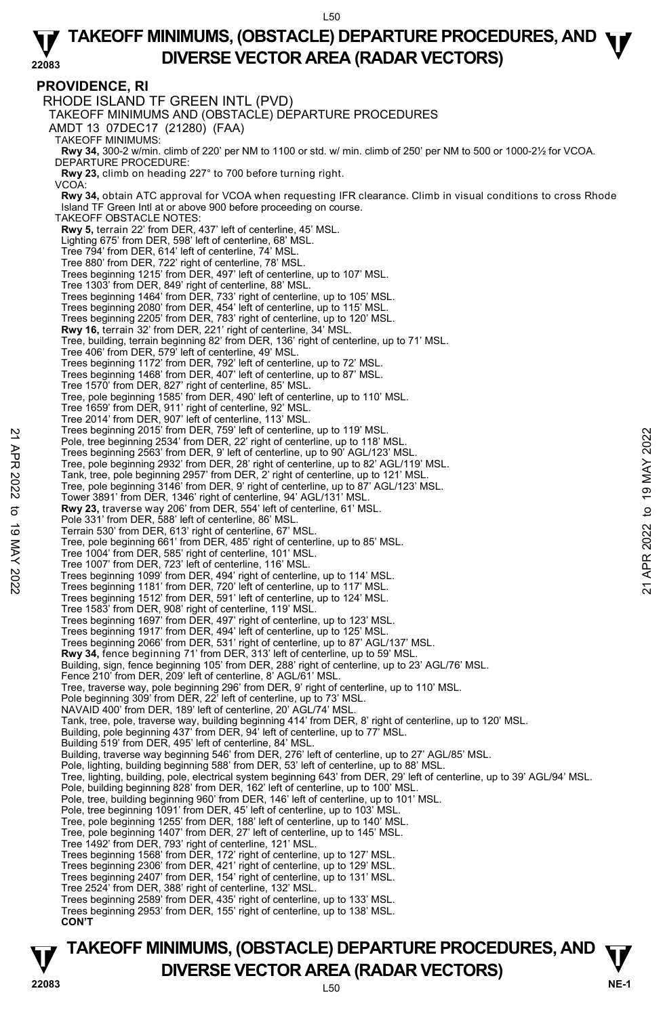#### **PROVIDENCE, RI**  RHODE ISLAND TF GREEN INTL (PVD) TAKEOFF MINIMUMS AND (OBSTACLE) DEPARTURE PROCEDURES AMDT 13 07DEC17 (21280) (FAA) TAKEOFF MINIMUMS: **Rwy 34,** 300-2 w/min. climb of 220' per NM to 1100 or std. w/ min. climb of 250' per NM to 500 or 1000-2½ for VCOA. DEPARTURE PROCEDURE: **Rwy 23,** climb on heading 227° to 700 before turning right. VCOA: **Rwy 34,** obtain ATC approval for VCOA when requesting IFR clearance. Climb in visual conditions to cross Rhode Island TF Green Intl at or above 900 before proceeding on course. TAKEOFF OBSTACLE NOTES: **Rwy 5,** terrain 22' from DER, 437' left of centerline, 45' MSL. Lighting 675' from DER, 598' left of centerline, 68' MSL. Tree 794' from DER, 614' left of centerline, 74' MSL. Tree 880' from DER, 722' right of centerline, 78' MSL. Trees beginning 1215' from DER, 497' left of centerline, up to 107' MSL. Tree 1303' from DER, 849' right of centerline, 88' MSL. Trees beginning 1464' from DER, 733' right of centerline, up to 105' MSL. Trees beginning 2080' from DER, 454' left of centerline, up to 115' MSL. Trees beginning 2205' from DER, 783' right of centerline, up to 120' MSL. **Rwy 16,** terrain 32' from DER, 221' right of centerline, 34' MSL. Tree, building, terrain beginning 82' from DER, 136' right of centerline, up to 71' MSL. Tree 406' from DER, 579' left of centerline, 49' MSL. Trees beginning 1172' from DER, 792' left of centerline, up to 72' MSL. Trees beginning 1468' from DER, 407' left of centerline, up to 87' MSL. Tree 1570' from DER, 827' right of centerline, 85' MSL. Tree, pole beginning 1585' from DER, 490' left of centerline, up to 110' MSL. Tree 1659' from DER, 911' right of centerline, 92' MSL. Tree 2014' from DER, 907' left of centerline, 113' MSL. Trees beginning 2015' from DER, 759' left of centerline, up to 119' MSL. Pole, tree beginning 2534' from DER, 22' right of centerline, up to 118' MSL. Trees beginning 2563' from DER, 9' left of centerline, up to 90' AGL/123' MSL. Tree, pole beginning 2932' from DER, 28' right of centerline, up to 82' AGL/119' MSL. Tank, tree, pole beginning 2957' from DER, 2' right of centerline, up to 121' MSL. Tree, pole beginning 3146' from DER, 9' right of centerline, up to 87' AGL/123' MSL. Tower 3891' from DER, 1346' right of centerline, 94' AGL/131' MSL. **Rwy 23,** traverse way 206' from DER, 554' left of centerline, 61' MSL. Pole 331' from DER, 588' left of centerline, 86' MSL. Terrain 530' from DER, 613' right of centerline, 67' MSL. Tree, pole beginning 661' from DER, 485' right of centerline, up to 85' MSL. Tree 1004' from DER, 585' right of centerline, 101' MSL. Tree 1007' from DER, 723' left of centerline, 116' MSL. Trees beginning 1099' from DER, 494' right of centerline, up to 114' MSL. Trees beginning 1181' from DER, 720' left of centerline, up to 117' MSL. Trees beginning 1512' from DER, 591' left of centerline, up to 124' MSL. Tree 1583' from DER, 908' right of centerline, 119' MSL. Trees beginning 1697' from DER, 497' right of centerline, up to 123' MSL. Trees beginning 1917' from DER, 494' left of centerline, up to 125' MSL. Trees beginning 2066' from DER, 531' right of centerline, up to 87' AGL/137' MSL. **Rwy 34,** fence beginning 71' from DER, 313' left of centerline, up to 59' MSL. Building, sign, fence beginning 105' from DER, 288' right of centerline, up to 23' AGL/76' MSL. Fence 210' from DER, 209' left of centerline, 8' AGL/61' MSL. Tree, traverse way, pole beginning 296' from DER, 9' right of centerline, up to 110' MSL. Pole beginning 309' from DER, 22' left of centerline, up to 73' MSL. NAVAID 400' from DER, 189' left of centerline, 20' AGL/74' MSL. Tank, tree, pole, traverse way, building beginning 414' from DER, 8' right of centerline, up to 120' MSL.<br>Building, pole beginning 437' from DER, 94' left of centerline, up to 77' MSL.<br>Building 519' from DER, 495' left of Building, traverse way beginning 546' from DER, 276' left of centerline, up to 27' AGL/85' MSL. Pole, lighting, building beginning 588' from DER, 53' left of centerline, up to 88' MSL.<br>Tree, lighting, building, pole, electrical system beginning 643' from DER, 29' left of centerline, up to 39' AGL/94' MSL. Pole, building beginning 828' from DER, 162' left of centerline, up to 100' MSL. Pole, tree, building beginning 960' from DER, 146' left of centerline, up to 101' MSL. Pole, tree beginning 1091' from DER, 45' left of centerline, up to 103' MSL. Tree, pole beginning 1255' from DER, 188' left of centerline, up to 140' MSL. Tree, pole beginning 1407' from DER, 27' left of centerline, up to 145' MSL. Tree 1492' from DER, 793' right of centerline, 121' MSL. Trees beginning 1568' from DER, 172' right of centerline, up to 127' MSL. Trees beginning 2306' from DER, 421' right of centerline, up to 129' MSL. Trees beginning 2407' from DER, 154' right of centerline, up to 131' MSL. Tree 2524' from DER, 388' right of centerline, 132' MSL. Trees beginning 2589' from DER, 435' right of centerline, up to 133' MSL. Trees beginning 2953' from DER, 155' right of centerline, up to 138' MSL. **CON'T**  Free seginning 2015 'from DER, 159' left of centerline, up to 119' MSL.<br>
The etc. pole beginning 2534' from DER, 9' left of centerline, up to 90' AGL/123' MSL.<br>
Tree, pole beginning 2932' from DER, 2' right of centerline,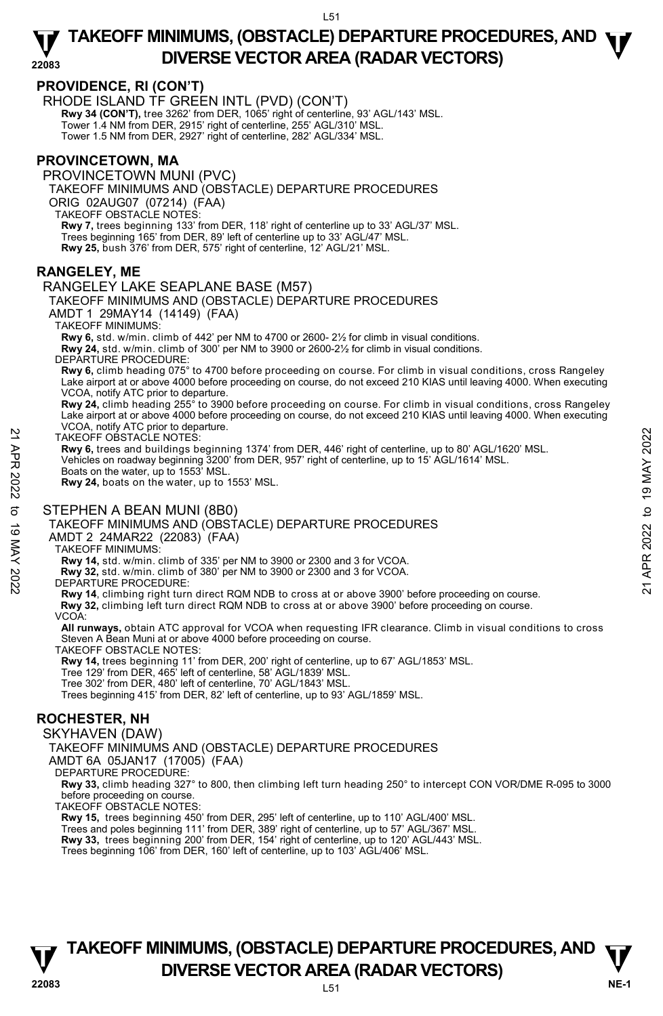## **PROVIDENCE, RI (CON'T)**

RHODE ISLAND TF GREEN INTL (PVD) (CON'T)

**Rwy 34 (CON'T),** tree 3262' from DER, 1065' right of centerline, 93' AGL/143' MSL.

Tower 1.4 NM from DER, 2915' right of centerline, 255' AGL/310' MSL.

Tower 1.5 NM from DER, 2927' right of centerline, 282' AGL/334' MSL.

#### **PROVINCETOWN, MA**

PROVINCETOWN MUNI (PVC) TAKEOFF MINIMUMS AND (OBSTACLE) DEPARTURE PROCEDURES ORIG 02AUG07 (07214) (FAA) TAKEOFF OBSTACLE NOTES: **Rwy 7,** trees beginning 133' from DER, 118' right of centerline up to 33' AGL/37' MSL. Trees beginning 165' from DER, 89' left of centerline up to 33' AGL/47' MSL. **Rwy 25,** bush 376' from DER, 575' right of centerline, 12' AGL/21' MSL.

### **RANGELEY, ME**

RANGELEY LAKE SEAPLANE BASE (M57) TAKEOFF MINIMUMS AND (OBSTACLE) DEPARTURE PROCEDURES

AMDT 1 29MAY14 (14149) (FAA)

TAKEOFF MINIMUMS:

**Rwy 6,** std. w/min. climb of 442' per NM to 4700 or 2600- 2½ for climb in visual conditions.

**Rwy 24,** std. w/min. climb of 300' per NM to 3900 or 2600-2½ for climb in visual conditions.

DEPARTURE PROCEDURE:

**Rwy 6,** climb heading 075° to 4700 before proceeding on course. For climb in visual conditions, cross Rangeley Lake airport at or above 4000 before proceeding on course, do not exceed 210 KIAS until leaving 4000. When executing VCOA, notify ATC prior to departure.

**Rwy 24,** climb heading 255° to 3900 before proceeding on course. For climb in visual conditions, cross Rangeley Lake airport at or above 4000 before proceeding on course, do not exceed 210 KIAS until leaving 4000. When executing VCOA, notify ATC prior to departure. TAKEOFF OBSTACLE NOTES:

**Rwy 6,** trees and buildings beginning 1374' from DER, 446' right of centerline, up to 80' AGL/1620' MSL. Vehicles on roadway beginning 3200' from DER, 957' right of centerline, up to 15' AGL/1614' MSL. Boats on the water, up to 1553' MSL. TAKEOFF OBSTACLE NOTES:<br>
TAKEOFF OBSTACLE NOTES:<br>
Rwy 6, trees and buildings beginning 1374' from DER, 446' right of centerline, up to 80' AGL/1620' MSL.<br>
Vehicles on roadway beginning 3200' from DER, 957' right of centerl

**Rwy 24,** boats on the water, up to 1553' MSL.

#### STEPHEN A BEAN MUNI (8B0)

TAKEOFF MINIMUMS AND (OBSTACLE) DEPARTURE PROCEDURES

AMDT 2 24MAR22 (22083) (FAA)

#### TAKEOFF MINIMUMS:

**Rwy 14,** std. w/min. climb of 335' per NM to 3900 or 2300 and 3 for VCOA.

**Rwy 32,** std. w/min. climb of 380' per NM to 3900 or 2300 and 3 for VCOA.

#### DEPARTURE PROCEDURE:

**Rwy 14**, climbing right turn direct RQM NDB to cross at or above 3900' before proceeding on course.

**Rwy 32,** climbing left turn direct RQM NDB to cross at or above 3900' before proceeding on course.

#### VCOA:

**All runways,** obtain ATC approval for VCOA when requesting IFR clearance. Climb in visual conditions to cross Steven A Bean Muni at or above 4000 before proceeding on course.

TAKEOFF OBSTACLE NOTES:

**Rwy 14,** trees beginning 11' from DER, 200' right of centerline, up to 67' AGL/1853' MSL.

Tree 129' from DER, 465' left of centerline, 58' AGL/1839' MSL.

Tree 302' from DER, 480' left of centerline, 70' AGL/1843' MSL.

Trees beginning 415' from DER, 82' left of centerline, up to 93' AGL/1859' MSL.

## **ROCHESTER, NH**

#### SKYHAVEN (DAW)

TAKEOFF MINIMUMS AND (OBSTACLE) DEPARTURE PROCEDURES

AMDT 6A 05JAN17 (17005) (FAA)

DEPARTURE PROCEDURE:

**Rwy 33,** climb heading 327° to 800, then climbing left turn heading 250° to intercept CON VOR/DME R-095 to 3000 before proceeding on course.

TAKEOFF OBSTACLE NOTES:

**Rwy 15,** trees beginning 450' from DER, 295' left of centerline, up to 110' AGL/400' MSL.

Trees and poles beginning 111' from DER, 389' right of centerline, up to 57' AGL/367' MSL.

**Rwy 33,** trees beginning 200' from DER, 154' right of centerline, up to 120' AGL/443' MSL. <br>Trees beginning 106' from DER, 160' left of centerline, up to 103' AGL/406' MSL.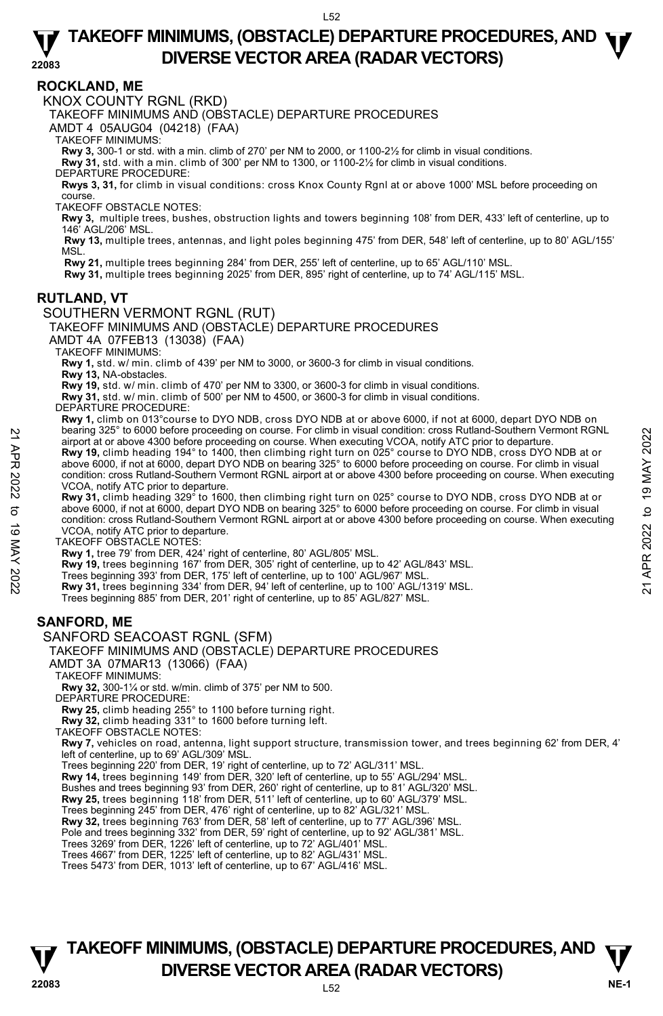### **ROCKLAND, ME**

KNOX COUNTY RGNL (RKD)

TAKEOFF MINIMUMS AND (OBSTACLE) DEPARTURE PROCEDURES

AMDT 4 05AUG04 (04218) (FAA)

TAKEOFF MINIMUMS:

**Rwy 3,** 300-1 or std. with a min. climb of 270' per NM to 2000, or 1100-2½ for climb in visual conditions.

**Rwy 31,** std. with a min. climb of 300' per NM to 1300, or 1100-2½ for climb in visual conditions.

DEPARTURE PROCEDURE:

**Rwys 3, 31,** for climb in visual conditions: cross Knox County Rgnl at or above 1000' MSL before proceeding on course.

TAKEOFF OBSTACLE NOTES:

**Rwy 3,** multiple trees, bushes, obstruction lights and towers beginning 108' from DER, 433' left of centerline, up to 146' AGL/206' MSL.

**Rwy 13,** multiple trees, antennas, and light poles beginning 475' from DER, 548' left of centerline, up to 80' AGL/155' **MSL** 

**Rwy 21,** multiple trees beginning 284' from DER, 255' left of centerline, up to 65' AGL/110' MSL.

**Rwy 31,** multiple trees beginning 2025' from DER, 895' right of centerline, up to 74' AGL/115' MSL.

#### **RUTLAND, VT**

SOUTHERN VERMONT RGNL (RUT)

TAKEOFF MINIMUMS AND (OBSTACLE) DEPARTURE PROCEDURES

AMDT 4A 07FEB13 (13038) (FAA)

TAKEOFF MINIMUMS:

**Rwy 1,** std. w/ min. climb of 439' per NM to 3000, or 3600-3 for climb in visual conditions.

**Rwy 13,** NA-obstacles.

**Rwy 19,** std. w/ min. climb of 470' per NM to 3300, or 3600-3 for climb in visual conditions.

**Rwy 31,** std. w/ min. climb of 500' per NM to 4500, or 3600-3 for climb in visual conditions.

DEPARTURE PROCEDURE:

**Rwy 1,** climb on 013°course to DYO NDB, cross DYO NDB at or above 6000, if not at 6000, depart DYO NDB on bearing 325° to 6000 before proceeding on course. For climb in visual condition: cross Rutland-Southern Vermont RGNL airport at or above 4300 before proceeding on course. When executing VCOA, notify ATC prior to departure. **Rwy 19,** climb heading 194° to 1400, then climbing right turn on 025° course to DYO NDB, cross DYO NDB at or above 6000, if not at 6000, depart DYO NDB on bearing 325° to 6000 before proceeding on course. For climb in visual condition: cross Rutland-Southern Vermont RGNL airport at or above 4300 before proceeding on course. When executing VCOA, notify ATC prior to departure. Rearing 325° to 6000 before proceeding on course. The initial condition: cross Rutland-Southern Vermont RGNL<br> **21** airport at or above 4300 before proceeding on course. When executing VCOA, notify ATC prior to departure.

**Rwy 31,** climb heading 329° to 1600, then climbing right turn on 025° course to DYO NDB, cross DYO NDB at or above 6000, if not at 6000, depart DYO NDB on bearing 325° to 6000 before proceeding on course. For climb in visual condition: cross Rutland-Southern Vermont RGNL airport at or above 4300 before proceeding on course. When executing VCOA, notify ATC prior to departure.

TAKEOFF OBSTACLE NOTES:

**Rwy 1,** tree 79' from DER, 424' right of centerline, 80' AGL/805' MSL.

**Rwy 19,** trees beginning 167' from DER, 305' right of centerline, up to 42' AGL/843' MSL.

Trees beginning 393' from DER, 175' left of centerline, up to 100' AGL/967' MSL.

**Rwy 31,** trees beginning 334' from DER, 94' left of centerline, up to 100' AGL/1319' MSL.

Trees beginning 885' from DER, 201' right of centerline, up to 85' AGL/827' MSL.

## **SANFORD, ME**

#### SANFORD SEACOAST RGNL (SFM)

TAKEOFF MINIMUMS AND (OBSTACLE) DEPARTURE PROCEDURES

AMDT 3A 07MAR13 (13066) (FAA)

TAKEOFF MINIMUMS:

**Rwy 32,** 300-1¼ or std. w/min. climb of 375' per NM to 500. DEPARTURE PROCEDURE:

**Rwy 25,** climb heading 255° to 1100 before turning right.

**Rwy 32,** climb heading 331° to 1600 before turning left. TAKEOFF OBSTACLE NOTES:

**Rwy 7,** vehicles on road, antenna, light support structure, transmission tower, and trees beginning 62' from DER, 4' left of centerline, up to 69' AGL/309' MSL.

Trees beginning 220' from DER, 19' right of centerline, up to 72' AGL/311' MSL.<br>**Rwy 14,** trees beginning 149' from DER, 320' left of centerline, up to 55' AGL/294' MSL.

Bushes and trees beginning 93' from DER, 260' right of centerline, up to 81' AGL/320' MSL.

**Rwy 25,** trees beginning 118' from DER, 511' left of centerline, up to 60' AGL/379' MSL.<br>Trees beginning 245' from DER, 476' right of centerline, up to 82' AGL/321' MSL.

**Rwy 32,** trees beginning 763' from DER, 58' left of centerline, up to 77' AGL/396' MSL.

Pole and trees beginning 332' from DER, 59' right of centerline, up to 92' AGL/381' MSL.

Trees 3269' from DER, 1226' left of centerline, up to 72' AGL/401' MSL. Trees 4667' from DER, 1225' left of centerline, up to 82' AGL/431' MSL.

Trees 5473' from DER, 1013' left of centerline, up to 67' AGL/416' MSL.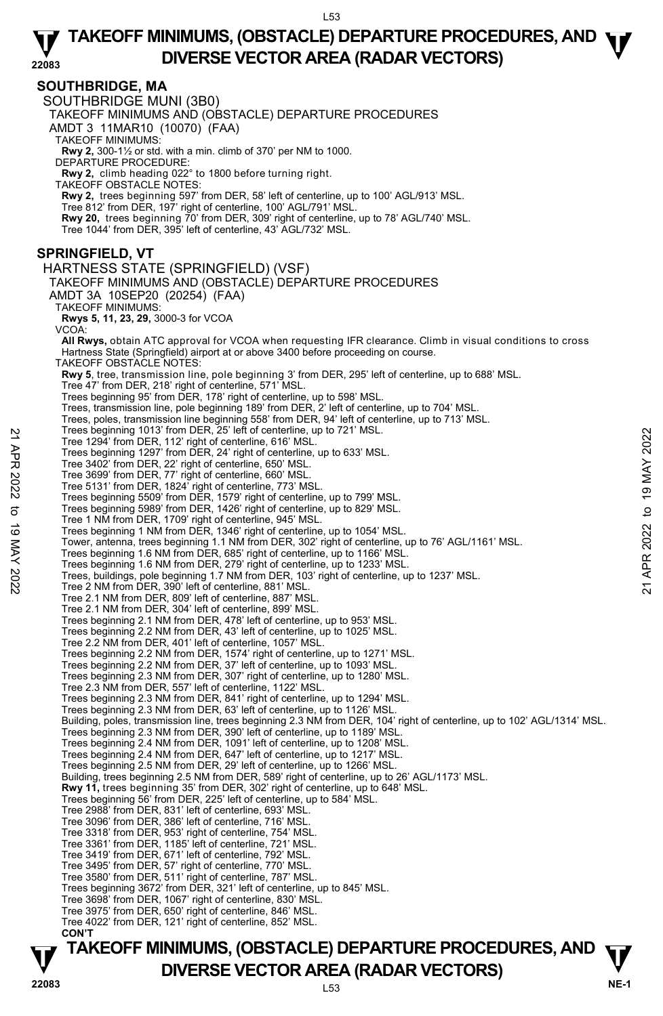#### **SOUTHBRIDGE, MA**

SOUTHBRIDGE MUNI (3B0)

TAKEOFF MINIMUMS AND (OBSTACLE) DEPARTURE PROCEDURES

AMDT 3 11MAR10 (10070) (FAA)

TAKEOFF MINIMUMS:

**Rwy 2,** 300-1½ or std. with a min. climb of 370' per NM to 1000. DEPARTURE PROCEDURE:

**Rwy 2,** climb heading 022° to 1800 before turning right.

TAKEOFF OBSTACLE NOTES:

**Rwy 2,** trees beginning 597' from DER, 58' left of centerline, up to 100' AGL/913' MSL. <br>Tree 812' from DER, 197' right of centerline, 100' AGL/791' MSL.

**Rwy 20,** trees beginning 70' from DER, 309' right of centerline, up to 78' AGL/740' MSL.

Tree 1044' from DER, 395' left of centerline, 43' AGL/732' MSL.

### **SPRINGFIELD, VT**

HARTNESS STATE (SPRINGFIELD) (VSF) TAKEOFF MINIMUMS AND (OBSTACLE) DEPARTURE PROCEDURES AMDT 3A 10SEP20 (20254) (FAA) TAKEOFF MINIMUMS: **Rwys 5, 11, 23, 29,** 3000-3 for VCOA VCOA: **All Rwys,** obtain ATC approval for VCOA when requesting IFR clearance. Climb in visual conditions to cross Hartness State (Springfield) airport at or above 3400 before proceeding on course. TAKEOFF OBSTACLE NOTES: **Rwy 5**, tree, transmission line, pole beginning 3' from DER, 295' left of centerline, up to 688' MSL. Tree 47' from DER, 218' right of centerline, 571' MSL. Trees beginning 95' from DER, 178' right of centerline, up to 598' MSL. Trees, transmission line, pole beginning 189' from DER, 2' left of centerline, up to 704' MSL. Trees, poles, transmission line beginning 558' from DER, 94' left of centerline, up to 713' MSL. Trees beginning 1013' from DER, 25' left of centerline, up to 721' MSL. Tree 1294' from DER, 112' right of centerline, 616' MSL. Trees beginning 1297' from DER, 24' right of centerline, up to 633' MSL. Tree 3402' from DER, 22' right of centerline, 650' MSL. Tree 3699' from DER, 77' right of centerline, 660' MSL. Tree 5131' from DER, 1824' right of centerline, 773' MSL. Trees beginning 5509' from DER, 1579' right of centerline, up to 799' MSL. Trees beginning 5989' from DER, 1426' right of centerline, up to 829' MSL. Tree 1 NM from DER, 1709' right of centerline, 945' MSL. Trees beginning 1 NM from DER, 1346' right of centerline, up to 1054' MSL. Tower, antenna, trees beginning 1.1 NM from DER, 302' right of centerline, up to 76' AGL/1161' MSL. Trees beginning 1.6 NM from DER, 685' right of centerline, up to 1166' MSL. Trees beginning 1.6 NM from DER, 279' right of centerline, up to 1233' MSL. Trees, buildings, pole beginning 1.7 NM from DER, 103' right of centerline, up to 1237' MSL. Tree 2 NM from DER, 390' left of centerline, 881' MSL. Tree 2.1 NM from DER, 809' left of centerline, 887' MSL. Tree 2.1 NM from DER, 304' left of centerline, 899' MSL. Trees beginning 2.1 NM from DER, 478' left of centerline, up to 953' MSL. Trees beginning 2.2 NM from DER, 43' left of centerline, up to 1025' MSL. Tree 2.2 NM from DER, 401' left of centerline, 1057' MSL. Trees beginning 2.2 NM from DER, 1574' right of centerline, up to 1271' MSL. Trees beginning 2.2 NM from DER, 37' left of centerline, up to 1093' MSL. Trees beginning 2.3 NM from DER, 307' right of centerline, up to 1280' MSL. Tree 2.3 NM from DER, 557' left of centerline, 1122' MSL. Trees beginning 2.3 NM from DER, 841' right of centerline, up to 1294' MSL. Trees beginning 2.3 NM from DER, 63' left of centerline, up to 1126' MSL. Building, poles, transmission line, trees beginning 2.3 NM from DER, 104' right of centerline, up to 102' AGL/1314' MSL. Trees beginning 2.3 NM from DER, 390' left of centerline, up to 1189' MSL. Trees beginning 2.4 NM from DER, 1091' left of centerline, up to 1208' MSL. Trees beginning 2.4 NM from DER, 647' left of centerline, up to 1217' MSL. Trees beginning 2.5 NM from DER, 29' left of centerline, up to 1266' MSL. Building, trees beginning 2.5 NM from DER, 589' right of centerline, up to 26' AGL/1173' MSL. **Rwy 11,** trees beginning 35' from DER, 302' right of centerline, up to 648' MSL. Trees beginning 56' from DER, 225' left of centerline, up to 584' MSL. Tree 2988' from DER, 831' left of centerline, 693' MSL. Tree 3096' from DER, 386' left of centerline, 716' MSL. Tree 3318' from DER, 953' right of centerline, 754' MSL. Tree 3361' from DER, 1185' left of centerline, 721' MSL. Tree 3419' from DER, 671' left of centerline, 792' MSL. Tree 3495' from DER, 57' right of centerline, 770' MSL. Tree 3580' from DER, 511' right of centerline, 787' MSL. Trees beginning 3672' from DER, 321' left of centerline, up to 845' MSL. Tree 3698' from DER, 1067' right of centerline, 830' MSL. Tree 3975' from DER, 650' right of centerline, 846' MSL. Tree 4022' from DER, 121' right of centerline, 852' MSL. **CON'T**  Tree beginning 1013 Trom DER, 22° ierd of centerline, up to 121° MSL.<br>
Tree 1294' from DER, 112' right of centerline, 616' MSL.<br>
Tree 3699' from DER, 22' right of centerline, 660' MSL.<br>
Tree 3699' from DER, 77' right of c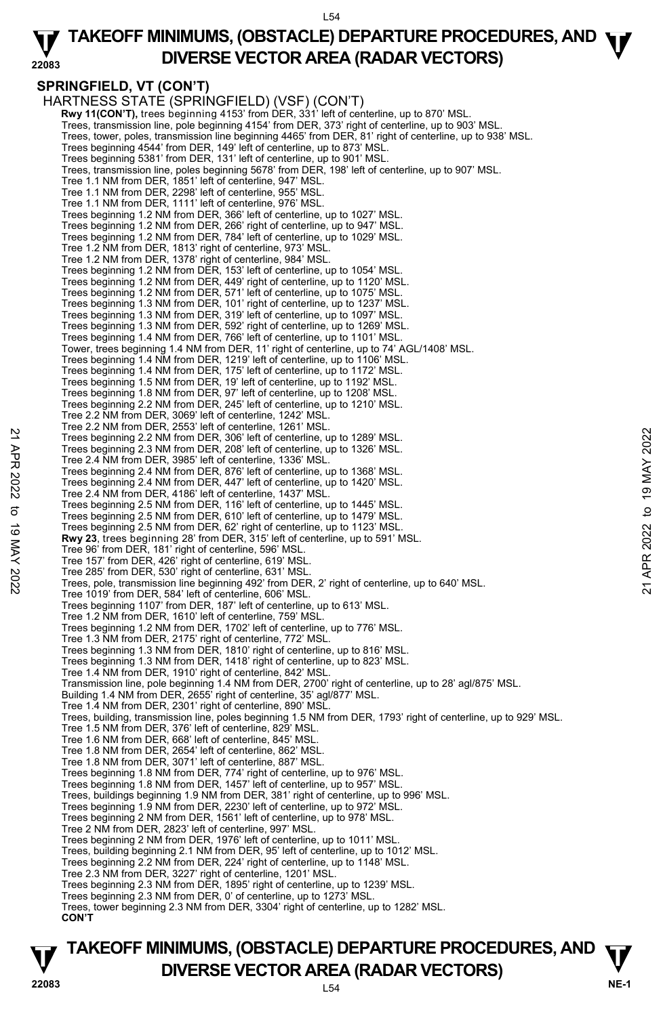#### **22083 TAKEOFF MINIMUMS, (OBSTACLE) DEPARTURE PROCEDURES, AND <b>W**<br>DIVERSE VECTOR AREA (BADAR VECTORS) **DIVERSE VECTOR AREA (RADAR VECTORS)**

## **SPRINGFIELD, VT (CON'T)**

HARTNESS STATE (SPRINGFIELD) (VSF) (CON'T) **Rwy 11(CON'T),** trees beginning 4153' from DER, 331' left of centerline, up to 870' MSL. Trees, transmission line, pole beginning 4154' from DER, 373' right of centerline, up to 903' MSL. Trees, tower, poles, transmission line beginning 4465' from DER, 81' right of centerline, up to 938' MSL. Trees beginning 4544' from DER, 149' left of centerline, up to 873' MSL. Trees beginning 5381' from DER, 131' left of centerline, up to 901' MSL. Trees, transmission line, poles beginning 5678' from DER, 198' left of centerline, up to 907' MSL. Tree 1.1 NM from DER, 1851' left of centerline, 947' MSL. Tree 1.1 NM from DER, 2298' left of centerline, 955' MSL. Tree 1.1 NM from DER, 1111' left of centerline, 976' MSL. Trees beginning 1.2 NM from DER, 366' left of centerline, up to 1027' MSL. Trees beginning 1.2 NM from DER, 266' right of centerline, up to 947' MSL. Trees beginning 1.2 NM from DER, 784' left of centerline, up to 1029' MSL. Tree 1.2 NM from DER, 1813' right of centerline, 973' MSL. Tree 1.2 NM from DER, 1378' right of centerline, 984' MSL. Trees beginning 1.2 NM from DER, 153' left of centerline, up to 1054' MSL. Trees beginning 1.2 NM from DER, 449' right of centerline, up to 1120' MSL. Trees beginning 1.2 NM from DER, 571' left of centerline, up to 1075' MSL. Trees beginning 1.3 NM from DER, 101' right of centerline, up to 1237' MSL. Trees beginning 1.3 NM from DER, 319' left of centerline, up to 1097' MSL. Trees beginning 1.3 NM from DER, 592' right of centerline, up to 1269' MSL. Trees beginning 1.4 NM from DER, 766' left of centerline, up to 1101' MSL. Tower, trees beginning 1.4 NM from DER, 11' right of centerline, up to 74' AGL/1408' MSL. Trees beginning 1.4 NM from DER, 1219' left of centerline, up to 1106' MSL. Trees beginning 1.4 NM from DER, 175' left of centerline, up to 1172' MSL. Trees beginning 1.5 NM from DER, 19' left of centerline, up to 1192' MSL. Trees beginning 1.8 NM from DER, 97' left of centerline, up to 1208' MSL. Trees beginning 2.2 NM from DER, 245' left of centerline, up to 1210' MSL. Tree 2.2 NM from DER, 3069' left of centerline, 1242' MSL. Tree 2.2 NM from DER, 2553' left of centerline, 1261' MSL. Trees beginning 2.2 NM from DER, 306' left of centerline, up to 1289' MSL. Trees beginning 2.3 NM from DER, 208' left of centerline, up to 1326' MSL. Tree 2.4 NM from DER, 3985' left of centerline, 1336' MSL. Trees beginning 2.4 NM from DER, 876' left of centerline, up to 1368' MSL. Trees beginning 2.4 NM from DER, 447' left of centerline, up to 1420' MSL. Tree 2.4 NM from DER, 4186' left of centerline, 1437' MSL. Trees beginning 2.5 NM from DER, 116' left of centerline, up to 1445' MSL. Trees beginning 2.5 NM from DER, 610' left of centerline, up to 1479' MSL. Trees beginning 2.5 NM from DER, 62' right of centerline, up to 1123' MSL. **Rwy 23**, trees beginning 28' from DER, 315' left of centerline, up to 591' MSL. Tree 96' from DER, 181' right of centerline, 596' MSL. Tree 157' from DER, 426' right of centerline, 619' MSL. Tree 285' from DER, 530' right of centerline, 631' MSL. Trees, pole, transmission line beginning 492' from DER, 2' right of centerline, up to 640' MSL. Tree 1019' from DER, 584' left of centerline, 606' MSL. Trees beginning 1107' from DER, 187' left of centerline, up to 613' MSL. Tree 1.2 NM from DER, 1610' left of centerline, 759' MSL. Trees beginning 1.2 NM from DER, 1702' left of centerline, up to 776' MSL. Tree 1.3 NM from DER, 2175' right of centerline, 772' MSL. Trees beginning 1.3 NM from DER, 1810' right of centerline, up to 816' MSL. Trees beginning 1.3 NM from DER, 1418' right of centerline, up to 823' MSL. Tree 1.4 NM from DER, 1910' right of centerline, 842' MSL. Transmission line, pole beginning 1.4 NM from DER, 2700' right of centerline, up to 28' agl/875' MSL.<br>Building 1.4 NM from DER, 2655' right of centerline, 35' agl/877' MSL. Tree 1.4 NM from DER, 2301' right of centerline, 890' MSL. Trees, building, transmission line, poles beginning 1.5 NM from DER, 1793' right of centerline, up to 929' MSL. Tree 1.5 NM from DER, 376' left of centerline, 829' MSL. Tree 1.6 NM from DER, 668' left of centerline, 845' MSL. Tree 1.8 NM from DER, 2654' left of centerline, 862' MSL. Tree 1.8 NM from DER, 3071' left of centerline, 887' MSL. Trees beginning 1.8 NM from DER, 774' right of centerline, up to 976' MSL. Trees beginning 1.8 NM from DER, 1457' left of centerline, up to 957' MSL. Trees, buildings beginning 1.9 NM from DER, 381' right of centerline, up to 996' MSL. Trees beginning 1.9 NM from DER, 2230' left of centerline, up to 972' MSL. Trees beginning 2 NM from DER, 1561' left of centerline, up to 978' MSL. Tree 2 NM from DER, 2823' left of centerline, 997' MSL. Trees beginning 2 NM from DER, 1976' left of centerline, up to 1011' MSL. Trees, building beginning 2.1 NM from DER, 95' left of centerline, up to 1012' MSL. Trees beginning 2.2 NM from DER, 224' right of centerline, up to 1148' MSL. Tree 2.3 NM from DER, 3227' right of centerline, 1201' MSL. Trees beginning 2.3 NM from DER, 1895' right of centerline, up to 1239' MSL. Trees beginning 2.3 NM from DER, 0' of centerline, up to 1273' MSL. Trees, tower beginning 2.3 NM from DER, 3304' right of centerline, up to 1282' MSL. **CON'T**  22 Trees beginning 2.2 NM from DER, 306' left of centerline, up to 1289' MSL.<br>
Trees beginning 2.2 NM from DER, 306' left of centerline, up to 1326' MSL.<br>
Trees APR 10 M from DER, 1985' left of centerline, up to 1326' MSL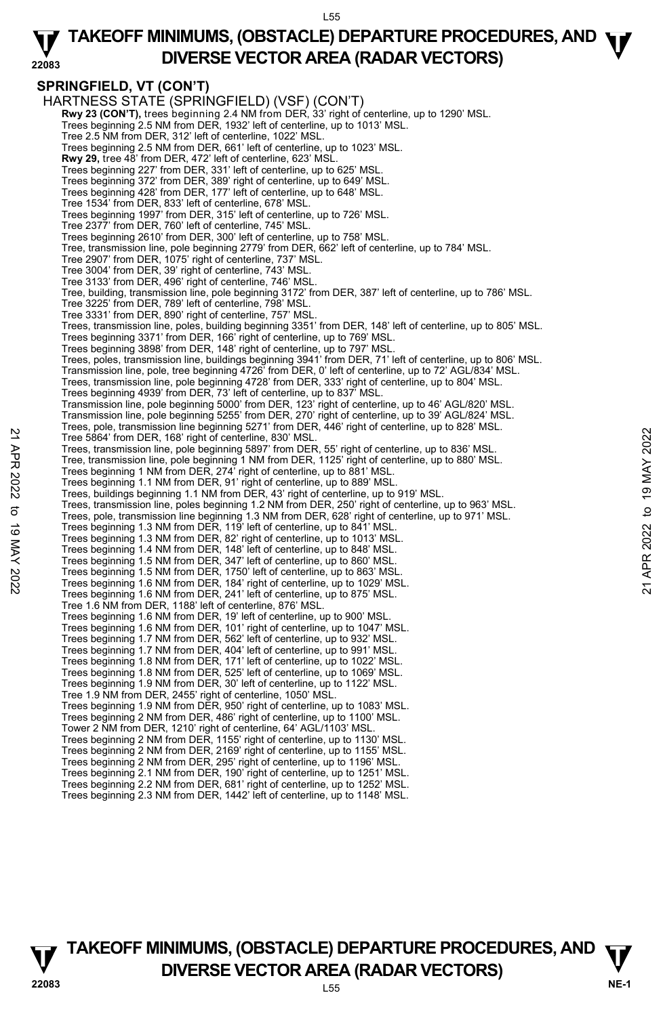#### **22083 TAKEOFF MINIMUMS, (OBSTACLE) DEPARTURE PROCEDURES, AND <b>W**<br>DIVERSE VECTOR AREA (BADAR VECTORS) **DIVERSE VECTOR AREA (RADAR VECTORS)**

## **SPRINGFIELD, VT (CON'T)**

HARTNESS STATE (SPRINGFIELD) (VSF) (CON'T) **Rwy 23 (CON'T),** trees beginning 2.4 NM from DER, 33' right of centerline, up to 1290' MSL.<br>Trees beginning 2.5 NM from DER, 1932' left of centerline, up to 1013' MSL. Tree 2.5 NM from DER, 312' left of centerline, 1022' MSL. Trees beginning 2.5 NM from DER, 661' left of centerline, up to 1023' MSL. **Rwy 29,** tree 48' from DER, 472' left of centerline, 623' MSL. Trees beginning 227' from DER, 331' left of centerline, up to 625' MSL. Trees beginning 372' from DER, 389' right of centerline, up to 649' MSL. Trees beginning 428' from DER, 177' left of centerline, up to 648' MSL. Tree 1534' from DER, 833' left of centerline, 678' MSL. Trees beginning 1997' from DER, 315' left of centerline, up to 726' MSL. Tree 2377' from DER, 760' left of centerline, 745' MSL. Trees beginning 2610' from DER, 300' left of centerline, up to 758' MSL. Tree, transmission line, pole beginning 2779' from DER, 662' left of centerline, up to 784' MSL. Tree 2907' from DER, 1075' right of centerline, 737' MSL. Tree 3004' from DER, 39' right of centerline, 743' MSL. Tree 3133' from DER, 496' right of centerline, 746' MSL. Tree, building, transmission line, pole beginning 3172' from DER, 387' left of centerline, up to 786' MSL. Tree 3225' from DER, 789' left of centerline, 798' MSL. Tree 3331' from DER, 890' right of centerline, 757' MSL. Trees, transmission line, poles, building beginning 3351' from DER, 148' left of centerline, up to 805' MSL. Trees beginning 3371' from DER, 166' right of centerline, up to 769' MSL. Trees beginning 3898' from DER, 148' right of centerline, up to 797' MSL.<br>Trees, poles, transmission line, buildings beginning 3941' from DER, 71' left of centerline, up to 806' MSL. Transmission line, pole, tree beginning 4726' from DER, 0' left of centerline, up to 72' AGL/834' MSL. Trees, transmission line, pole beginning 4728' from DER, 333' right of centerline, up to 804' MSL. Trees beginning 4939' from DER, 73' left of centerline, up to 837' MSL. Transmission line, pole beginning 5000' from DER, 123' right of centerline, up to 46' AGL/820' MSL. Transmission line, pole beginning 5255' from DER, 270' right of centerline, up to 39' AGL/824' MSL. Trees, pole, transmission line beginning 5271' from DER, 446' right of centerline, up to 828' MSL. Tree 5864' from DER, 168' right of centerline, 830' MSL. Trees, transmission line, pole beginning 5897' from DER, 55' right of centerline, up to 836' MSL. Tree, transmission line, pole beginning 1 NM from DER, 1125' right of centerline, up to 880' MSL.<br>Trees beginning 1 NM from DER, 274' right of centerline, up to 881' MSL. Trees beginning 1.1 NM from DER, 91' right of centerline, up to 889' MSL. Trees, buildings beginning 1.1 NM from DER, 43' right of centerline, up to 919' MSL. Trees, transmission line, poles beginning 1.2 NM from DER, 250' right of centerline, up to 963' MSL. Trees, pole, transmission line beginning 1.3 NM from DER, 628' right of centerline, up to 971' MSL. Trees beginning 1.3 NM from DER, 119' left of centerline, up to 841' MSL. Trees beginning 1.3 NM from DER, 82' right of centerline, up to 1013' MSL. Trees beginning 1.4 NM from DER, 148' left of centerline, up to 848' MSL. Trees beginning 1.5 NM from DER, 347' left of centerline, up to 860' MSL. Tree 5804 from DER, 168 right of centerline, 830 MSL.<br>Tree 5804 from DER, 168 right of centerline, 830 MSL.<br>Trees, transmission line, pole beginning 1897 from DER, 1725 right of centerline, up to 836' MSL.<br>Trees beginning Tree 1.6 NM from DER, 1188' left of centerline, 876' MSL. Trees beginning 1.6 NM from DER, 19' left of centerline, up to 900' MSL. Trees beginning 1.6 NM from DER, 101' right of centerline, up to 1047' MSL. Trees beginning 1.7 NM from DER, 562' left of centerline, up to 932' MSL. Trees beginning 1.7 NM from DER, 404' left of centerline, up to 991' MSL. Trees beginning 1.8 NM from DER, 171' left of centerline, up to 1022' MSL. Trees beginning 1.8 NM from DER, 525' left of centerline, up to 1069' MSL. Trees beginning 1.9 NM from DER, 30' left of centerline, up to 1122' MSL. Tree 1.9 NM from DER, 2455' right of centerline, 1050' MSL. Trees beginning 1.9 NM from DER, 950' right of centerline, up to 1083' MSL. Trees beginning 2 NM from DER, 486' right of centerline, up to 1100' MSL. Tower 2 NM from DER, 1210' right of centerline, 64' AGL/1103' MSL. Trees beginning 2 NM from DER, 1155' right of centerline, up to 1130' MSL. Trees beginning 2 NM from DER, 2169' right of centerline, up to 1155' MSL. Trees beginning 2 NM from DER, 295' right of centerline, up to 1196' MSL. Trees beginning 2.1 NM from DER, 190' right of centerline, up to 1251' MSL. Trees beginning 2.2 NM from DER, 681' right of centerline, up to 1252' MSL. Trees beginning 2.3 NM from DER, 1442' left of centerline, up to 1148' MSL.

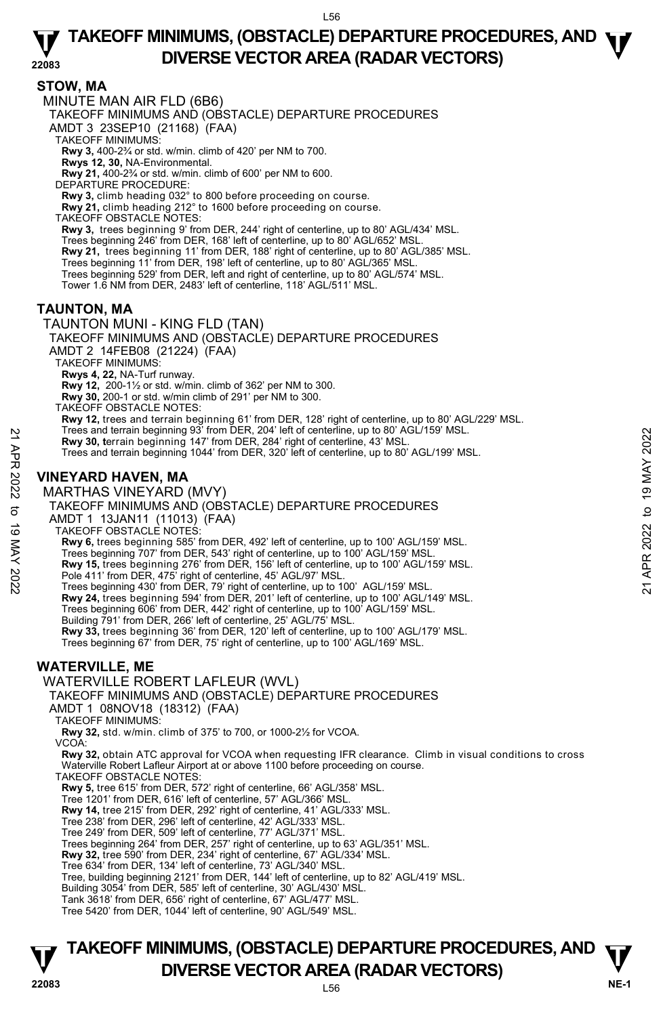**22083 STOW, MA**  MINUTE MAN AIR FLD (6B6) TAKEOFF MINIMUMS AND (OBSTACLE) DEPARTURE PROCEDURES AMDT 3 23SEP10 (21168) (FAA) TAKEOFF MINIMUMS: **Rwy 3,** 400-2¾ or std. w/min. climb of 420' per NM to 700. **Rwys 12, 30,** NA-Environmental. **Rwy 21,** 400-2¾ or std. w/min. climb of 600' per NM to 600. DEPARTURE PROCEDURE: **Rwy 3,** climb heading 032° to 800 before proceeding on course. **Rwy 21,** climb heading 212° to 1600 before proceeding on course. TAKEOFF OBSTACLE NOTES: **Rwy 3,** trees beginning 9' from DER, 244' right of centerline, up to 80' AGL/434' MSL. Trees beginning 246' from DER, 168' left of centerline, up to 80' AGL/652' MSL. **Rwy 21,** trees beginning 11' from DER, 188' right of centerline, up to 80' AGL/385' MSL. Trees beginning 11' from DER, 198' left of centerline, up to 80' AGL/365' MSL. Trees beginning 529' from DER, left and right of centerline, up to 80' AGL/574' MSL. Tower 1.6 NM from DER, 2483' left of centerline, 118' AGL/511' MSL. **TAUNTON, MA**  TAUNTON MUNI - KING FLD (TAN) TAKEOFF MINIMUMS AND (OBSTACLE) DEPARTURE PROCEDURES AMDT 2 14FEB08 (21224) (FAA) TAKEOFF MINIMUMS: **Rwys 4, 22,** NA-Turf runway. **Rwy 12,** 200-1½ or std. w/min. climb of 362' per NM to 300. **Rwy 30,** 200-1 or std. w/min climb of 291' per NM to 300. TAKEOFF OBSTACLE NOTES: **Rwy 12,** trees and terrain beginning 61' from DER, 128' right of centerline, up to 80' AGL/229' MSL.<br>Trees and terrain beginning 93' from DER, 204' left of centerline, up to 80' AGL/159' MSL. **Rwy 30, t**errain beginning 147' from DER, 284' right of centerline, 43' MSL. Trees and terrain beginning 1044' from DER, 320' left of centerline, up to 80' AGL/199' MSL. **VINEYARD HAVEN, MA**  MARTHAS VINEYARD (MVY) TAKEOFF MINIMUMS AND (OBSTACLE) DEPARTURE PROCEDURES AMDT 1 13JAN11 (11013) (FAA) Press and terrain beginning 93 Trom DER, 284' right of centerline, 43' MSL.<br>
Trees and terrain beginning 147' from DER, 320' left of centerline, 43' MSL.<br>
Trees and terrain beginning 1044' from DER, 320' left of centerlin

TAKEOFF OBSTACLE NOTES:

**Rwy 6,** trees beginning 585' from DER, 492' left of centerline, up to 100' AGL/159' MSL.

Trees beginning 707' from DER, 543' right of centerline, up to 100' AGL/159' MSL.

**Rwy 15,** trees beginning 276' from DER, 156' left of centerline, up to 100' AGL/159' MSL. Pole 411' from DER, 475' right of centerline, 45' AGL/97' MSL. Trees beginning 430' from DER, 79' right of centerline, up to 100' AGL/159' MSL.

**Rwy 24,** trees beginning 594' from DER, 201' left of centerline, up to 100' AGL/149' MSL.

Trees beginning 606' from DER, 442' right of centerline, up to 100' AGL/159' MSL. Building 791' from DER, 266' left of centerline, 25' AGL/75' MSL.

**Rwy 33,** trees beginning 36' from DER, 120' left of centerline, up to 100' AGL/179' MSL.

Trees beginning 67' from DER, 75' right of centerline, up to 100' AGL/169' MSL.

## **WATERVILLE, ME**

#### WATERVILLE ROBERT LAFLEUR (WVL)

TAKEOFF MINIMUMS AND (OBSTACLE) DEPARTURE PROCEDURES

AMDT 1 08NOV18 (18312) (FAA)

TAKEOFF MINIMUMS:

**Rwy 32,** std. w/min. climb of 375' to 700, or 1000-2½ for VCOA.

VCOA:

**Rwy 32,** obtain ATC approval for VCOA when requesting IFR clearance. Climb in visual conditions to cross Waterville Robert Lafleur Airport at or above 1100 before proceeding on course. TAKEOFF OBSTACLE NOTES:

**Rwy 5,** tree 615' from DER, 572' right of centerline, 66' AGL/358' MSL.

Tree 1201' from DER, 616' left of centerline, 57' AGL/366' MSL.

**Rwy 14,** tree 215' from DER, 292' right of centerline, 41' AGL/333' MSL.

Tree 238' from DER, 296' left of centerline, 42' AGL/333' MSL. Tree 249' from DER, 509' left of centerline, 77' AGL/371' MSL.

Trees beginning 264' from DER, 257' right of centerline, up to 63' AGL/351' MSL. **Rwy 32,** tree 590' from DER, 234' right of centerline, 67' AGL/334' MSL.

Tree 634' from DER, 134' left of centerline, 73' AGL/340' MSL.

Tree, building beginning 2121' from DER, 144' left of centerline, up to 82' AGL/419' MSL. Building 3054' from DER, 585' left of centerline, 30' AGL/430' MSL.

Tank 3618' from DER, 656' right of centerline, 67' AGL/477' MSL.

Tree 5420' from DER, 1044' left of centerline, 90' AGL/549' MSL.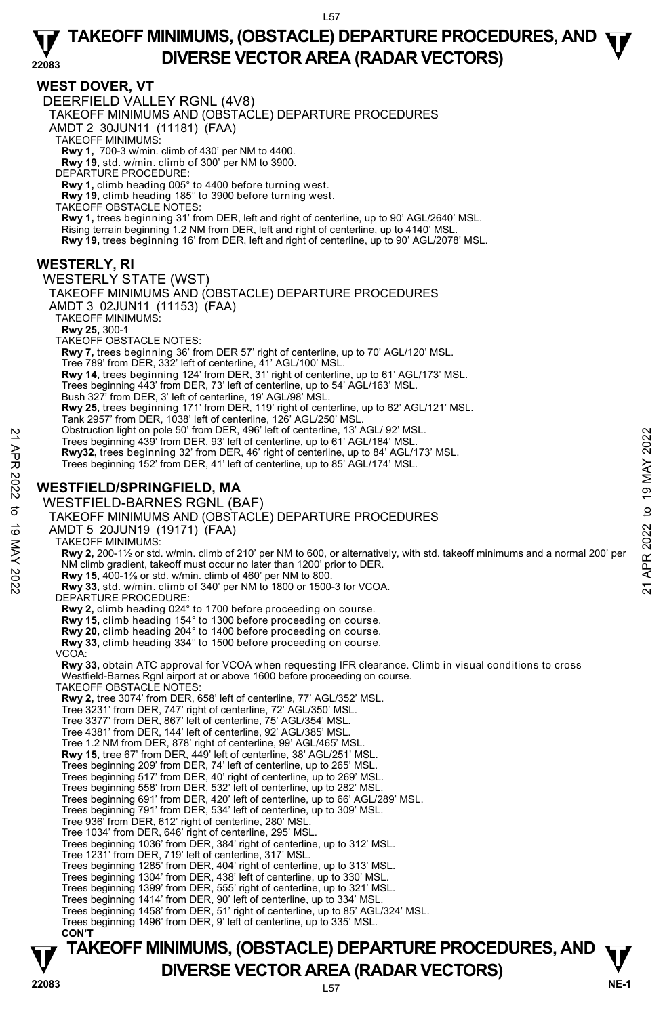## **WEST DOVER, VT**

**TAKEOFF MINIMUMS, (OBSTACLE) DEPARTURE PROCEDURES, AND**  $\Psi$ **<br>DIVERSE VECTOR AREA (RADAR VECTORS)** DEERFIELD VALLEY RGNL (4V8) TAKEOFF MINIMUMS AND (OBSTACLE) DEPARTURE PROCEDURES AMDT 2 30JUN11 (11181) (FAA) TAKEOFF MINIMUMS: **Rwy 1,** 700-3 w/min. climb of 430' per NM to 4400. **Rwy 19,** std. w/min. climb of 300' per NM to 3900. DEPARTURE PROCEDURE: **Rwy 1,** climb heading 005° to 4400 before turning west. **Rwy 19,** climb heading 185° to 3900 before turning west. TAKEOFF OBSTACLE NOTES: **Rwy 1,** trees beginning 31' from DER, left and right of centerline, up to 90' AGL/2640' MSL. Rising terrain beginning 1.2 NM from DER, left and right of centerline, up to 4140' MSL. **Rwy 19,** trees beginning 16' from DER, left and right of centerline, up to 90' AGL/2078' MSL. **WESTERLY, RI**  WESTERLY STATE (WST) TAKEOFF MINIMUMS AND (OBSTACLE) DEPARTURE PROCEDURES AMDT 3 02JUN11 (11153) (FAA) TAKEOFF MINIMUMS: **Rwy 25,** 300-1 TAKEOFF OBSTACLE NOTES: **Rwy 7,** trees beginning 36' from DER 57' right of centerline, up to 70' AGL/120' MSL. Tree 789' from DER, 332' left of centerline, 41' AGL/100' MSL. **Rwy 14,** trees beginning 124' from DER, 31' right of centerline, up to 61' AGL/173' MSL. Trees beginning 443' from DER, 73' left of centerline, up to 54' AGL/163' MSL. Bush 327' from DER, 3' left of centerline, 19' AGL/98' MSL. **Rwy 25,** trees beginning 171' from DER, 119' right of centerline, up to 62' AGL/121' MSL. Tank 2957' from DER, 1038' left of centerline, 126' AGL/250' MSL. Obstruction light on pole 50' from DER, 496' left of centerline, 13' AGL/ 92' MSL. Trees beginning 439' from DER, 93' left of centerline, up to 61' AGL/184' MSL. **Rwy32,** trees beginning 32' from DER, 46' right of centerline, up to 84' AGL/173' MSL. Trees beginning 152' from DER, 41' left of centerline, up to 85' AGL/174' MSL. **WESTFIELD/SPRINGFIELD, MA**  WESTFIELD-BARNES RGNL (BAF) TAKEOFF MINIMUMS AND (OBSTACLE) DEPARTURE PROCEDURES AMDT 5 20JUN19 (19171) (FAA) TAKEOFF MINIMUMS: **Rwy 2,** 200-1½ or std. w/min. climb of 210' per NM to 600, or alternatively, with std. takeoff minimums and a normal 200' per NM climb gradient, takeoff must occur no later than 1200' prior to DER. **Rwy 15,** 400-1⅞ or std. w/min. climb of 460' per NM to 800. **Rwy 33,** std. w/min. climb of 340' per NM to 1800 or 1500-3 for VCOA. DEPARTURE PROCEDURE: **Rwy 2,** climb heading 024° to 1700 before proceeding on course. **Rwy 15,** climb heading 154° to 1300 before proceeding on course. **Rwy 20,** climb heading 204° to 1400 before proceeding on course. **Rwy 33,** climb heading 334° to 1500 before proceeding on course. VCOA: **Rwy 33,** obtain ATC approval for VCOA when requesting IFR clearance. Climb in visual conditions to cross Westfield-Barnes Rgnl airport at or above 1600 before proceeding on course. TAKEOFF OBSTACLE NOTES: **Rwy 2,** tree 3074' from DER, 658' left of centerline, 77' AGL/352' MSL. Tree 3231' from DER, 747' right of centerline, 72' AGL/350' MSL. Tree 3377' from DER, 867' left of centerline, 75' AGL/354' MSL. Tree 4381' from DER, 144' left of centerline, 92' AGL/385' MSL. Tree 1.2 NM from DER, 878' right of centerline, 99' AGL/465' MSL. **Rwy 15,** tree 67' from DER, 449' left of centerline, 38' AGL/251' MSL. Trees beginning 209' from DER, 74' left of centerline, up to 265' MSL. Trees beginning 517' from DER, 40' right of centerline, up to 269' MSL. Trees beginning 558' from DER, 532' left of centerline, up to 282' MSL. Trees beginning 691' from DER, 420' left of centerline, up to 66' AGL/289' MSL. Trees beginning 791' from DER, 534' left of centerline, up to 309' MSL. Tree 936' from DER, 612' right of centerline, 280' MSL. Tree 1034' from DER, 646' right of centerline, 295' MSL. Trees beginning 1036' from DER, 384' right of centerline, up to 312' MSL. Tree 1231' from DER, 719' left of centerline, 317' MSL. Trees beginning 1285' from DER, 404' right of centerline, up to 313' MSL. Trees beginning 1304' from DER, 438' left of centerline, up to 330' MSL. Trees beginning 1399' from DER, 555' right of centerline, up to 321' MSL. Trees beginning 1414' from DER, 90' left of centerline, up to 334' MSL. Trees beginning 1458' from DER, 51' right of centerline, up to 85' AGL/324' MSL. Trees beginning 1496' from DER, 9' left of centerline, up to 335' MSL.  **CON'T**  Trees beginning 439' from DER, 93' left of centerline, up to 61' AGU/94' MSL.<br>
Trees beginning 439' from DER, 93' left of centerline, up to 61' AGU/184' MSL.<br> **Rwy32**, trees beginning 152' from DER, 41' left of centerline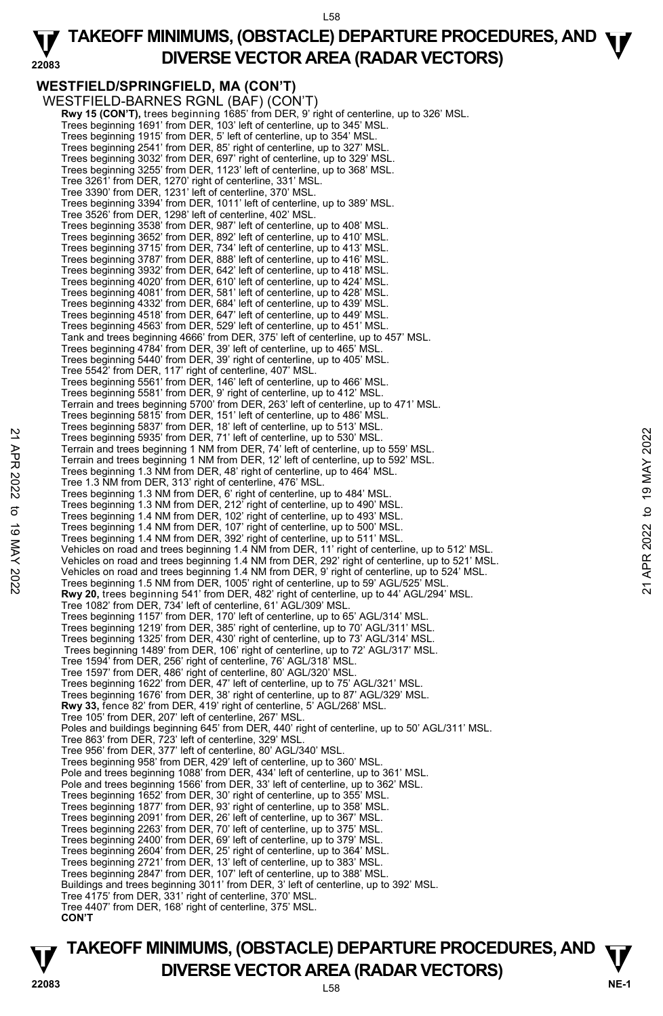#### **22083 TAKEOFF MINIMUMS, (OBSTACLE) DEPARTURE PROCEDURES, AND <b>W**<br>DIVERSE VECTOR AREA (BADAR VECTORS) **DIVERSE VECTOR AREA (RADAR VECTORS)**

**WESTFIELD/SPRINGFIELD, MA (CON'T)**  WESTFIELD-BARNES RGNL (BAF) (CON'T)  **Rwy 15 (CON'T),** trees beginning 1685' from DER, 9' right of centerline, up to 326' MSL. Trees beginning 1691' from DER, 103' left of centerline, up to 345' MSL. Trees beginning 1915' from DER, 5' left of centerline, up to 354' MSL. Trees beginning 2541' from DER, 85' right of centerline, up to 327' MSL. Trees beginning 3032' from DER, 697' right of centerline, up to 329' MSL. Trees beginning 3255' from DER, 1123' left of centerline, up to 368' MSL. Tree 3261' from DER, 1270' right of centerline, 331' MSL. Tree 3390' from DER, 1231' left of centerline, 370' MSL. Trees beginning 3394' from DER, 1011' left of centerline, up to 389' MSL. Tree 3526' from DER, 1298' left of centerline, 402' MSL. Trees beginning 3538' from DER, 987' left of centerline, up to 408' MSL. Trees beginning 3652' from DER, 892' left of centerline, up to 410' MSL. Trees beginning 3715' from DER, 734' left of centerline, up to 413' MSL. Trees beginning 3787' from DER, 888' left of centerline, up to 416' MSL. Trees beginning 3932' from DER, 642' left of centerline, up to 418' MSL. Trees beginning 4020' from DER, 610' left of centerline, up to 424' MSL. Trees beginning 4081' from DER, 581' left of centerline, up to 428' MSL. Trees beginning 4332' from DER, 684' left of centerline, up to 439' MSL. Trees beginning 4518' from DER, 647' left of centerline, up to 449' MSL. Trees beginning 4563' from DER, 529' left of centerline, up to 451' MSL. Tank and trees beginning 4666' from DER, 375' left of centerline, up to 457' MSL. Trees beginning 4784' from DER, 39' left of centerline, up to 465' MSL. Trees beginning 5440' from DER, 39' right of centerline, up to 405' MSL. Tree 5542' from DER, 117' right of centerline, 407' MSL. Trees beginning 5561' from DER, 146' left of centerline, up to 466' MSL. Trees beginning 5581' from DER, 9' right of centerline, up to 412' MSL. Terrain and trees beginning 5700' from DER, 263' left of centerline, up to 471' MSL. Trees beginning 5815' from DER, 151' left of centerline, up to 486' MSL. Trees beginning 5837' from DER, 18' left of centerline, up to 513' MSL. Trees beginning 5935' from DER, 71' left of centerline, up to 530' MSL. Terrain and trees beginning 1 NM from DER, 74' left of centerline, up to 559' MSL. Terrain and trees beginning 1 NM from DER, 12' left of centerline, up to 592' MSL. Trees beginning 1.3 NM from DER, 48' right of centerline, up to 464' MSL. Tree 1.3 NM from DER, 313' right of centerline, 476' MSL. Trees beginning 1.3 NM from DER, 6' right of centerline, up to 484' MSL. Trees beginning 1.3 NM from DER, 212' right of centerline, up to 490' MSL. Trees beginning 1.4 NM from DER, 102' right of centerline, up to 493' MSL. Trees beginning 1.4 NM from DER, 107' right of centerline, up to 500' MSL. Trees beginning 1.4 NM from DER, 392' right of centerline, up to 511' MSL.<br>Vehicles on road and trees beginning 1.4 NM from DER, 11' right of centerline, up to 512' MSL. Vehicles on road and trees beginning 1.4 NM from DER, 292' right of centerline, up to 521' MSL. Vehicles on road and trees beginning 1.4 NM from DER, 9' right of centerline, up to 524' MSL.<br>Trees beginning 1.5 NM from DER, 1005' right of centerline, up to 59' AGL/525' MSL. **Rwy 20,** trees beginning 541' from DER, 482' right of centerline, up to 44' AGL/294' MSL. Tree 1082' from DER, 734' left of centerline, 61' AGL/309' MSL. Trees beginning 1157' from DER, 170' left of centerline, up to 65' AGL/314' MSL. Trees beginning 1219' from DER, 385' right of centerline, up to 70' AGL/311' MSL. Trees beginning 1325' from DER, 430' right of centerline, up to 73' AGL/314' MSL. Trees beginning 1489' from DER, 106' right of centerline, up to 72' AGL/317' MSL. Tree 1594' from DER, 256' right of centerline, 76' AGL/318' MSL. Tree 1597' from DER, 486' right of centerline, 80' AGL/320' MSL. Trees beginning 1622' from DER, 47' left of centerline, up to 75' AGL/321' MSL. Trees beginning 1676' from DER, 38' right of centerline, up to 87' AGL/329' MSL. **Rwy 33,** fence 82' from DER, 419' right of centerline, 5' AGL/268' MSL. Tree 105' from DER, 207' left of centerline, 267' MSL. Poles and buildings beginning 645' from DER, 440' right of centerline, up to 50' AGL/311' MSL. Tree 863' from DER, 723' left of centerline, 329' MSL Tree 956' from DER, 377' left of centerline, 80' AGL/340' MSL. Trees beginning 958' from DER, 429' left of centerline, up to 360' MSL. Pole and trees beginning 1088' from DER, 434' left of centerline, up to 361' MSL. Pole and trees beginning 1566' from DER, 33' left of centerline, up to 362' MSL. Trees beginning 1652' from DER, 30' right of centerline, up to 355' MSL. Trees beginning 1877' from DER, 93' right of centerline, up to 358' MSL. Trees beginning 2091' from DER, 26' left of centerline, up to 367' MSL. Trees beginning 2263' from DER, 70' left of centerline, up to 375' MSL. Trees beginning 2400' from DER, 69' left of centerline, up to 379' MSL. Trees beginning 2604' from DER, 25' right of centerline, up to 364' MSL. Trees beginning 2721' from DER, 13' left of centerline, up to 383' MSL. 22 Trees beginning 5935' from DER, 71' left of centerline, up to 530' MSL.<br>
Terrain and trees beginning 1 NM from DER, 74' left of centerline, up to 559' MSL.<br>
Terrain and trees beginning 1 NM from DER, 48' right of center

Trees beginning 2847' from DER, 107' left of centerline, up to 388' MSL. Buildings and trees beginning 3011' from DER, 3' left of centerline, up to 392' MSL.

Tree 4175' from DER, 331' right of centerline, 370' MSL. Tree 4407' from DER, 168' right of centerline, 375' MSL.

## **TAKEOFF MINIMUMS, (OBSTACLE) DEPARTURE PROCEDURES, AND**  $\Psi$ **<br>DIVERSE VECTOR AREA (RADAR VECTORS) V** DIVERSE VECTOR AREA (RADAR VECTORS) V<br>22083

 **CON'T**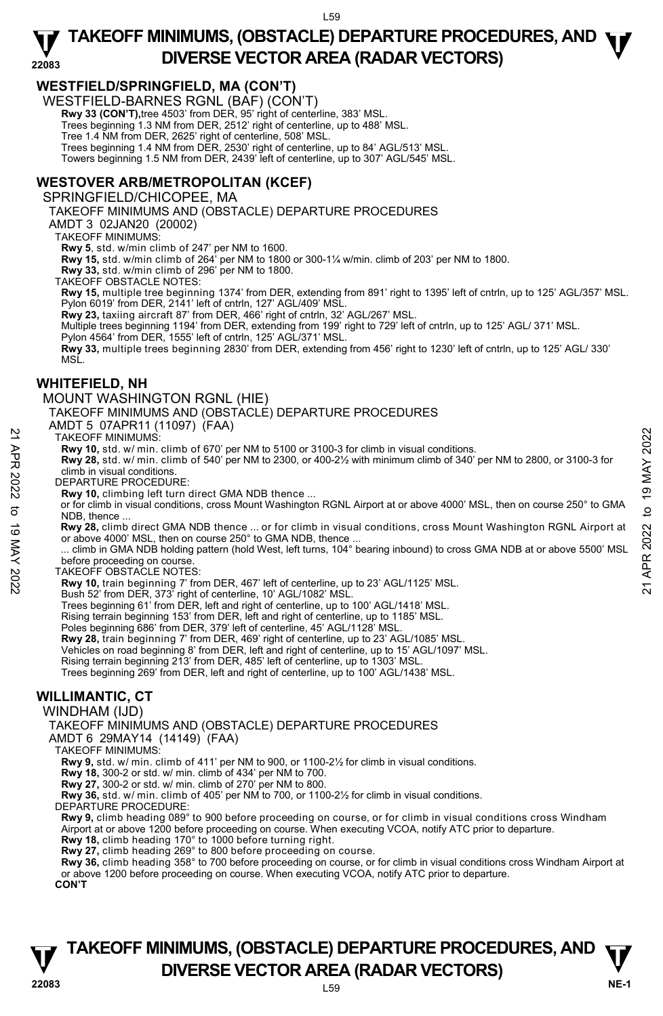## **WESTFIELD/SPRINGFIELD, MA (CON'T)**

WESTFIELD-BARNES RGNL (BAF) (CON'T)

 **Rwy 33 (CON'T),**tree 4503' from DER, 95' right of centerline, 383' MSL.

Trees beginning 1.3 NM from DER, 2512' right of centerline, up to 488' MSL.

Tree 1.4 NM from DER, 2625' right of centerline, 508' MSL.

Trees beginning 1.4 NM from DER, 2530' right of centerline, up to 84' AGL/513' MSL. Towers beginning 1.5 NM from DER, 2439' left of centerline, up to 307' AGL/545' MSL.

### **WESTOVER ARB/METROPOLITAN (KCEF)**

SPRINGFIELD/CHICOPEE, MA

TAKEOFF MINIMUMS AND (OBSTACLE) DEPARTURE PROCEDURES

AMDT 3 02JAN20 (20002)

TAKEOFF MINIMUMS:

**Rwy 5**, std. w/min climb of 247' per NM to 1600.

**Rwy 15,** std. w/min climb of 264' per NM to 1800 or 300-1¼ w/min. climb of 203' per NM to 1800.

**Rwy 33,** std. w/min climb of 296' per NM to 1800. TAKEOFF OBSTACLE NOTES:

**Rwy 15,** multiple tree beginning 1374' from DER, extending from 891' right to 1395' left of cntrln, up to 125' AGL/357' MSL. Pylon 6019' from DER, 2141' left of cntrln, 127' AGL/409' MSI

**Rwy 23,** taxiing aircraft 87' from DER, 466' right of cntrln, 32' AGL/267' MSL.

Multiple trees beginning 1194' from DER, extending from 199' right to 729' left of cntrln, up to 125' AGL/ 371' MSL.

Pylon 4564' from DER, 1555' left of cntrln, 125' AGL/371' MSL.

**Rwy 33,** multiple trees beginning 2830' from DER, extending from 456' right to 1230' left of cntrln, up to 125' AGL/ 330' MSL.

#### **WHITEFIELD, NH**

MOUNT WASHINGTON RGNL (HIE)

TAKEOFF MINIMUMS AND (OBSTACLE) DEPARTURE PROCEDURES

AMDT 5 07APR11 (11097) (FAA)

#### TAKEOFF MINIMUMS:

**Rwy 10,** std. w/ min. climb of 670' per NM to 5100 or 3100-3 for climb in visual conditions.

**Rwy 28,** std. w/ min. climb of 540' per NM to 2300, or 400-2½ with minimum climb of 340' per NM to 2800, or 3100-3 for climb in visual conditions.

DEPARTURE PROCEDURE:

**Rwy 10,** climbing left turn direct GMA NDB thence ...

 or for climb in visual conditions, cross Mount Washington RGNL Airport at or above 4000' MSL, then on course 250° to GMA NDB, thence ...

 **Rwy 28,** climb direct GMA NDB thence ... or for climb in visual conditions, cross Mount Washington RGNL Airport at or above 4000' MSL, then on course 250° to GMA NDB, thence

 ... climb in GMA NDB holding pattern (hold West, left turns, 104° bearing inbound) to cross GMA NDB at or above 5500' MSL before proceeding on course. TAKE OFF MINIMUMS:<br>
TAKE OFF MINIMUMS:<br> **Rwy 10,** std. w/ min. climb of 670' per NM to 5100 or 3100-3 for climb in visual conditions.<br> **Rwy 10,** std. w/ min. climb of 540' per NM to 2300, or 400-2½ with minimum climb of 3

TAKEOFF OBSTACLE NOTES:

**Rwy 10,** train beginning 7' from DER, 467' left of centerline, up to 23' AGL/1125' MSL.

Bush 52' from DER, 373' right of centerline, 10' AGL/1082' MSL.

Trees beginning 61' from DER, left and right of centerline, up to 100' AGL/1418' MSL.

Rising terrain beginning 153' from DER, left and right of centerline, up to 1185' MSL.

Poles beginning 686' from DER, 379' left of centerline, 45' AGL/1128' MSL.

 **Rwy 28,** train beginning 7' from DER, 469' right of centerline, up to 23' AGL/1085' MSL.

Vehicles on road beginning 8' from DER, left and right of centerline, up to 15' AGL/1097' MSL.<br>Rising terrain beginning 213' from DER, 485' left of centerline, up to 1303' MSL.

Trees beginning 269' from DER, left and right of centerline, up to 100' AGL/1438' MSL.

## **WILLIMANTIC, CT**

WINDHAM (IJD)

TAKEOFF MINIMUMS AND (OBSTACLE) DEPARTURE PROCEDURES

AMDT 6 29MAY14 (14149) (FAA)

TAKEOFF MINIMUMS:

**Rwy 9,** std. w/ min. climb of 411' per NM to 900, or 1100-2½ for climb in visual conditions.

**Rwy 18,** 300-2 or std. w/ min. climb of 434' per NM to 700.

**Rwy 27,** 300-2 or std. w/ min. climb of 270' per NM to 800.

**Rwy 36,** std. w/ min. climb of 405' per NM to 700, or 1100-2½ for climb in visual conditions.

DEPARTURE PROCEDURE:

**Rwy 9,** climb heading 089° to 900 before proceeding on course, or for climb in visual conditions cross Windham Airport at or above 1200 before proceeding on course. When executing VCOA, notify ATC prior to departure.

**Rwy 18,** climb heading 170° to 1000 before turning right. **Rwy 27,** climb heading 269° to 800 before proceeding on course.

**Rwy 36,** climb heading 358° to 700 before proceeding on course, or for climb in visual conditions cross Windham Airport at or above 1200 before proceeding on course. When executing VCOA, notify ATC prior to departure.

**CON'T**

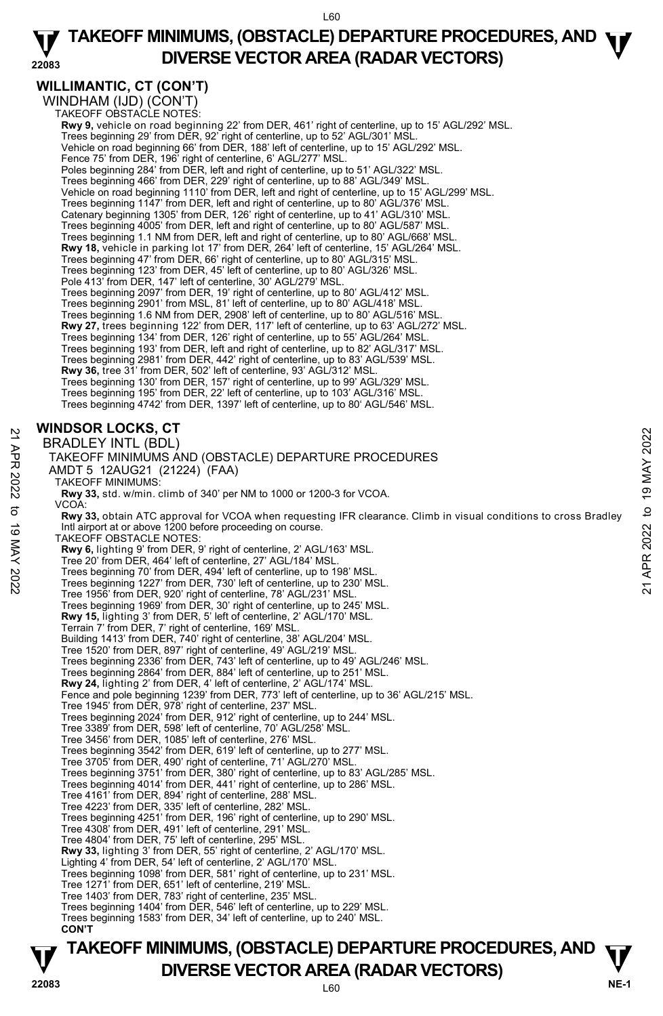#### **22083 TAKEOFF MINIMUMS, (OBSTACLE) DEPARTURE PROCEDURES, AND <b>W**<br>DIVERSE VECTOR AREA (BADAR VECTORS) **DIVERSE VECTOR AREA (RADAR VECTORS)**

## **WILLIMANTIC, CT (CON'T)**

WINDHAM (IJD) (CON'T) TAKEOFF OBSTACLE NOTES:

**Rwy 9,** vehicle on road beginning 22' from DER, 461' right of centerline, up to 15' AGL/292' MSL. Trees beginning 29' from DER, 92' right of centerline, up to 52' AGL/301' MSL. Vehicle on road beginning 66' from DER, 188' left of centerline, up to 15' AGL/292' MSL. Fence 75' from DER, 196' right of centerline, 6' AGL/277' MSL Poles beginning 284' from DER, left and right of centerline, up to 51' AGL/322' MSL. Trees beginning 466' from DER, 229' right of centerline, up to 88' AGL/349' MSL. Vehicle on road beginning 1110' from DER, left and right of centerline, up to 15' AGL/299' MSL. Trees beginning 1147' from DER, left and right of centerline, up to 80' AGL/376' MSL. Catenary beginning 1305' from DER, 126' right of centerline, up to 41' AGL/310' MSL. Trees beginning 4005' from DER, left and right of centerline, up to 80' AGL/587' MSL. Trees beginning 1.1 NM from DER, left and right of centerline, up to 80' AGL/668' MSL. **Rwy 18,** vehicle in parking lot 17' from DER, 264' left of centerline, 15' AGL/264' MSL. Trees beginning 47' from DER, 66' right of centerline, up to 80' AGL/315' MSL. Trees beginning 123' from DER, 45' left of centerline, up to 80' AGL/326' MSL. Pole 413' from DER, 147' left of centerline, 30' AGL/279' MSL. Trees beginning 2097' from DER, 19' right of centerline, up to 80' AGL/412' MSL. Trees beginning 2901' from MSL, 81' left of centerline, up to 80' AGL/418' MSL. Trees beginning 1.6 NM from DER, 2908' left of centerline, up to 80' AGL/516' MSL. **Rwy 27,** trees beginning 122' from DER, 117' left of centerline, up to 63' AGL/272' MSL. Trees beginning 134' from DER, 126' right of centerline, up to 55' AGL/264' MSL. Trees beginning 193' from DER, left and right of centerline, up to 82' AGL/317' MSL. Trees beginning 2981' from DER, 442' right of centerline, up to 83' AGL/539' MSL. **Rwy 36,** tree 31' from DER, 502' left of centerline, 93' AGL/312' MSL. Trees beginning 130' from DER, 157' right of centerline, up to 99' AGL/329' MSL. Trees beginning 195' from DER, 22' left of centerline, up to 103' AGL/316' MSL. Trees beginning 4742' from DER, 1397' left of centerline, up to 80' AGL/546' MSL. **WINDSOR LOCKS, CT**  BRADLEY INTL (BDL) TAKEOFF MINIMUMS AND (OBSTACLE) DEPARTURE PROCEDURES AMDT 5 12AUG21 (21224) (FAA) TAKEOFF MINIMUMS: **Rwy 33,** std. w/min. climb of 340' per NM to 1000 or 1200-3 for VCOA. VCOA: **Rwy 33,** obtain ATC approval for VCOA when requesting IFR clearance. Climb in visual conditions to cross Bradley Intl airport at or above 1200 before proceeding on course. TAKEOFF OBSTACLE NOTES: **Rwy 6,** lighting 9' from DER, 9' right of centerline, 2' AGL/163' MSL. Tree 20' from DER, 464' left of centerline, 27' AGL/184' MSL. Trees beginning 70' from DER, 494' left of centerline, up to 198' MSL. Trees beginning 1227' from DER, 730' left of centerline, up to 230' MSL. Tree 1956' from DER, 920' right of centerline, 78' AGL/231' MSL. Trees beginning 1969' from DER, 30' right of centerline, up to 245' MSL. **Rwy 15,** lighting 3' from DER, 5' left of centerline, 2' AGL/170' MSL.<br>Terrain 7' from DER, 7' right of centerline, 169' MSL. Building 1413' from DER, 740' right of centerline, 38' AGL/204' MSL. Tree 1520' from DER, 897' right of centerline, 49' AGL/219' MSL. Trees beginning 2336' from DER, 743' left of centerline, up to 49' AGL/246' MSL. Trees beginning 2864' from DER, 884' left of centerline, up to 251' MSL. **Rwy 24,** lighting 2' from DER, 4' left of centerline, 2' AGL/174' MSL.<br>Fence and pole beginning 1239' from DER, 773' left of centerline, up to 36' AGL/215' MSL. Tree 1945' from DER, 978' right of centerline, 237' MSL. Trees beginning 2024' from DER, 912' right of centerline, up to 244' MSL. Tree 3389' from DER, 598' left of centerline, 70' AGL/258' MSL. Tree 3456' from DER, 1085' left of centerline, 276' MSL. Trees beginning 3542' from DER, 619' left of centerline, up to 277' MSL. Tree 3705' from DER, 490' right of centerline, 71' AGL/270' MSL. Trees beginning 3751' from DER, 380' right of centerline, up to 83' AGL/285' MSL. Trees beginning 4014' from DER, 441' right of centerline, up to 286' MSL. Tree 4161' from DER, 894' right of centerline, 288' MSL. Tree 4223' from DER, 335' left of centerline, 282' MSL. Trees beginning 4251' from DER, 196' right of centerline, up to 290' MSL. Tree 4308' from DER, 491' left of centerline, 291' MSL. Tree 4804' from DER, 75' left of centerline, 295' MSL. **Rwy 33,** lighting 3' from DER, 55' right of centerline, 2' AGL/170' MSL. Lighting 4' from DER, 54' left of centerline, 2' AGL/170' MSL. Trees beginning 1098' from DER, 581' right of centerline, up to 231' MSL. Tree 1271' from DER, 651' left of centerline, 219' MSL. Tree 1403' from DER, 783' right of centerline, 235' MSL. Trees beginning 1404' from DER, 546' left of centerline, up to 229' MSL. Trees beginning 1583' from DER, 34' left of centerline, up to 240' MSL. **CON'T EXECUTE SET ANTIMICALLY INTEREFORM**<br>
21 **BRADLEY INTL** (BDL)<br>
TAKEOFF MINIMUMS AND (OBSTACLE) DEPARTURE PROCEDURES<br>
22 AMDT 5 12AUG21 (21224) (FAA)<br>
TAKEOFF MINIMUMS:<br>
22 TAKEOFF MINIMUMS:<br>
23 RW 33, std. w/min. climb of